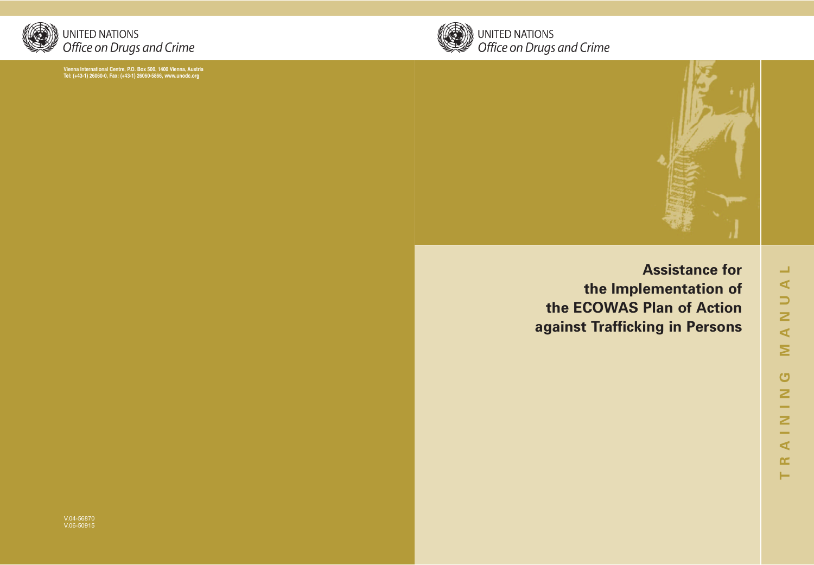

**UNITED NATIONS** Office on Drugs and Crime



# **Assistance for the Implementation of the ECOWAS Plan of Action against Trafficking in Persons**

NANUAL **TRAINING MANUAL** RAINING н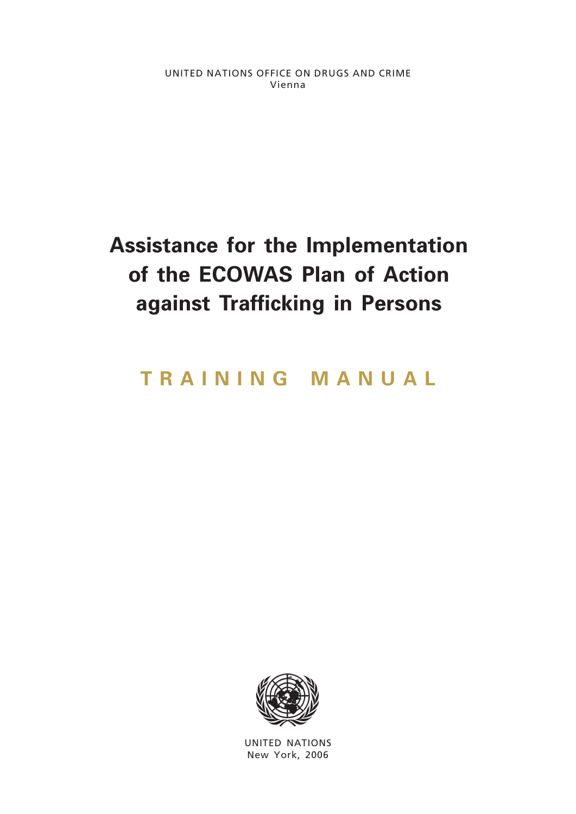UNITED NATIONS OFFICE ON DRUGS AND CRIME Vienna

# **Assistance for the Implementation of the ECOWAS Plan of Action against Trafficking in Persons**

# **TRAINING MANUAL**



UNITED NATIONS New York, 2006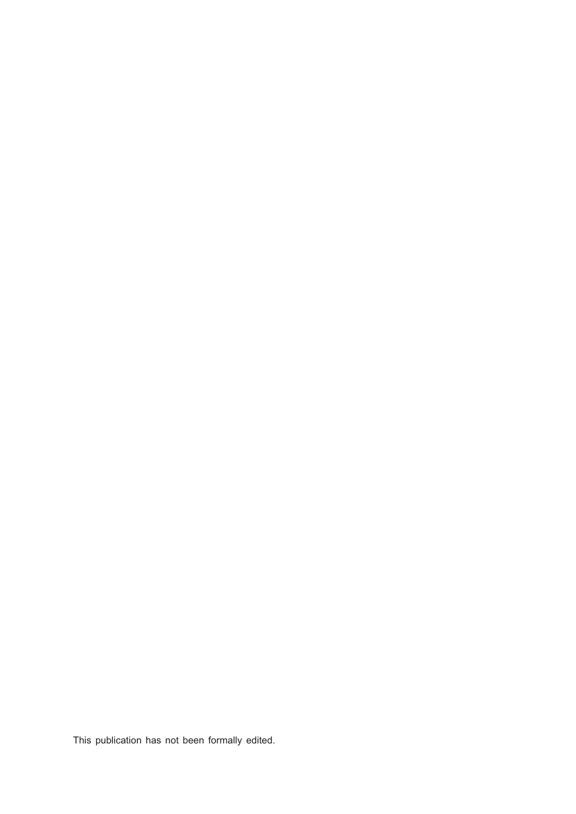This publication has not been formally edited.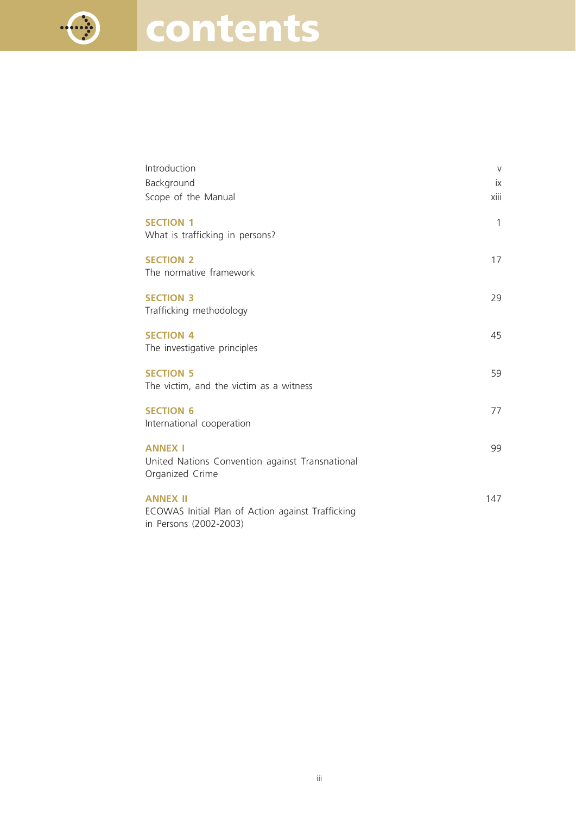

# **contents**

| Introduction                                                                                   | V    |
|------------------------------------------------------------------------------------------------|------|
| Background                                                                                     | ix   |
| Scope of the Manual                                                                            | xiii |
| <b>SECTION 1</b><br>What is trafficking in persons?                                            | 1    |
| <b>SECTION 2</b><br>The normative framework                                                    | 17   |
| <b>SECTION 3</b><br>Trafficking methodology                                                    | 29   |
| <b>SECTION 4</b><br>The investigative principles                                               | 45   |
| <b>SECTION 5</b><br>The victim, and the victim as a witness                                    | 59   |
| <b>SECTION 6</b><br>International cooperation                                                  | 77   |
| <b>ANNEX I</b><br>United Nations Convention against Transnational<br>Organized Crime           | 99   |
| <b>ANNEX II</b><br>ECOWAS Initial Plan of Action against Trafficking<br>in Persons (2002-2003) | 147  |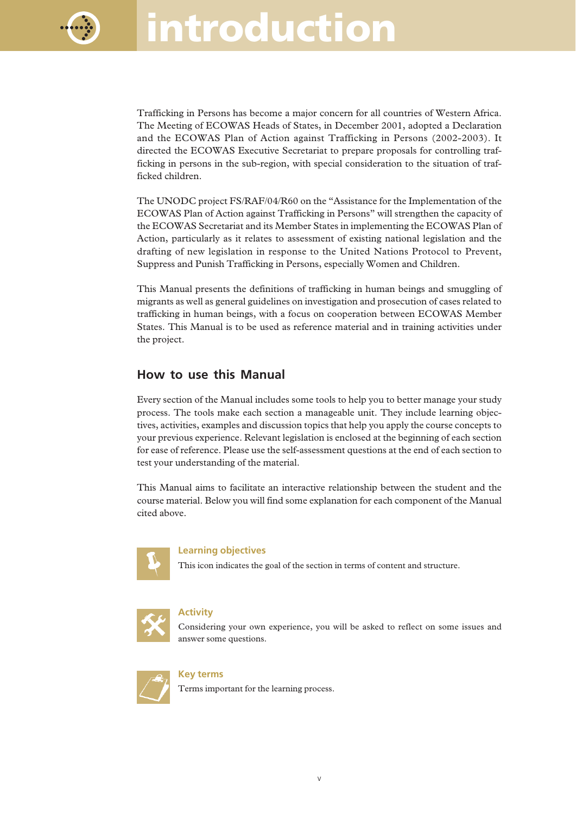

# **introduction**

Trafficking in Persons has become a major concern for all countries of Western Africa. The Meeting of ECOWAS Heads of States, in December 2001, adopted a Declaration and the ECOWAS Plan of Action against Trafficking in Persons (2002-2003). It directed the ECOWAS Executive Secretariat to prepare proposals for controlling trafficking in persons in the sub-region, with special consideration to the situation of trafficked children.

The UNODC project FS/RAF/04/R60 on the "Assistance for the Implementation of the ECOWAS Plan of Action against Trafficking in Persons" will strengthen the capacity of the ECOWAS Secretariat and its Member States in implementing the ECOWAS Plan of Action, particularly as it relates to assessment of existing national legislation and the drafting of new legislation in response to the United Nations Protocol to Prevent, Suppress and Punish Trafficking in Persons, especially Women and Children.

This Manual presents the definitions of trafficking in human beings and smuggling of migrants as well as general guidelines on investigation and prosecution of cases related to trafficking in human beings, with a focus on cooperation between ECOWAS Member States. This Manual is to be used as reference material and in training activities under the project.

# **How to use this Manual**

Every section of the Manual includes some tools to help you to better manage your study process. The tools make each section a manageable unit. They include learning objectives, activities, examples and discussion topics that help you apply the course concepts to your previous experience. Relevant legislation is enclosed at the beginning of each section for ease of reference. Please use the self-assessment questions at the end of each section to test your understanding of the material.

This Manual aims to facilitate an interactive relationship between the student and the course material. Below you will find some explanation for each component of the Manual cited above.



#### **Learning objectives**

This icon indicates the goal of the section in terms of content and structure.



#### **Activity**

Considering your own experience, you will be asked to reflect on some issues and answer some questions.



#### **Key terms**

Terms important for the learning process.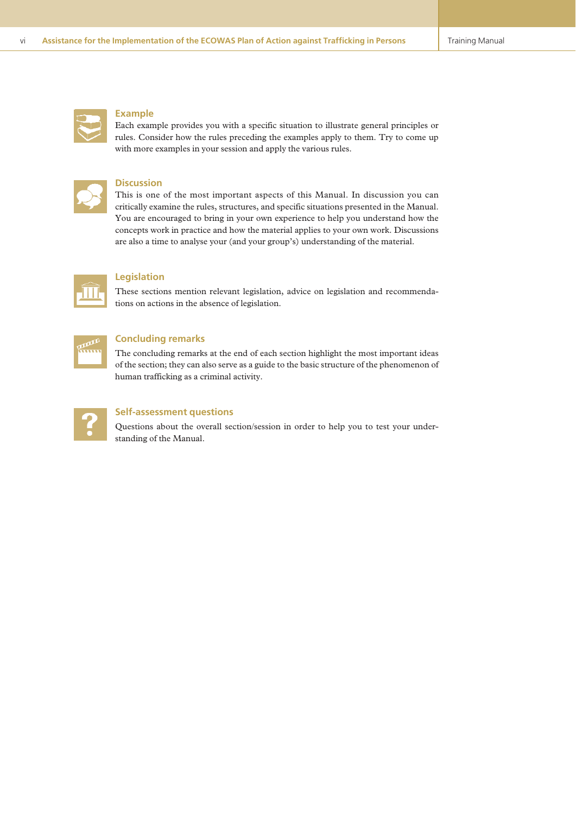

#### **Example**

Each example provides you with a specific situation to illustrate general principles or rules. Consider how the rules preceding the examples apply to them. Try to come up with more examples in your session and apply the various rules.



#### **Discussion**

This is one of the most important aspects of this Manual. In discussion you can critically examine the rules, structures, and specific situations presented in the Manual. You are encouraged to bring in your own experience to help you understand how the concepts work in practice and how the material applies to your own work. Discussions are also a time to analyse your (and your group's) understanding of the material.



#### **Legislation**

These sections mention relevant legislation, advice on legislation and recommendations on actions in the absence of legislation.



#### **Concluding remarks**

The concluding remarks at the end of each section highlight the most important ideas of the section; they can also serve as a guide to the basic structure of the phenomenon of human trafficking as a criminal activity.



#### **Self-assessment questions**

Questions about the overall section/session in order to help you to test your understanding of the Manual.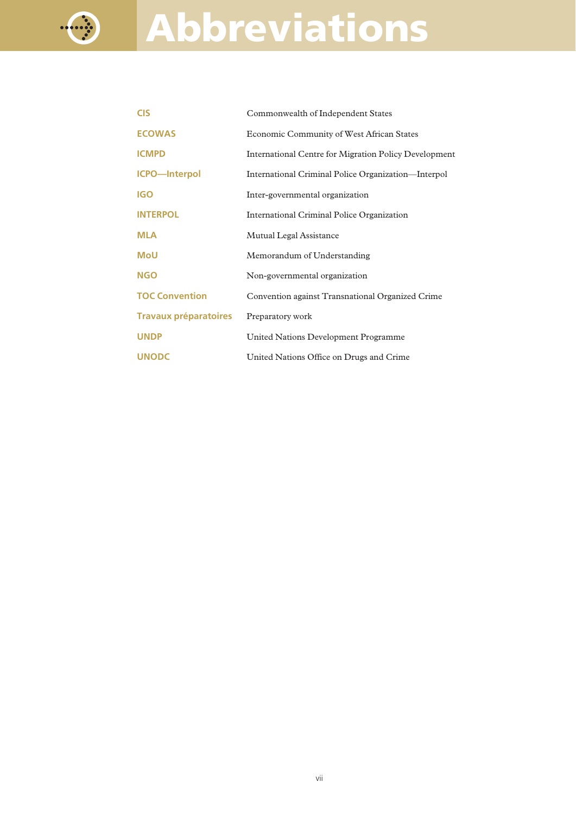

# **Abbreviations**

| <b>CIS</b>                   | Commonwealth of Independent States                           |  |  |
|------------------------------|--------------------------------------------------------------|--|--|
| <b>ECOWAS</b>                | <b>Economic Community of West African States</b>             |  |  |
| <b>ICMPD</b>                 | <b>International Centre for Migration Policy Development</b> |  |  |
| ICPO-Interpol                | International Criminal Police Organization-Interpol          |  |  |
| <b>IGO</b>                   | Inter-governmental organization                              |  |  |
| <b>INTERPOL</b>              | International Criminal Police Organization                   |  |  |
| <b>MLA</b>                   | Mutual Legal Assistance                                      |  |  |
| <b>MoU</b>                   | Memorandum of Understanding                                  |  |  |
| <b>NGO</b>                   | Non-governmental organization                                |  |  |
| <b>TOC Convention</b>        | Convention against Transnational Organized Crime             |  |  |
| <b>Travaux préparatoires</b> | Preparatory work                                             |  |  |
| <b>UNDP</b>                  | United Nations Development Programme                         |  |  |
| <b>UNODC</b>                 | United Nations Office on Drugs and Crime                     |  |  |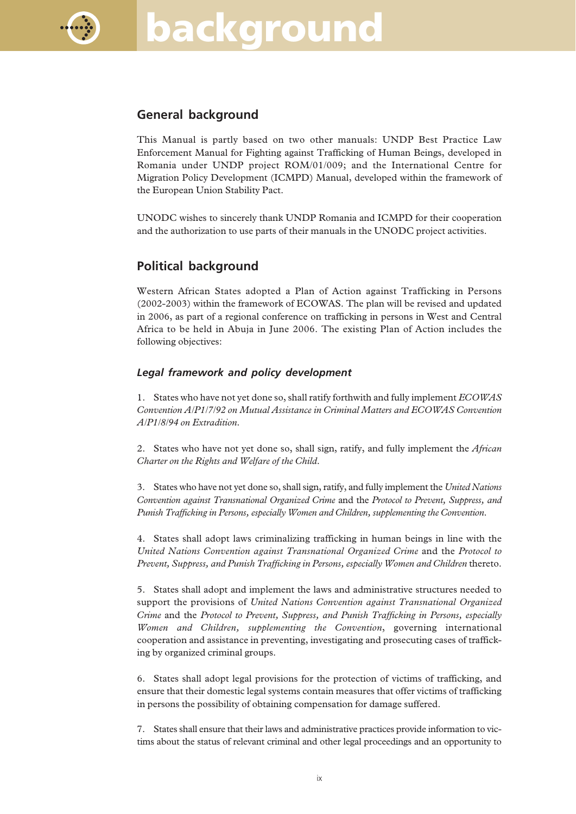

# **General background**

This Manual is partly based on two other manuals: UNDP Best Practice Law Enforcement Manual for Fighting against Trafficking of Human Beings, developed in Romania under UNDP project ROM/01/009; and the International Centre for Migration Policy Development (ICMPD) Manual, developed within the framework of the European Union Stability Pact.

UNODC wishes to sincerely thank UNDP Romania and ICMPD for their cooperation and the authorization to use parts of their manuals in the UNODC project activities.

# **Political background**

Western African States adopted a Plan of Action against Trafficking in Persons (2002-2003) within the framework of ECOWAS. The plan will be revised and updated in 2006, as part of a regional conference on trafficking in persons in West and Central Africa to be held in Abuja in June 2006. The existing Plan of Action includes the following objectives:

## *Legal framework and policy development*

1. States who have not yet done so, shall ratify forthwith and fully implement *ECOWAS Convention A/P1/7/92 on Mutual Assistance in Criminal Matters and ECOWAS Convention A/P1/8/94 on Extradition*.

2. States who have not yet done so, shall sign, ratify, and fully implement the *African Charter on the Rights and Welfare of the Child*.

3. States who have not yet done so, shall sign, ratify, and fully implement the *United Nations Convention against Transnational Organized Crime* and the *Protocol to Prevent, Suppress, and Punish Trafficking in Persons, especially Women and Children, supplementing the Convention*.

4. States shall adopt laws criminalizing trafficking in human beings in line with the *United Nations Convention against Transnational Organized Crime* and the *Protocol to Prevent, Suppress, and Punish Trafficking in Persons, especially Women and Children thereto.* 

5. States shall adopt and implement the laws and administrative structures needed to support the provisions of *United Nations Convention against Transnational Organized Crime* and the *Protocol to Prevent, Suppress, and Punish Trafficking in Persons, especially Women and Children, supplementing the Convention*, governing international cooperation and assistance in preventing, investigating and prosecuting cases of trafficking by organized criminal groups.

6. States shall adopt legal provisions for the protection of victims of trafficking, and ensure that their domestic legal systems contain measures that offer victims of trafficking in persons the possibility of obtaining compensation for damage suffered.

7. States shall ensure that their laws and administrative practices provide information to victims about the status of relevant criminal and other legal proceedings and an opportunity to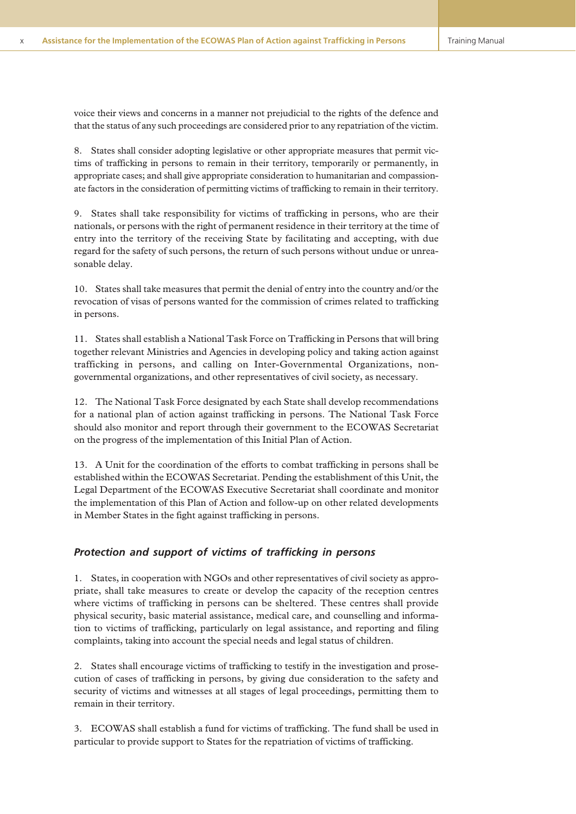voice their views and concerns in a manner not prejudicial to the rights of the defence and that the status of any such proceedings are considered prior to any repatriation of the victim.

8. States shall consider adopting legislative or other appropriate measures that permit victims of trafficking in persons to remain in their territory, temporarily or permanently, in appropriate cases; and shall give appropriate consideration to humanitarian and compassionate factors in the consideration of permitting victims of trafficking to remain in their territory.

9. States shall take responsibility for victims of trafficking in persons, who are their nationals, or persons with the right of permanent residence in their territory at the time of entry into the territory of the receiving State by facilitating and accepting, with due regard for the safety of such persons, the return of such persons without undue or unreasonable delay.

10. States shall take measures that permit the denial of entry into the country and/or the revocation of visas of persons wanted for the commission of crimes related to trafficking in persons.

11. States shall establish a National Task Force on Trafficking in Persons that will bring together relevant Ministries and Agencies in developing policy and taking action against trafficking in persons, and calling on Inter-Governmental Organizations, nongovernmental organizations, and other representatives of civil society, as necessary.

12. The National Task Force designated by each State shall develop recommendations for a national plan of action against trafficking in persons. The National Task Force should also monitor and report through their government to the ECOWAS Secretariat on the progress of the implementation of this Initial Plan of Action.

13. A Unit for the coordination of the efforts to combat trafficking in persons shall be established within the ECOWAS Secretariat. Pending the establishment of this Unit, the Legal Department of the ECOWAS Executive Secretariat shall coordinate and monitor the implementation of this Plan of Action and follow-up on other related developments in Member States in the fight against trafficking in persons.

#### *Protection and support of victims of trafficking in persons*

1. States, in cooperation with NGOs and other representatives of civil society as appropriate, shall take measures to create or develop the capacity of the reception centres where victims of trafficking in persons can be sheltered. These centres shall provide physical security, basic material assistance, medical care, and counselling and information to victims of trafficking, particularly on legal assistance, and reporting and filing complaints, taking into account the special needs and legal status of children.

2. States shall encourage victims of trafficking to testify in the investigation and prosecution of cases of trafficking in persons, by giving due consideration to the safety and security of victims and witnesses at all stages of legal proceedings, permitting them to remain in their territory.

3. ECOWAS shall establish a fund for victims of trafficking. The fund shall be used in particular to provide support to States for the repatriation of victims of trafficking.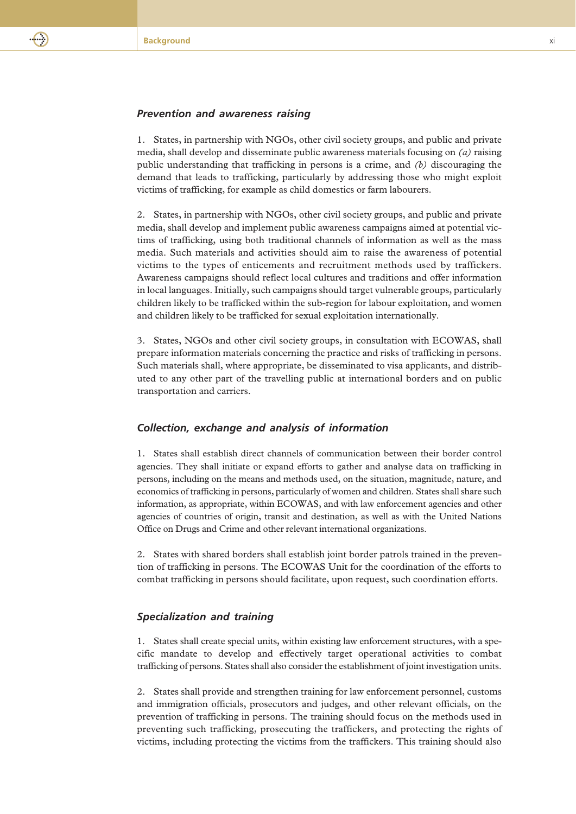$\left($   $\right)$ 

#### *Prevention and awareness raising*

1. States, in partnership with NGOs, other civil society groups, and public and private media, shall develop and disseminate public awareness materials focusing on *(a)* raising public understanding that trafficking in persons is a crime, and *(b)* discouraging the demand that leads to trafficking, particularly by addressing those who might exploit victims of trafficking, for example as child domestics or farm labourers.

2. States, in partnership with NGOs, other civil society groups, and public and private media, shall develop and implement public awareness campaigns aimed at potential victims of trafficking, using both traditional channels of information as well as the mass media. Such materials and activities should aim to raise the awareness of potential victims to the types of enticements and recruitment methods used by traffickers. Awareness campaigns should reflect local cultures and traditions and offer information in local languages. Initially, such campaigns should target vulnerable groups, particularly children likely to be trafficked within the sub-region for labour exploitation, and women and children likely to be trafficked for sexual exploitation internationally.

3. States, NGOs and other civil society groups, in consultation with ECOWAS, shall prepare information materials concerning the practice and risks of trafficking in persons. Such materials shall, where appropriate, be disseminated to visa applicants, and distributed to any other part of the travelling public at international borders and on public transportation and carriers.

#### *Collection, exchange and analysis of information*

1. States shall establish direct channels of communication between their border control agencies. They shall initiate or expand efforts to gather and analyse data on trafficking in persons, including on the means and methods used, on the situation, magnitude, nature, and economics of trafficking in persons, particularly of women and children. States shall share such information, as appropriate, within ECOWAS, and with law enforcement agencies and other agencies of countries of origin, transit and destination, as well as with the United Nations Office on Drugs and Crime and other relevant international organizations.

2. States with shared borders shall establish joint border patrols trained in the prevention of trafficking in persons. The ECOWAS Unit for the coordination of the efforts to combat trafficking in persons should facilitate, upon request, such coordination efforts.

#### *Specialization and training*

1. States shall create special units, within existing law enforcement structures, with a specific mandate to develop and effectively target operational activities to combat trafficking of persons. States shall also consider the establishment of joint investigation units.

2. States shall provide and strengthen training for law enforcement personnel, customs and immigration officials, prosecutors and judges, and other relevant officials, on the prevention of trafficking in persons. The training should focus on the methods used in preventing such trafficking, prosecuting the traffickers, and protecting the rights of victims, including protecting the victims from the traffickers. This training should also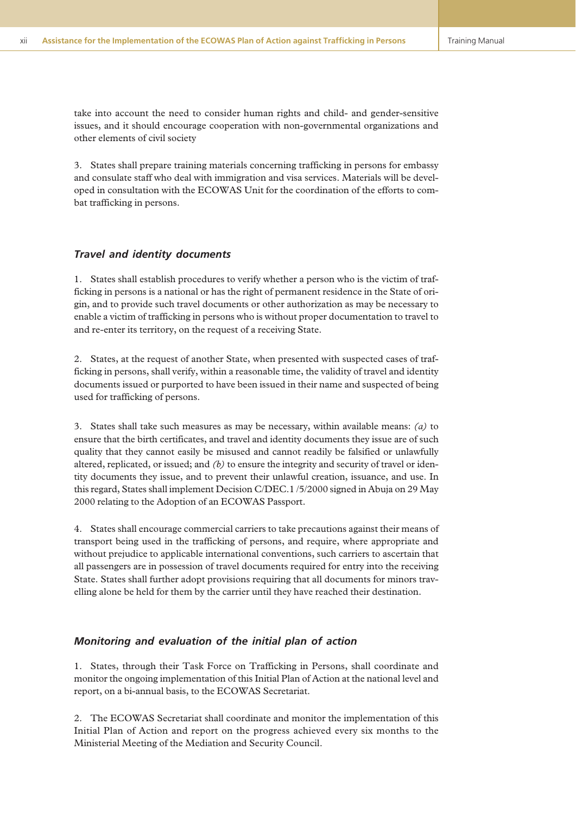take into account the need to consider human rights and child- and gender-sensitive issues, and it should encourage cooperation with non-governmental organizations and other elements of civil society

3. States shall prepare training materials concerning trafficking in persons for embassy and consulate staff who deal with immigration and visa services. Materials will be developed in consultation with the ECOWAS Unit for the coordination of the efforts to combat trafficking in persons.

#### *Travel and identity documents*

1. States shall establish procedures to verify whether a person who is the victim of trafficking in persons is a national or has the right of permanent residence in the State of origin, and to provide such travel documents or other authorization as may be necessary to enable a victim of trafficking in persons who is without proper documentation to travel to and re-enter its territory, on the request of a receiving State.

2. States, at the request of another State, when presented with suspected cases of trafficking in persons, shall verify, within a reasonable time, the validity of travel and identity documents issued or purported to have been issued in their name and suspected of being used for trafficking of persons.

3. States shall take such measures as may be necessary, within available means: *(a)* to ensure that the birth certificates, and travel and identity documents they issue are of such quality that they cannot easily be misused and cannot readily be falsified or unlawfully altered, replicated, or issued; and *(b)* to ensure the integrity and security of travel or identity documents they issue, and to prevent their unlawful creation, issuance, and use. In this regard, States shall implement Decision C/DEC.1 /5/2000 signed in Abuja on 29 May 2000 relating to the Adoption of an ECOWAS Passport.

4. States shall encourage commercial carriers to take precautions against their means of transport being used in the trafficking of persons, and require, where appropriate and without prejudice to applicable international conventions, such carriers to ascertain that all passengers are in possession of travel documents required for entry into the receiving State. States shall further adopt provisions requiring that all documents for minors travelling alone be held for them by the carrier until they have reached their destination.

#### *Monitoring and evaluation of the initial plan of action*

1. States, through their Task Force on Trafficking in Persons, shall coordinate and monitor the ongoing implementation of this Initial Plan of Action at the national level and report, on a bi-annual basis, to the ECOWAS Secretariat.

2. The ECOWAS Secretariat shall coordinate and monitor the implementation of this Initial Plan of Action and report on the progress achieved every six months to the Ministerial Meeting of the Mediation and Security Council.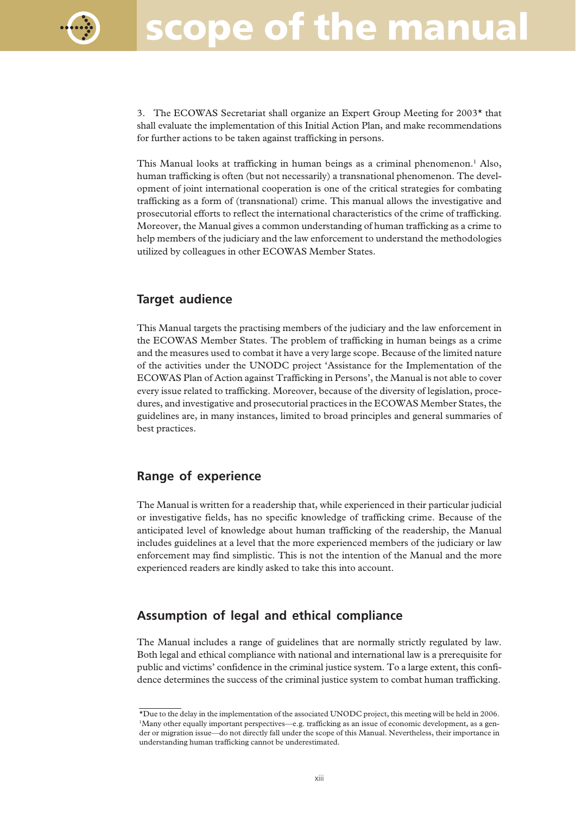3. The ECOWAS Secretariat shall organize an Expert Group Meeting for 2003\* that shall evaluate the implementation of this Initial Action Plan, and make recommendations for further actions to be taken against trafficking in persons.

This Manual looks at trafficking in human beings as a criminal phenomenon.<sup>1</sup> Also, human trafficking is often (but not necessarily) a transnational phenomenon. The development of joint international cooperation is one of the critical strategies for combating trafficking as a form of (transnational) crime. This manual allows the investigative and prosecutorial efforts to reflect the international characteristics of the crime of trafficking. Moreover, the Manual gives a common understanding of human trafficking as a crime to help members of the judiciary and the law enforcement to understand the methodologies utilized by colleagues in other ECOWAS Member States.

# **Target audience**

This Manual targets the practising members of the judiciary and the law enforcement in the ECOWAS Member States. The problem of trafficking in human beings as a crime and the measures used to combat it have a very large scope. Because of the limited nature of the activities under the UNODC project 'Assistance for the Implementation of the ECOWAS Plan of Action against Trafficking in Persons', the Manual is not able to cover every issue related to trafficking. Moreover, because of the diversity of legislation, procedures, and investigative and prosecutorial practices in the ECOWAS Member States, the guidelines are, in many instances, limited to broad principles and general summaries of best practices.

# **Range of experience**

The Manual is written for a readership that, while experienced in their particular judicial or investigative fields, has no specific knowledge of trafficking crime. Because of the anticipated level of knowledge about human trafficking of the readership, the Manual includes guidelines at a level that the more experienced members of the judiciary or law enforcement may find simplistic. This is not the intention of the Manual and the more experienced readers are kindly asked to take this into account.

# **Assumption of legal and ethical compliance**

The Manual includes a range of guidelines that are normally strictly regulated by law. Both legal and ethical compliance with national and international law is a prerequisite for public and victims' confidence in the criminal justice system. To a large extent, this confidence determines the success of the criminal justice system to combat human trafficking.

<sup>\*</sup>Due to the delay in the implementation of the associated UNODC project, this meeting will be held in 2006. 1 Many other equally important perspectives—e.g. trafficking as an issue of economic development, as a gender or migration issue—do not directly fall under the scope of this Manual. Nevertheless, their importance in understanding human trafficking cannot be underestimated.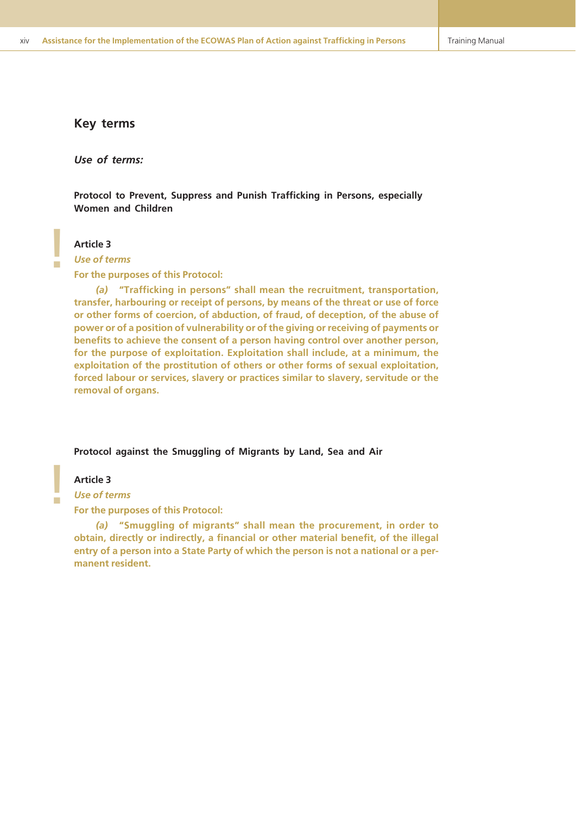#### **Key terms**

*Use of terms:*

**Protocol to Prevent, Suppress and Punish Trafficking in Persons, especially Women and Children**

#### **Article 3**

!

*Use of terms*

**For the purposes of this Protocol:** 

*(a)* **"Trafficking in persons" shall mean the recruitment, transportation, transfer, harbouring or receipt of persons, by means of the threat or use of force or other forms of coercion, of abduction, of fraud, of deception, of the abuse of power or of a position of vulnerability or of the giving or receiving of payments or benefits to achieve the consent of a person having control over another person, for the purpose of exploitation. Exploitation shall include, at a minimum, the exploitation of the prostitution of others or other forms of sexual exploitation, forced labour or services, slavery or practices similar to slavery, servitude or the removal of organs.**

#### **Protocol against the Smuggling of Migrants by Land, Sea and Air**

#### **Article 3**

!

*Use of terms*

**For the purposes of this Protocol:** 

*(a)* **"Smuggling of migrants" shall mean the procurement, in order to obtain, directly or indirectly, a financial or other material benefit, of the illegal entry of a person into a State Party of which the person is not a national or a permanent resident.**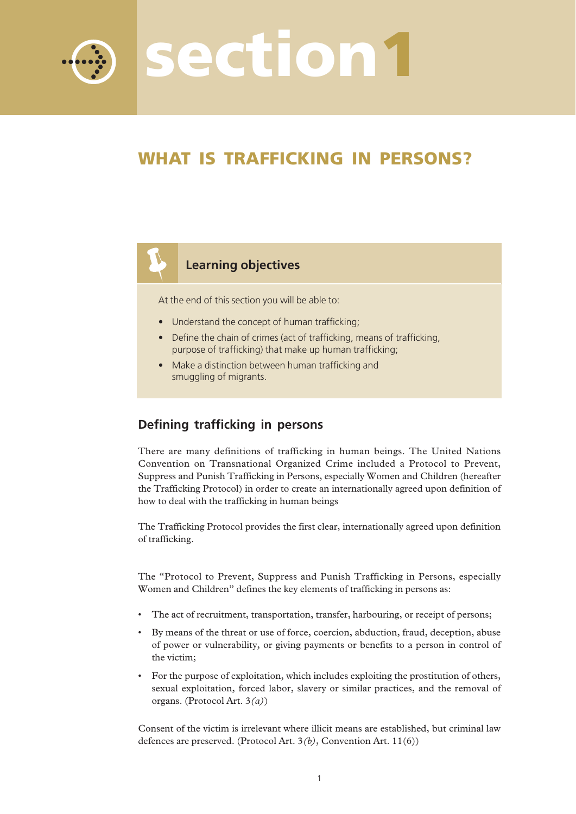

# **WHAT IS TRAFFICKING IN PERSONS?**

# **Learning objectives**

At the end of this section you will be able to:

- Understand the concept of human trafficking;
- Define the chain of crimes (act of trafficking, means of trafficking, purpose of trafficking) that make up human trafficking;
- Make a distinction between human trafficking and smuggling of migrants.

## **Defining trafficking in persons**

There are many definitions of trafficking in human beings. The United Nations Convention on Transnational Organized Crime included a Protocol to Prevent, Suppress and Punish Trafficking in Persons, especially Women and Children (hereafter the Trafficking Protocol) in order to create an internationally agreed upon definition of how to deal with the trafficking in human beings

The Trafficking Protocol provides the first clear, internationally agreed upon definition of trafficking.

The "Protocol to Prevent, Suppress and Punish Trafficking in Persons, especially Women and Children" defines the key elements of trafficking in persons as:

- The act of recruitment, transportation, transfer, harbouring, or receipt of persons;
- By means of the threat or use of force, coercion, abduction, fraud, deception, abuse of power or vulnerability, or giving payments or benefits to a person in control of the victim;
- For the purpose of exploitation, which includes exploiting the prostitution of others, sexual exploitation, forced labor, slavery or similar practices, and the removal of organs. (Protocol Art. 3*(a)*)

Consent of the victim is irrelevant where illicit means are established, but criminal law defences are preserved. (Protocol Art. 3*(b)*, Convention Art. 11(6))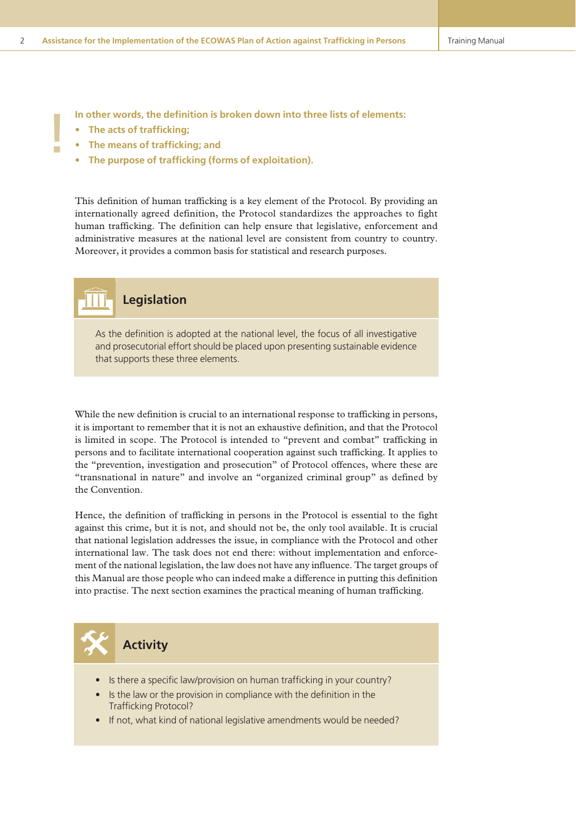**In other words, the definition is broken down into three lists of elements:**

**• The acts of trafficking;** 

!

- **The means of trafficking; and**
- **The purpose of trafficking (forms of exploitation).**

This definition of human trafficking is a key element of the Protocol. By providing an internationally agreed definition, the Protocol standardizes the approaches to fight human trafficking. The definition can help ensure that legislative, enforcement and administrative measures at the national level are consistent from country to country. Moreover, it provides a common basis for statistical and research purposes.



As the definition is adopted at the national level, the focus of all investigative and prosecutorial effort should be placed upon presenting sustainable evidence that supports these three elements.

While the new definition is crucial to an international response to trafficking in persons, it is important to remember that it is not an exhaustive definition, and that the Protocol is limited in scope. The Protocol is intended to "prevent and combat" trafficking in persons and to facilitate international cooperation against such trafficking. It applies to the "prevention, investigation and prosecution" of Protocol offences, where these are "transnational in nature" and involve an "organized criminal group" as defined by the Convention.

Hence, the definition of trafficking in persons in the Protocol is essential to the fight against this crime, but it is not, and should not be, the only tool available. It is crucial that national legislation addresses the issue, in compliance with the Protocol and other international law. The task does not end there: without implementation and enforcement of the national legislation, the law does not have any influence. The target groups of this Manual are those people who can indeed make a difference in putting this definition into practise. The next section examines the practical meaning of human trafficking.



## **Activity**

- Is there a specific law/provision on human trafficking in your country?
- Is the law or the provision in compliance with the definition in the Trafficking Protocol?
- If not, what kind of national legislative amendments would be needed?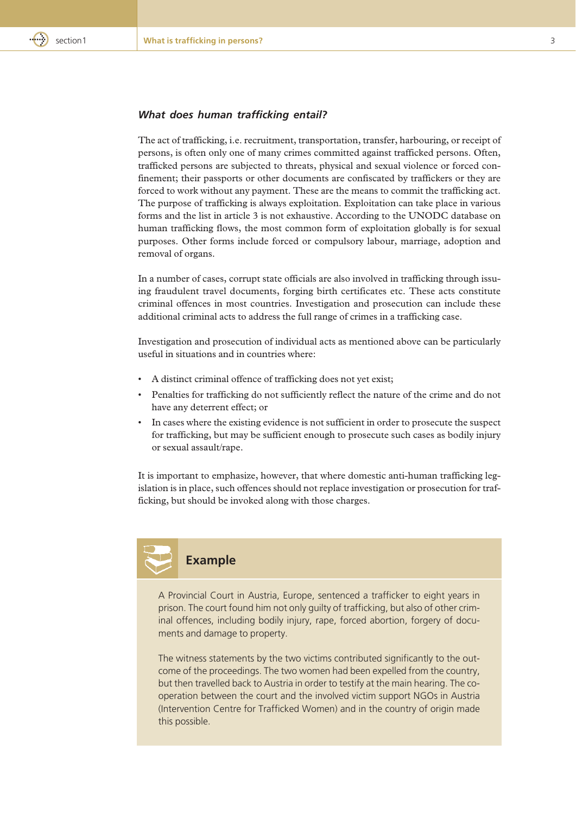#### *What does human trafficking entail?*

The act of trafficking, i.e. recruitment, transportation, transfer, harbouring, or receipt of persons, is often only one of many crimes committed against trafficked persons. Often, trafficked persons are subjected to threats, physical and sexual violence or forced confinement; their passports or other documents are confiscated by traffickers or they are forced to work without any payment. These are the means to commit the trafficking act. The purpose of trafficking is always exploitation. Exploitation can take place in various forms and the list in article 3 is not exhaustive. According to the UNODC database on human trafficking flows, the most common form of exploitation globally is for sexual purposes. Other forms include forced or compulsory labour, marriage, adoption and removal of organs.

In a number of cases, corrupt state officials are also involved in trafficking through issuing fraudulent travel documents, forging birth certificates etc. These acts constitute criminal offences in most countries. Investigation and prosecution can include these additional criminal acts to address the full range of crimes in a trafficking case.

Investigation and prosecution of individual acts as mentioned above can be particularly useful in situations and in countries where:

- A distinct criminal offence of trafficking does not yet exist;
- Penalties for trafficking do not sufficiently reflect the nature of the crime and do not have any deterrent effect; or
- In cases where the existing evidence is not sufficient in order to prosecute the suspect for trafficking, but may be sufficient enough to prosecute such cases as bodily injury or sexual assault/rape.

It is important to emphasize, however, that where domestic anti-human trafficking legislation is in place, such offences should not replace investigation or prosecution for trafficking, but should be invoked along with those charges.

# **Example**

A Provincial Court in Austria, Europe, sentenced a trafficker to eight years in prison. The court found him not only guilty of trafficking, but also of other criminal offences, including bodily injury, rape, forced abortion, forgery of documents and damage to property.

The witness statements by the two victims contributed significantly to the outcome of the proceedings. The two women had been expelled from the country, but then travelled back to Austria in order to testify at the main hearing. The cooperation between the court and the involved victim support NGOs in Austria (Intervention Centre for Trafficked Women) and in the country of origin made this possible.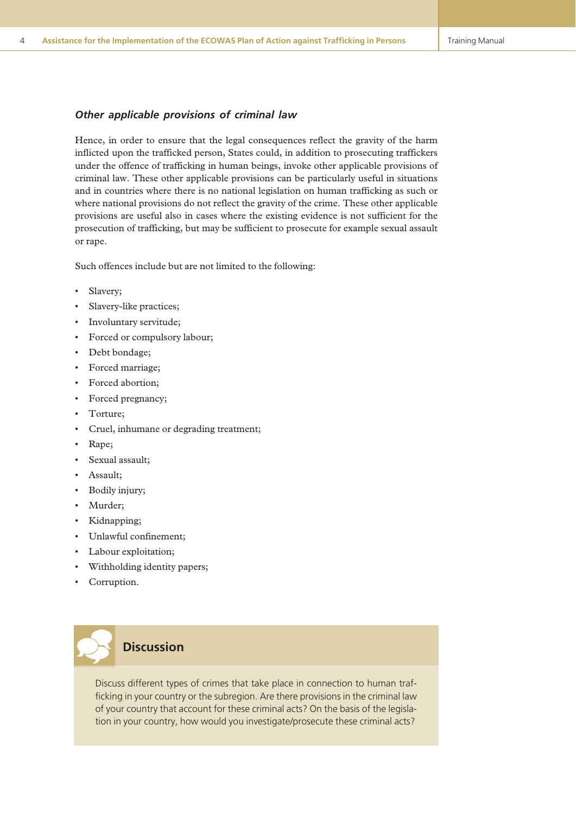#### *Other applicable provisions of criminal law*

Hence, in order to ensure that the legal consequences reflect the gravity of the harm inflicted upon the trafficked person, States could, in addition to prosecuting traffickers under the offence of trafficking in human beings, invoke other applicable provisions of criminal law. These other applicable provisions can be particularly useful in situations and in countries where there is no national legislation on human trafficking as such or where national provisions do not reflect the gravity of the crime. These other applicable provisions are useful also in cases where the existing evidence is not sufficient for the prosecution of trafficking, but may be sufficient to prosecute for example sexual assault or rape.

Such offences include but are not limited to the following:

- Slavery;
- Slavery-like practices;
- Involuntary servitude;
- Forced or compulsory labour;
- Debt bondage;
- Forced marriage;
- Forced abortion;
- Forced pregnancy;
- Torture;
- Cruel, inhumane or degrading treatment;
- Rape;
- Sexual assault;
- Assault;
- Bodily injury;
- Murder;
- Kidnapping;
- Unlawful confinement;
- Labour exploitation;
- Withholding identity papers;
- Corruption.



## Discuss different types of crimes that take place in connection to human trafficking in your country or the subregion. Are there provisions in the criminal law of your country that account for these criminal acts? On the basis of the legislation in your country, how would you investigate/prosecute these criminal acts?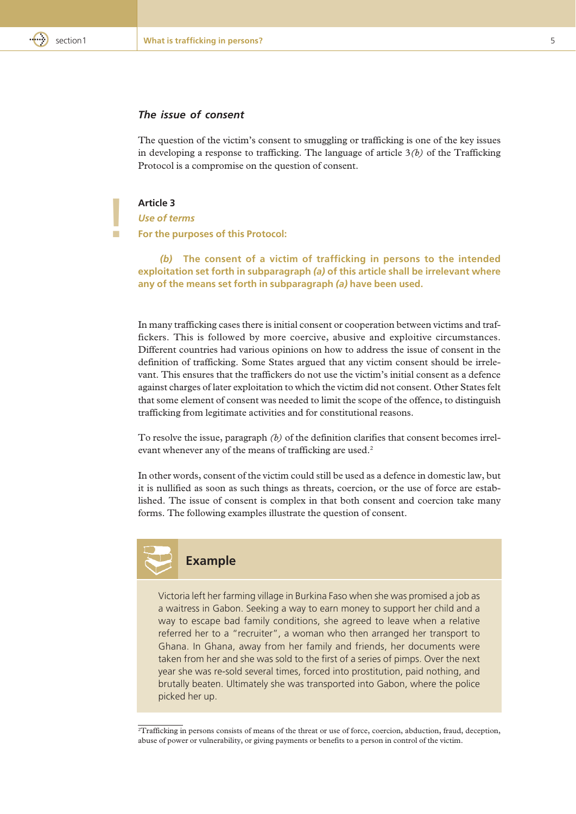#### *The issue of consent*

The question of the victim's consent to smuggling or trafficking is one of the key issues in developing a response to trafficking. The language of article 3*(b)* of the Trafficking Protocol is a compromise on the question of consent.

#### **Article 3**

*Use of terms* 

!

**For the purposes of this Protocol:**

*(b)* **The consent of a victim of trafficking in persons to the intended exploitation set forth in subparagraph** *(a)* **of this article shall be irrelevant where any of the means set forth in subparagraph** *(a)* **have been used.**

In many trafficking cases there is initial consent or cooperation between victims and traffickers. This is followed by more coercive, abusive and exploitive circumstances. Different countries had various opinions on how to address the issue of consent in the definition of trafficking. Some States argued that any victim consent should be irrelevant. This ensures that the traffickers do not use the victim's initial consent as a defence against charges of later exploitation to which the victim did not consent. Other States felt that some element of consent was needed to limit the scope of the offence, to distinguish trafficking from legitimate activities and for constitutional reasons.

To resolve the issue, paragraph *(b)* of the definition clarifies that consent becomes irrelevant whenever any of the means of trafficking are used.<sup>2</sup>

In other words, consent of the victim could still be used as a defence in domestic law, but it is nullified as soon as such things as threats, coercion, or the use of force are established. The issue of consent is complex in that both consent and coercion take many forms. The following examples illustrate the question of consent.

**Example**

Victoria left her farming village in Burkina Faso when she was promised a job as a waitress in Gabon. Seeking a way to earn money to support her child and a way to escape bad family conditions, she agreed to leave when a relative referred her to a "recruiter", a woman who then arranged her transport to Ghana. In Ghana, away from her family and friends, her documents were taken from her and she was sold to the first of a series of pimps. Over the next year she was re-sold several times, forced into prostitution, paid nothing, and brutally beaten. Ultimately she was transported into Gabon, where the police picked her up.

2 Trafficking in persons consists of means of the threat or use of force, coercion, abduction, fraud, deception, abuse of power or vulnerability, or giving payments or benefits to a person in control of the victim.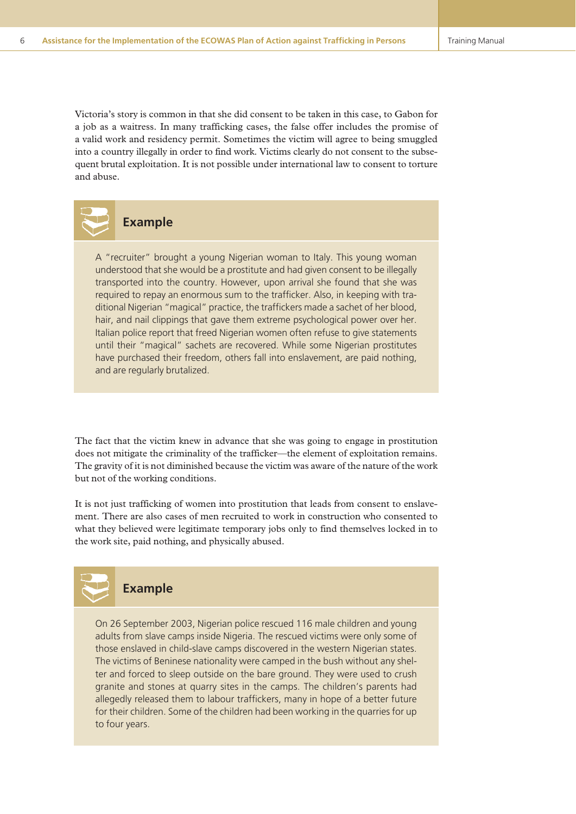Victoria's story is common in that she did consent to be taken in this case, to Gabon for a job as a waitress. In many trafficking cases, the false offer includes the promise of a valid work and residency permit. Sometimes the victim will agree to being smuggled into a country illegally in order to find work. Victims clearly do not consent to the subsequent brutal exploitation. It is not possible under international law to consent to torture and abuse.



### **Example**

A "recruiter" brought a young Nigerian woman to Italy. This young woman understood that she would be a prostitute and had given consent to be illegally transported into the country. However, upon arrival she found that she was required to repay an enormous sum to the trafficker. Also, in keeping with traditional Nigerian "magical" practice, the traffickers made a sachet of her blood, hair, and nail clippings that gave them extreme psychological power over her. Italian police report that freed Nigerian women often refuse to give statements until their "magical" sachets are recovered. While some Nigerian prostitutes have purchased their freedom, others fall into enslavement, are paid nothing, and are regularly brutalized.

The fact that the victim knew in advance that she was going to engage in prostitution does not mitigate the criminality of the trafficker—the element of exploitation remains. The gravity of it is not diminished because the victim was aware of the nature of the work but not of the working conditions.

It is not just trafficking of women into prostitution that leads from consent to enslavement. There are also cases of men recruited to work in construction who consented to what they believed were legitimate temporary jobs only to find themselves locked in to the work site, paid nothing, and physically abused.



### **Example**

On 26 September 2003, Nigerian police rescued 116 male children and young adults from slave camps inside Nigeria. The rescued victims were only some of those enslaved in child-slave camps discovered in the western Nigerian states. The victims of Beninese nationality were camped in the bush without any shelter and forced to sleep outside on the bare ground. They were used to crush granite and stones at quarry sites in the camps. The children's parents had allegedly released them to labour traffickers, many in hope of a better future for their children. Some of the children had been working in the quarries for up to four years.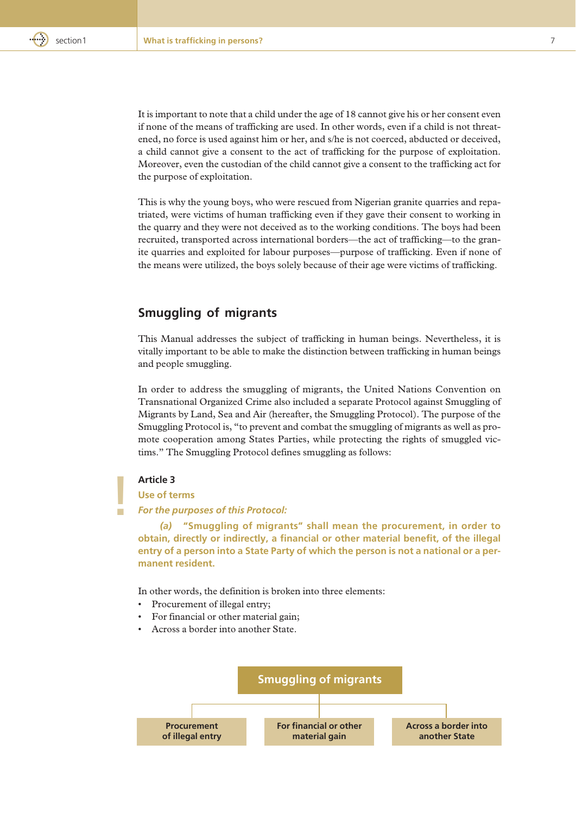It is important to note that a child under the age of 18 cannot give his or her consent even if none of the means of trafficking are used. In other words, even if a child is not threatened, no force is used against him or her, and s/he is not coerced, abducted or deceived, a child cannot give a consent to the act of trafficking for the purpose of exploitation. Moreover, even the custodian of the child cannot give a consent to the trafficking act for the purpose of exploitation.

This is why the young boys, who were rescued from Nigerian granite quarries and repatriated, were victims of human trafficking even if they gave their consent to working in the quarry and they were not deceived as to the working conditions. The boys had been recruited, transported across international borders—the act of trafficking—to the granite quarries and exploited for labour purposes—purpose of trafficking. Even if none of the means were utilized, the boys solely because of their age were victims of trafficking.

## **Smuggling of migrants**

This Manual addresses the subject of trafficking in human beings. Nevertheless, it is vitally important to be able to make the distinction between trafficking in human beings and people smuggling.

In order to address the smuggling of migrants, the United Nations Convention on Transnational Organized Crime also included a separate Protocol against Smuggling of Migrants by Land, Sea and Air (hereafter, the Smuggling Protocol). The purpose of the Smuggling Protocol is, "to prevent and combat the smuggling of migrants as well as promote cooperation among States Parties, while protecting the rights of smuggled victims." The Smuggling Protocol defines smuggling as follows:

#### **Article 3**

!

#### **Use of terms**

*For the purposes of this Protocol:*

*(a)* **"Smuggling of migrants" shall mean the procurement, in order to obtain, directly or indirectly, a financial or other material benefit, of the illegal entry of a person into a State Party of which the person is not a national or a permanent resident.**

In other words, the definition is broken into three elements:

- Procurement of illegal entry;
- For financial or other material gain;
- Across a border into another State.

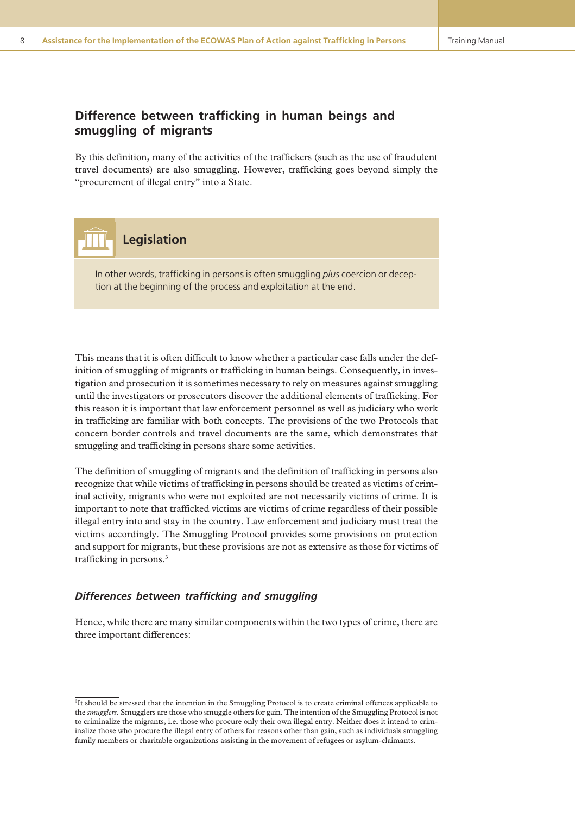## **Difference between trafficking in human beings and smuggling of migrants**

By this definition, many of the activities of the traffickers (such as the use of fraudulent travel documents) are also smuggling. However, trafficking goes beyond simply the "procurement of illegal entry" into a State.



In other words, trafficking in persons is often smuggling *plus* coercion or deception at the beginning of the process and exploitation at the end.

This means that it is often difficult to know whether a particular case falls under the definition of smuggling of migrants or trafficking in human beings. Consequently, in investigation and prosecution it is sometimes necessary to rely on measures against smuggling until the investigators or prosecutors discover the additional elements of trafficking. For this reason it is important that law enforcement personnel as well as judiciary who work in trafficking are familiar with both concepts. The provisions of the two Protocols that concern border controls and travel documents are the same, which demonstrates that smuggling and trafficking in persons share some activities.

The definition of smuggling of migrants and the definition of trafficking in persons also recognize that while victims of trafficking in persons should be treated as victims of criminal activity, migrants who were not exploited are not necessarily victims of crime. It is important to note that trafficked victims are victims of crime regardless of their possible illegal entry into and stay in the country. Law enforcement and judiciary must treat the victims accordingly. The Smuggling Protocol provides some provisions on protection and support for migrants, but these provisions are not as extensive as those for victims of trafficking in persons.<sup>3</sup>

#### *Differences between trafficking and smuggling*

Hence, while there are many similar components within the two types of crime, there are three important differences:

<sup>&</sup>lt;sup>3</sup>It should be stressed that the intention in the Smuggling Protocol is to create criminal offences applicable to the *smugglers*. Smugglers are those who smuggle others for gain. The intention of the Smuggling Protocol is not to criminalize the migrants, i.e. those who procure only their own illegal entry. Neither does it intend to criminalize those who procure the illegal entry of others for reasons other than gain, such as individuals smuggling family members or charitable organizations assisting in the movement of refugees or asylum-claimants.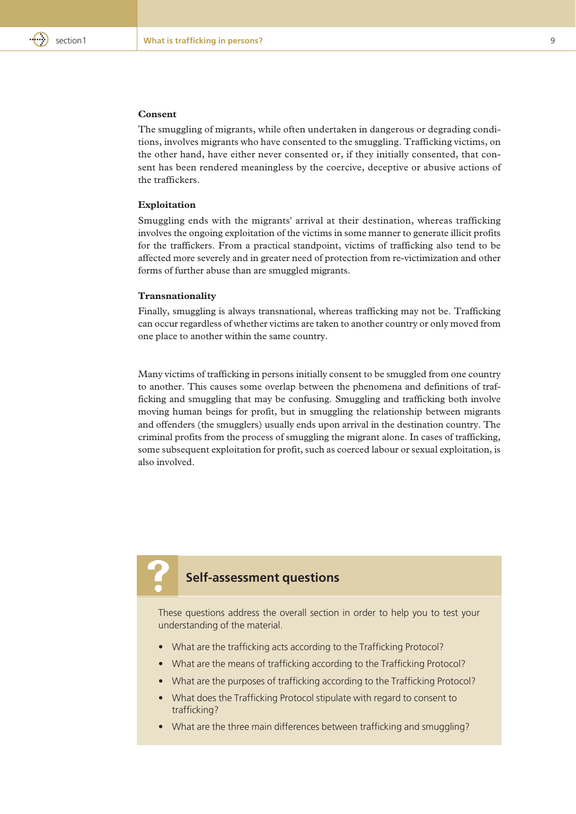#### **Consent**

The smuggling of migrants, while often undertaken in dangerous or degrading conditions, involves migrants who have consented to the smuggling. Trafficking victims, on the other hand, have either never consented or, if they initially consented, that consent has been rendered meaningless by the coercive, deceptive or abusive actions of the traffickers.

#### **Exploitation**

Smuggling ends with the migrants' arrival at their destination, whereas trafficking involves the ongoing exploitation of the victims in some manner to generate illicit profits for the traffickers. From a practical standpoint, victims of trafficking also tend to be affected more severely and in greater need of protection from re-victimization and other forms of further abuse than are smuggled migrants.

#### **Transnationality**

Finally, smuggling is always transnational, whereas trafficking may not be. Trafficking can occur regardless of whether victims are taken to another country or only moved from one place to another within the same country.

Many victims of trafficking in persons initially consent to be smuggled from one country to another. This causes some overlap between the phenomena and definitions of trafficking and smuggling that may be confusing. Smuggling and trafficking both involve moving human beings for profit, but in smuggling the relationship between migrants and offenders (the smugglers) usually ends upon arrival in the destination country. The criminal profits from the process of smuggling the migrant alone. In cases of trafficking, some subsequent exploitation for profit, such as coerced labour or sexual exploitation, is also involved.

# **Self-assessment questions**

These questions address the overall section in order to help you to test your understanding of the material.

- What are the trafficking acts according to the Trafficking Protocol?
- What are the means of trafficking according to the Trafficking Protocol?
- What are the purposes of trafficking according to the Trafficking Protocol?
- What does the Trafficking Protocol stipulate with regard to consent to trafficking?
- What are the three main differences between trafficking and smuggling?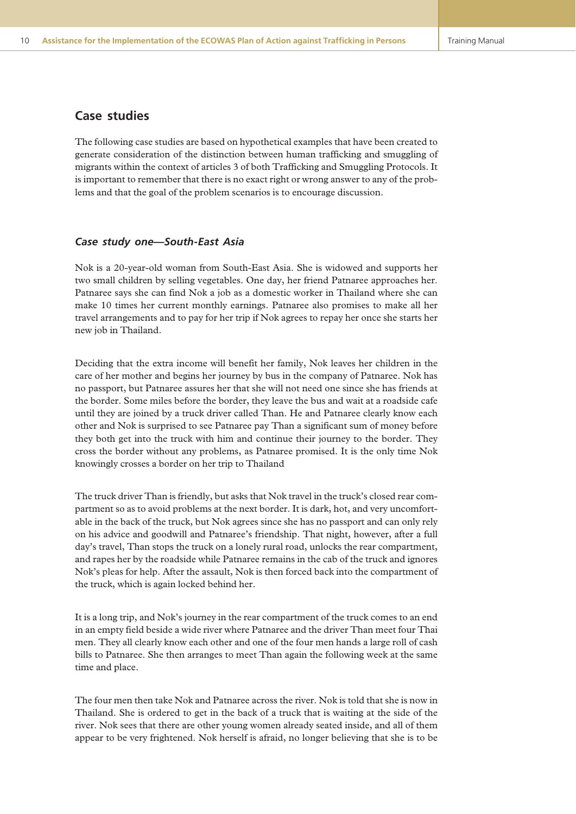## **Case studies**

The following case studies are based on hypothetical examples that have been created to generate consideration of the distinction between human trafficking and smuggling of migrants within the context of articles 3 of both Trafficking and Smuggling Protocols. It is important to remember that there is no exact right or wrong answer to any of the problems and that the goal of the problem scenarios is to encourage discussion.

#### *Case study one—South-East Asia*

Nok is a 20-year-old woman from South-East Asia. She is widowed and supports her two small children by selling vegetables. One day, her friend Patnaree approaches her. Patnaree says she can find Nok a job as a domestic worker in Thailand where she can make 10 times her current monthly earnings. Patnaree also promises to make all her travel arrangements and to pay for her trip if Nok agrees to repay her once she starts her new job in Thailand.

Deciding that the extra income will benefit her family, Nok leaves her children in the care of her mother and begins her journey by bus in the company of Patnaree. Nok has no passport, but Patnaree assures her that she will not need one since she has friends at the border. Some miles before the border, they leave the bus and wait at a roadside cafe until they are joined by a truck driver called Than. He and Patnaree clearly know each other and Nok is surprised to see Patnaree pay Than a significant sum of money before they both get into the truck with him and continue their journey to the border. They cross the border without any problems, as Patnaree promised. It is the only time Nok knowingly crosses a border on her trip to Thailand

The truck driver Than is friendly, but asks that Nok travel in the truck's closed rear compartment so as to avoid problems at the next border. It is dark, hot, and very uncomfortable in the back of the truck, but Nok agrees since she has no passport and can only rely on his advice and goodwill and Patnaree's friendship. That night, however, after a full day's travel, Than stops the truck on a lonely rural road, unlocks the rear compartment, and rapes her by the roadside while Patnaree remains in the cab of the truck and ignores Nok's pleas for help. After the assault, Nok is then forced back into the compartment of the truck, which is again locked behind her.

It is a long trip, and Nok's journey in the rear compartment of the truck comes to an end in an empty field beside a wide river where Patnaree and the driver Than meet four Thai men. They all clearly know each other and one of the four men hands a large roll of cash bills to Patnaree. She then arranges to meet Than again the following week at the same time and place.

The four men then take Nok and Patnaree across the river. Nok is told that she is now in Thailand. She is ordered to get in the back of a truck that is waiting at the side of the river. Nok sees that there are other young women already seated inside, and all of them appear to be very frightened. Nok herself is afraid, no longer believing that she is to be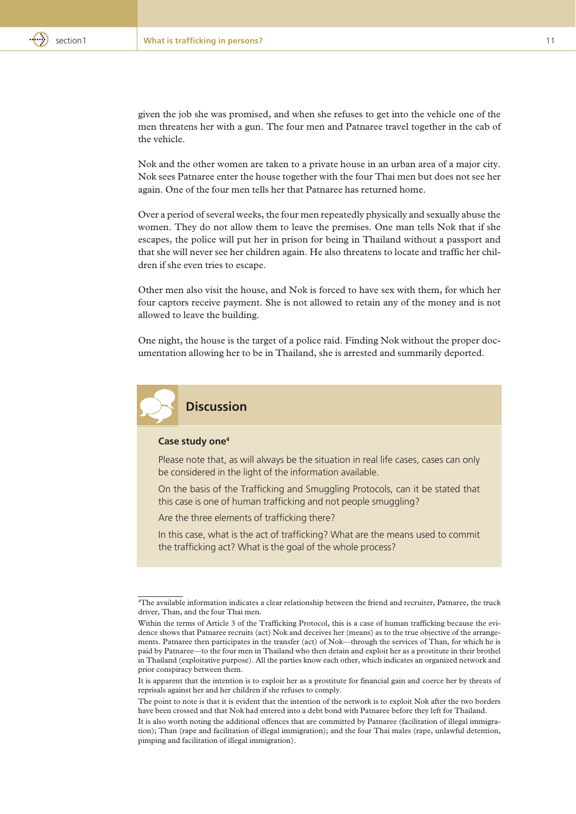given the job she was promised, and when she refuses to get into the vehicle one of the men threatens her with a gun. The four men and Patnaree travel together in the cab of the vehicle.

Nok and the other women are taken to a private house in an urban area of a major city. Nok sees Patnaree enter the house together with the four Thai men but does not see her again. One of the four men tells her that Patnaree has returned home.

Over a period of several weeks, the four men repeatedly physically and sexually abuse the women. They do not allow them to leave the premises. One man tells Nok that if she escapes, the police will put her in prison for being in Thailand without a passport and that she will never see her children again. He also threatens to locate and traffic her children if she even tries to escape.

Other men also visit the house, and Nok is forced to have sex with them, for which her four captors receive payment. She is not allowed to retain any of the money and is not allowed to leave the building.

One night, the house is the target of a police raid. Finding Nok without the proper documentation allowing her to be in Thailand, she is arrested and summarily deported.



#### **Case study one4**

Please note that, as will always be the situation in real life cases, cases can only be considered in the light of the information available.

On the basis of the Trafficking and Smuggling Protocols, can it be stated that this case is one of human trafficking and not people smuggling?

Are the three elements of trafficking there?

In this case, what is the act of trafficking? What are the means used to commit the trafficking act? What is the goal of the whole process?

<sup>4</sup> The available information indicates a clear relationship between the friend and recruiter, Patnaree, the truck driver, Than, and the four Thai men.

Within the terms of Article 3 of the Trafficking Protocol, this is a case of human trafficking because the evidence shows that Patnaree recruits (act) Nok and deceives her (means) as to the true objective of the arrangements. Patnaree then participates in the transfer (act) of Nok—through the services of Than, for which he is paid by Patnaree—to the four men in Thailand who then detain and exploit her as a prostitute in their brothel in Thailand (exploitative purpose). All the parties know each other, which indicates an organized network and prior conspiracy between them.

It is apparent that the intention is to exploit her as a prostitute for financial gain and coerce her by threats of reprisals against her and her children if she refuses to comply.

The point to note is that it is evident that the intention of the network is to exploit Nok after the two borders have been crossed and that Nok had entered into a debt bond with Patnaree before they left for Thailand.

It is also worth noting the additional offences that are committed by Patnaree (facilitation of illegal immigration); Than (rape and facilitation of illegal immigration); and the four Thai males (rape, unlawful detention, pimping and facilitation of illegal immigration).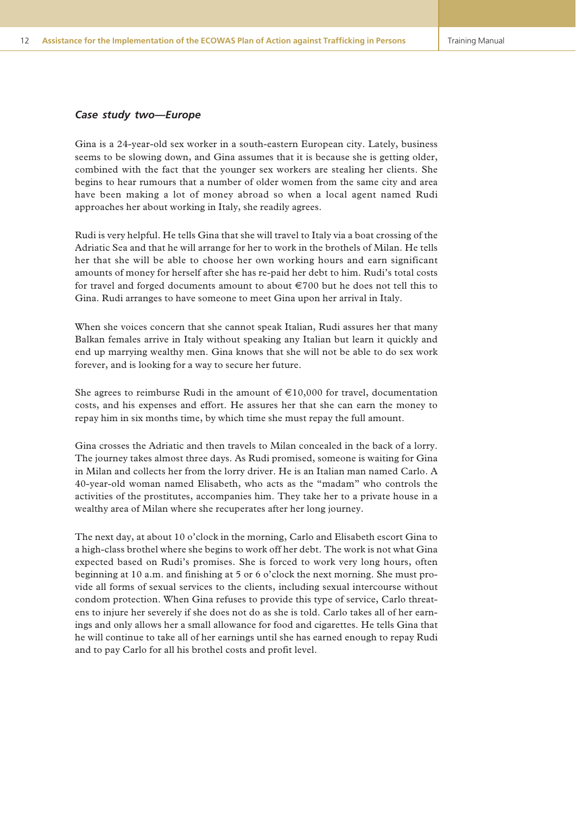#### *Case study two—Europe*

Gina is a 24-year-old sex worker in a south-eastern European city. Lately, business seems to be slowing down, and Gina assumes that it is because she is getting older, combined with the fact that the younger sex workers are stealing her clients. She begins to hear rumours that a number of older women from the same city and area have been making a lot of money abroad so when a local agent named Rudi approaches her about working in Italy, she readily agrees.

Rudi is very helpful. He tells Gina that she will travel to Italy via a boat crossing of the Adriatic Sea and that he will arrange for her to work in the brothels of Milan. He tells her that she will be able to choose her own working hours and earn significant amounts of money for herself after she has re-paid her debt to him. Rudi's total costs for travel and forged documents amount to about €700 but he does not tell this to Gina. Rudi arranges to have someone to meet Gina upon her arrival in Italy.

When she voices concern that she cannot speak Italian, Rudi assures her that many Balkan females arrive in Italy without speaking any Italian but learn it quickly and end up marrying wealthy men. Gina knows that she will not be able to do sex work forever, and is looking for a way to secure her future.

She agrees to reimburse Rudi in the amount of  $\epsilon$ 10,000 for travel, documentation costs, and his expenses and effort. He assures her that she can earn the money to repay him in six months time, by which time she must repay the full amount.

Gina crosses the Adriatic and then travels to Milan concealed in the back of a lorry. The journey takes almost three days. As Rudi promised, someone is waiting for Gina in Milan and collects her from the lorry driver. He is an Italian man named Carlo. A 40-year-old woman named Elisabeth, who acts as the "madam" who controls the activities of the prostitutes, accompanies him. They take her to a private house in a wealthy area of Milan where she recuperates after her long journey.

The next day, at about 10 o'clock in the morning, Carlo and Elisabeth escort Gina to a high-class brothel where she begins to work off her debt. The work is not what Gina expected based on Rudi's promises. She is forced to work very long hours, often beginning at 10 a.m. and finishing at 5 or 6 o'clock the next morning. She must provide all forms of sexual services to the clients, including sexual intercourse without condom protection. When Gina refuses to provide this type of service, Carlo threatens to injure her severely if she does not do as she is told. Carlo takes all of her earnings and only allows her a small allowance for food and cigarettes. He tells Gina that he will continue to take all of her earnings until she has earned enough to repay Rudi and to pay Carlo for all his brothel costs and profit level.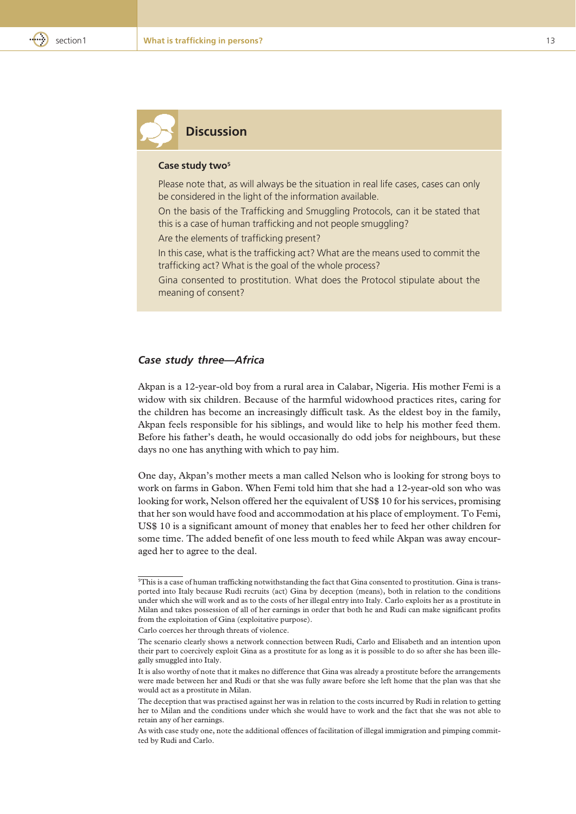

#### **Case study two5**

Please note that, as will always be the situation in real life cases, cases can only be considered in the light of the information available.

On the basis of the Trafficking and Smuggling Protocols, can it be stated that this is a case of human trafficking and not people smuggling?

Are the elements of trafficking present?

In this case, what is the trafficking act? What are the means used to commit the trafficking act? What is the goal of the whole process?

Gina consented to prostitution. What does the Protocol stipulate about the meaning of consent?

#### *Case study three—Africa*

Akpan is a 12-year-old boy from a rural area in Calabar, Nigeria. His mother Femi is a widow with six children. Because of the harmful widowhood practices rites, caring for the children has become an increasingly difficult task. As the eldest boy in the family, Akpan feels responsible for his siblings, and would like to help his mother feed them. Before his father's death, he would occasionally do odd jobs for neighbours, but these days no one has anything with which to pay him.

One day, Akpan's mother meets a man called Nelson who is looking for strong boys to work on farms in Gabon. When Femi told him that she had a 12-year-old son who was looking for work, Nelson offered her the equivalent of US\$ 10 for his services, promising that her son would have food and accommodation at his place of employment. To Femi, US\$ 10 is a significant amount of money that enables her to feed her other children for some time. The added benefit of one less mouth to feed while Akpan was away encouraged her to agree to the deal.

<sup>5</sup> This is a case of human trafficking notwithstanding the fact that Gina consented to prostitution. Gina is transported into Italy because Rudi recruits (act) Gina by deception (means), both in relation to the conditions under which she will work and as to the costs of her illegal entry into Italy. Carlo exploits her as a prostitute in Milan and takes possession of all of her earnings in order that both he and Rudi can make significant profits from the exploitation of Gina (exploitative purpose).

Carlo coerces her through threats of violence.

The scenario clearly shows a network connection between Rudi, Carlo and Elisabeth and an intention upon their part to coercively exploit Gina as a prostitute for as long as it is possible to do so after she has been illegally smuggled into Italy.

It is also worthy of note that it makes no difference that Gina was already a prostitute before the arrangements were made between her and Rudi or that she was fully aware before she left home that the plan was that she would act as a prostitute in Milan.

The deception that was practised against her was in relation to the costs incurred by Rudi in relation to getting her to Milan and the conditions under which she would have to work and the fact that she was not able to retain any of her earnings.

As with case study one, note the additional offences of facilitation of illegal immigration and pimping committed by Rudi and Carlo.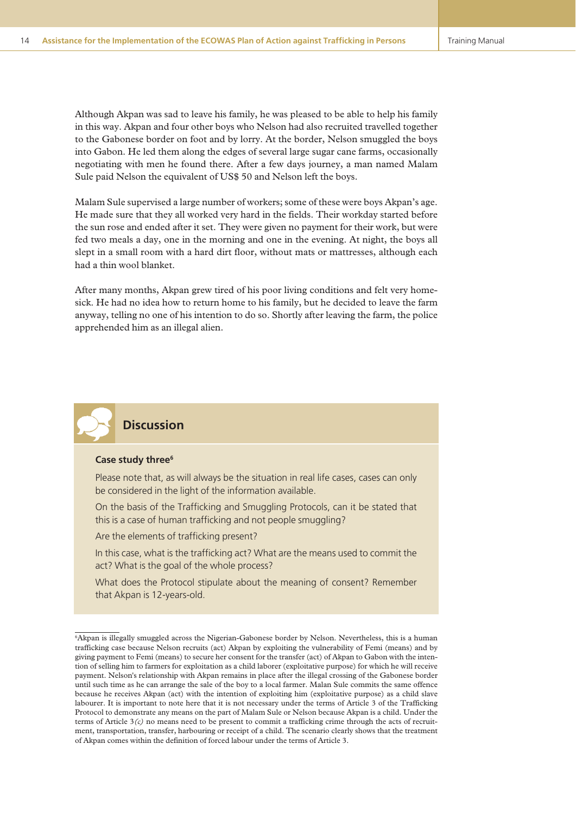Although Akpan was sad to leave his family, he was pleased to be able to help his family in this way. Akpan and four other boys who Nelson had also recruited travelled together to the Gabonese border on foot and by lorry. At the border, Nelson smuggled the boys into Gabon. He led them along the edges of several large sugar cane farms, occasionally negotiating with men he found there. After a few days journey, a man named Malam Sule paid Nelson the equivalent of US\$ 50 and Nelson left the boys.

Malam Sule supervised a large number of workers; some of these were boys Akpan's age. He made sure that they all worked very hard in the fields. Their workday started before the sun rose and ended after it set. They were given no payment for their work, but were fed two meals a day, one in the morning and one in the evening. At night, the boys all slept in a small room with a hard dirt floor, without mats or mattresses, although each had a thin wool blanket.

After many months, Akpan grew tired of his poor living conditions and felt very homesick. He had no idea how to return home to his family, but he decided to leave the farm anyway, telling no one of his intention to do so. Shortly after leaving the farm, the police apprehended him as an illegal alien.



#### **Case study three6**

Please note that, as will always be the situation in real life cases, cases can only be considered in the light of the information available.

On the basis of the Trafficking and Smuggling Protocols, can it be stated that this is a case of human trafficking and not people smuggling?

Are the elements of trafficking present?

In this case, what is the trafficking act? What are the means used to commit the act? What is the goal of the whole process?

What does the Protocol stipulate about the meaning of consent? Remember that Akpan is 12-years-old.

<sup>6</sup> Akpan is illegally smuggled across the Nigerian-Gabonese border by Nelson. Nevertheless, this is a human trafficking case because Nelson recruits (act) Akpan by exploiting the vulnerability of Femi (means) and by giving payment to Femi (means) to secure her consent for the transfer (act) of Akpan to Gabon with the intention of selling him to farmers for exploitation as a child laborer (exploitative purpose) for which he will receive payment. Nelson's relationship with Akpan remains in place after the illegal crossing of the Gabonese border until such time as he can arrange the sale of the boy to a local farmer. Malan Sule commits the same offence because he receives Akpan (act) with the intention of exploiting him (exploitative purpose) as a child slave labourer. It is important to note here that it is not necessary under the terms of Article 3 of the Trafficking Protocol to demonstrate any means on the part of Malam Sule or Nelson because Akpan is a child. Under the terms of Article 3*(c)* no means need to be present to commit a trafficking crime through the acts of recruitment, transportation, transfer, harbouring or receipt of a child. The scenario clearly shows that the treatment of Akpan comes within the definition of forced labour under the terms of Article 3.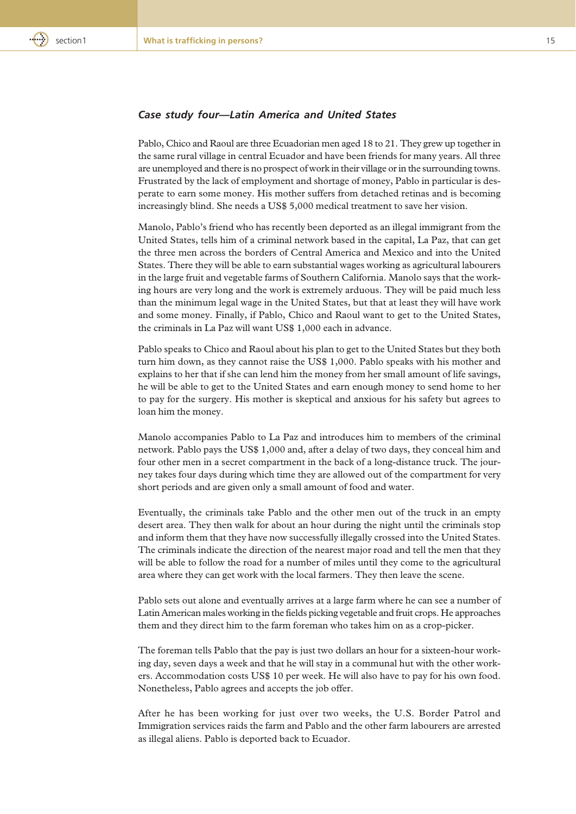Pablo, Chico and Raoul are three Ecuadorian men aged 18 to 21. They grew up together in the same rural village in central Ecuador and have been friends for many years. All three are unemployed and there is no prospect of work in their village or in the surrounding towns. Frustrated by the lack of employment and shortage of money, Pablo in particular is desperate to earn some money. His mother suffers from detached retinas and is becoming increasingly blind. She needs a US\$ 5,000 medical treatment to save her vision.

Manolo, Pablo's friend who has recently been deported as an illegal immigrant from the United States, tells him of a criminal network based in the capital, La Paz, that can get the three men across the borders of Central America and Mexico and into the United States. There they will be able to earn substantial wages working as agricultural labourers in the large fruit and vegetable farms of Southern California. Manolo says that the working hours are very long and the work is extremely arduous. They will be paid much less than the minimum legal wage in the United States, but that at least they will have work and some money. Finally, if Pablo, Chico and Raoul want to get to the United States, the criminals in La Paz will want US\$ 1,000 each in advance.

Pablo speaks to Chico and Raoul about his plan to get to the United States but they both turn him down, as they cannot raise the US\$ 1,000. Pablo speaks with his mother and explains to her that if she can lend him the money from her small amount of life savings, he will be able to get to the United States and earn enough money to send home to her to pay for the surgery. His mother is skeptical and anxious for his safety but agrees to loan him the money.

Manolo accompanies Pablo to La Paz and introduces him to members of the criminal network. Pablo pays the US\$ 1,000 and, after a delay of two days, they conceal him and four other men in a secret compartment in the back of a long-distance truck. The journey takes four days during which time they are allowed out of the compartment for very short periods and are given only a small amount of food and water.

Eventually, the criminals take Pablo and the other men out of the truck in an empty desert area. They then walk for about an hour during the night until the criminals stop and inform them that they have now successfully illegally crossed into the United States. The criminals indicate the direction of the nearest major road and tell the men that they will be able to follow the road for a number of miles until they come to the agricultural area where they can get work with the local farmers. They then leave the scene.

Pablo sets out alone and eventually arrives at a large farm where he can see a number of Latin American males working in the fields picking vegetable and fruit crops. He approaches them and they direct him to the farm foreman who takes him on as a crop-picker.

The foreman tells Pablo that the pay is just two dollars an hour for a sixteen-hour working day, seven days a week and that he will stay in a communal hut with the other workers. Accommodation costs US\$ 10 per week. He will also have to pay for his own food. Nonetheless, Pablo agrees and accepts the job offer.

After he has been working for just over two weeks, the U.S. Border Patrol and Immigration services raids the farm and Pablo and the other farm labourers are arrested as illegal aliens. Pablo is deported back to Ecuador.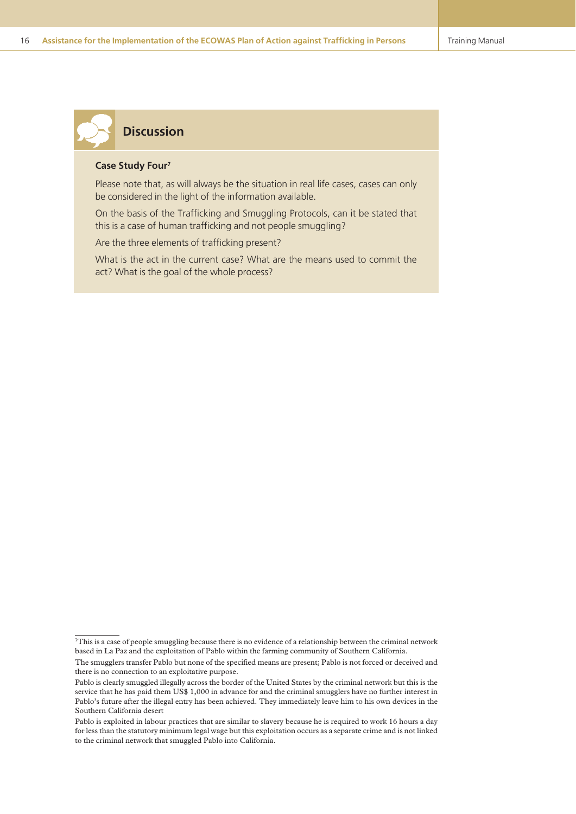

# **Discussion**

#### **Case Study Four7**

Please note that, as will always be the situation in real life cases, cases can only be considered in the light of the information available.

On the basis of the Trafficking and Smuggling Protocols, can it be stated that this is a case of human trafficking and not people smuggling?

Are the three elements of trafficking present?

What is the act in the current case? What are the means used to commit the act? What is the goal of the whole process?

<sup>7</sup> This is a case of people smuggling because there is no evidence of a relationship between the criminal network based in La Paz and the exploitation of Pablo within the farming community of Southern California.

The smugglers transfer Pablo but none of the specified means are present; Pablo is not forced or deceived and there is no connection to an exploitative purpose.

Pablo is clearly smuggled illegally across the border of the United States by the criminal network but this is the service that he has paid them US\$ 1,000 in advance for and the criminal smugglers have no further interest in Pablo's future after the illegal entry has been achieved. They immediately leave him to his own devices in the Southern California desert

Pablo is exploited in labour practices that are similar to slavery because he is required to work 16 hours a day for less than the statutory minimum legal wage but this exploitation occurs as a separate crime and is not linked to the criminal network that smuggled Pablo into California.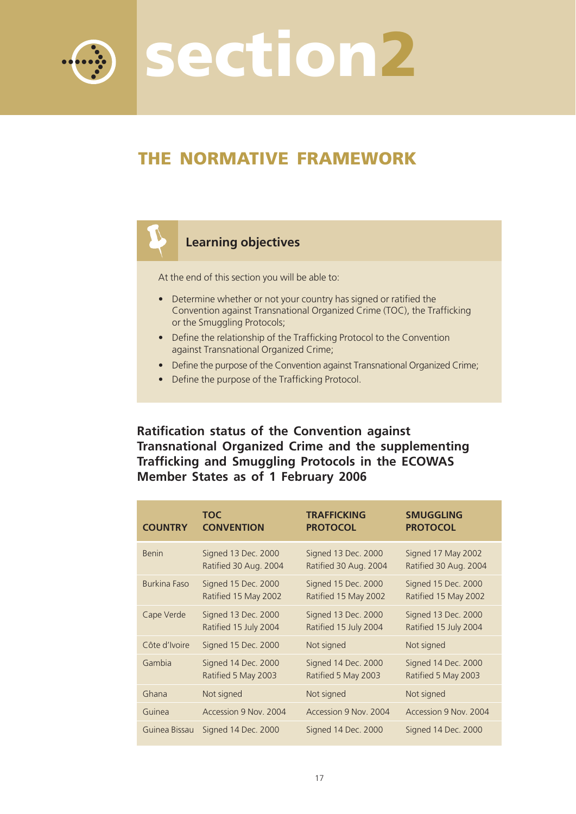

# **THE NORMATIVE FRAMEWORK**

# **Learning objectives**

At the end of this section you will be able to:

- Determine whether or not your country has signed or ratified the Convention against Transnational Organized Crime (TOC), the Trafficking or the Smuggling Protocols;
- Define the relationship of the Trafficking Protocol to the Convention against Transnational Organized Crime;
- Define the purpose of the Convention against Transnational Organized Crime;
- Define the purpose of the Trafficking Protocol.

**Ratification status of the Convention against Transnational Organized Crime and the supplementing Trafficking and Smuggling Protocols in the ECOWAS Member States as of 1 February 2006**

| <b>COUNTRY</b>      | <b>TOC</b>            | <b>TRAFFICKING</b>    | <b>SMUGGLING</b>      |
|---------------------|-----------------------|-----------------------|-----------------------|
|                     | <b>CONVENTION</b>     | <b>PROTOCOL</b>       | <b>PROTOCOL</b>       |
| <b>Benin</b>        | Signed 13 Dec. 2000   | Signed 13 Dec. 2000   | Signed 17 May 2002    |
|                     | Ratified 30 Aug. 2004 | Ratified 30 Aug. 2004 | Ratified 30 Aug. 2004 |
| <b>Burkina Faso</b> | Signed 15 Dec. 2000   | Signed 15 Dec. 2000   | Signed 15 Dec. 2000   |
|                     | Ratified 15 May 2002  | Ratified 15 May 2002  | Ratified 15 May 2002  |
| Cape Verde          | Signed 13 Dec. 2000   | Signed 13 Dec. 2000   | Signed 13 Dec. 2000   |
|                     | Ratified 15 July 2004 | Ratified 15 July 2004 | Ratified 15 July 2004 |
| Côte d'Ivoire       | Signed 15 Dec. 2000   | Not signed            | Not signed            |
| Gambia              | Signed 14 Dec. 2000   | Signed 14 Dec. 2000   | Signed 14 Dec. 2000   |
|                     | Ratified 5 May 2003   | Ratified 5 May 2003   | Ratified 5 May 2003   |
| Ghana               | Not signed            | Not signed            | Not signed            |
| Guinea              | Accession 9 Nov. 2004 | Accession 9 Nov. 2004 | Accession 9 Nov. 2004 |
| Guinea Bissau       | Signed 14 Dec. 2000   | Signed 14 Dec. 2000   | Signed 14 Dec. 2000   |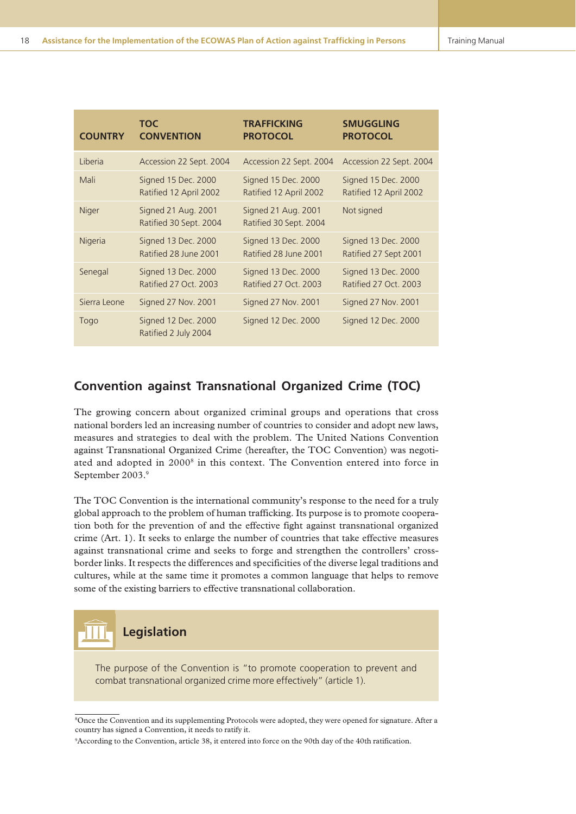| <b>COUNTRY</b> | <b>TOC</b>                                    | <b>TRAFFICKING</b>                            | <b>SMUGGLING</b>        |
|----------------|-----------------------------------------------|-----------------------------------------------|-------------------------|
|                | <b>CONVENTION</b>                             | <b>PROTOCOL</b>                               | <b>PROTOCOL</b>         |
| Liberia        | Accession 22 Sept. 2004                       | Accession 22 Sept. 2004                       | Accession 22 Sept. 2004 |
| Mali           | Signed 15 Dec. 2000                           | Signed 15 Dec. 2000                           | Signed 15 Dec. 2000     |
|                | Ratified 12 April 2002                        | Ratified 12 April 2002                        | Ratified 12 April 2002  |
| Niger          | Signed 21 Aug. 2001<br>Ratified 30 Sept. 2004 | Signed 21 Aug. 2001<br>Ratified 30 Sept. 2004 | Not signed              |
| Nigeria        | Signed 13 Dec. 2000                           | Signed 13 Dec. 2000                           | Signed 13 Dec. 2000     |
|                | Ratified 28 June 2001                         | Ratified 28 June 2001                         | Ratified 27 Sept 2001   |
| Senegal        | Signed 13 Dec. 2000                           | Signed 13 Dec. 2000                           | Signed 13 Dec. 2000     |
|                | Ratified 27 Oct. 2003                         | Ratified 27 Oct. 2003                         | Ratified 27 Oct. 2003   |
| Sierra Leone   | <b>Signed 27 Nov. 2001</b>                    | <b>Signed 27 Nov. 2001</b>                    | Signed 27 Nov. 2001     |
| Togo           | Signed 12 Dec. 2000<br>Ratified 2 July 2004   | Signed 12 Dec. 2000                           | Signed 12 Dec. 2000     |

# **Convention against Transnational Organized Crime (TOC)**

The growing concern about organized criminal groups and operations that cross national borders led an increasing number of countries to consider and adopt new laws, measures and strategies to deal with the problem. The United Nations Convention against Transnational Organized Crime (hereafter, the TOC Convention) was negotiated and adopted in 20008 in this context. The Convention entered into force in September 2003.9

The TOC Convention is the international community's response to the need for a truly global approach to the problem of human trafficking. Its purpose is to promote cooperation both for the prevention of and the effective fight against transnational organized crime (Art. 1). It seeks to enlarge the number of countries that take effective measures against transnational crime and seeks to forge and strengthen the controllers' crossborder links. It respects the differences and specificities of the diverse legal traditions and cultures, while at the same time it promotes a common language that helps to remove some of the existing barriers to effective transnational collaboration.



combat transnational organized crime more effectively" (article 1).

<sup>&</sup>lt;sup>8</sup>Once the Convention and its supplementing Protocols were adopted, they were opened for signature. After a country has signed a Convention, it needs to ratify it.

<sup>9</sup> According to the Convention, article 38, it entered into force on the 90th day of the 40th ratification.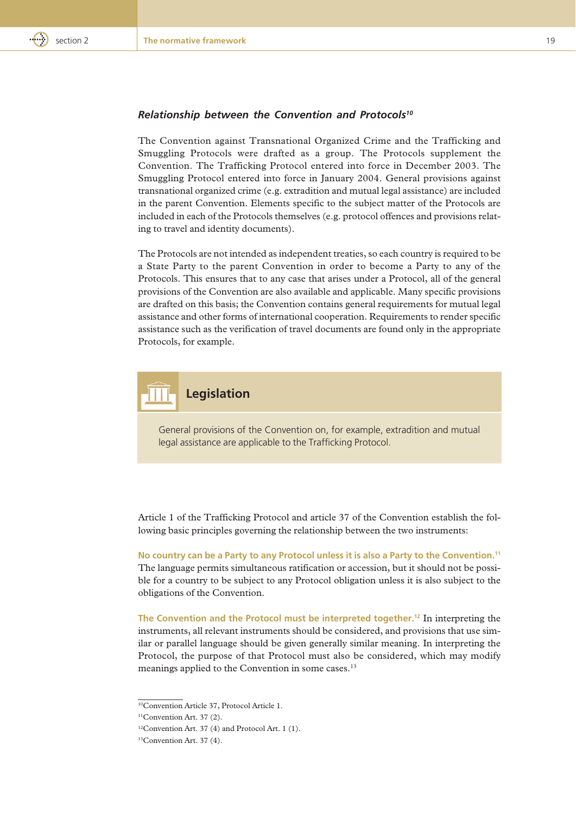### *Relationship between the Convention and Protocols10*

The Convention against Transnational Organized Crime and the Trafficking and Smuggling Protocols were drafted as a group. The Protocols supplement the Convention. The Trafficking Protocol entered into force in December 2003. The Smuggling Protocol entered into force in January 2004. General provisions against transnational organized crime (e.g. extradition and mutual legal assistance) are included in the parent Convention. Elements specific to the subject matter of the Protocols are included in each of the Protocols themselves (e.g. protocol offences and provisions relating to travel and identity documents).

The Protocols are not intended as independent treaties, so each country is required to be a State Party to the parent Convention in order to become a Party to any of the Protocols. This ensures that to any case that arises under a Protocol, all of the general provisions of the Convention are also available and applicable. Many specific provisions are drafted on this basis; the Convention contains general requirements for mutual legal assistance and other forms of international cooperation. Requirements to render specific assistance such as the verification of travel documents are found only in the appropriate Protocols, for example.

# **Legislation**

General provisions of the Convention on, for example, extradition and mutual legal assistance are applicable to the Trafficking Protocol.

Article 1 of the Trafficking Protocol and article 37 of the Convention establish the following basic principles governing the relationship between the two instruments:

**No country can be a Party to any Protocol unless it is also a Party to the Convention.11** The language permits simultaneous ratification or accession, but it should not be possible for a country to be subject to any Protocol obligation unless it is also subject to the obligations of the Convention.

**The Convention and the Protocol must be interpreted together.12** In interpreting the instruments, all relevant instruments should be considered, and provisions that use similar or parallel language should be given generally similar meaning. In interpreting the Protocol, the purpose of that Protocol must also be considered, which may modify meanings applied to the Convention in some cases.<sup>13</sup>

<sup>&</sup>lt;sup>10</sup>Convention Article 37, Protocol Article 1.

 $11$ Convention Art. 37 (2).

<sup>&</sup>lt;sup>12</sup>Convention Art. 37 (4) and Protocol Art. 1 (1).

<sup>&</sup>lt;sup>13</sup>Convention Art. 37 (4).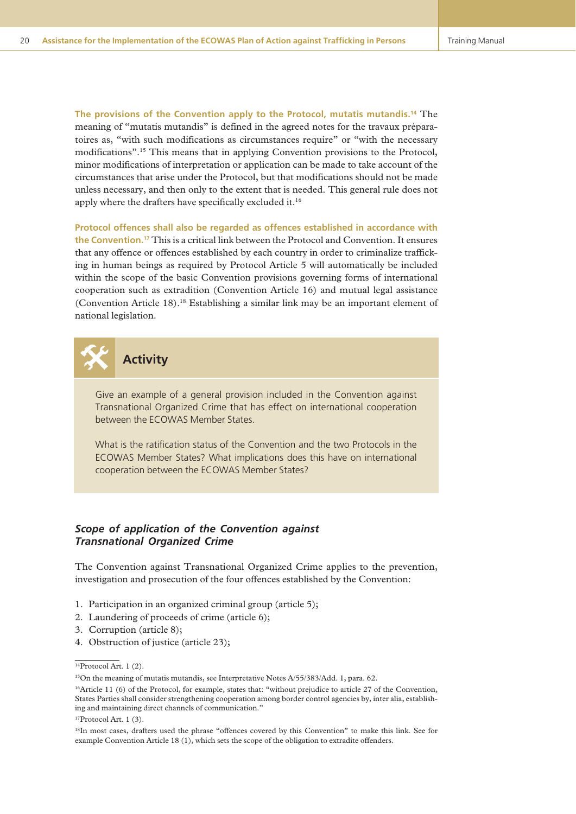**The provisions of the Convention apply to the Protocol, mutatis mutandis.14** The meaning of "mutatis mutandis" is defined in the agreed notes for the travaux préparatoires as, "with such modifications as circumstances require" or "with the necessary modifications".15 This means that in applying Convention provisions to the Protocol, minor modifications of interpretation or application can be made to take account of the circumstances that arise under the Protocol, but that modifications should not be made unless necessary, and then only to the extent that is needed. This general rule does not apply where the drafters have specifically excluded it.<sup>16</sup>

**Protocol offences shall also be regarded as offences established in accordance with the Convention.17** This is a critical link between the Protocol and Convention. It ensures that any offence or offences established by each country in order to criminalize trafficking in human beings as required by Protocol Article 5 will automatically be included within the scope of the basic Convention provisions governing forms of international cooperation such as extradition (Convention Article 16) and mutual legal assistance (Convention Article 18).18 Establishing a similar link may be an important element of national legislation.



Give an example of a general provision included in the Convention against Transnational Organized Crime that has effect on international cooperation between the ECOWAS Member States.

What is the ratification status of the Convention and the two Protocols in the ECOWAS Member States? What implications does this have on international cooperation between the ECOWAS Member States?

#### *Scope of application of the Convention against Transnational Organized Crime*

The Convention against Transnational Organized Crime applies to the prevention, investigation and prosecution of the four offences established by the Convention:

- 1. Participation in an organized criminal group (article 5);
- 2. Laundering of proceeds of crime (article 6);
- 3. Corruption (article 8);
- 4. Obstruction of justice (article 23);

 $14$ Protocol Art. 1 (2).

<sup>&</sup>lt;sup>15</sup>On the meaning of mutatis mutandis, see Interpretative Notes A/55/383/Add. 1, para. 62.

<sup>&</sup>lt;sup>16</sup>Article 11 (6) of the Protocol, for example, states that: "without prejudice to article 27 of the Convention, States Parties shall consider strengthening cooperation among border control agencies by, inter alia, establishing and maintaining direct channels of communication."

 $17$ Protocol Art. 1 (3).

<sup>&</sup>lt;sup>18</sup>In most cases, drafters used the phrase "offences covered by this Convention" to make this link. See for example Convention Article 18 (1), which sets the scope of the obligation to extradite offenders.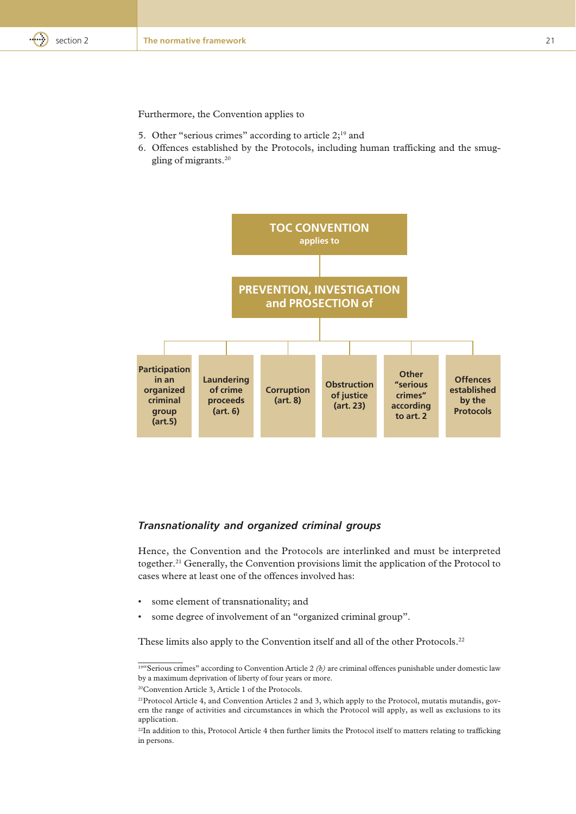Furthermore, the Convention applies to

- 5. Other "serious crimes" according to article  $2<sub>1</sub><sup>19</sup>$  and
- 6. Offences established by the Protocols, including human trafficking and the smuggling of migrants.20



### *Transnationality and organized criminal groups*

Hence, the Convention and the Protocols are interlinked and must be interpreted together.21 Generally, the Convention provisions limit the application of the Protocol to cases where at least one of the offences involved has:

- some element of transnationality; and
- some degree of involvement of an "organized criminal group".

These limits also apply to the Convention itself and all of the other Protocols.<sup>22</sup>

<sup>19&</sup>quot;Serious crimes" according to Convention Article 2 *(b)* are criminal offences punishable under domestic law by a maximum deprivation of liberty of four years or more.

<sup>20</sup>Convention Article 3, Article 1 of the Protocols.

<sup>21</sup>Protocol Article 4, and Convention Articles 2 and 3, which apply to the Protocol, mutatis mutandis, govern the range of activities and circumstances in which the Protocol will apply, as well as exclusions to its application.

<sup>&</sup>lt;sup>22</sup>In addition to this, Protocol Article 4 then further limits the Protocol itself to matters relating to trafficking in persons.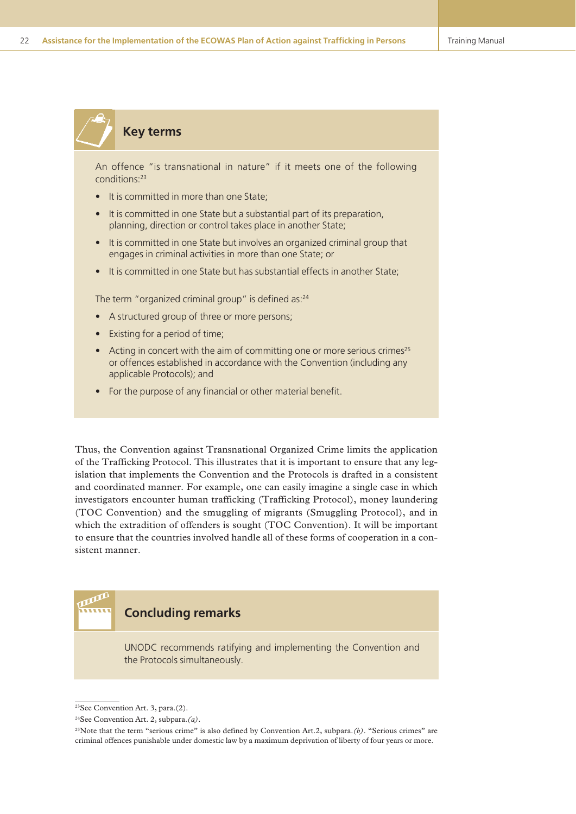

# **Key terms**

An offence "is transnational in nature" if it meets one of the following conditions:23

- It is committed in more than one State;
- It is committed in one State but a substantial part of its preparation, planning, direction or control takes place in another State;
- It is committed in one State but involves an organized criminal group that engages in criminal activities in more than one State; or
- It is committed in one State but has substantial effects in another State;

The term "organized criminal group" is defined as:<sup>24</sup>

- A structured group of three or more persons;
- Existing for a period of time;
- Acting in concert with the aim of committing one or more serious crimes<sup>25</sup> or offences established in accordance with the Convention (including any applicable Protocols); and
- For the purpose of any financial or other material benefit.

Thus, the Convention against Transnational Organized Crime limits the application of the Trafficking Protocol. This illustrates that it is important to ensure that any legislation that implements the Convention and the Protocols is drafted in a consistent and coordinated manner. For example, one can easily imagine a single case in which investigators encounter human trafficking (Trafficking Protocol), money laundering (TOC Convention) and the smuggling of migrants (Smuggling Protocol), and in which the extradition of offenders is sought (TOC Convention). It will be important to ensure that the countries involved handle all of these forms of cooperation in a consistent manner.



<sup>23</sup>See Convention Art. 3, para.(2).

<sup>24</sup>See Convention Art. 2, subpara.*(a)*.

<sup>&</sup>lt;sup>25</sup>Note that the term "serious crime" is also defined by Convention Art.2, subpara.(b). "Serious crimes" are criminal offences punishable under domestic law by a maximum deprivation of liberty of four years or more.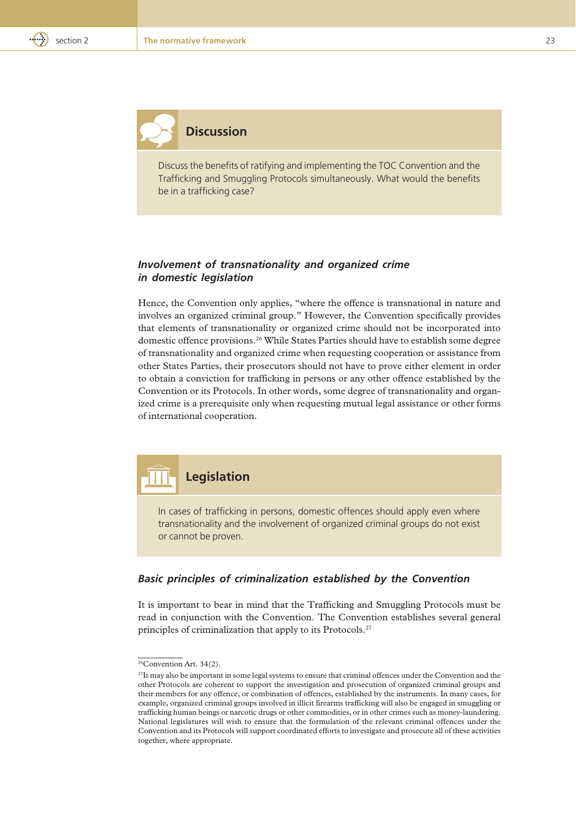**Discussion**

Discuss the benefits of ratifying and implementing the TOC Convention and the Trafficking and Smuggling Protocols simultaneously. What would the benefits be in a trafficking case?

### *Involvement of transnationality and organized crime in domestic legislation*

Hence, the Convention only applies, "where the offence is transnational in nature and involves an organized criminal group." However, the Convention specifically provides that elements of transnationality or organized crime should not be incorporated into domestic offence provisions.<sup>26</sup> While States Parties should have to establish some degree of transnationality and organized crime when requesting cooperation or assistance from other States Parties, their prosecutors should not have to prove either element in order to obtain a conviction for trafficking in persons or any other offence established by the Convention or its Protocols. In other words, some degree of transnationality and organized crime is a prerequisite only when requesting mutual legal assistance or other forms of international cooperation.



In cases of trafficking in persons, domestic offences should apply even where transnationality and the involvement of organized criminal groups do not exist or cannot be proven.

### *Basic principles of criminalization established by the Convention*

It is important to bear in mind that the Trafficking and Smuggling Protocols must be read in conjunction with the Convention. The Convention establishes several general principles of criminalization that apply to its Protocols.27

 $26$ Convention Art. 34(2).

<sup>&</sup>lt;sup>27</sup>It may also be important in some legal systems to ensure that criminal offences under the Convention and the other Protocols are coherent to support the investigation and prosecution of organized criminal groups and their members for any offence, or combination of offences, established by the instruments. In many cases, for example, organized criminal groups involved in illicit firearms trafficking will also be engaged in smuggling or trafficking human beings or narcotic drugs or other commodities, or in other crimes such as money-laundering. National legislatures will wish to ensure that the formulation of the relevant criminal offences under the Convention and its Protocols will support coordinated efforts to investigate and prosecute all of these activities together, where appropriate.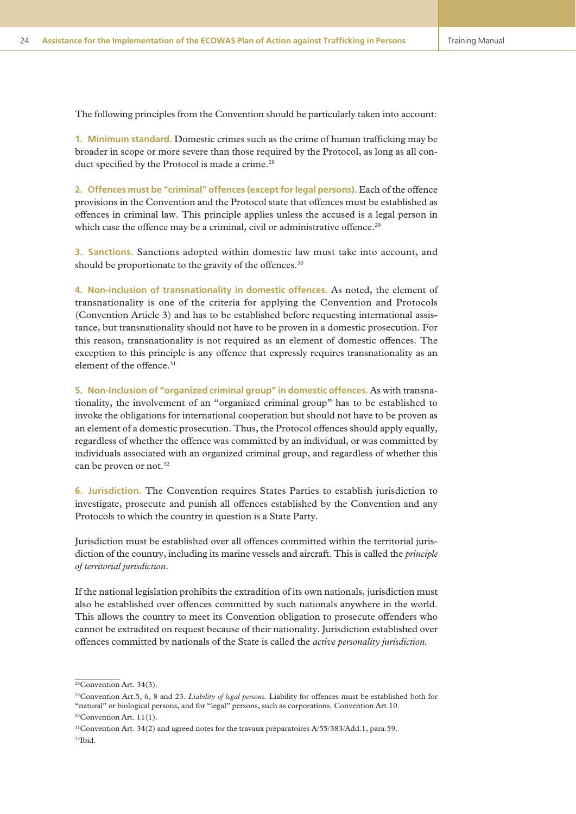The following principles from the Convention should be particularly taken into account:

**1. Minimum standard.** Domestic crimes such as the crime of human trafficking may be broader in scope or more severe than those required by the Protocol, as long as all conduct specified by the Protocol is made a crime.<sup>28</sup>

**2. Offences must be "criminal" offences (except for legal persons).** Each of the offence provisions in the Convention and the Protocol state that offences must be established as offences in criminal law. This principle applies unless the accused is a legal person in which case the offence may be a criminal, civil or administrative offence.<sup>29</sup>

**3. Sanctions.** Sanctions adopted within domestic law must take into account, and should be proportionate to the gravity of the offences.<sup>30</sup>

**4. Non-inclusion of transnationality in domestic offences.** As noted, the element of transnationality is one of the criteria for applying the Convention and Protocols (Convention Article 3) and has to be established before requesting international assistance, but transnationality should not have to be proven in a domestic prosecution. For this reason, transnationality is not required as an element of domestic offences. The exception to this principle is any offence that expressly requires transnationality as an element of the offence.<sup>31</sup>

**5. Non-Inclusion of "organized criminal group" in domestic offences.** As with transnationality, the involvement of an "organized criminal group" has to be established to invoke the obligations for international cooperation but should not have to be proven as an element of a domestic prosecution. Thus, the Protocol offences should apply equally, regardless of whether the offence was committed by an individual, or was committed by individuals associated with an organized criminal group, and regardless of whether this can be proven or not.<sup>32</sup>

**6. Jurisdiction.** The Convention requires States Parties to establish jurisdiction to investigate, prosecute and punish all offences established by the Convention and any Protocols to which the country in question is a State Party.

Jurisdiction must be established over all offences committed within the territorial jurisdiction of the country, including its marine vessels and aircraft. This is called the *principle of territorial jurisdiction*.

If the national legislation prohibits the extradition of its own nationals, jurisdiction must also be established over offences committed by such nationals anywhere in the world. This allows the country to meet its Convention obligation to prosecute offenders who cannot be extradited on request because of their nationality. Jurisdiction established over offences committed by nationals of the State is called the *active personality jurisdiction.*

 $28$ Convention Art. 34(3).

<sup>29</sup>Convention Art.5, 6, 8 and 23. *Liability of legal persons.* Liability for offences must be established both for "natural" or biological persons, and for "legal" persons, such as corporations. Convention Art.10.

<sup>&</sup>lt;sup>30</sup>Convention Art. 11(1).

<sup>&</sup>lt;sup>31</sup>Convention Art. 34(2) and agreed notes for the travaux préparatoires A/55/383/Add.1, para.59. 32Ibid.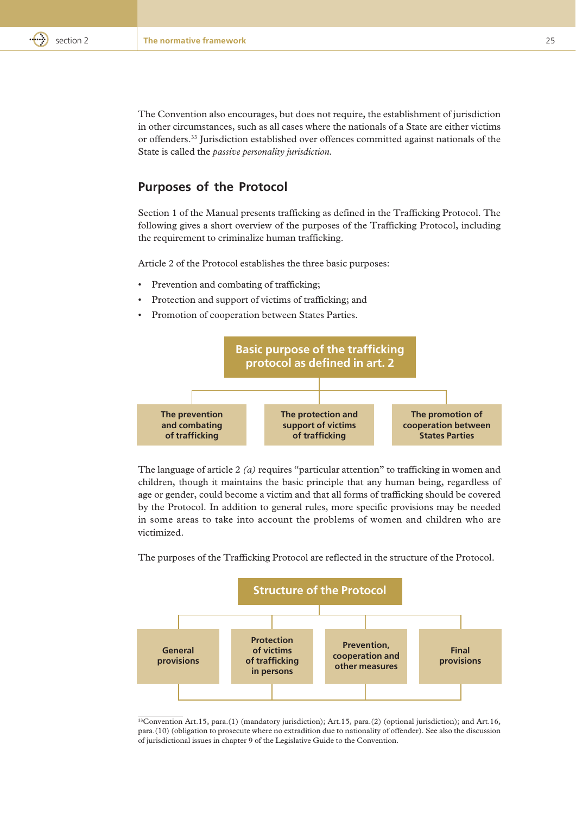The Convention also encourages, but does not require, the establishment of jurisdiction in other circumstances, such as all cases where the nationals of a State are either victims or offenders.33 Jurisdiction established over offences committed against nationals of the State is called the *passive personality jurisdiction.*

# **Purposes of the Protocol**

Section 1 of the Manual presents trafficking as defined in the Trafficking Protocol. The following gives a short overview of the purposes of the Trafficking Protocol, including the requirement to criminalize human trafficking.

Article 2 of the Protocol establishes the three basic purposes:

- Prevention and combating of trafficking;
- Protection and support of victims of trafficking; and
- Promotion of cooperation between States Parties.



The language of article 2 *(a)* requires "particular attention" to trafficking in women and children, though it maintains the basic principle that any human being, regardless of age or gender, could become a victim and that all forms of trafficking should be covered by the Protocol. In addition to general rules, more specific provisions may be needed in some areas to take into account the problems of women and children who are victimized.

The purposes of the Trafficking Protocol are reflected in the structure of the Protocol.



<sup>33</sup>Convention Art.15, para.(1) (mandatory jurisdiction); Art.15, para.(2) (optional jurisdiction); and Art.16, para.(10) (obligation to prosecute where no extradition due to nationality of offender). See also the discussion of jurisdictional issues in chapter 9 of the Legislative Guide to the Convention.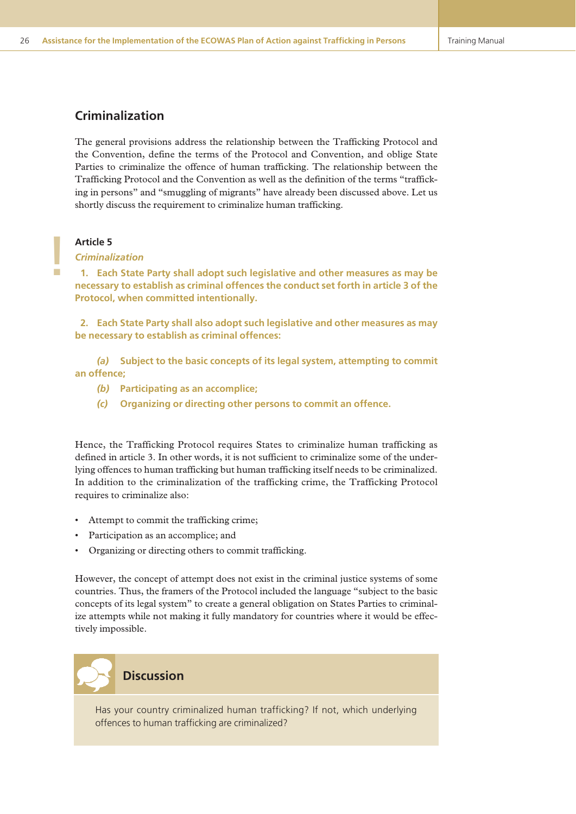# **Criminalization**

The general provisions address the relationship between the Trafficking Protocol and the Convention, define the terms of the Protocol and Convention, and oblige State Parties to criminalize the offence of human trafficking. The relationship between the Trafficking Protocol and the Convention as well as the definition of the terms "trafficking in persons" and "smuggling of migrants" have already been discussed above. Let us shortly discuss the requirement to criminalize human trafficking.

### **Article 5**

!

#### *Criminalization*

**1. Each State Party shall adopt such legislative and other measures as may be necessary to establish as criminal offences the conduct set forth in article 3 of the Protocol, when committed intentionally.**

**2. Each State Party shall also adopt such legislative and other measures as may be necessary to establish as criminal offences:** 

*(a)* **Subject to the basic concepts of its legal system, attempting to commit an offence;**

- *(b)* **Participating as an accomplice;**
- *(c)* **Organizing or directing other persons to commit an offence.**

Hence, the Trafficking Protocol requires States to criminalize human trafficking as defined in article 3. In other words, it is not sufficient to criminalize some of the underlying offences to human trafficking but human trafficking itself needs to be criminalized. In addition to the criminalization of the trafficking crime, the Trafficking Protocol requires to criminalize also:

- Attempt to commit the trafficking crime;
- Participation as an accomplice; and
- Organizing or directing others to commit trafficking.

However, the concept of attempt does not exist in the criminal justice systems of some countries. Thus, the framers of the Protocol included the language "subject to the basic concepts of its legal system" to create a general obligation on States Parties to criminalize attempts while not making it fully mandatory for countries where it would be effectively impossible.



Has your country criminalized human trafficking? If not, which underlying offences to human trafficking are criminalized?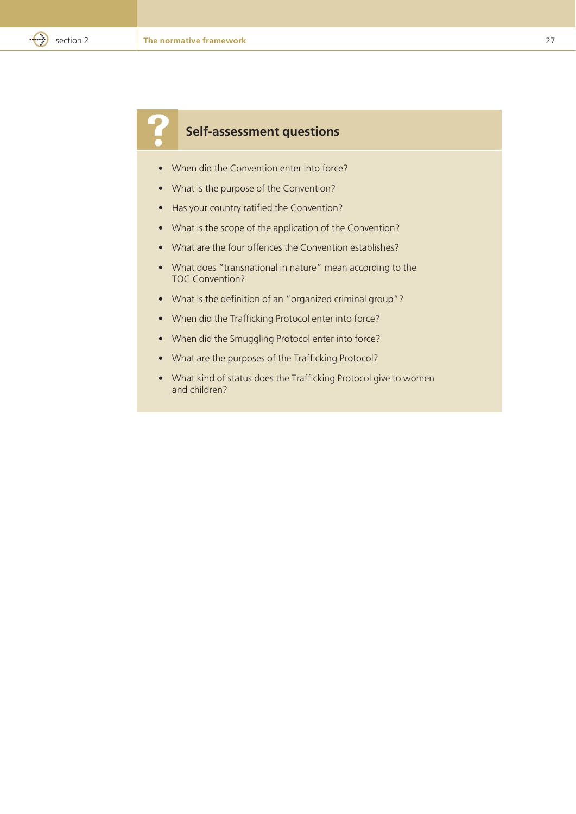# **Self-assessment questions**

- When did the Convention enter into force?
- What is the purpose of the Convention?
- Has your country ratified the Convention?
- What is the scope of the application of the Convention?
- What are the four offences the Convention establishes?
- What does "transnational in nature" mean according to the TOC Convention?
- What is the definition of an "organized criminal group"?
- When did the Trafficking Protocol enter into force?
- When did the Smuggling Protocol enter into force?
- What are the purposes of the Trafficking Protocol?
- What kind of status does the Trafficking Protocol give to women and children?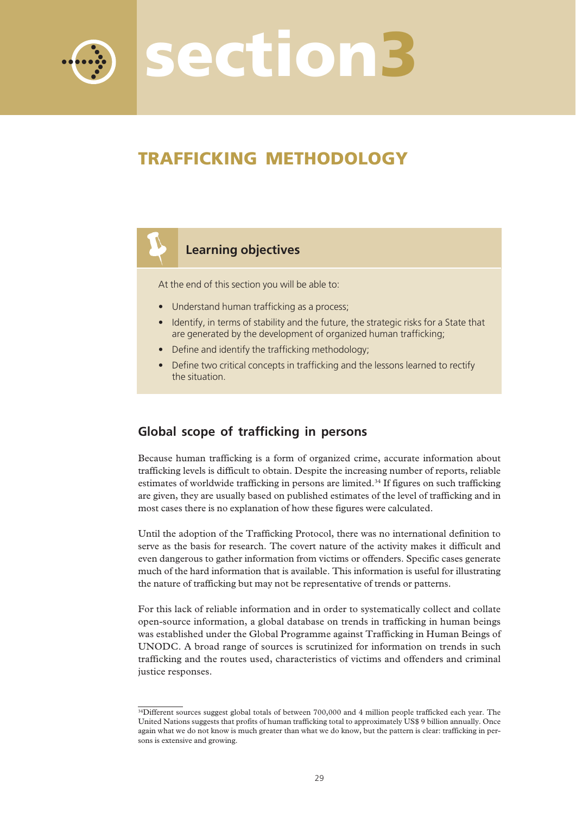

# **TRAFFICKING METHODOLOGY**

# **Learning objectives**

At the end of this section you will be able to:

- Understand human trafficking as a process;
- Identify, in terms of stability and the future, the strategic risks for a State that are generated by the development of organized human trafficking;
- Define and identify the trafficking methodology;
- Define two critical concepts in trafficking and the lessons learned to rectify the situation.

# **Global scope of trafficking in persons**

Because human trafficking is a form of organized crime, accurate information about trafficking levels is difficult to obtain. Despite the increasing number of reports, reliable estimates of worldwide trafficking in persons are limited.<sup>34</sup> If figures on such trafficking are given, they are usually based on published estimates of the level of trafficking and in most cases there is no explanation of how these figures were calculated.

Until the adoption of the Trafficking Protocol, there was no international definition to serve as the basis for research. The covert nature of the activity makes it difficult and even dangerous to gather information from victims or offenders. Specific cases generate much of the hard information that is available. This information is useful for illustrating the nature of trafficking but may not be representative of trends or patterns.

For this lack of reliable information and in order to systematically collect and collate open-source information, a global database on trends in trafficking in human beings was established under the Global Programme against Trafficking in Human Beings of UNODC. A broad range of sources is scrutinized for information on trends in such trafficking and the routes used, characteristics of victims and offenders and criminal justice responses.

<sup>&</sup>lt;sup>34</sup>Different sources suggest global totals of between 700,000 and 4 million people trafficked each year. The United Nations suggests that profits of human trafficking total to approximately US\$ 9 billion annually. Once again what we do not know is much greater than what we do know, but the pattern is clear: trafficking in persons is extensive and growing.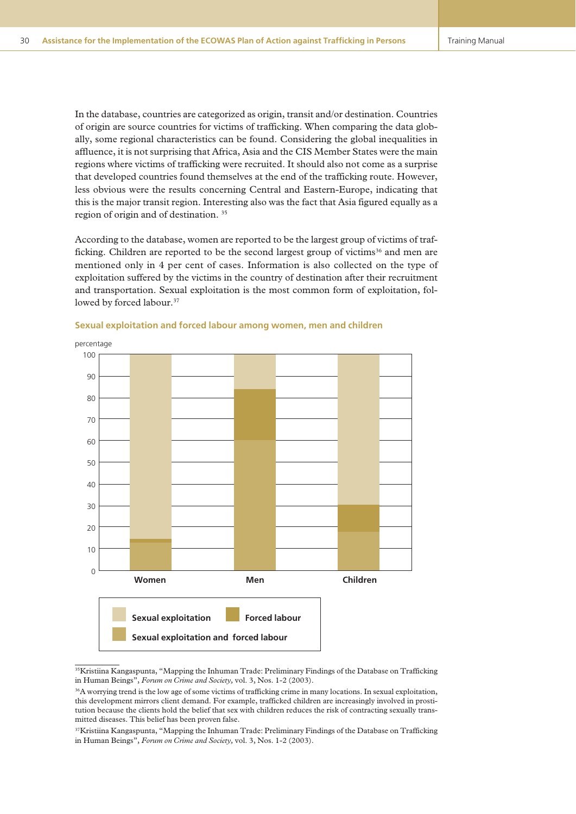In the database, countries are categorized as origin, transit and/or destination. Countries of origin are source countries for victims of trafficking. When comparing the data globally, some regional characteristics can be found. Considering the global inequalities in affluence, it is not surprising that Africa, Asia and the CIS Member States were the main regions where victims of trafficking were recruited. It should also not come as a surprise that developed countries found themselves at the end of the trafficking route. However, less obvious were the results concerning Central and Eastern-Europe, indicating that this is the major transit region. Interesting also was the fact that Asia figured equally as a region of origin and of destination. 35

According to the database, women are reported to be the largest group of victims of trafficking. Children are reported to be the second largest group of victims $36$  and men are mentioned only in 4 per cent of cases. Information is also collected on the type of exploitation suffered by the victims in the country of destination after their recruitment and transportation. Sexual exploitation is the most common form of exploitation, followed by forced labour.<sup>37</sup>



#### **Sexual exploitation and forced labour among women, men and children**

<sup>&</sup>lt;sup>35</sup>Kristiina Kangaspunta, "Mapping the Inhuman Trade: Preliminary Findings of the Database on Trafficking in Human Beings", *Forum on Crime and Society,* vol. 3, Nos. 1-2 (2003).

<sup>36</sup>A worrying trend is the low age of some victims of trafficking crime in many locations. In sexual exploitation, this development mirrors client demand. For example, trafficked children are increasingly involved in prostitution because the clients hold the belief that sex with children reduces the risk of contracting sexually transmitted diseases. This belief has been proven false.

<sup>&</sup>lt;sup>37</sup>Kristiina Kangaspunta, "Mapping the Inhuman Trade: Preliminary Findings of the Database on Trafficking in Human Beings", *Forum on Crime and Society,* vol. 3, Nos. 1-2 (2003).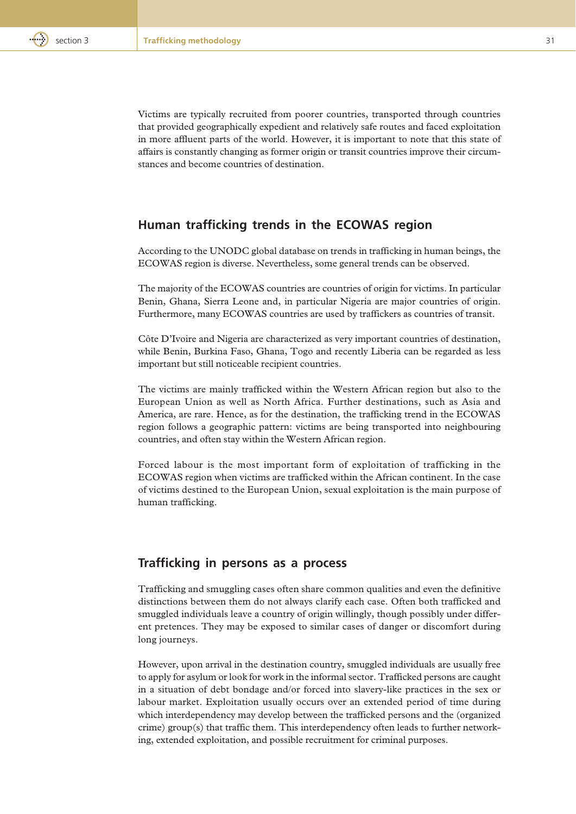Victims are typically recruited from poorer countries, transported through countries that provided geographically expedient and relatively safe routes and faced exploitation in more affluent parts of the world. However, it is important to note that this state of affairs is constantly changing as former origin or transit countries improve their circumstances and become countries of destination.

### **Human trafficking trends in the ECOWAS region**

According to the UNODC global database on trends in trafficking in human beings, the ECOWAS region is diverse. Nevertheless, some general trends can be observed.

The majority of the ECOWAS countries are countries of origin for victims. In particular Benin, Ghana, Sierra Leone and, in particular Nigeria are major countries of origin. Furthermore, many ECOWAS countries are used by traffickers as countries of transit.

Côte D'Ivoire and Nigeria are characterized as very important countries of destination, while Benin, Burkina Faso, Ghana, Togo and recently Liberia can be regarded as less important but still noticeable recipient countries.

The victims are mainly trafficked within the Western African region but also to the European Union as well as North Africa. Further destinations, such as Asia and America, are rare. Hence, as for the destination, the trafficking trend in the ECOWAS region follows a geographic pattern: victims are being transported into neighbouring countries, and often stay within the Western African region.

Forced labour is the most important form of exploitation of trafficking in the ECOWAS region when victims are trafficked within the African continent. In the case of victims destined to the European Union, sexual exploitation is the main purpose of human trafficking.

### **Trafficking in persons as a process**

Trafficking and smuggling cases often share common qualities and even the definitive distinctions between them do not always clarify each case. Often both trafficked and smuggled individuals leave a country of origin willingly, though possibly under different pretences. They may be exposed to similar cases of danger or discomfort during long journeys.

However, upon arrival in the destination country, smuggled individuals are usually free to apply for asylum or look for work in the informal sector. Trafficked persons are caught in a situation of debt bondage and/or forced into slavery-like practices in the sex or labour market. Exploitation usually occurs over an extended period of time during which interdependency may develop between the trafficked persons and the (organized crime) group(s) that traffic them. This interdependency often leads to further networking, extended exploitation, and possible recruitment for criminal purposes.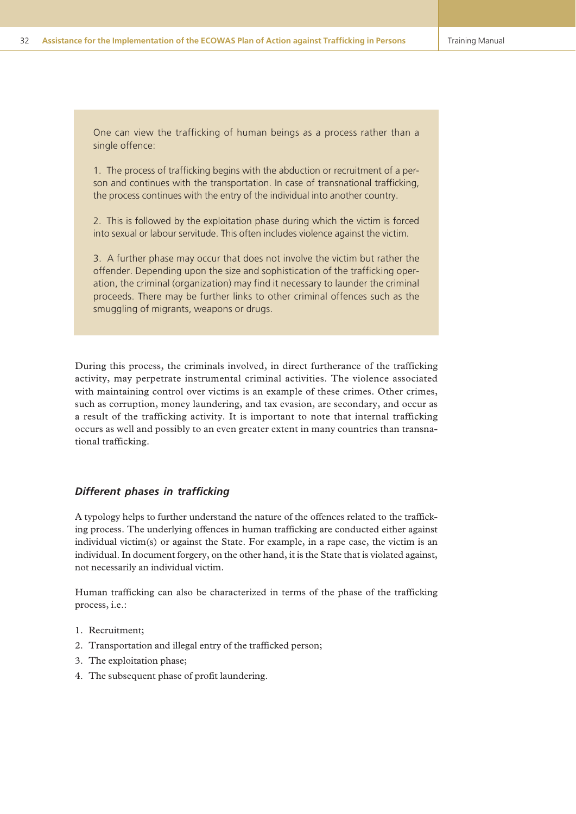One can view the trafficking of human beings as a process rather than a single offence:

1. The process of trafficking begins with the abduction or recruitment of a person and continues with the transportation. In case of transnational trafficking, the process continues with the entry of the individual into another country.

2. This is followed by the exploitation phase during which the victim is forced into sexual or labour servitude. This often includes violence against the victim.

3. A further phase may occur that does not involve the victim but rather the offender. Depending upon the size and sophistication of the trafficking operation, the criminal (organization) may find it necessary to launder the criminal proceeds. There may be further links to other criminal offences such as the smuggling of migrants, weapons or drugs.

During this process, the criminals involved, in direct furtherance of the trafficking activity, may perpetrate instrumental criminal activities. The violence associated with maintaining control over victims is an example of these crimes. Other crimes, such as corruption, money laundering, and tax evasion, are secondary, and occur as a result of the trafficking activity. It is important to note that internal trafficking occurs as well and possibly to an even greater extent in many countries than transnational trafficking.

### *Different phases in trafficking*

A typology helps to further understand the nature of the offences related to the trafficking process. The underlying offences in human trafficking are conducted either against individual victim(s) or against the State. For example, in a rape case, the victim is an individual. In document forgery, on the other hand, it is the State that is violated against, not necessarily an individual victim.

Human trafficking can also be characterized in terms of the phase of the trafficking process, i.e.:

- 1. Recruitment;
- 2. Transportation and illegal entry of the trafficked person;
- 3. The exploitation phase;
- 4. The subsequent phase of profit laundering.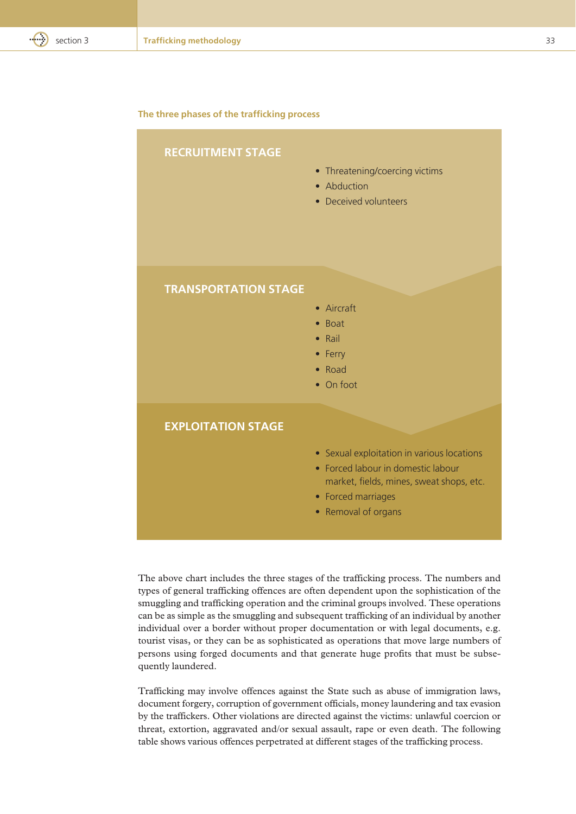### **The three phases of the trafficking process**



The above chart includes the three stages of the trafficking process. The numbers and types of general trafficking offences are often dependent upon the sophistication of the smuggling and trafficking operation and the criminal groups involved. These operations can be as simple as the smuggling and subsequent trafficking of an individual by another individual over a border without proper documentation or with legal documents, e.g. tourist visas, or they can be as sophisticated as operations that move large numbers of persons using forged documents and that generate huge profits that must be subsequently laundered.

Trafficking may involve offences against the State such as abuse of immigration laws, document forgery, corruption of government officials, money laundering and tax evasion by the traffickers. Other violations are directed against the victims: unlawful coercion or threat, extortion, aggravated and/or sexual assault, rape or even death. The following table shows various offences perpetrated at different stages of the trafficking process.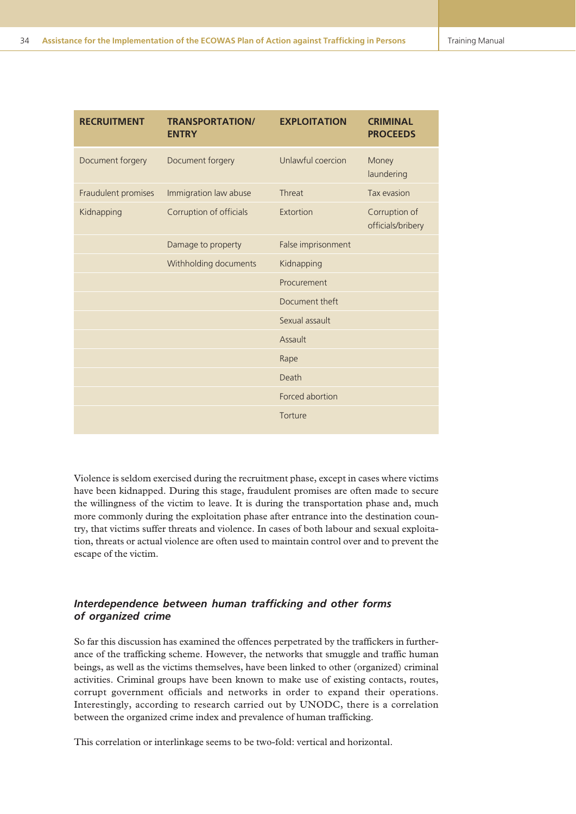| <b>RECRUITMENT</b>  | <b>TRANSPORTATION/</b><br><b>ENTRY</b> | <b>EXPLOITATION</b> | <b>CRIMINAL</b><br><b>PROCEEDS</b> |
|---------------------|----------------------------------------|---------------------|------------------------------------|
| Document forgery    | Document forgery                       | Unlawful coercion   | Money<br>laundering                |
| Fraudulent promises | Immigration law abuse                  | Threat              | Tax evasion                        |
| Kidnapping          | Corruption of officials                | Extortion           | Corruption of<br>officials/bribery |
|                     | Damage to property                     | False imprisonment  |                                    |
|                     | Withholding documents                  | Kidnapping          |                                    |
|                     |                                        | Procurement         |                                    |
|                     |                                        | Document theft      |                                    |
|                     |                                        | Sexual assault      |                                    |
|                     |                                        | Assault             |                                    |
|                     |                                        | Rape                |                                    |
|                     |                                        | Death               |                                    |
|                     |                                        | Forced abortion     |                                    |
|                     |                                        | Torture             |                                    |

Violence is seldom exercised during the recruitment phase, except in cases where victims have been kidnapped. During this stage, fraudulent promises are often made to secure the willingness of the victim to leave. It is during the transportation phase and, much more commonly during the exploitation phase after entrance into the destination country, that victims suffer threats and violence. In cases of both labour and sexual exploitation, threats or actual violence are often used to maintain control over and to prevent the escape of the victim.

### *Interdependence between human trafficking and other forms of organized crime*

So far this discussion has examined the offences perpetrated by the traffickers in furtherance of the trafficking scheme. However, the networks that smuggle and traffic human beings, as well as the victims themselves, have been linked to other (organized) criminal activities. Criminal groups have been known to make use of existing contacts, routes, corrupt government officials and networks in order to expand their operations. Interestingly, according to research carried out by UNODC, there is a correlation between the organized crime index and prevalence of human trafficking.

This correlation or interlinkage seems to be two-fold: vertical and horizontal.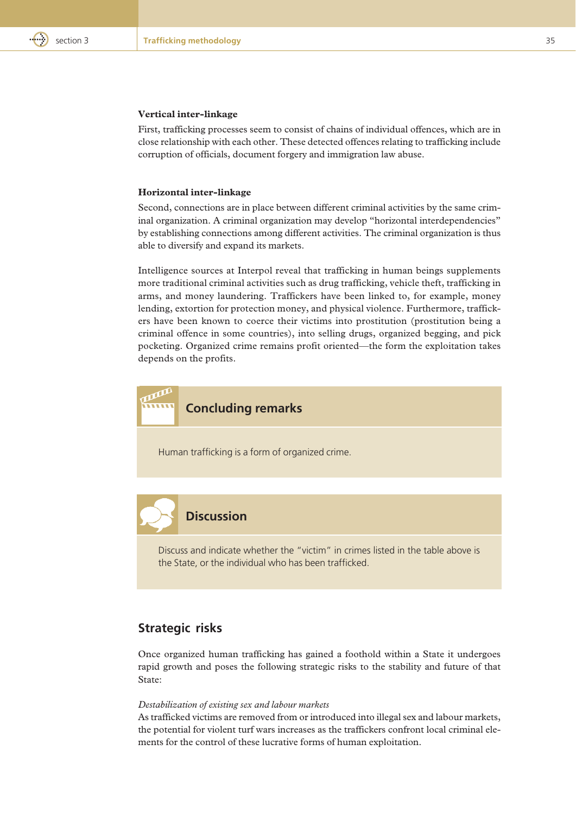#### **Vertical inter-linkage**

First, trafficking processes seem to consist of chains of individual offences, which are in close relationship with each other. These detected offences relating to trafficking include corruption of officials, document forgery and immigration law abuse.

#### **Horizontal inter-linkage**

Second, connections are in place between different criminal activities by the same criminal organization. A criminal organization may develop "horizontal interdependencies" by establishing connections among different activities. The criminal organization is thus able to diversify and expand its markets.

Intelligence sources at Interpol reveal that trafficking in human beings supplements more traditional criminal activities such as drug trafficking, vehicle theft, trafficking in arms, and money laundering. Traffickers have been linked to, for example, money lending, extortion for protection money, and physical violence. Furthermore, traffickers have been known to coerce their victims into prostitution (prostitution being a criminal offence in some countries), into selling drugs, organized begging, and pick pocketing. Organized crime remains profit oriented—the form the exploitation takes depends on the profits.

#### $\overline{\mathbf{m}}$ **Concluding remarks**

Human trafficking is a form of organized crime.



œ

Discuss and indicate whether the "victim" in crimes listed in the table above is the State, or the individual who has been trafficked.

# **Strategic risks**

Once organized human trafficking has gained a foothold within a State it undergoes rapid growth and poses the following strategic risks to the stability and future of that State:

#### *Destabilization of existing sex and labour markets*

As trafficked victims are removed from or introduced into illegal sex and labour markets, the potential for violent turf wars increases as the traffickers confront local criminal elements for the control of these lucrative forms of human exploitation.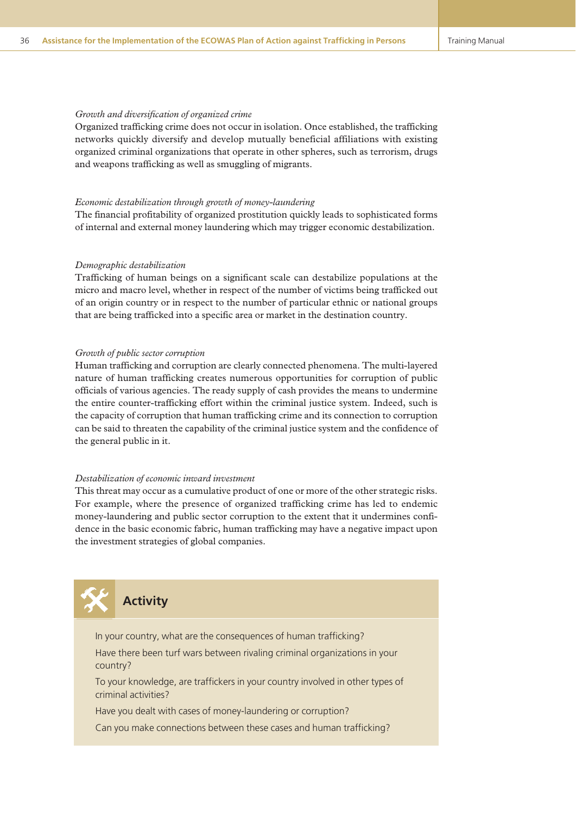#### *Growth and diversification of organized crime*

Organized trafficking crime does not occur in isolation. Once established, the trafficking networks quickly diversify and develop mutually beneficial affiliations with existing organized criminal organizations that operate in other spheres, such as terrorism, drugs and weapons trafficking as well as smuggling of migrants.

#### *Economic destabilization through growth of money-laundering*

The financial profitability of organized prostitution quickly leads to sophisticated forms of internal and external money laundering which may trigger economic destabilization.

#### *Demographic destabilization*

Trafficking of human beings on a significant scale can destabilize populations at the micro and macro level, whether in respect of the number of victims being trafficked out of an origin country or in respect to the number of particular ethnic or national groups that are being trafficked into a specific area or market in the destination country.

#### *Growth of public sector corruption*

Human trafficking and corruption are clearly connected phenomena. The multi-layered nature of human trafficking creates numerous opportunities for corruption of public officials of various agencies. The ready supply of cash provides the means to undermine the entire counter-trafficking effort within the criminal justice system. Indeed, such is the capacity of corruption that human trafficking crime and its connection to corruption can be said to threaten the capability of the criminal justice system and the confidence of the general public in it.

#### *Destabilization of economic inward investment*

This threat may occur as a cumulative product of one or more of the other strategic risks. For example, where the presence of organized trafficking crime has led to endemic money-laundering and public sector corruption to the extent that it undermines confidence in the basic economic fabric, human trafficking may have a negative impact upon the investment strategies of global companies.



In your country, what are the consequences of human trafficking?

Have there been turf wars between rivaling criminal organizations in your country?

To your knowledge, are traffickers in your country involved in other types of criminal activities?

Have you dealt with cases of money-laundering or corruption?

Can you make connections between these cases and human trafficking?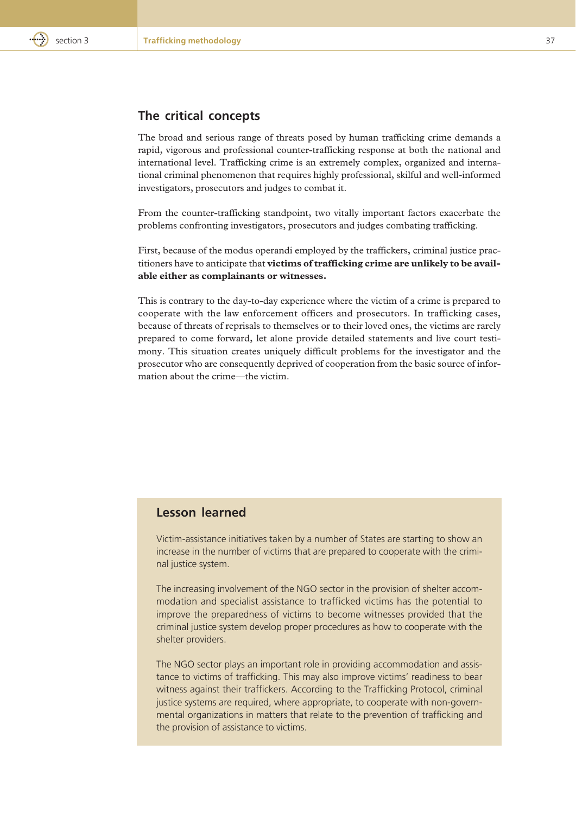# **The critical concepts**

The broad and serious range of threats posed by human trafficking crime demands a rapid, vigorous and professional counter-trafficking response at both the national and international level. Trafficking crime is an extremely complex, organized and international criminal phenomenon that requires highly professional, skilful and well-informed investigators, prosecutors and judges to combat it.

From the counter-trafficking standpoint, two vitally important factors exacerbate the problems confronting investigators, prosecutors and judges combating trafficking.

First, because of the modus operandi employed by the traffickers, criminal justice practitioners have to anticipate that **victims of trafficking crime are unlikely to be available either as complainants or witnesses.**

This is contrary to the day-to-day experience where the victim of a crime is prepared to cooperate with the law enforcement officers and prosecutors. In trafficking cases, because of threats of reprisals to themselves or to their loved ones, the victims are rarely prepared to come forward, let alone provide detailed statements and live court testimony. This situation creates uniquely difficult problems for the investigator and the prosecutor who are consequently deprived of cooperation from the basic source of information about the crime—the victim.

### **Lesson learned**

Victim-assistance initiatives taken by a number of States are starting to show an increase in the number of victims that are prepared to cooperate with the criminal justice system.

The increasing involvement of the NGO sector in the provision of shelter accommodation and specialist assistance to trafficked victims has the potential to improve the preparedness of victims to become witnesses provided that the criminal justice system develop proper procedures as how to cooperate with the shelter providers.

The NGO sector plays an important role in providing accommodation and assistance to victims of trafficking. This may also improve victims' readiness to bear witness against their traffickers. According to the Trafficking Protocol, criminal justice systems are required, where appropriate, to cooperate with non-governmental organizations in matters that relate to the prevention of trafficking and the provision of assistance to victims.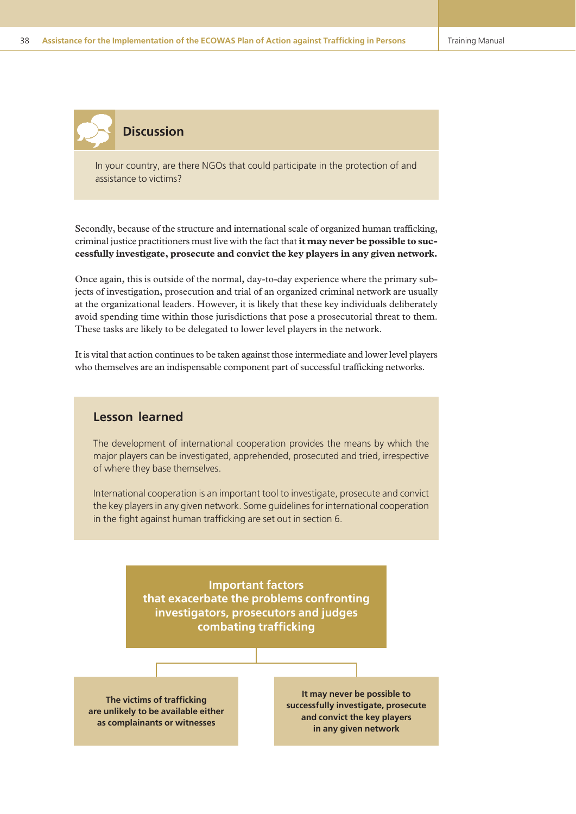

In your country, are there NGOs that could participate in the protection of and assistance to victims?

Secondly, because of the structure and international scale of organized human trafficking, criminal justice practitioners must live with the fact that **it may never be possible to successfully investigate, prosecute and convict the key players in any given network.**

Once again, this is outside of the normal, day-to-day experience where the primary subjects of investigation, prosecution and trial of an organized criminal network are usually at the organizational leaders. However, it is likely that these key individuals deliberately avoid spending time within those jurisdictions that pose a prosecutorial threat to them. These tasks are likely to be delegated to lower level players in the network.

It is vital that action continues to be taken against those intermediate and lower level players who themselves are an indispensable component part of successful trafficking networks.

# **Lesson learned**

The development of international cooperation provides the means by which the major players can be investigated, apprehended, prosecuted and tried, irrespective of where they base themselves.

International cooperation is an important tool to investigate, prosecute and convict the key players in any given network. Some guidelines for international cooperation in the fight against human trafficking are set out in section 6.

> **Important factors that exacerbate the problems confronting investigators, prosecutors and judges combating trafficking**

**The victims of trafficking are unlikely to be available either as complainants or witnesses**

**It may never be possible to successfully investigate, prosecute and convict the key players in any given network**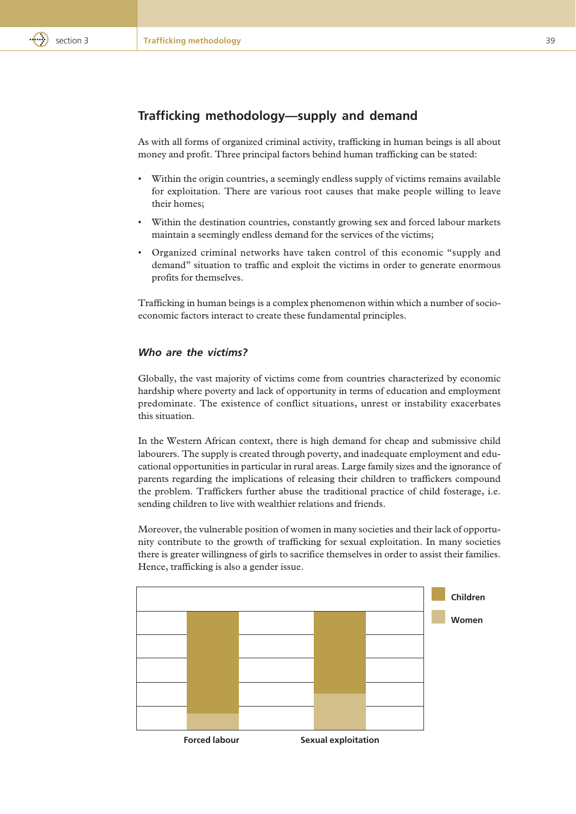# **Trafficking methodology—supply and demand**

As with all forms of organized criminal activity, trafficking in human beings is all about money and profit. Three principal factors behind human trafficking can be stated:

- Within the origin countries, a seemingly endless supply of victims remains available for exploitation. There are various root causes that make people willing to leave their homes;
- Within the destination countries, constantly growing sex and forced labour markets maintain a seemingly endless demand for the services of the victims;
- Organized criminal networks have taken control of this economic "supply and demand" situation to traffic and exploit the victims in order to generate enormous profits for themselves.

Trafficking in human beings is a complex phenomenon within which a number of socioeconomic factors interact to create these fundamental principles.

### *Who are the victims?*

Globally, the vast majority of victims come from countries characterized by economic hardship where poverty and lack of opportunity in terms of education and employment predominate. The existence of conflict situations, unrest or instability exacerbates this situation.

In the Western African context, there is high demand for cheap and submissive child labourers. The supply is created through poverty, and inadequate employment and educational opportunities in particular in rural areas. Large family sizes and the ignorance of parents regarding the implications of releasing their children to traffickers compound the problem. Traffickers further abuse the traditional practice of child fosterage, i.e. sending children to live with wealthier relations and friends.

Moreover, the vulnerable position of women in many societies and their lack of opportunity contribute to the growth of trafficking for sexual exploitation. In many societies there is greater willingness of girls to sacrifice themselves in order to assist their families. Hence, trafficking is also a gender issue.

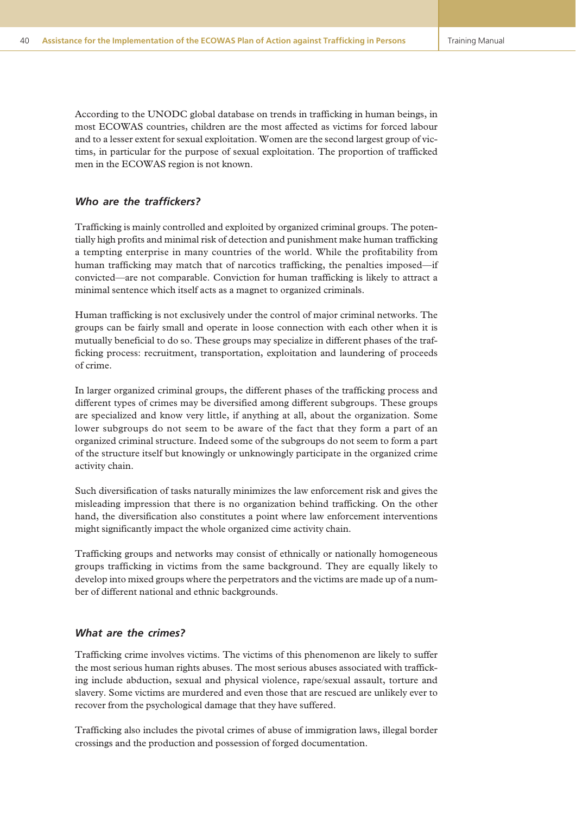According to the UNODC global database on trends in trafficking in human beings, in most ECOWAS countries, children are the most affected as victims for forced labour and to a lesser extent for sexual exploitation. Women are the second largest group of victims, in particular for the purpose of sexual exploitation. The proportion of trafficked men in the ECOWAS region is not known.

### *Who are the traffickers?*

Trafficking is mainly controlled and exploited by organized criminal groups. The potentially high profits and minimal risk of detection and punishment make human trafficking a tempting enterprise in many countries of the world. While the profitability from human trafficking may match that of narcotics trafficking, the penalties imposed—if convicted—are not comparable. Conviction for human trafficking is likely to attract a minimal sentence which itself acts as a magnet to organized criminals.

Human trafficking is not exclusively under the control of major criminal networks. The groups can be fairly small and operate in loose connection with each other when it is mutually beneficial to do so. These groups may specialize in different phases of the trafficking process: recruitment, transportation, exploitation and laundering of proceeds of crime.

In larger organized criminal groups, the different phases of the trafficking process and different types of crimes may be diversified among different subgroups. These groups are specialized and know very little, if anything at all, about the organization. Some lower subgroups do not seem to be aware of the fact that they form a part of an organized criminal structure. Indeed some of the subgroups do not seem to form a part of the structure itself but knowingly or unknowingly participate in the organized crime activity chain.

Such diversification of tasks naturally minimizes the law enforcement risk and gives the misleading impression that there is no organization behind trafficking. On the other hand, the diversification also constitutes a point where law enforcement interventions might significantly impact the whole organized cime activity chain.

Trafficking groups and networks may consist of ethnically or nationally homogeneous groups trafficking in victims from the same background. They are equally likely to develop into mixed groups where the perpetrators and the victims are made up of a number of different national and ethnic backgrounds.

### *What are the crimes?*

Trafficking crime involves victims. The victims of this phenomenon are likely to suffer the most serious human rights abuses. The most serious abuses associated with trafficking include abduction, sexual and physical violence, rape/sexual assault, torture and slavery. Some victims are murdered and even those that are rescued are unlikely ever to recover from the psychological damage that they have suffered.

Trafficking also includes the pivotal crimes of abuse of immigration laws, illegal border crossings and the production and possession of forged documentation.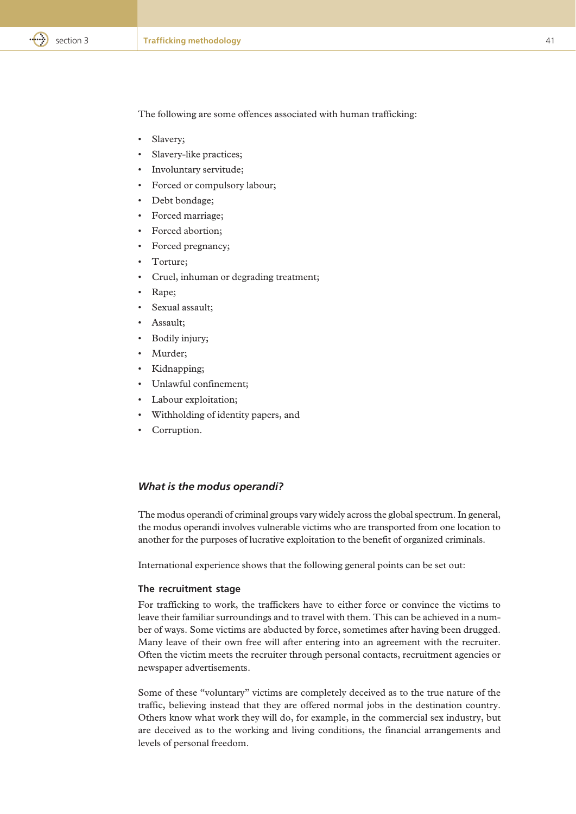The following are some offences associated with human trafficking:

- Slavery;
- Slavery-like practices;
- Involuntary servitude;
- Forced or compulsory labour;
- Debt bondage;
- Forced marriage;
- Forced abortion;
- Forced pregnancy;
- Torture;
- Cruel, inhuman or degrading treatment;
- Rape;
- Sexual assault;
- Assault;
- Bodily injury;
- Murder;
- Kidnapping;
- Unlawful confinement;
- Labour exploitation;
- Withholding of identity papers, and
- Corruption.

### *What is the modus operandi?*

The modus operandi of criminal groups vary widely across the global spectrum. In general, the modus operandi involves vulnerable victims who are transported from one location to another for the purposes of lucrative exploitation to the benefit of organized criminals.

International experience shows that the following general points can be set out:

#### **The recruitment stage**

For trafficking to work, the traffickers have to either force or convince the victims to leave their familiar surroundings and to travel with them. This can be achieved in a number of ways. Some victims are abducted by force, sometimes after having been drugged. Many leave of their own free will after entering into an agreement with the recruiter. Often the victim meets the recruiter through personal contacts, recruitment agencies or newspaper advertisements.

Some of these "voluntary" victims are completely deceived as to the true nature of the traffic, believing instead that they are offered normal jobs in the destination country. Others know what work they will do, for example, in the commercial sex industry, but are deceived as to the working and living conditions, the financial arrangements and levels of personal freedom.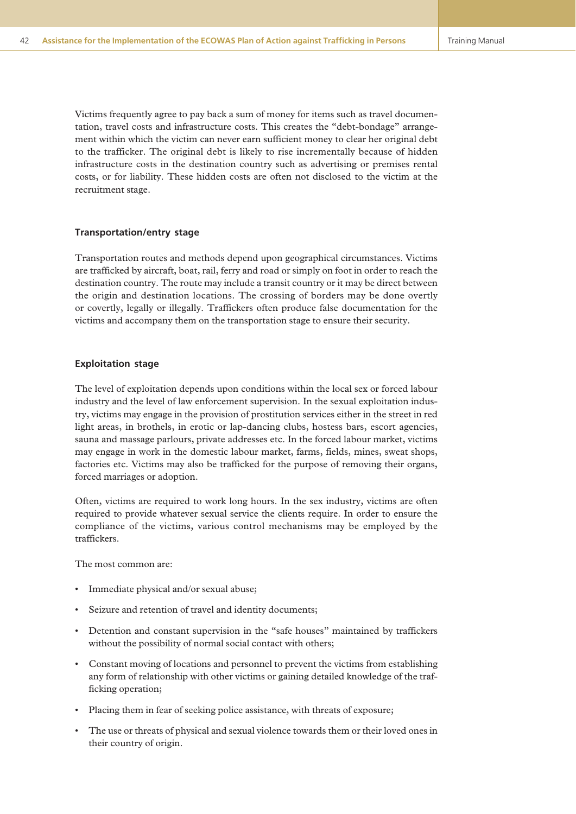Victims frequently agree to pay back a sum of money for items such as travel documentation, travel costs and infrastructure costs. This creates the "debt-bondage" arrangement within which the victim can never earn sufficient money to clear her original debt to the trafficker. The original debt is likely to rise incrementally because of hidden infrastructure costs in the destination country such as advertising or premises rental costs, or for liability. These hidden costs are often not disclosed to the victim at the recruitment stage.

#### **Transportation/entry stage**

Transportation routes and methods depend upon geographical circumstances. Victims are trafficked by aircraft, boat, rail, ferry and road or simply on foot in order to reach the destination country. The route may include a transit country or it may be direct between the origin and destination locations. The crossing of borders may be done overtly or covertly, legally or illegally. Traffickers often produce false documentation for the victims and accompany them on the transportation stage to ensure their security.

### **Exploitation stage**

The level of exploitation depends upon conditions within the local sex or forced labour industry and the level of law enforcement supervision. In the sexual exploitation industry, victims may engage in the provision of prostitution services either in the street in red light areas, in brothels, in erotic or lap-dancing clubs, hostess bars, escort agencies, sauna and massage parlours, private addresses etc. In the forced labour market, victims may engage in work in the domestic labour market, farms, fields, mines, sweat shops, factories etc. Victims may also be trafficked for the purpose of removing their organs, forced marriages or adoption.

Often, victims are required to work long hours. In the sex industry, victims are often required to provide whatever sexual service the clients require. In order to ensure the compliance of the victims, various control mechanisms may be employed by the traffickers.

The most common are:

- Immediate physical and/or sexual abuse;
- Seizure and retention of travel and identity documents;
- Detention and constant supervision in the "safe houses" maintained by traffickers without the possibility of normal social contact with others;
- Constant moving of locations and personnel to prevent the victims from establishing any form of relationship with other victims or gaining detailed knowledge of the trafficking operation;
- Placing them in fear of seeking police assistance, with threats of exposure;
- The use or threats of physical and sexual violence towards them or their loved ones in their country of origin.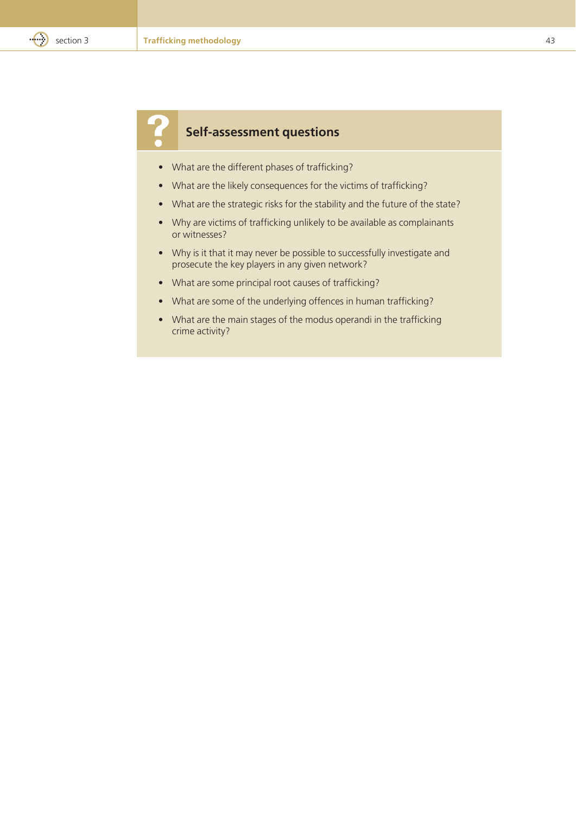# **Self-assessment questions**

- What are the different phases of trafficking?
- What are the likely consequences for the victims of trafficking?
- What are the strategic risks for the stability and the future of the state?
- Why are victims of trafficking unlikely to be available as complainants or witnesses?
- Why is it that it may never be possible to successfully investigate and prosecute the key players in any given network?
- What are some principal root causes of trafficking?
- What are some of the underlying offences in human trafficking?
- What are the main stages of the modus operandi in the trafficking crime activity?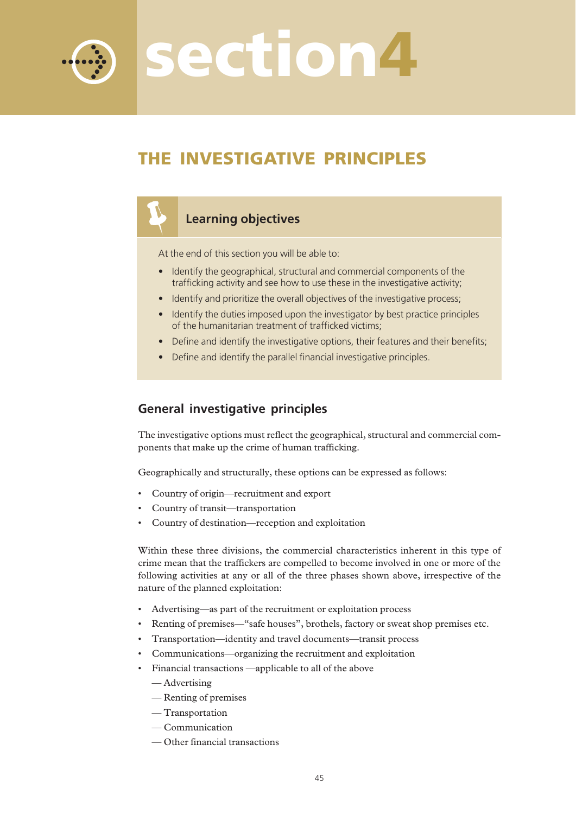

# **THE INVESTIGATIVE PRINCIPLES**

# **Learning objectives**

At the end of this section you will be able to:

- Identify the geographical, structural and commercial components of the trafficking activity and see how to use these in the investigative activity;
- Identify and prioritize the overall objectives of the investigative process;
- Identify the duties imposed upon the investigator by best practice principles of the humanitarian treatment of trafficked victims;
- Define and identify the investigative options, their features and their benefits;
- Define and identify the parallel financial investigative principles.

# **General investigative principles**

The investigative options must reflect the geographical, structural and commercial components that make up the crime of human trafficking.

Geographically and structurally, these options can be expressed as follows:

- Country of origin—recruitment and export
- Country of transit—transportation
- Country of destination—reception and exploitation

Within these three divisions, the commercial characteristics inherent in this type of crime mean that the traffickers are compelled to become involved in one or more of the following activities at any or all of the three phases shown above, irrespective of the nature of the planned exploitation:

- Advertising—as part of the recruitment or exploitation process
- Renting of premises—"safe houses", brothels, factory or sweat shop premises etc.
- Transportation—identity and travel documents—transit process
- Communications—organizing the recruitment and exploitation
- Financial transactions —applicable to all of the above
	- Advertising
	- Renting of premises
	- Transportation
	- Communication
	- Other financial transactions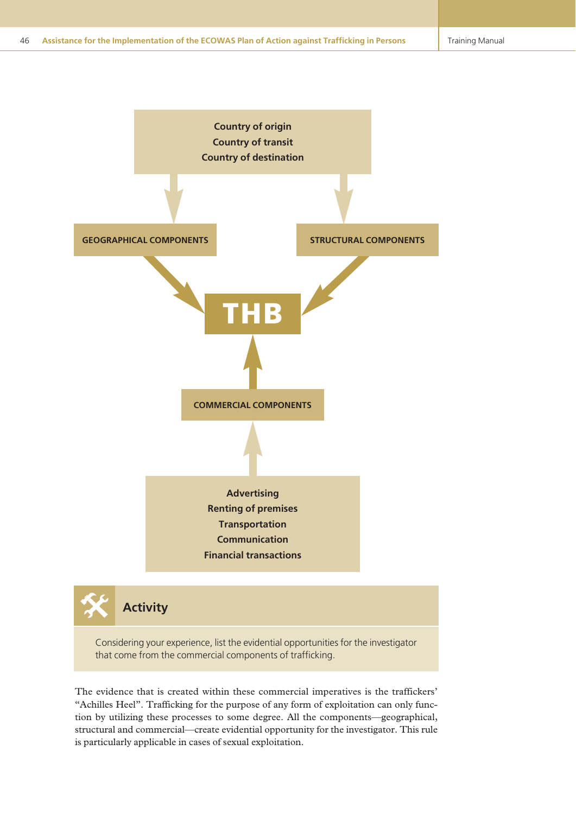

Considering your experience, list the evidential opportunities for the investigator that come from the commercial components of trafficking.

The evidence that is created within these commercial imperatives is the traffickers' "Achilles Heel". Trafficking for the purpose of any form of exploitation can only function by utilizing these processes to some degree. All the components—geographical, structural and commercial—create evidential opportunity for the investigator. This rule is particularly applicable in cases of sexual exploitation.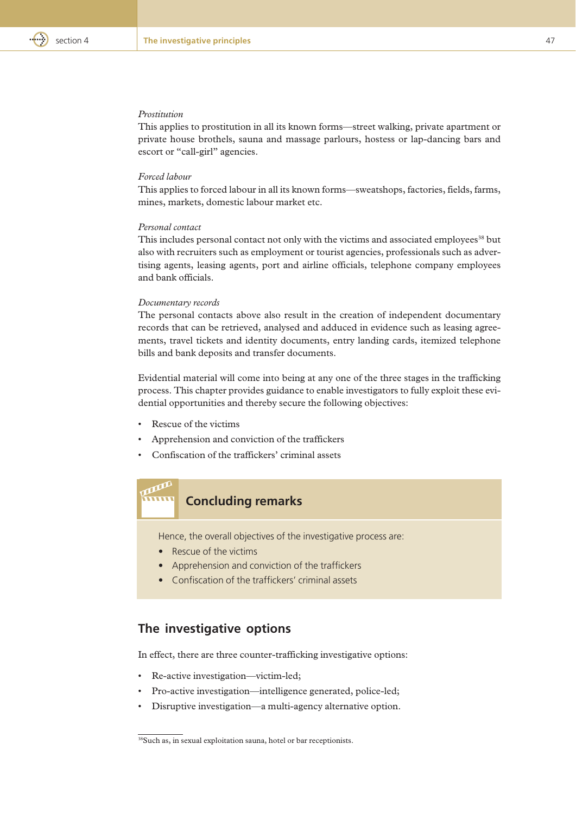#### *Prostitution*

This applies to prostitution in all its known forms—street walking, private apartment or private house brothels, sauna and massage parlours, hostess or lap-dancing bars and escort or "call-girl" agencies.

#### *Forced labour*

This applies to forced labour in all its known forms—sweatshops, factories, fields, farms, mines, markets, domestic labour market etc.

### *Personal contact*

This includes personal contact not only with the victims and associated employees<sup>38</sup> but also with recruiters such as employment or tourist agencies, professionals such as advertising agents, leasing agents, port and airline officials, telephone company employees and bank officials.

#### *Documentary records*

The personal contacts above also result in the creation of independent documentary records that can be retrieved, analysed and adduced in evidence such as leasing agreements, travel tickets and identity documents, entry landing cards, itemized telephone bills and bank deposits and transfer documents.

Evidential material will come into being at any one of the three stages in the trafficking process. This chapter provides guidance to enable investigators to fully exploit these evidential opportunities and thereby secure the following objectives:

- Rescue of the victims
- Apprehension and conviction of the traffickers
- Confiscation of the traffickers' criminal assets

#### aac  $\overline{\mathbf{m}}$ **Concluding remarks**

Hence, the overall objectives of the investigative process are:

- Rescue of the victims
- Apprehension and conviction of the traffickers
- Confiscation of the traffickers' criminal assets

# **The investigative options**

In effect, there are three counter-trafficking investigative options:

- Re-active investigation—victim-led;
- Pro-active investigation—intelligence generated, police-led;
- Disruptive investigation—a multi-agency alternative option.

<sup>&</sup>lt;sup>38</sup>Such as, in sexual exploitation sauna, hotel or bar receptionists.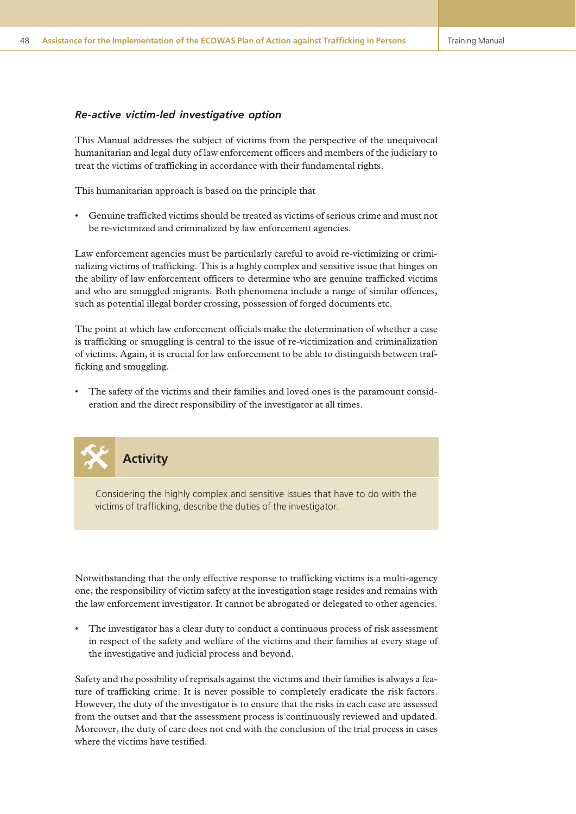#### *Re-active victim-led investigative option*

This Manual addresses the subject of victims from the perspective of the unequivocal humanitarian and legal duty of law enforcement officers and members of the judiciary to treat the victims of trafficking in accordance with their fundamental rights.

This humanitarian approach is based on the principle that

• Genuine trafficked victims should be treated as victims of serious crime and must not be re-victimized and criminalized by law enforcement agencies.

Law enforcement agencies must be particularly careful to avoid re-victimizing or criminalizing victims of trafficking. This is a highly complex and sensitive issue that hinges on the ability of law enforcement officers to determine who are genuine trafficked victims and who are smuggled migrants. Both phenomena include a range of similar offences, such as potential illegal border crossing, possession of forged documents etc.

The point at which law enforcement officials make the determination of whether a case is trafficking or smuggling is central to the issue of re-victimization and criminalization of victims. Again, it is crucial for law enforcement to be able to distinguish between trafficking and smuggling.

The safety of the victims and their families and loved ones is the paramount consideration and the direct responsibility of the investigator at all times.



Notwithstanding that the only effective response to trafficking victims is a multi-agency one, the responsibility of victim safety at the investigation stage resides and remains with the law enforcement investigator. It cannot be abrogated or delegated to other agencies.

The investigator has a clear duty to conduct a continuous process of risk assessment in respect of the safety and welfare of the victims and their families at every stage of the investigative and judicial process and beyond.

Safety and the possibility of reprisals against the victims and their families is always a feature of trafficking crime. It is never possible to completely eradicate the risk factors. However, the duty of the investigator is to ensure that the risks in each case are assessed from the outset and that the assessment process is continuously reviewed and updated. Moreover, the duty of care does not end with the conclusion of the trial process in cases where the victims have testified.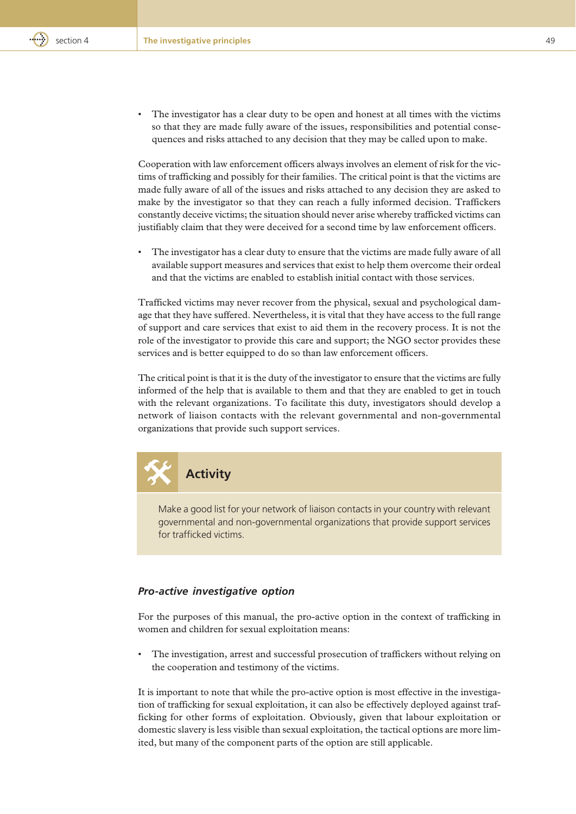The investigator has a clear duty to be open and honest at all times with the victims so that they are made fully aware of the issues, responsibilities and potential consequences and risks attached to any decision that they may be called upon to make.

Cooperation with law enforcement officers always involves an element of risk for the victims of trafficking and possibly for their families. The critical point is that the victims are made fully aware of all of the issues and risks attached to any decision they are asked to make by the investigator so that they can reach a fully informed decision. Traffickers constantly deceive victims; the situation should never arise whereby trafficked victims can justifiably claim that they were deceived for a second time by law enforcement officers.

The investigator has a clear duty to ensure that the victims are made fully aware of all available support measures and services that exist to help them overcome their ordeal and that the victims are enabled to establish initial contact with those services.

Trafficked victims may never recover from the physical, sexual and psychological damage that they have suffered. Nevertheless, it is vital that they have access to the full range of support and care services that exist to aid them in the recovery process. It is not the role of the investigator to provide this care and support; the NGO sector provides these services and is better equipped to do so than law enforcement officers.

The critical point is that it is the duty of the investigator to ensure that the victims are fully informed of the help that is available to them and that they are enabled to get in touch with the relevant organizations. To facilitate this duty, investigators should develop a network of liaison contacts with the relevant governmental and non-governmental organizations that provide such support services.



Make a good list for your network of liaison contacts in your country with relevant governmental and non-governmental organizations that provide support services for trafficked victims.

### *Pro-active investigative option*

For the purposes of this manual, the pro-active option in the context of trafficking in women and children for sexual exploitation means:

• The investigation, arrest and successful prosecution of traffickers without relying on the cooperation and testimony of the victims.

It is important to note that while the pro-active option is most effective in the investigation of trafficking for sexual exploitation, it can also be effectively deployed against trafficking for other forms of exploitation. Obviously, given that labour exploitation or domestic slavery is less visible than sexual exploitation, the tactical options are more limited, but many of the component parts of the option are still applicable.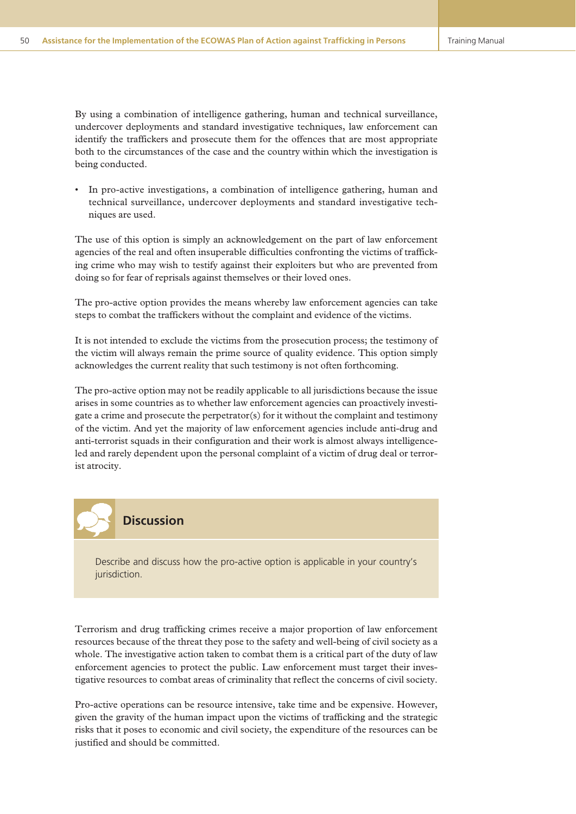By using a combination of intelligence gathering, human and technical surveillance, undercover deployments and standard investigative techniques, law enforcement can identify the traffickers and prosecute them for the offences that are most appropriate both to the circumstances of the case and the country within which the investigation is being conducted.

• In pro-active investigations, a combination of intelligence gathering, human and technical surveillance, undercover deployments and standard investigative techniques are used.

The use of this option is simply an acknowledgement on the part of law enforcement agencies of the real and often insuperable difficulties confronting the victims of trafficking crime who may wish to testify against their exploiters but who are prevented from doing so for fear of reprisals against themselves or their loved ones.

The pro-active option provides the means whereby law enforcement agencies can take steps to combat the traffickers without the complaint and evidence of the victims.

It is not intended to exclude the victims from the prosecution process; the testimony of the victim will always remain the prime source of quality evidence. This option simply acknowledges the current reality that such testimony is not often forthcoming.

The pro-active option may not be readily applicable to all jurisdictions because the issue arises in some countries as to whether law enforcement agencies can proactively investigate a crime and prosecute the perpetrator(s) for it without the complaint and testimony of the victim. And yet the majority of law enforcement agencies include anti-drug and anti-terrorist squads in their configuration and their work is almost always intelligenceled and rarely dependent upon the personal complaint of a victim of drug deal or terrorist atrocity.



Describe and discuss how the pro-active option is applicable in your country's jurisdiction.

Terrorism and drug trafficking crimes receive a major proportion of law enforcement resources because of the threat they pose to the safety and well-being of civil society as a whole. The investigative action taken to combat them is a critical part of the duty of law enforcement agencies to protect the public. Law enforcement must target their investigative resources to combat areas of criminality that reflect the concerns of civil society.

Pro-active operations can be resource intensive, take time and be expensive. However, given the gravity of the human impact upon the victims of trafficking and the strategic risks that it poses to economic and civil society, the expenditure of the resources can be justified and should be committed.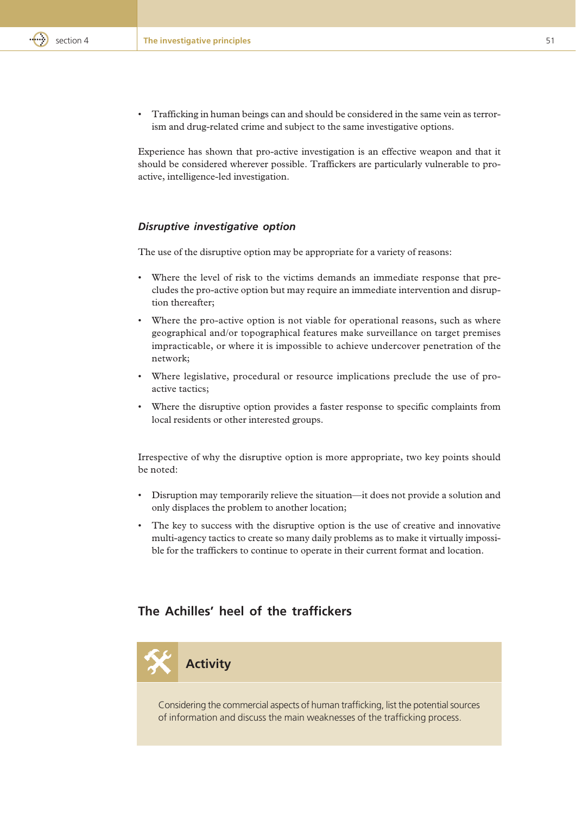• Trafficking in human beings can and should be considered in the same vein as terrorism and drug-related crime and subject to the same investigative options.

Experience has shown that pro-active investigation is an effective weapon and that it should be considered wherever possible. Traffickers are particularly vulnerable to proactive, intelligence-led investigation.

### *Disruptive investigative option*

The use of the disruptive option may be appropriate for a variety of reasons:

- Where the level of risk to the victims demands an immediate response that precludes the pro-active option but may require an immediate intervention and disruption thereafter;
- Where the pro-active option is not viable for operational reasons, such as where geographical and/or topographical features make surveillance on target premises impracticable, or where it is impossible to achieve undercover penetration of the network;
- Where legislative, procedural or resource implications preclude the use of proactive tactics;
- Where the disruptive option provides a faster response to specific complaints from local residents or other interested groups.

Irrespective of why the disruptive option is more appropriate, two key points should be noted:

- Disruption may temporarily relieve the situation—it does not provide a solution and only displaces the problem to another location;
- The key to success with the disruptive option is the use of creative and innovative multi-agency tactics to create so many daily problems as to make it virtually impossible for the traffickers to continue to operate in their current format and location.

# **The Achilles' heel of the traffickers**



Considering the commercial aspects of human trafficking, list the potential sources of information and discuss the main weaknesses of the trafficking process.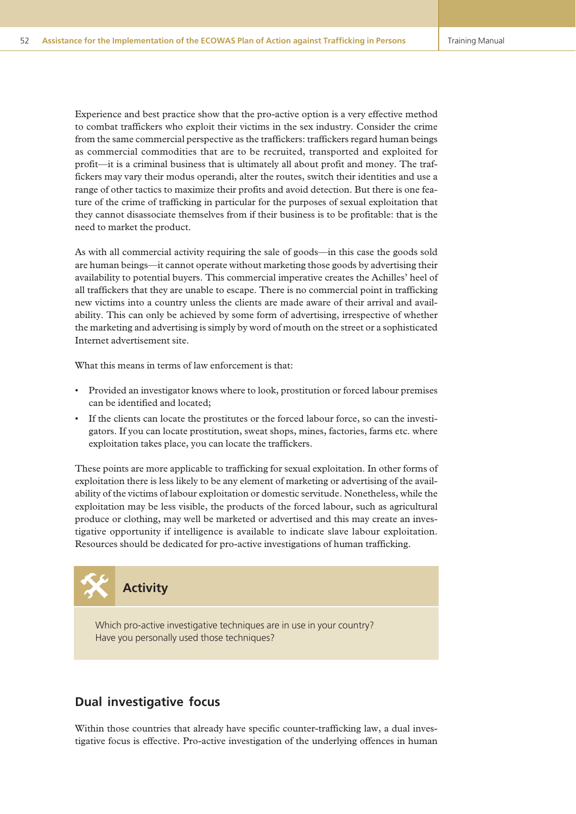Experience and best practice show that the pro-active option is a very effective method to combat traffickers who exploit their victims in the sex industry. Consider the crime from the same commercial perspective as the traffickers: traffickers regard human beings as commercial commodities that are to be recruited, transported and exploited for profit—it is a criminal business that is ultimately all about profit and money. The traffickers may vary their modus operandi, alter the routes, switch their identities and use a range of other tactics to maximize their profits and avoid detection. But there is one feature of the crime of trafficking in particular for the purposes of sexual exploitation that they cannot disassociate themselves from if their business is to be profitable: that is the need to market the product.

As with all commercial activity requiring the sale of goods—in this case the goods sold are human beings—it cannot operate without marketing those goods by advertising their availability to potential buyers. This commercial imperative creates the Achilles' heel of all traffickers that they are unable to escape. There is no commercial point in trafficking new victims into a country unless the clients are made aware of their arrival and availability. This can only be achieved by some form of advertising, irrespective of whether the marketing and advertising is simply by word of mouth on the street or a sophisticated Internet advertisement site.

What this means in terms of law enforcement is that:

- Provided an investigator knows where to look, prostitution or forced labour premises can be identified and located;
- If the clients can locate the prostitutes or the forced labour force, so can the investigators. If you can locate prostitution, sweat shops, mines, factories, farms etc. where exploitation takes place, you can locate the traffickers.

These points are more applicable to trafficking for sexual exploitation. In other forms of exploitation there is less likely to be any element of marketing or advertising of the availability of the victims of labour exploitation or domestic servitude. Nonetheless, while the exploitation may be less visible, the products of the forced labour, such as agricultural produce or clothing, may well be marketed or advertised and this may create an investigative opportunity if intelligence is available to indicate slave labour exploitation. Resources should be dedicated for pro-active investigations of human trafficking.



# **Dual investigative focus**

Within those countries that already have specific counter-trafficking law, a dual investigative focus is effective. Pro-active investigation of the underlying offences in human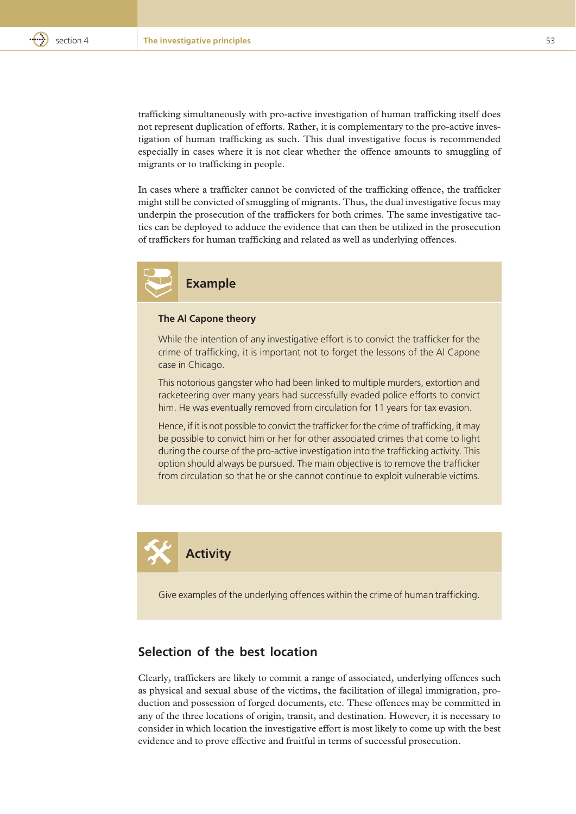trafficking simultaneously with pro-active investigation of human trafficking itself does not represent duplication of efforts. Rather, it is complementary to the pro-active investigation of human trafficking as such. This dual investigative focus is recommended especially in cases where it is not clear whether the offence amounts to smuggling of migrants or to trafficking in people.

In cases where a trafficker cannot be convicted of the trafficking offence, the trafficker might still be convicted of smuggling of migrants. Thus, the dual investigative focus may underpin the prosecution of the traffickers for both crimes. The same investigative tactics can be deployed to adduce the evidence that can then be utilized in the prosecution of traffickers for human trafficking and related as well as underlying offences.



# **Example**

### **The Al Capone theory**

While the intention of any investigative effort is to convict the trafficker for the crime of trafficking, it is important not to forget the lessons of the Al Capone case in Chicago.

This notorious gangster who had been linked to multiple murders, extortion and racketeering over many years had successfully evaded police efforts to convict him. He was eventually removed from circulation for 11 years for tax evasion.

Hence, if it is not possible to convict the trafficker for the crime of trafficking, it may be possible to convict him or her for other associated crimes that come to light during the course of the pro-active investigation into the trafficking activity. This option should always be pursued. The main objective is to remove the trafficker from circulation so that he or she cannot continue to exploit vulnerable victims.



Give examples of the underlying offences within the crime of human trafficking.

# **Selection of the best location**

Clearly, traffickers are likely to commit a range of associated, underlying offences such as physical and sexual abuse of the victims, the facilitation of illegal immigration, production and possession of forged documents, etc. These offences may be committed in any of the three locations of origin, transit, and destination. However, it is necessary to consider in which location the investigative effort is most likely to come up with the best evidence and to prove effective and fruitful in terms of successful prosecution.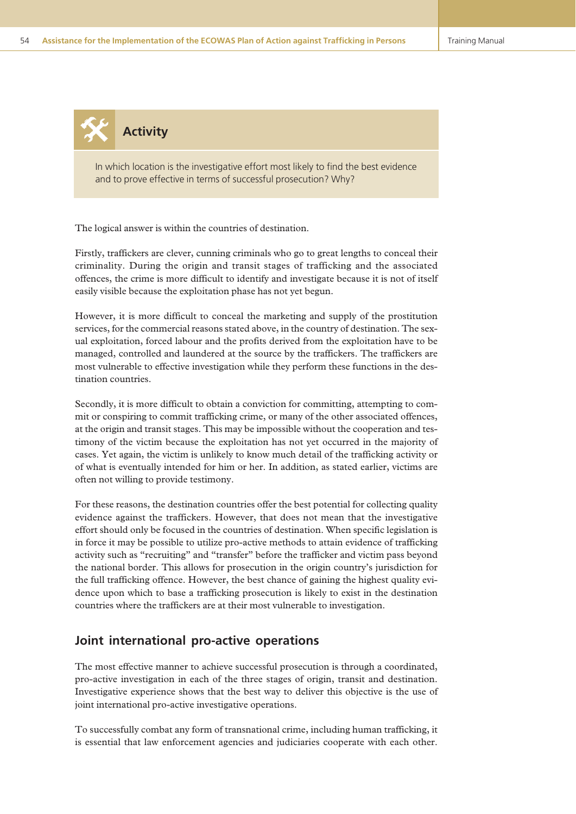

In which location is the investigative effort most likely to find the best evidence and to prove effective in terms of successful prosecution? Why?

The logical answer is within the countries of destination.

Firstly, traffickers are clever, cunning criminals who go to great lengths to conceal their criminality. During the origin and transit stages of trafficking and the associated offences, the crime is more difficult to identify and investigate because it is not of itself easily visible because the exploitation phase has not yet begun.

However, it is more difficult to conceal the marketing and supply of the prostitution services, for the commercial reasons stated above, in the country of destination. The sexual exploitation, forced labour and the profits derived from the exploitation have to be managed, controlled and laundered at the source by the traffickers. The traffickers are most vulnerable to effective investigation while they perform these functions in the destination countries.

Secondly, it is more difficult to obtain a conviction for committing, attempting to commit or conspiring to commit trafficking crime, or many of the other associated offences, at the origin and transit stages. This may be impossible without the cooperation and testimony of the victim because the exploitation has not yet occurred in the majority of cases. Yet again, the victim is unlikely to know much detail of the trafficking activity or of what is eventually intended for him or her. In addition, as stated earlier, victims are often not willing to provide testimony.

For these reasons, the destination countries offer the best potential for collecting quality evidence against the traffickers. However, that does not mean that the investigative effort should only be focused in the countries of destination. When specific legislation is in force it may be possible to utilize pro-active methods to attain evidence of trafficking activity such as "recruiting" and "transfer" before the trafficker and victim pass beyond the national border. This allows for prosecution in the origin country's jurisdiction for the full trafficking offence. However, the best chance of gaining the highest quality evidence upon which to base a trafficking prosecution is likely to exist in the destination countries where the traffickers are at their most vulnerable to investigation.

# **Joint international pro-active operations**

The most effective manner to achieve successful prosecution is through a coordinated, pro-active investigation in each of the three stages of origin, transit and destination. Investigative experience shows that the best way to deliver this objective is the use of joint international pro-active investigative operations.

To successfully combat any form of transnational crime, including human trafficking, it is essential that law enforcement agencies and judiciaries cooperate with each other.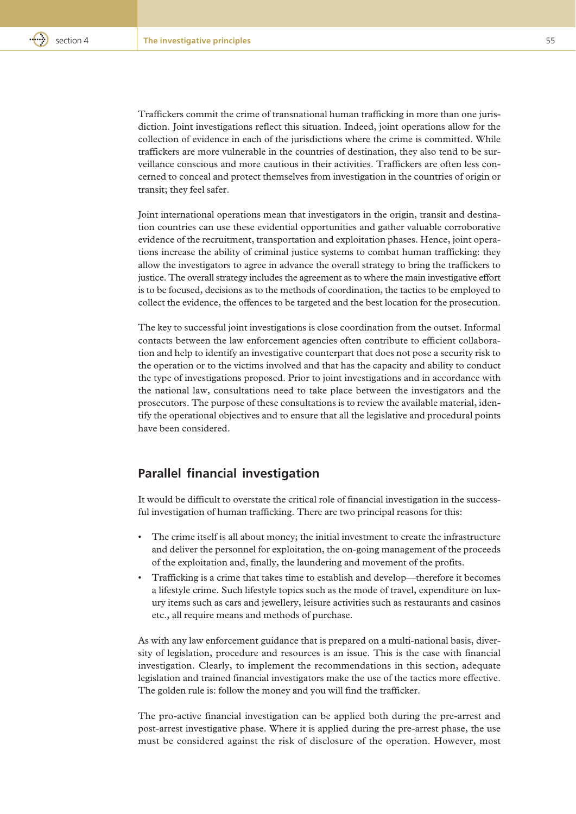Traffickers commit the crime of transnational human trafficking in more than one jurisdiction. Joint investigations reflect this situation. Indeed, joint operations allow for the collection of evidence in each of the jurisdictions where the crime is committed. While traffickers are more vulnerable in the countries of destination, they also tend to be surveillance conscious and more cautious in their activities. Traffickers are often less concerned to conceal and protect themselves from investigation in the countries of origin or transit; they feel safer.

Joint international operations mean that investigators in the origin, transit and destination countries can use these evidential opportunities and gather valuable corroborative evidence of the recruitment, transportation and exploitation phases. Hence, joint operations increase the ability of criminal justice systems to combat human trafficking: they allow the investigators to agree in advance the overall strategy to bring the traffickers to justice. The overall strategy includes the agreement as to where the main investigative effort is to be focused, decisions as to the methods of coordination, the tactics to be employed to collect the evidence, the offences to be targeted and the best location for the prosecution.

The key to successful joint investigations is close coordination from the outset. Informal contacts between the law enforcement agencies often contribute to efficient collaboration and help to identify an investigative counterpart that does not pose a security risk to the operation or to the victims involved and that has the capacity and ability to conduct the type of investigations proposed. Prior to joint investigations and in accordance with the national law, consultations need to take place between the investigators and the prosecutors. The purpose of these consultations is to review the available material, identify the operational objectives and to ensure that all the legislative and procedural points have been considered.

# **Parallel financial investigation**

It would be difficult to overstate the critical role of financial investigation in the successful investigation of human trafficking. There are two principal reasons for this:

- The crime itself is all about money; the initial investment to create the infrastructure and deliver the personnel for exploitation, the on-going management of the proceeds of the exploitation and, finally, the laundering and movement of the profits.
- Trafficking is a crime that takes time to establish and develop—therefore it becomes a lifestyle crime. Such lifestyle topics such as the mode of travel, expenditure on luxury items such as cars and jewellery, leisure activities such as restaurants and casinos etc., all require means and methods of purchase.

As with any law enforcement guidance that is prepared on a multi-national basis, diversity of legislation, procedure and resources is an issue. This is the case with financial investigation. Clearly, to implement the recommendations in this section, adequate legislation and trained financial investigators make the use of the tactics more effective. The golden rule is: follow the money and you will find the trafficker.

The pro-active financial investigation can be applied both during the pre-arrest and post-arrest investigative phase. Where it is applied during the pre-arrest phase, the use must be considered against the risk of disclosure of the operation. However, most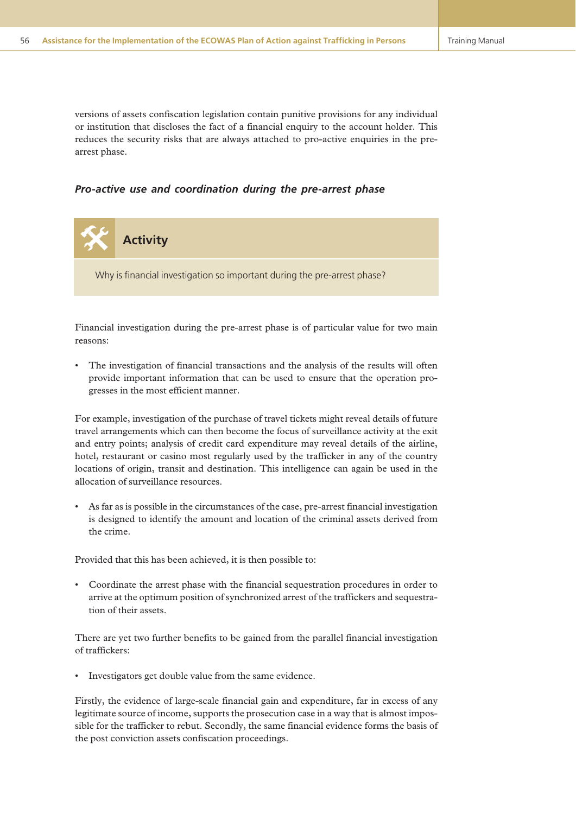versions of assets confiscation legislation contain punitive provisions for any individual or institution that discloses the fact of a financial enquiry to the account holder. This reduces the security risks that are always attached to pro-active enquiries in the prearrest phase.

### *Pro-active use and coordination during the pre-arrest phase*



Financial investigation during the pre-arrest phase is of particular value for two main reasons:

• The investigation of financial transactions and the analysis of the results will often provide important information that can be used to ensure that the operation progresses in the most efficient manner.

For example, investigation of the purchase of travel tickets might reveal details of future travel arrangements which can then become the focus of surveillance activity at the exit and entry points; analysis of credit card expenditure may reveal details of the airline, hotel, restaurant or casino most regularly used by the trafficker in any of the country locations of origin, transit and destination. This intelligence can again be used in the allocation of surveillance resources.

• As far as is possible in the circumstances of the case, pre-arrest financial investigation is designed to identify the amount and location of the criminal assets derived from the crime.

Provided that this has been achieved, it is then possible to:

• Coordinate the arrest phase with the financial sequestration procedures in order to arrive at the optimum position of synchronized arrest of the traffickers and sequestration of their assets.

There are yet two further benefits to be gained from the parallel financial investigation of traffickers:

• Investigators get double value from the same evidence.

Firstly, the evidence of large-scale financial gain and expenditure, far in excess of any legitimate source of income, supports the prosecution case in a way that is almost impossible for the trafficker to rebut. Secondly, the same financial evidence forms the basis of the post conviction assets confiscation proceedings.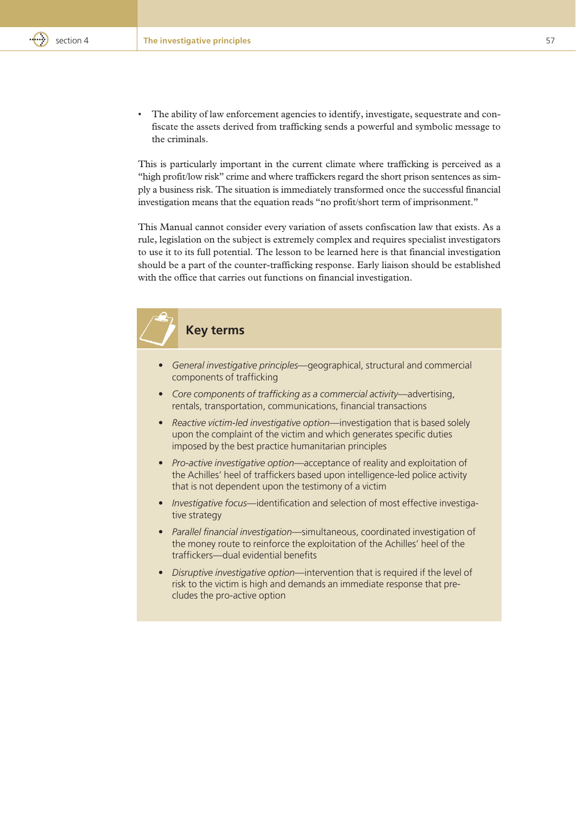The ability of law enforcement agencies to identify, investigate, sequestrate and confiscate the assets derived from trafficking sends a powerful and symbolic message to the criminals.

This is particularly important in the current climate where trafficking is perceived as a "high profit/low risk" crime and where traffickers regard the short prison sentences as simply a business risk. The situation is immediately transformed once the successful financial investigation means that the equation reads "no profit/short term of imprisonment."

This Manual cannot consider every variation of assets confiscation law that exists. As a rule, legislation on the subject is extremely complex and requires specialist investigators to use it to its full potential. The lesson to be learned here is that financial investigation should be a part of the counter-trafficking response. Early liaison should be established with the office that carries out functions on financial investigation.

## **Key terms** • *General investigative principles*—geographical, structural and commercial components of trafficking • *Core components of trafficking as a commercial activity*—advertising, rentals, transportation, communications, financial transactions • *Reactive victim-led investigative option*—investigation that is based solely upon the complaint of the victim and which generates specific duties imposed by the best practice humanitarian principles • *Pro-active investigative option*—acceptance of reality and exploitation of the Achilles' heel of traffickers based upon intelligence-led police activity that is not dependent upon the testimony of a victim • *Investigative focus*—identification and selection of most effective investiga-

- tive strategy
- *Parallel financial investigation*—simultaneous, coordinated investigation of the money route to reinforce the exploitation of the Achilles' heel of the traffickers—dual evidential benefits
- *Disruptive investigative option*—intervention that is required if the level of risk to the victim is high and demands an immediate response that precludes the pro-active option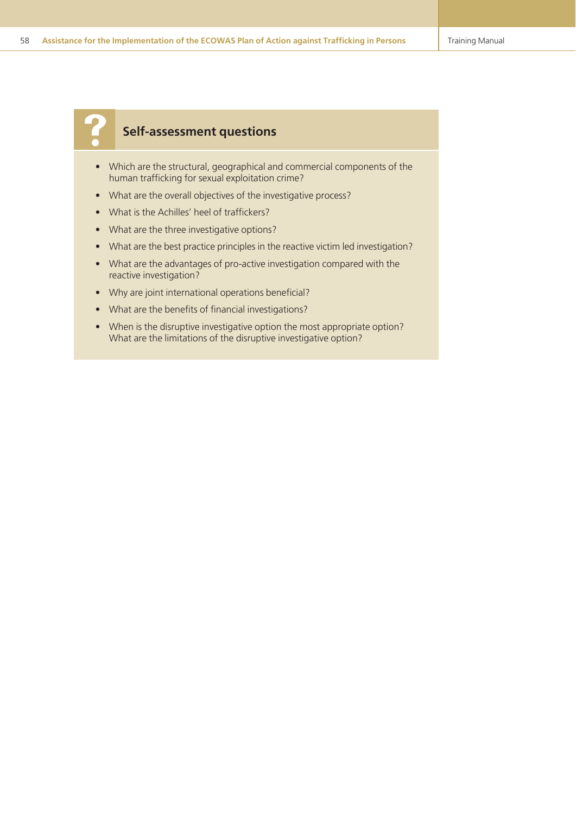

## **Self-assessment questions**

- Which are the structural, geographical and commercial components of the human trafficking for sexual exploitation crime?
- What are the overall objectives of the investigative process?
- What is the Achilles' heel of traffickers?
- What are the three investigative options?
- What are the best practice principles in the reactive victim led investigation?
- What are the advantages of pro-active investigation compared with the reactive investigation?
- Why are joint international operations beneficial?
- What are the benefits of financial investigations?
- When is the disruptive investigative option the most appropriate option? What are the limitations of the disruptive investigative option?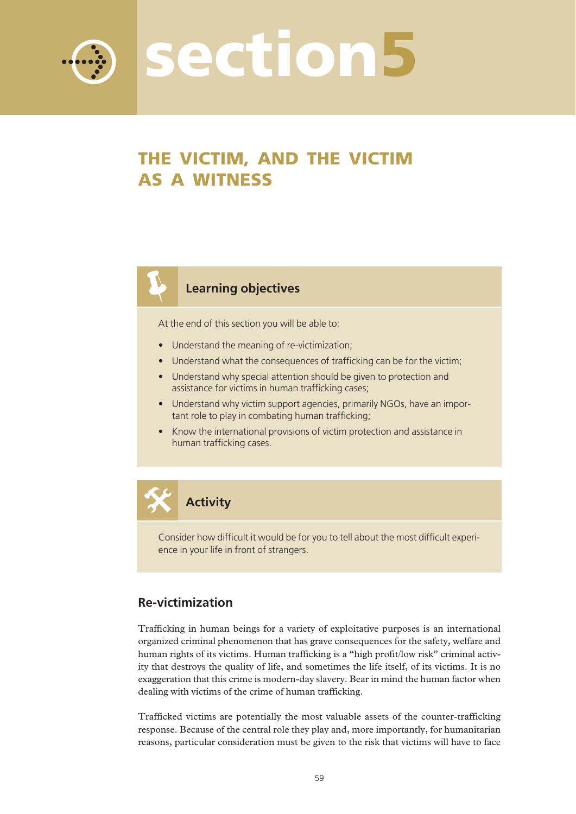

## **THE VICTIM, AND THE VICTIM AS A WITNESS**



## **Learning objectives**

At the end of this section you will be able to:

- Understand the meaning of re-victimization;
- Understand what the consequences of trafficking can be for the victim;
- Understand why special attention should be given to protection and assistance for victims in human trafficking cases;
- Understand why victim support agencies, primarily NGOs, have an important role to play in combating human trafficking;
- Know the international provisions of victim protection and assistance in human trafficking cases.



Consider how difficult it would be for you to tell about the most difficult experience in your life in front of strangers.

## **Re-victimization**

Trafficking in human beings for a variety of exploitative purposes is an international organized criminal phenomenon that has grave consequences for the safety, welfare and human rights of its victims. Human trafficking is a "high profit/low risk" criminal activity that destroys the quality of life, and sometimes the life itself, of its victims. It is no exaggeration that this crime is modern-day slavery. Bear in mind the human factor when dealing with victims of the crime of human trafficking.

Trafficked victims are potentially the most valuable assets of the counter-trafficking response. Because of the central role they play and, more importantly, for humanitarian reasons, particular consideration must be given to the risk that victims will have to face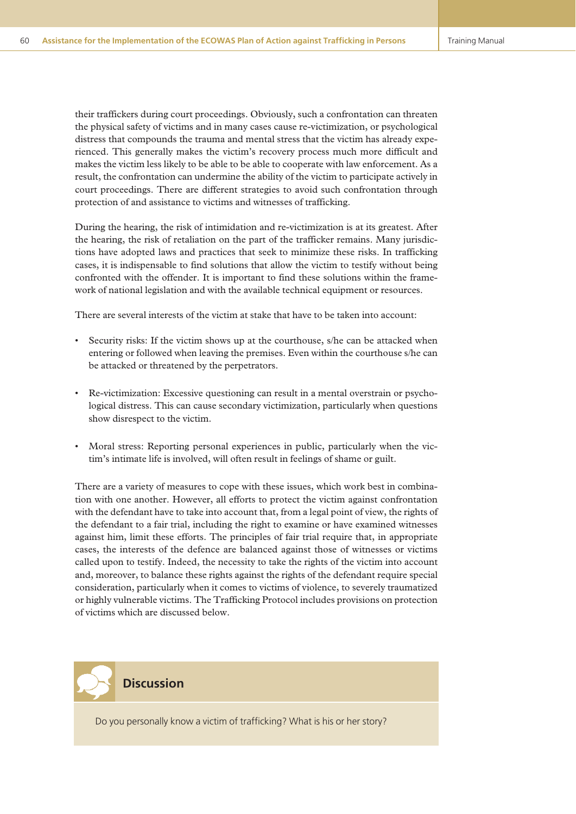their traffickers during court proceedings. Obviously, such a confrontation can threaten the physical safety of victims and in many cases cause re-victimization, or psychological distress that compounds the trauma and mental stress that the victim has already experienced. This generally makes the victim's recovery process much more difficult and makes the victim less likely to be able to be able to cooperate with law enforcement. As a result, the confrontation can undermine the ability of the victim to participate actively in court proceedings. There are different strategies to avoid such confrontation through protection of and assistance to victims and witnesses of trafficking.

During the hearing, the risk of intimidation and re-victimization is at its greatest. After the hearing, the risk of retaliation on the part of the trafficker remains. Many jurisdictions have adopted laws and practices that seek to minimize these risks. In trafficking cases, it is indispensable to find solutions that allow the victim to testify without being confronted with the offender. It is important to find these solutions within the framework of national legislation and with the available technical equipment or resources.

There are several interests of the victim at stake that have to be taken into account:

- Security risks: If the victim shows up at the courthouse, s/he can be attacked when entering or followed when leaving the premises. Even within the courthouse s/he can be attacked or threatened by the perpetrators.
- Re-victimization: Excessive questioning can result in a mental overstrain or psychological distress. This can cause secondary victimization, particularly when questions show disrespect to the victim.
- Moral stress: Reporting personal experiences in public, particularly when the victim's intimate life is involved, will often result in feelings of shame or guilt.

There are a variety of measures to cope with these issues, which work best in combination with one another. However, all efforts to protect the victim against confrontation with the defendant have to take into account that, from a legal point of view, the rights of the defendant to a fair trial, including the right to examine or have examined witnesses against him, limit these efforts. The principles of fair trial require that, in appropriate cases, the interests of the defence are balanced against those of witnesses or victims called upon to testify. Indeed, the necessity to take the rights of the victim into account and, moreover, to balance these rights against the rights of the defendant require special consideration, particularly when it comes to victims of violence, to severely traumatized or highly vulnerable victims. The Trafficking Protocol includes provisions on protection of victims which are discussed below.



Do you personally know a victim of trafficking? What is his or her story?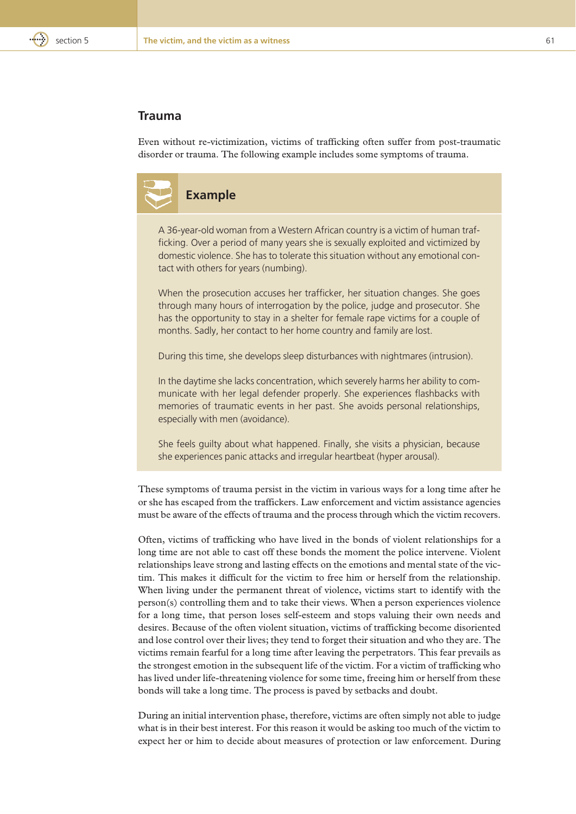

#### **Trauma**

Even without re-victimization, victims of trafficking often suffer from post-traumatic disorder or trauma. The following example includes some symptoms of trauma.



A 36-year-old woman from a Western African country is a victim of human trafficking. Over a period of many years she is sexually exploited and victimized by domestic violence. She has to tolerate this situation without any emotional contact with others for years (numbing).

When the prosecution accuses her trafficker, her situation changes. She goes through many hours of interrogation by the police, judge and prosecutor. She has the opportunity to stay in a shelter for female rape victims for a couple of months. Sadly, her contact to her home country and family are lost.

During this time, she develops sleep disturbances with nightmares (intrusion).

In the daytime she lacks concentration, which severely harms her ability to communicate with her legal defender properly. She experiences flashbacks with memories of traumatic events in her past. She avoids personal relationships, especially with men (avoidance).

She feels guilty about what happened. Finally, she visits a physician, because she experiences panic attacks and irregular heartbeat (hyper arousal).

These symptoms of trauma persist in the victim in various ways for a long time after he or she has escaped from the traffickers. Law enforcement and victim assistance agencies must be aware of the effects of trauma and the process through which the victim recovers.

Often, victims of trafficking who have lived in the bonds of violent relationships for a long time are not able to cast off these bonds the moment the police intervene. Violent relationships leave strong and lasting effects on the emotions and mental state of the victim. This makes it difficult for the victim to free him or herself from the relationship. When living under the permanent threat of violence, victims start to identify with the person(s) controlling them and to take their views. When a person experiences violence for a long time, that person loses self-esteem and stops valuing their own needs and desires. Because of the often violent situation, victims of trafficking become disoriented and lose control over their lives; they tend to forget their situation and who they are. The victims remain fearful for a long time after leaving the perpetrators. This fear prevails as the strongest emotion in the subsequent life of the victim. For a victim of trafficking who has lived under life-threatening violence for some time, freeing him or herself from these bonds will take a long time. The process is paved by setbacks and doubt.

During an initial intervention phase, therefore, victims are often simply not able to judge what is in their best interest. For this reason it would be asking too much of the victim to expect her or him to decide about measures of protection or law enforcement. During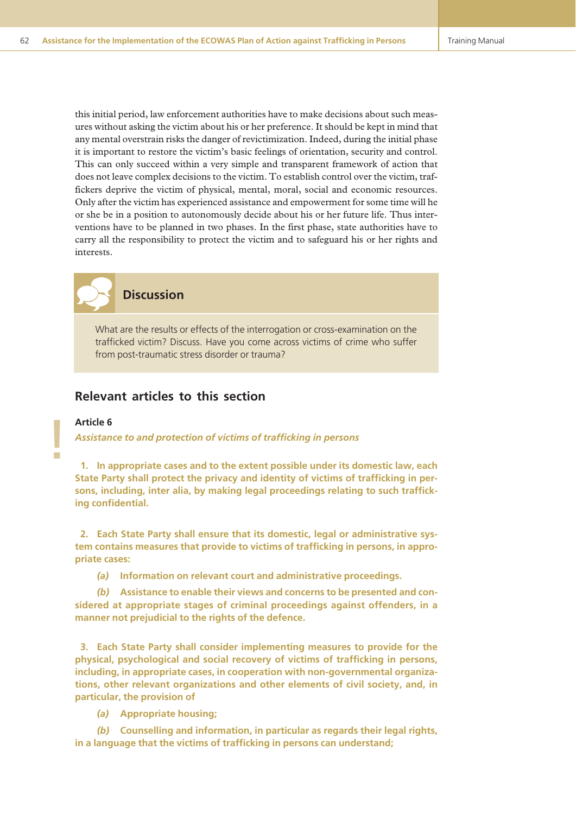this initial period, law enforcement authorities have to make decisions about such measures without asking the victim about his or her preference. It should be kept in mind that any mental overstrain risks the danger of revictimization. Indeed, during the initial phase it is important to restore the victim's basic feelings of orientation, security and control. This can only succeed within a very simple and transparent framework of action that does not leave complex decisions to the victim. To establish control over the victim, traffickers deprive the victim of physical, mental, moral, social and economic resources. Only after the victim has experienced assistance and empowerment for some time will he or she be in a position to autonomously decide about his or her future life. Thus interventions have to be planned in two phases. In the first phase, state authorities have to carry all the responsibility to protect the victim and to safeguard his or her rights and interests.



What are the results or effects of the interrogation or cross-examination on the trafficked victim? Discuss. Have you come across victims of crime who suffer from post-traumatic stress disorder or trauma?

## **Relevant articles to this section**

#### **Article 6**

!

*Assistance to and protection of victims of trafficking in persons*

**1. In appropriate cases and to the extent possible under its domestic law, each State Party shall protect the privacy and identity of victims of trafficking in persons, including, inter alia, by making legal proceedings relating to such trafficking confidential.**

**2. Each State Party shall ensure that its domestic, legal or administrative system contains measures that provide to victims of trafficking in persons, in appropriate cases:**

*(a)* **Information on relevant court and administrative proceedings.**

*(b)* **Assistance to enable their views and concerns to be presented and considered at appropriate stages of criminal proceedings against offenders, in a manner not prejudicial to the rights of the defence.**

**3. Each State Party shall consider implementing measures to provide for the physical, psychological and social recovery of victims of trafficking in persons, including, in appropriate cases, in cooperation with non-governmental organizations, other relevant organizations and other elements of civil society, and, in particular, the provision of**

*(a)* **Appropriate housing;**

*(b)* **Counselling and information, in particular as regards their legal rights, in a language that the victims of trafficking in persons can understand;**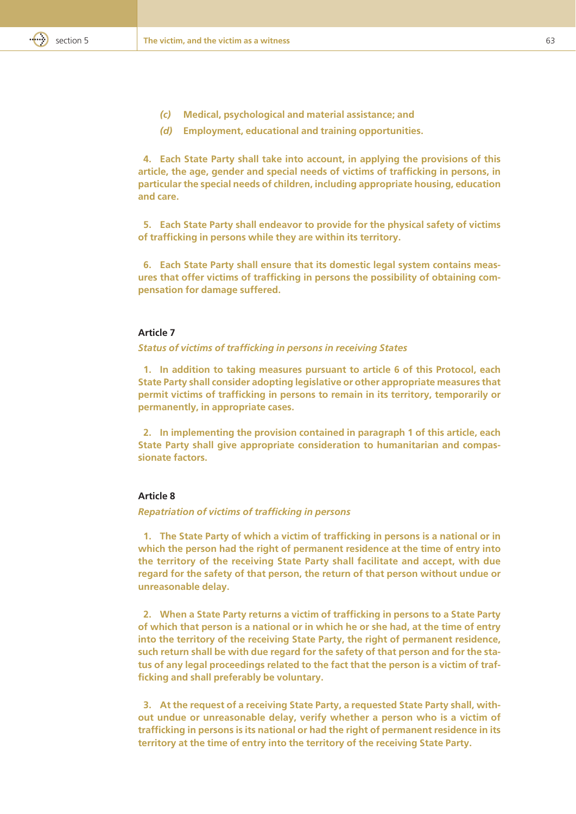- *(c)* **Medical, psychological and material assistance; and**
- *(d)* **Employment, educational and training opportunities.**

**4. Each State Party shall take into account, in applying the provisions of this article, the age, gender and special needs of victims of trafficking in persons, in particular the special needs of children, including appropriate housing, education and care.**

**5. Each State Party shall endeavor to provide for the physical safety of victims of trafficking in persons while they are within its territory.**

**6. Each State Party shall ensure that its domestic legal system contains measures that offer victims of trafficking in persons the possibility of obtaining compensation for damage suffered.**

#### **Article 7**

#### *Status of victims of trafficking in persons in receiving States*

**1. In addition to taking measures pursuant to article 6 of this Protocol, each State Party shall consider adopting legislative or other appropriate measures that permit victims of trafficking in persons to remain in its territory, temporarily or permanently, in appropriate cases.**

**2. In implementing the provision contained in paragraph 1 of this article, each State Party shall give appropriate consideration to humanitarian and compassionate factors.**

#### **Article 8**

#### *Repatriation of victims of trafficking in persons*

**1. The State Party of which a victim of trafficking in persons is a national or in which the person had the right of permanent residence at the time of entry into the territory of the receiving State Party shall facilitate and accept, with due regard for the safety of that person, the return of that person without undue or unreasonable delay.**

**2. When a State Party returns a victim of trafficking in persons to a State Party of which that person is a national or in which he or she had, at the time of entry into the territory of the receiving State Party, the right of permanent residence, such return shall be with due regard for the safety of that person and for the status of any legal proceedings related to the fact that the person is a victim of trafficking and shall preferably be voluntary.**

**3. At the request of a receiving State Party, a requested State Party shall, without undue or unreasonable delay, verify whether a person who is a victim of trafficking in persons is its national or had the right of permanent residence in its territory at the time of entry into the territory of the receiving State Party.**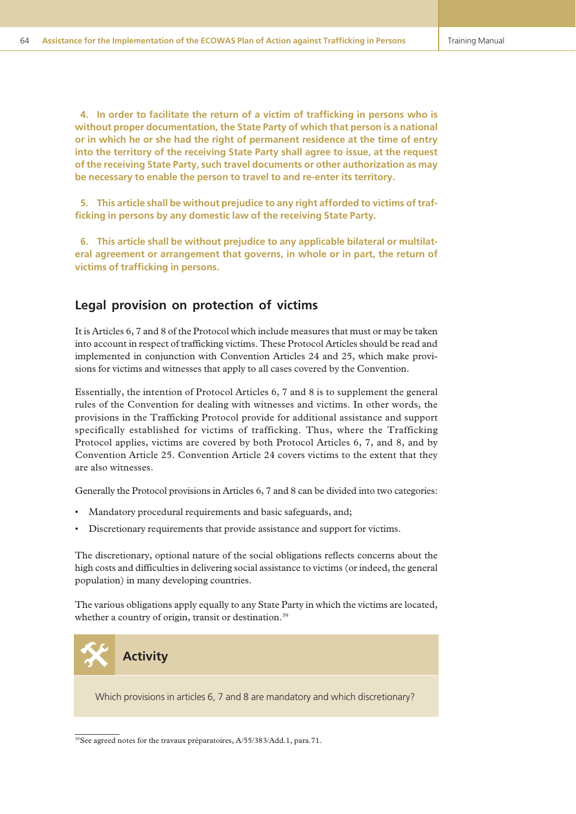**4. In order to facilitate the return of a victim of trafficking in persons who is without proper documentation, the State Party of which that person is a national or in which he or she had the right of permanent residence at the time of entry into the territory of the receiving State Party shall agree to issue, at the request of the receiving State Party, such travel documents or other authorization as may be necessary to enable the person to travel to and re-enter its territory.**

**5. This article shall be without prejudice to any right afforded to victims of trafficking in persons by any domestic law of the receiving State Party.**

**6. This article shall be without prejudice to any applicable bilateral or multilateral agreement or arrangement that governs, in whole or in part, the return of victims of trafficking in persons.**

### **Legal provision on protection of victims**

It is Articles 6, 7 and 8 of the Protocol which include measures that must or may be taken into account in respect of trafficking victims. These Protocol Articles should be read and implemented in conjunction with Convention Articles 24 and 25, which make provisions for victims and witnesses that apply to all cases covered by the Convention.

Essentially, the intention of Protocol Articles 6, 7 and 8 is to supplement the general rules of the Convention for dealing with witnesses and victims. In other words, the provisions in the Trafficking Protocol provide for additional assistance and support specifically established for victims of trafficking. Thus, where the Trafficking Protocol applies, victims are covered by both Protocol Articles 6, 7, and 8, and by Convention Article 25. Convention Article 24 covers victims to the extent that they are also witnesses.

Generally the Protocol provisions in Articles 6, 7 and 8 can be divided into two categories:

- Mandatory procedural requirements and basic safeguards, and;
- Discretionary requirements that provide assistance and support for victims.

The discretionary, optional nature of the social obligations reflects concerns about the high costs and difficulties in delivering social assistance to victims (or indeed, the general population) in many developing countries.

The various obligations apply equally to any State Party in which the victims are located, whether a country of origin, transit or destination.<sup>39</sup>



<sup>&</sup>lt;sup>39</sup>See agreed notes for the travaux préparatoires, A/55/383/Add.1, para.71.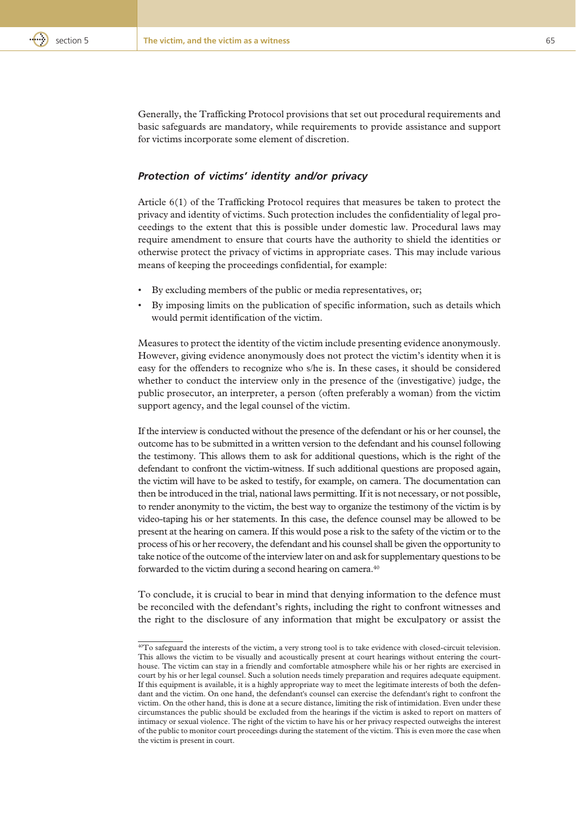Generally, the Trafficking Protocol provisions that set out procedural requirements and basic safeguards are mandatory, while requirements to provide assistance and support for victims incorporate some element of discretion.

#### *Protection of victims' identity and/or privacy*

Article 6(1) of the Trafficking Protocol requires that measures be taken to protect the privacy and identity of victims. Such protection includes the confidentiality of legal proceedings to the extent that this is possible under domestic law. Procedural laws may require amendment to ensure that courts have the authority to shield the identities or otherwise protect the privacy of victims in appropriate cases. This may include various means of keeping the proceedings confidential, for example:

- By excluding members of the public or media representatives, or;
- By imposing limits on the publication of specific information, such as details which would permit identification of the victim.

Measures to protect the identity of the victim include presenting evidence anonymously. However, giving evidence anonymously does not protect the victim's identity when it is easy for the offenders to recognize who s/he is. In these cases, it should be considered whether to conduct the interview only in the presence of the (investigative) judge, the public prosecutor, an interpreter, a person (often preferably a woman) from the victim support agency, and the legal counsel of the victim.

If the interview is conducted without the presence of the defendant or his or her counsel, the outcome has to be submitted in a written version to the defendant and his counsel following the testimony. This allows them to ask for additional questions, which is the right of the defendant to confront the victim-witness. If such additional questions are proposed again, the victim will have to be asked to testify, for example, on camera. The documentation can then be introduced in the trial, national laws permitting. If it is not necessary, or not possible, to render anonymity to the victim, the best way to organize the testimony of the victim is by video-taping his or her statements. In this case, the defence counsel may be allowed to be present at the hearing on camera. If this would pose a risk to the safety of the victim or to the process of his or her recovery, the defendant and his counsel shall be given the opportunity to take notice of the outcome of the interview later on and ask for supplementary questions to be forwarded to the victim during a second hearing on camera. $40$ 

To conclude, it is crucial to bear in mind that denying information to the defence must be reconciled with the defendant's rights, including the right to confront witnesses and the right to the disclosure of any information that might be exculpatory or assist the

<sup>&</sup>lt;sup>40</sup>To safeguard the interests of the victim, a very strong tool is to take evidence with closed-circuit television. This allows the victim to be visually and acoustically present at court hearings without entering the courthouse. The victim can stay in a friendly and comfortable atmosphere while his or her rights are exercised in court by his or her legal counsel. Such a solution needs timely preparation and requires adequate equipment. If this equipment is available, it is a highly appropriate way to meet the legitimate interests of both the defendant and the victim. On one hand, the defendant's counsel can exercise the defendant's right to confront the victim. On the other hand, this is done at a secure distance, limiting the risk of intimidation. Even under these circumstances the public should be excluded from the hearings if the victim is asked to report on matters of intimacy or sexual violence. The right of the victim to have his or her privacy respected outweighs the interest of the public to monitor court proceedings during the statement of the victim. This is even more the case when the victim is present in court.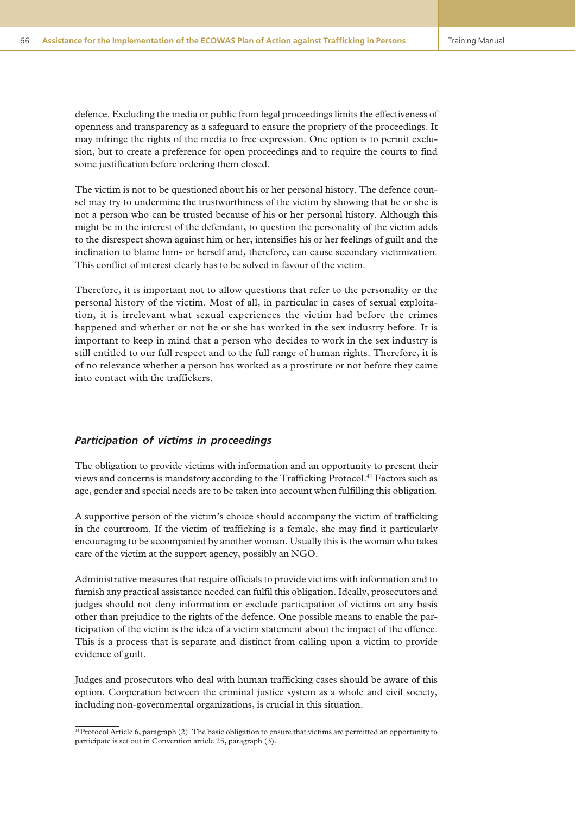defence. Excluding the media or public from legal proceedings limits the effectiveness of openness and transparency as a safeguard to ensure the propriety of the proceedings. It may infringe the rights of the media to free expression. One option is to permit exclusion, but to create a preference for open proceedings and to require the courts to find some justification before ordering them closed.

The victim is not to be questioned about his or her personal history. The defence counsel may try to undermine the trustworthiness of the victim by showing that he or she is not a person who can be trusted because of his or her personal history. Although this might be in the interest of the defendant, to question the personality of the victim adds to the disrespect shown against him or her, intensifies his or her feelings of guilt and the inclination to blame him- or herself and, therefore, can cause secondary victimization. This conflict of interest clearly has to be solved in favour of the victim.

Therefore, it is important not to allow questions that refer to the personality or the personal history of the victim. Most of all, in particular in cases of sexual exploitation, it is irrelevant what sexual experiences the victim had before the crimes happened and whether or not he or she has worked in the sex industry before. It is important to keep in mind that a person who decides to work in the sex industry is still entitled to our full respect and to the full range of human rights. Therefore, it is of no relevance whether a person has worked as a prostitute or not before they came into contact with the traffickers.

#### *Participation of victims in proceedings*

The obligation to provide victims with information and an opportunity to present their views and concerns is mandatory according to the Trafficking Protocol.41 Factors such as age, gender and special needs are to be taken into account when fulfilling this obligation.

A supportive person of the victim's choice should accompany the victim of trafficking in the courtroom. If the victim of trafficking is a female, she may find it particularly encouraging to be accompanied by another woman. Usually this is the woman who takes care of the victim at the support agency, possibly an NGO.

Administrative measures that require officials to provide victims with information and to furnish any practical assistance needed can fulfil this obligation. Ideally, prosecutors and judges should not deny information or exclude participation of victims on any basis other than prejudice to the rights of the defence. One possible means to enable the participation of the victim is the idea of a victim statement about the impact of the offence. This is a process that is separate and distinct from calling upon a victim to provide evidence of guilt.

Judges and prosecutors who deal with human trafficking cases should be aware of this option. Cooperation between the criminal justice system as a whole and civil society, including non-governmental organizations, is crucial in this situation.

<sup>&</sup>lt;sup>41</sup>Protocol Article 6, paragraph (2). The basic obligation to ensure that victims are permitted an opportunity to participate is set out in Convention article 25, paragraph (3).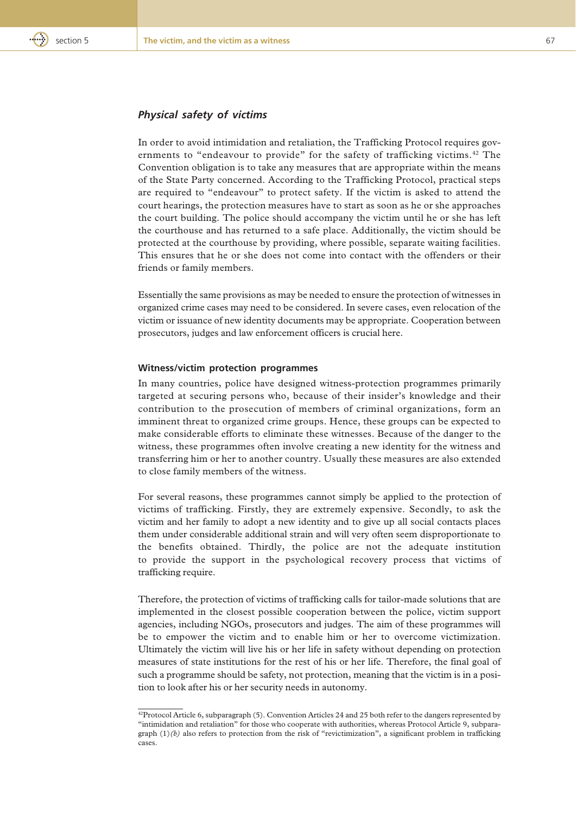In order to avoid intimidation and retaliation, the Trafficking Protocol requires governments to "endeavour to provide" for the safety of trafficking victims.<sup>42</sup> The Convention obligation is to take any measures that are appropriate within the means of the State Party concerned. According to the Trafficking Protocol, practical steps are required to "endeavour" to protect safety. If the victim is asked to attend the court hearings, the protection measures have to start as soon as he or she approaches the court building. The police should accompany the victim until he or she has left the courthouse and has returned to a safe place. Additionally, the victim should be protected at the courthouse by providing, where possible, separate waiting facilities. This ensures that he or she does not come into contact with the offenders or their friends or family members.

Essentially the same provisions as may be needed to ensure the protection of witnesses in organized crime cases may need to be considered. In severe cases, even relocation of the victim or issuance of new identity documents may be appropriate. Cooperation between prosecutors, judges and law enforcement officers is crucial here.

#### **Witness/victim protection programmes**

In many countries, police have designed witness-protection programmes primarily targeted at securing persons who, because of their insider's knowledge and their contribution to the prosecution of members of criminal organizations, form an imminent threat to organized crime groups. Hence, these groups can be expected to make considerable efforts to eliminate these witnesses. Because of the danger to the witness, these programmes often involve creating a new identity for the witness and transferring him or her to another country. Usually these measures are also extended to close family members of the witness.

For several reasons, these programmes cannot simply be applied to the protection of victims of trafficking. Firstly, they are extremely expensive. Secondly, to ask the victim and her family to adopt a new identity and to give up all social contacts places them under considerable additional strain and will very often seem disproportionate to the benefits obtained. Thirdly, the police are not the adequate institution to provide the support in the psychological recovery process that victims of trafficking require.

Therefore, the protection of victims of trafficking calls for tailor-made solutions that are implemented in the closest possible cooperation between the police, victim support agencies, including NGOs, prosecutors and judges. The aim of these programmes will be to empower the victim and to enable him or her to overcome victimization. Ultimately the victim will live his or her life in safety without depending on protection measures of state institutions for the rest of his or her life. Therefore, the final goal of such a programme should be safety, not protection, meaning that the victim is in a position to look after his or her security needs in autonomy.

<sup>42</sup>Protocol Article 6, subparagraph (5). Convention Articles 24 and 25 both refer to the dangers represented by "intimidation and retaliation" for those who cooperate with authorities, whereas Protocol Article 9, subparagraph (1)*(b)* also refers to protection from the risk of "revictimization", a significant problem in trafficking cases.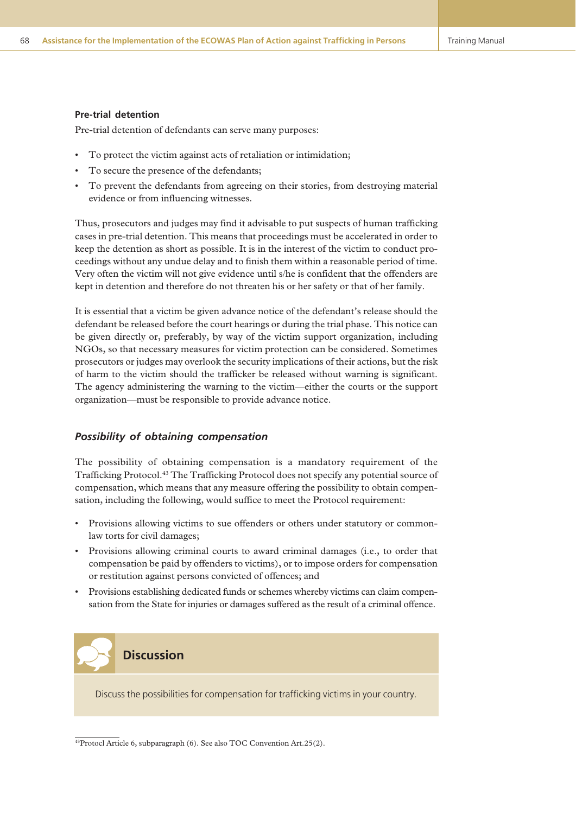#### **Pre-trial detention**

Pre-trial detention of defendants can serve many purposes:

- To protect the victim against acts of retaliation or intimidation;
- To secure the presence of the defendants;
- To prevent the defendants from agreeing on their stories, from destroying material evidence or from influencing witnesses.

Thus, prosecutors and judges may find it advisable to put suspects of human trafficking cases in pre-trial detention. This means that proceedings must be accelerated in order to keep the detention as short as possible. It is in the interest of the victim to conduct proceedings without any undue delay and to finish them within a reasonable period of time. Very often the victim will not give evidence until s/he is confident that the offenders are kept in detention and therefore do not threaten his or her safety or that of her family.

It is essential that a victim be given advance notice of the defendant's release should the defendant be released before the court hearings or during the trial phase. This notice can be given directly or, preferably, by way of the victim support organization, including NGOs, so that necessary measures for victim protection can be considered. Sometimes prosecutors or judges may overlook the security implications of their actions, but the risk of harm to the victim should the trafficker be released without warning is significant. The agency administering the warning to the victim—either the courts or the support organization—must be responsible to provide advance notice.

#### *Possibility of obtaining compensation*

The possibility of obtaining compensation is a mandatory requirement of the Trafficking Protocol.43 The Trafficking Protocol does not specify any potential source of compensation, which means that any measure offering the possibility to obtain compensation, including the following, would suffice to meet the Protocol requirement:

- Provisions allowing victims to sue offenders or others under statutory or commonlaw torts for civil damages;
- Provisions allowing criminal courts to award criminal damages (i.e., to order that compensation be paid by offenders to victims), or to impose orders for compensation or restitution against persons convicted of offences; and
- Provisions establishing dedicated funds or schemes whereby victims can claim compensation from the State for injuries or damages suffered as the result of a criminal offence.



<sup>43</sup>Protocl Article 6, subparagraph (6). See also TOC Convention Art.25(2).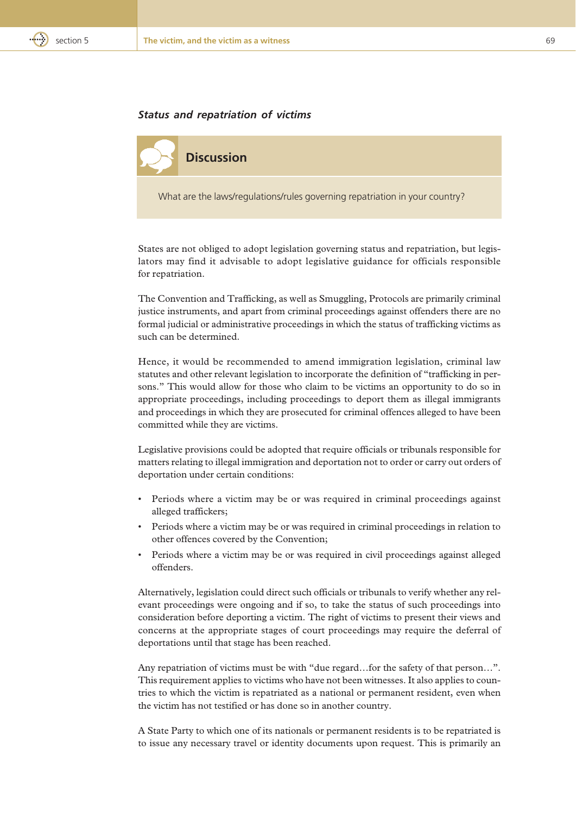#### *Status and repatriation of victims*



What are the laws/regulations/rules governing repatriation in your country?

States are not obliged to adopt legislation governing status and repatriation, but legislators may find it advisable to adopt legislative guidance for officials responsible for repatriation.

The Convention and Trafficking, as well as Smuggling, Protocols are primarily criminal justice instruments, and apart from criminal proceedings against offenders there are no formal judicial or administrative proceedings in which the status of trafficking victims as such can be determined.

Hence, it would be recommended to amend immigration legislation, criminal law statutes and other relevant legislation to incorporate the definition of "trafficking in persons." This would allow for those who claim to be victims an opportunity to do so in appropriate proceedings, including proceedings to deport them as illegal immigrants and proceedings in which they are prosecuted for criminal offences alleged to have been committed while they are victims.

Legislative provisions could be adopted that require officials or tribunals responsible for matters relating to illegal immigration and deportation not to order or carry out orders of deportation under certain conditions:

- Periods where a victim may be or was required in criminal proceedings against alleged traffickers;
- Periods where a victim may be or was required in criminal proceedings in relation to other offences covered by the Convention;
- Periods where a victim may be or was required in civil proceedings against alleged offenders.

Alternatively, legislation could direct such officials or tribunals to verify whether any relevant proceedings were ongoing and if so, to take the status of such proceedings into consideration before deporting a victim. The right of victims to present their views and concerns at the appropriate stages of court proceedings may require the deferral of deportations until that stage has been reached.

Any repatriation of victims must be with "due regard…for the safety of that person…". This requirement applies to victims who have not been witnesses. It also applies to countries to which the victim is repatriated as a national or permanent resident, even when the victim has not testified or has done so in another country.

A State Party to which one of its nationals or permanent residents is to be repatriated is to issue any necessary travel or identity documents upon request. This is primarily an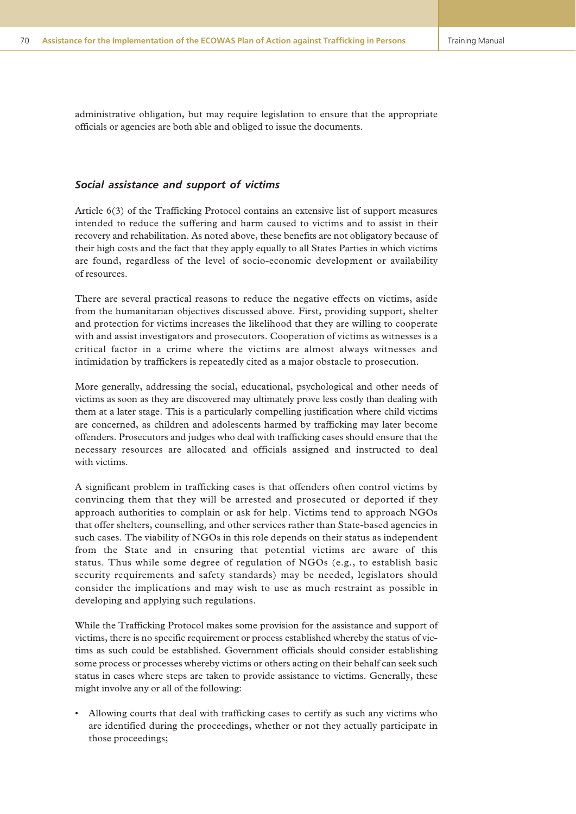administrative obligation, but may require legislation to ensure that the appropriate officials or agencies are both able and obliged to issue the documents.

#### *Social assistance and support of victims*

Article 6(3) of the Trafficking Protocol contains an extensive list of support measures intended to reduce the suffering and harm caused to victims and to assist in their recovery and rehabilitation. As noted above, these benefits are not obligatory because of their high costs and the fact that they apply equally to all States Parties in which victims are found, regardless of the level of socio-economic development or availability of resources.

There are several practical reasons to reduce the negative effects on victims, aside from the humanitarian objectives discussed above. First, providing support, shelter and protection for victims increases the likelihood that they are willing to cooperate with and assist investigators and prosecutors. Cooperation of victims as witnesses is a critical factor in a crime where the victims are almost always witnesses and intimidation by traffickers is repeatedly cited as a major obstacle to prosecution.

More generally, addressing the social, educational, psychological and other needs of victims as soon as they are discovered may ultimately prove less costly than dealing with them at a later stage. This is a particularly compelling justification where child victims are concerned, as children and adolescents harmed by trafficking may later become offenders. Prosecutors and judges who deal with trafficking cases should ensure that the necessary resources are allocated and officials assigned and instructed to deal with victims.

A significant problem in trafficking cases is that offenders often control victims by convincing them that they will be arrested and prosecuted or deported if they approach authorities to complain or ask for help. Victims tend to approach NGOs that offer shelters, counselling, and other services rather than State-based agencies in such cases. The viability of NGOs in this role depends on their status as independent from the State and in ensuring that potential victims are aware of this status. Thus while some degree of regulation of NGOs (e.g., to establish basic security requirements and safety standards) may be needed, legislators should consider the implications and may wish to use as much restraint as possible in developing and applying such regulations.

While the Trafficking Protocol makes some provision for the assistance and support of victims, there is no specific requirement or process established whereby the status of victims as such could be established. Government officials should consider establishing some process or processes whereby victims or others acting on their behalf can seek such status in cases where steps are taken to provide assistance to victims. Generally, these might involve any or all of the following:

• Allowing courts that deal with trafficking cases to certify as such any victims who are identified during the proceedings, whether or not they actually participate in those proceedings;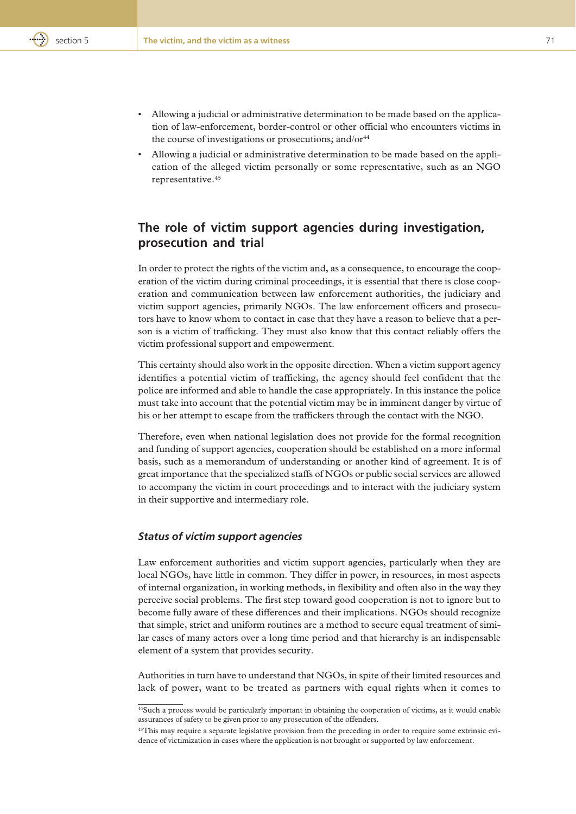- Allowing a judicial or administrative determination to be made based on the application of law-enforcement, border-control or other official who encounters victims in the course of investigations or prosecutions; and/or<sup>44</sup>
- Allowing a judicial or administrative determination to be made based on the application of the alleged victim personally or some representative, such as an NGO representative.45

## **The role of victim support agencies during investigation, prosecution and trial**

In order to protect the rights of the victim and, as a consequence, to encourage the cooperation of the victim during criminal proceedings, it is essential that there is close cooperation and communication between law enforcement authorities, the judiciary and victim support agencies, primarily NGOs. The law enforcement officers and prosecutors have to know whom to contact in case that they have a reason to believe that a person is a victim of trafficking. They must also know that this contact reliably offers the victim professional support and empowerment.

This certainty should also work in the opposite direction. When a victim support agency identifies a potential victim of trafficking, the agency should feel confident that the police are informed and able to handle the case appropriately. In this instance the police must take into account that the potential victim may be in imminent danger by virtue of his or her attempt to escape from the traffickers through the contact with the NGO.

Therefore, even when national legislation does not provide for the formal recognition and funding of support agencies, cooperation should be established on a more informal basis, such as a memorandum of understanding or another kind of agreement. It is of great importance that the specialized staffs of NGOs or public social services are allowed to accompany the victim in court proceedings and to interact with the judiciary system in their supportive and intermediary role.

#### *Status of victim support agencies*

Law enforcement authorities and victim support agencies, particularly when they are local NGOs, have little in common. They differ in power, in resources, in most aspects of internal organization, in working methods, in flexibility and often also in the way they perceive social problems. The first step toward good cooperation is not to ignore but to become fully aware of these differences and their implications. NGOs should recognize that simple, strict and uniform routines are a method to secure equal treatment of similar cases of many actors over a long time period and that hierarchy is an indispensable element of a system that provides security.

Authorities in turn have to understand that NGOs, in spite of their limited resources and lack of power, want to be treated as partners with equal rights when it comes to

<sup>&</sup>lt;sup>44</sup>Such a process would be particularly important in obtaining the cooperation of victims, as it would enable assurances of safety to be given prior to any prosecution of the offenders.

<sup>&</sup>lt;sup>45</sup>This may require a separate legislative provision from the preceding in order to require some extrinsic evidence of victimization in cases where the application is not brought or supported by law enforcement.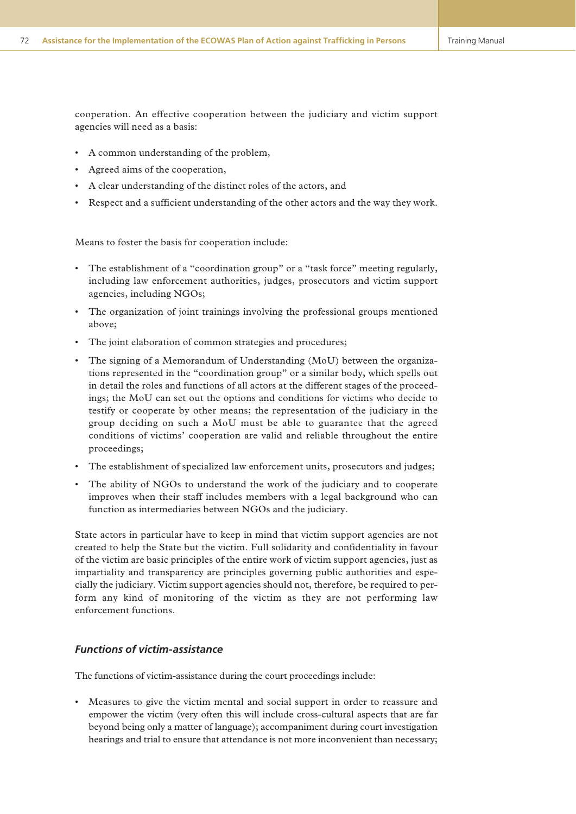cooperation. An effective cooperation between the judiciary and victim support agencies will need as a basis:

- A common understanding of the problem,
- Agreed aims of the cooperation,
- A clear understanding of the distinct roles of the actors, and
- Respect and a sufficient understanding of the other actors and the way they work.

Means to foster the basis for cooperation include:

- The establishment of a "coordination group" or a "task force" meeting regularly, including law enforcement authorities, judges, prosecutors and victim support agencies, including NGOs;
- The organization of joint trainings involving the professional groups mentioned above;
- The joint elaboration of common strategies and procedures;
- The signing of a Memorandum of Understanding (MoU) between the organizations represented in the "coordination group" or a similar body, which spells out in detail the roles and functions of all actors at the different stages of the proceedings; the MoU can set out the options and conditions for victims who decide to testify or cooperate by other means; the representation of the judiciary in the group deciding on such a MoU must be able to guarantee that the agreed conditions of victims' cooperation are valid and reliable throughout the entire proceedings;
- The establishment of specialized law enforcement units, prosecutors and judges;
- The ability of NGOs to understand the work of the judiciary and to cooperate improves when their staff includes members with a legal background who can function as intermediaries between NGOs and the judiciary.

State actors in particular have to keep in mind that victim support agencies are not created to help the State but the victim. Full solidarity and confidentiality in favour of the victim are basic principles of the entire work of victim support agencies, just as impartiality and transparency are principles governing public authorities and especially the judiciary. Victim support agencies should not, therefore, be required to perform any kind of monitoring of the victim as they are not performing law enforcement functions.

#### *Functions of victim-assistance*

The functions of victim-assistance during the court proceedings include:

• Measures to give the victim mental and social support in order to reassure and empower the victim (very often this will include cross-cultural aspects that are far beyond being only a matter of language); accompaniment during court investigation hearings and trial to ensure that attendance is not more inconvenient than necessary;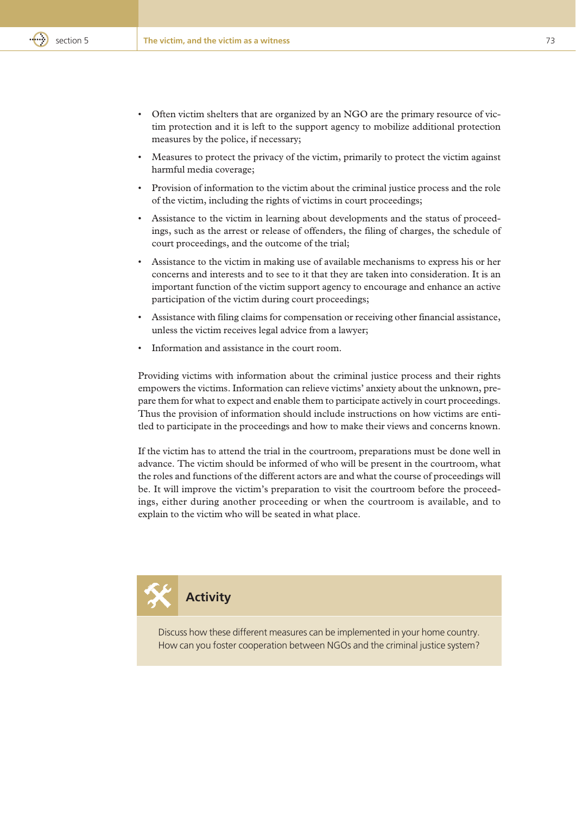- Often victim shelters that are organized by an NGO are the primary resource of victim protection and it is left to the support agency to mobilize additional protection measures by the police, if necessary;
- Measures to protect the privacy of the victim, primarily to protect the victim against harmful media coverage;
- Provision of information to the victim about the criminal justice process and the role of the victim, including the rights of victims in court proceedings;
- Assistance to the victim in learning about developments and the status of proceedings, such as the arrest or release of offenders, the filing of charges, the schedule of court proceedings, and the outcome of the trial;
- Assistance to the victim in making use of available mechanisms to express his or her concerns and interests and to see to it that they are taken into consideration. It is an important function of the victim support agency to encourage and enhance an active participation of the victim during court proceedings;
- Assistance with filing claims for compensation or receiving other financial assistance, unless the victim receives legal advice from a lawyer;
- Information and assistance in the court room.

Providing victims with information about the criminal justice process and their rights empowers the victims. Information can relieve victims' anxiety about the unknown, prepare them for what to expect and enable them to participate actively in court proceedings. Thus the provision of information should include instructions on how victims are entitled to participate in the proceedings and how to make their views and concerns known.

If the victim has to attend the trial in the courtroom, preparations must be done well in advance. The victim should be informed of who will be present in the courtroom, what the roles and functions of the different actors are and what the course of proceedings will be. It will improve the victim's preparation to visit the courtroom before the proceedings, either during another proceeding or when the courtroom is available, and to explain to the victim who will be seated in what place.



Discuss how these different measures can be implemented in your home country. How can you foster cooperation between NGOs and the criminal justice system?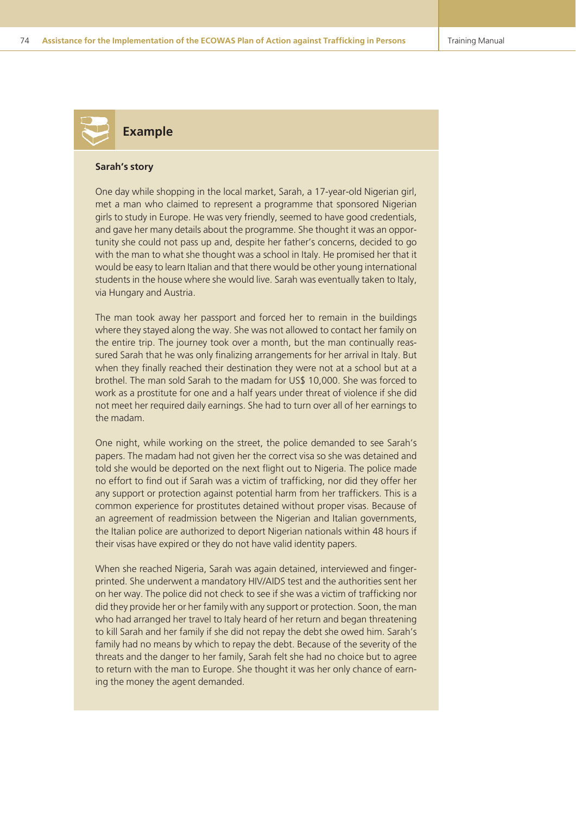

## **Example**

#### **Sarah's story**

One day while shopping in the local market, Sarah, a 17-year-old Nigerian girl, met a man who claimed to represent a programme that sponsored Nigerian girls to study in Europe. He was very friendly, seemed to have good credentials, and gave her many details about the programme. She thought it was an opportunity she could not pass up and, despite her father's concerns, decided to go with the man to what she thought was a school in Italy. He promised her that it would be easy to learn Italian and that there would be other young international students in the house where she would live. Sarah was eventually taken to Italy, via Hungary and Austria.

The man took away her passport and forced her to remain in the buildings where they stayed along the way. She was not allowed to contact her family on the entire trip. The journey took over a month, but the man continually reassured Sarah that he was only finalizing arrangements for her arrival in Italy. But when they finally reached their destination they were not at a school but at a brothel. The man sold Sarah to the madam for US\$ 10,000. She was forced to work as a prostitute for one and a half years under threat of violence if she did not meet her required daily earnings. She had to turn over all of her earnings to the madam.

One night, while working on the street, the police demanded to see Sarah's papers. The madam had not given her the correct visa so she was detained and told she would be deported on the next flight out to Nigeria. The police made no effort to find out if Sarah was a victim of trafficking, nor did they offer her any support or protection against potential harm from her traffickers. This is a common experience for prostitutes detained without proper visas. Because of an agreement of readmission between the Nigerian and Italian governments, the Italian police are authorized to deport Nigerian nationals within 48 hours if their visas have expired or they do not have valid identity papers.

When she reached Nigeria, Sarah was again detained, interviewed and fingerprinted. She underwent a mandatory HIV/AIDS test and the authorities sent her on her way. The police did not check to see if she was a victim of trafficking nor did they provide her or her family with any support or protection. Soon, the man who had arranged her travel to Italy heard of her return and began threatening to kill Sarah and her family if she did not repay the debt she owed him. Sarah's family had no means by which to repay the debt. Because of the severity of the threats and the danger to her family, Sarah felt she had no choice but to agree to return with the man to Europe. She thought it was her only chance of earning the money the agent demanded.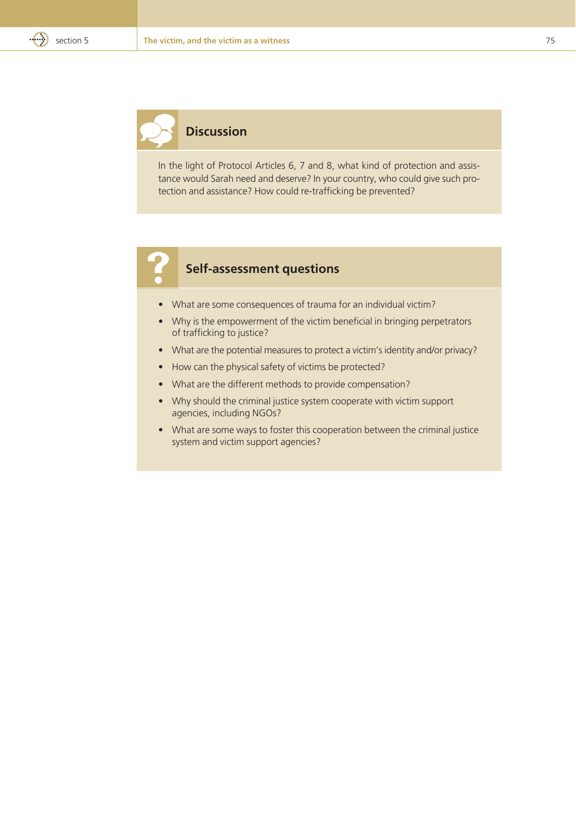# **Discussion**

In the light of Protocol Articles 6, 7 and 8, what kind of protection and assistance would Sarah need and deserve? In your country, who could give such protection and assistance? How could re-trafficking be prevented?

## **Self-assessment questions**

- What are some consequences of trauma for an individual victim?
- Why is the empowerment of the victim beneficial in bringing perpetrators of trafficking to justice?
- What are the potential measures to protect a victim's identity and/or privacy?
- How can the physical safety of victims be protected?
- What are the different methods to provide compensation?
- Why should the criminal justice system cooperate with victim support agencies, including NGOs?
- What are some ways to foster this cooperation between the criminal justice system and victim support agencies?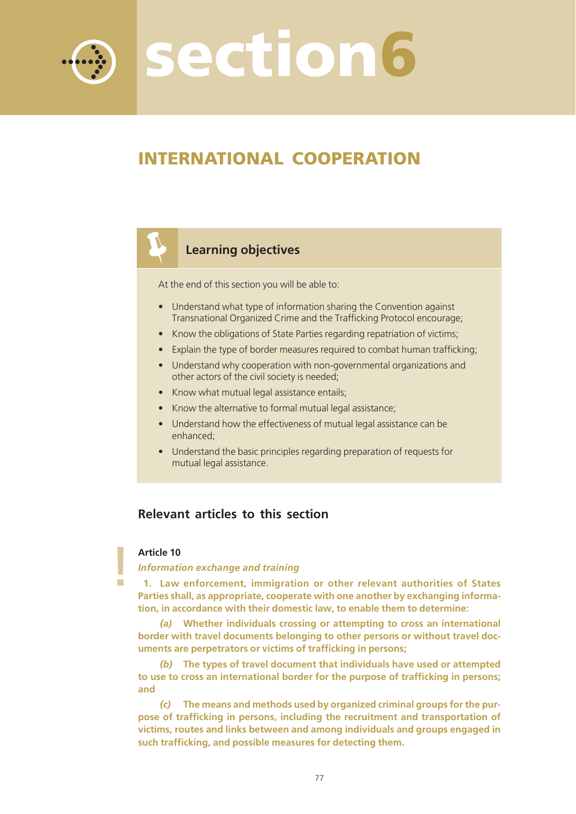

## **INTERNATIONAL COOPERATION**

## **Learning objectives**

At the end of this section you will be able to:

- Understand what type of information sharing the Convention against Transnational Organized Crime and the Trafficking Protocol encourage;
- Know the obligations of State Parties regarding repatriation of victims;
- Explain the type of border measures required to combat human trafficking;
- Understand why cooperation with non-governmental organizations and other actors of the civil society is needed;
- Know what mutual legal assistance entails;
- Know the alternative to formal mutual legal assistance;
- Understand how the effectiveness of mutual legal assistance can be enhanced;
- Understand the basic principles regarding preparation of requests for mutual legal assistance.

## **Relevant articles to this section**

#### **Article 10**

!

#### *Information exchange and training*

**1. Law enforcement, immigration or other relevant authorities of States Parties shall, as appropriate, cooperate with one another by exchanging information, in accordance with their domestic law, to enable them to determine:**

*(a)* **Whether individuals crossing or attempting to cross an international border with travel documents belonging to other persons or without travel documents are perpetrators or victims of trafficking in persons;**

*(b)* **The types of travel document that individuals have used or attempted to use to cross an international border for the purpose of trafficking in persons; and**

*(c)* **The means and methods used by organized criminal groups for the purpose of trafficking in persons, including the recruitment and transportation of victims, routes and links between and among individuals and groups engaged in such trafficking, and possible measures for detecting them.**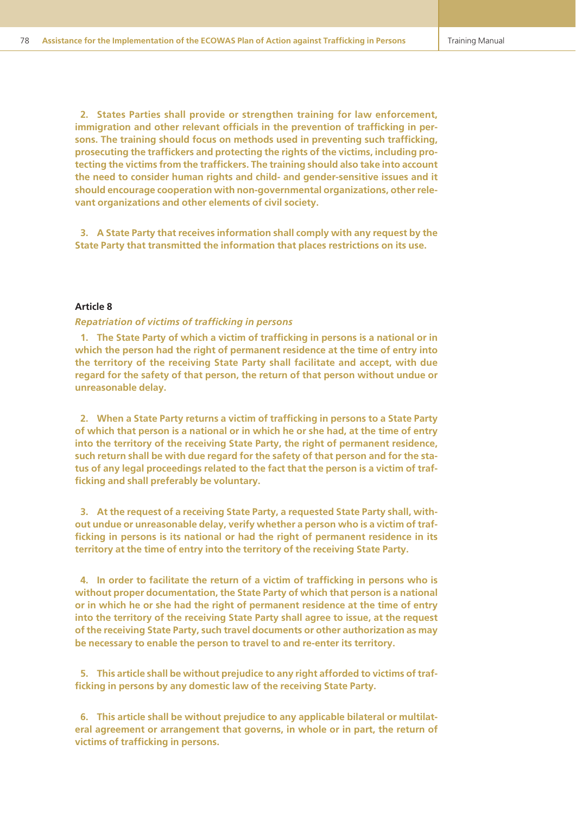**2. States Parties shall provide or strengthen training for law enforcement, immigration and other relevant officials in the prevention of trafficking in persons. The training should focus on methods used in preventing such trafficking, prosecuting the traffickers and protecting the rights of the victims, including protecting the victims from the traffickers. The training should also take into account the need to consider human rights and child- and gender-sensitive issues and it should encourage cooperation with non-governmental organizations, other relevant organizations and other elements of civil society.**

**3. A State Party that receives information shall comply with any request by the State Party that transmitted the information that places restrictions on its use.**

#### **Article 8**

#### *Repatriation of victims of trafficking in persons*

**1. The State Party of which a victim of trafficking in persons is a national or in which the person had the right of permanent residence at the time of entry into the territory of the receiving State Party shall facilitate and accept, with due regard for the safety of that person, the return of that person without undue or unreasonable delay.**

**2. When a State Party returns a victim of trafficking in persons to a State Party of which that person is a national or in which he or she had, at the time of entry into the territory of the receiving State Party, the right of permanent residence, such return shall be with due regard for the safety of that person and for the status of any legal proceedings related to the fact that the person is a victim of trafficking and shall preferably be voluntary.**

**3. At the request of a receiving State Party, a requested State Party shall, without undue or unreasonable delay, verify whether a person who is a victim of trafficking in persons is its national or had the right of permanent residence in its territory at the time of entry into the territory of the receiving State Party.**

**4. In order to facilitate the return of a victim of trafficking in persons who is without proper documentation, the State Party of which that person is a national or in which he or she had the right of permanent residence at the time of entry into the territory of the receiving State Party shall agree to issue, at the request of the receiving State Party, such travel documents or other authorization as may be necessary to enable the person to travel to and re-enter its territory.**

**5. This article shall be without prejudice to any right afforded to victims of trafficking in persons by any domestic law of the receiving State Party.**

**6. This article shall be without prejudice to any applicable bilateral or multilateral agreement or arrangement that governs, in whole or in part, the return of victims of trafficking in persons.**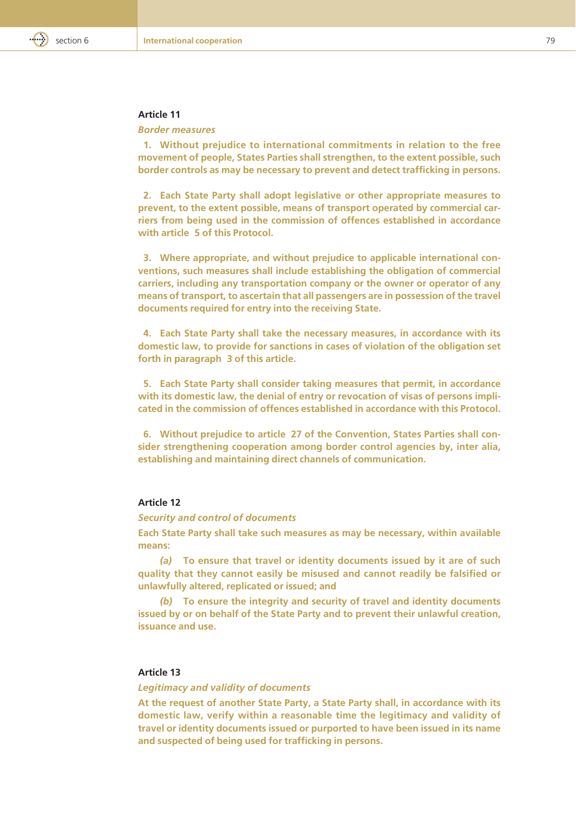#### **Article 11**

#### *Border measures*

**1. Without prejudice to international commitments in relation to the free movement of people, States Parties shall strengthen, to the extent possible, such border controls as may be necessary to prevent and detect trafficking in persons.**

**2. Each State Party shall adopt legislative or other appropriate measures to prevent, to the extent possible, means of transport operated by commercial carriers from being used in the commission of offences established in accordance with article 5 of this Protocol.**

**3. Where appropriate, and without prejudice to applicable international conventions, such measures shall include establishing the obligation of commercial carriers, including any transportation company or the owner or operator of any means of transport, to ascertain that all passengers are in possession of the travel documents required for entry into the receiving State.**

**4. Each State Party shall take the necessary measures, in accordance with its domestic law, to provide for sanctions in cases of violation of the obligation set forth in paragraph 3 of this article.** 

**5. Each State Party shall consider taking measures that permit, in accordance with its domestic law, the denial of entry or revocation of visas of persons implicated in the commission of offences established in accordance with this Protocol.**

**6. Without prejudice to article 27 of the Convention, States Parties shall consider strengthening cooperation among border control agencies by, inter alia, establishing and maintaining direct channels of communication.**

#### **Article 12**

#### *Security and control of documents*

**Each State Party shall take such measures as may be necessary, within available means:** 

*(a)* **To ensure that travel or identity documents issued by it are of such quality that they cannot easily be misused and cannot readily be falsified or unlawfully altered, replicated or issued; and**

*(b)* **To ensure the integrity and security of travel and identity documents issued by or on behalf of the State Party and to prevent their unlawful creation, issuance and use.**

#### **Article 13**

#### *Legitimacy and validity of documents*

**At the request of another State Party, a State Party shall, in accordance with its domestic law, verify within a reasonable time the legitimacy and validity of travel or identity documents issued or purported to have been issued in its name and suspected of being used for trafficking in persons.**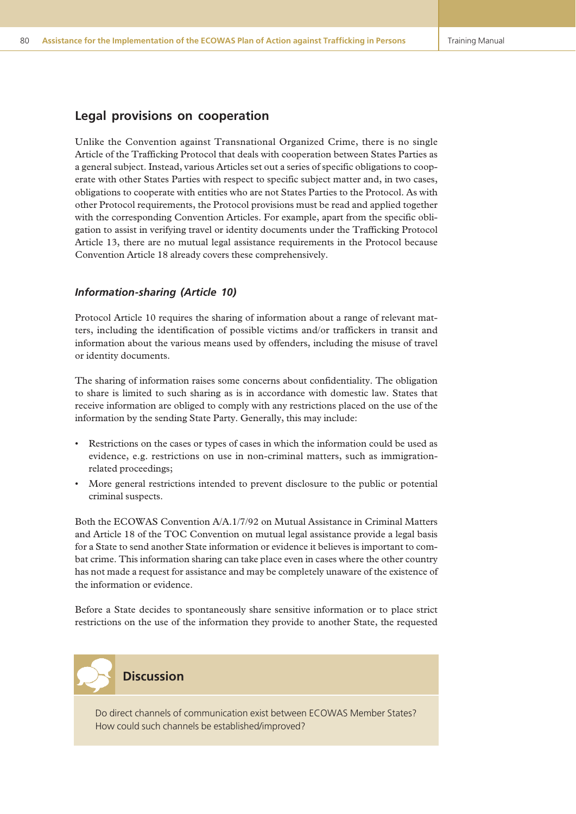#### **Legal provisions on cooperation**

Unlike the Convention against Transnational Organized Crime, there is no single Article of the Trafficking Protocol that deals with cooperation between States Parties as a general subject. Instead, various Articles set out a series of specific obligations to cooperate with other States Parties with respect to specific subject matter and, in two cases, obligations to cooperate with entities who are not States Parties to the Protocol. As with other Protocol requirements, the Protocol provisions must be read and applied together with the corresponding Convention Articles. For example, apart from the specific obligation to assist in verifying travel or identity documents under the Trafficking Protocol Article 13, there are no mutual legal assistance requirements in the Protocol because Convention Article 18 already covers these comprehensively.

#### *Information-sharing (Article 10)*

Protocol Article 10 requires the sharing of information about a range of relevant matters, including the identification of possible victims and/or traffickers in transit and information about the various means used by offenders, including the misuse of travel or identity documents.

The sharing of information raises some concerns about confidentiality. The obligation to share is limited to such sharing as is in accordance with domestic law. States that receive information are obliged to comply with any restrictions placed on the use of the information by the sending State Party. Generally, this may include:

- Restrictions on the cases or types of cases in which the information could be used as evidence, e.g. restrictions on use in non-criminal matters, such as immigrationrelated proceedings;
- More general restrictions intended to prevent disclosure to the public or potential criminal suspects.

Both the ECOWAS Convention A/A.1/7/92 on Mutual Assistance in Criminal Matters and Article 18 of the TOC Convention on mutual legal assistance provide a legal basis for a State to send another State information or evidence it believes is important to combat crime. This information sharing can take place even in cases where the other country has not made a request for assistance and may be completely unaware of the existence of the information or evidence.

Before a State decides to spontaneously share sensitive information or to place strict restrictions on the use of the information they provide to another State, the requested



Do direct channels of communication exist between ECOWAS Member States? How could such channels be established/improved?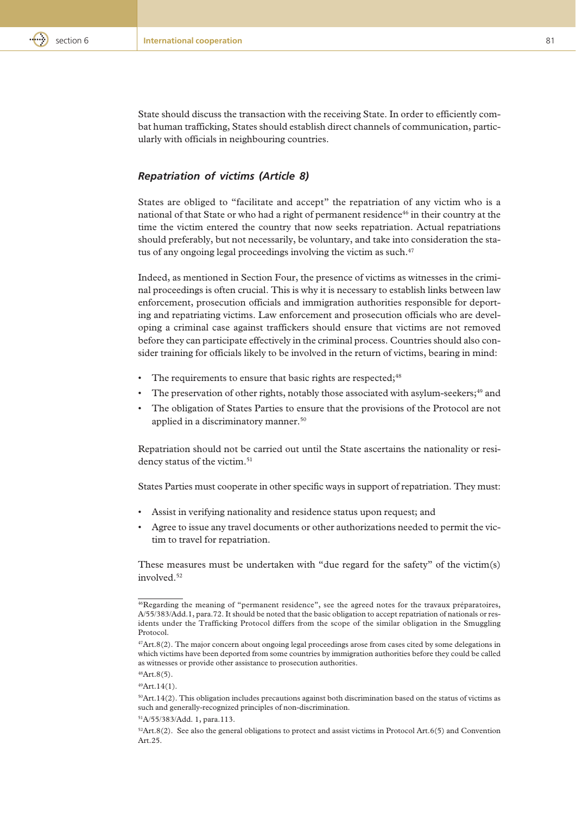State should discuss the transaction with the receiving State. In order to efficiently combat human trafficking, States should establish direct channels of communication, particularly with officials in neighbouring countries.

#### *Repatriation of victims (Article 8)*

States are obliged to "facilitate and accept" the repatriation of any victim who is a national of that State or who had a right of permanent residence<sup>46</sup> in their country at the time the victim entered the country that now seeks repatriation. Actual repatriations should preferably, but not necessarily, be voluntary, and take into consideration the status of any ongoing legal proceedings involving the victim as such.<sup>47</sup>

Indeed, as mentioned in Section Four, the presence of victims as witnesses in the criminal proceedings is often crucial. This is why it is necessary to establish links between law enforcement, prosecution officials and immigration authorities responsible for deporting and repatriating victims. Law enforcement and prosecution officials who are developing a criminal case against traffickers should ensure that victims are not removed before they can participate effectively in the criminal process. Countries should also consider training for officials likely to be involved in the return of victims, bearing in mind:

- The requirements to ensure that basic rights are respected;<sup>48</sup>
- The preservation of other rights, notably those associated with asylum-seekers;<sup>49</sup> and
- The obligation of States Parties to ensure that the provisions of the Protocol are not applied in a discriminatory manner.<sup>50</sup>

Repatriation should not be carried out until the State ascertains the nationality or residency status of the victim.<sup>51</sup>

States Parties must cooperate in other specific ways in support of repatriation. They must:

- Assist in verifying nationality and residence status upon request; and
- Agree to issue any travel documents or other authorizations needed to permit the victim to travel for repatriation.

These measures must be undertaken with "due regard for the safety" of the victim(s) involved.52

 $48$ Art. $8(5)$ .

 $49$ Art.14(1).

51A/55/383/Add. 1, para.113.

<sup>46</sup>Regarding the meaning of "permanent residence", see the agreed notes for the travaux préparatoires, A/55/383/Add.1, para.72. It should be noted that the basic obligation to accept repatriation of nationals or residents under the Trafficking Protocol differs from the scope of the similar obligation in the Smuggling **Protocol.** 

<sup>47</sup>Art.8(2). The major concern about ongoing legal proceedings arose from cases cited by some delegations in which victims have been deported from some countries by immigration authorities before they could be called as witnesses or provide other assistance to prosecution authorities.

<sup>50</sup>Art.14(2). This obligation includes precautions against both discrimination based on the status of victims as such and generally-recognized principles of non-discrimination.

<sup>52</sup>Art.8(2). See also the general obligations to protect and assist victims in Protocol Art.6(5) and Convention Art.25.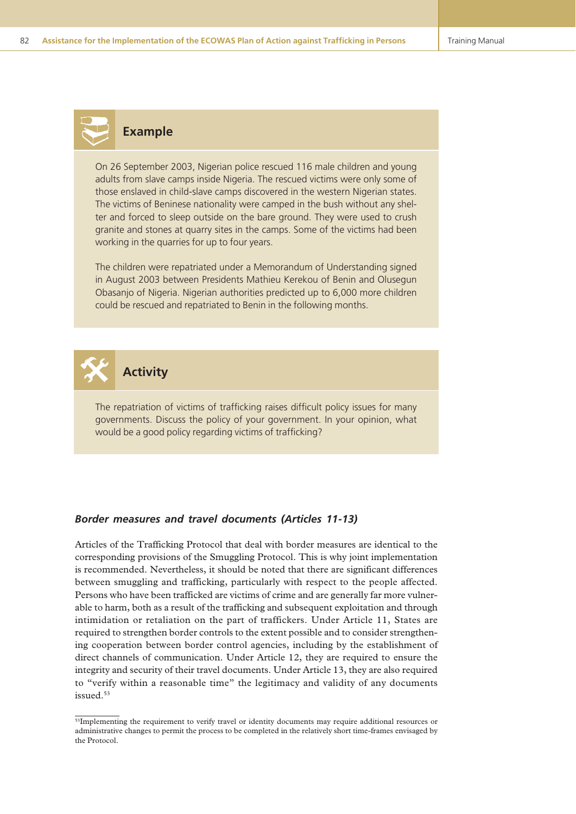

## **Example**

On 26 September 2003, Nigerian police rescued 116 male children and young adults from slave camps inside Nigeria. The rescued victims were only some of those enslaved in child-slave camps discovered in the western Nigerian states. The victims of Beninese nationality were camped in the bush without any shelter and forced to sleep outside on the bare ground. They were used to crush granite and stones at quarry sites in the camps. Some of the victims had been working in the quarries for up to four years.

The children were repatriated under a Memorandum of Understanding signed in August 2003 between Presidents Mathieu Kerekou of Benin and Olusegun Obasanjo of Nigeria. Nigerian authorities predicted up to 6,000 more children could be rescued and repatriated to Benin in the following months.



The repatriation of victims of trafficking raises difficult policy issues for many governments. Discuss the policy of your government. In your opinion, what would be a good policy regarding victims of trafficking?

#### *Border measures and travel documents (Articles 11-13)*

Articles of the Trafficking Protocol that deal with border measures are identical to the corresponding provisions of the Smuggling Protocol. This is why joint implementation is recommended. Nevertheless, it should be noted that there are significant differences between smuggling and trafficking, particularly with respect to the people affected. Persons who have been trafficked are victims of crime and are generally far more vulnerable to harm, both as a result of the trafficking and subsequent exploitation and through intimidation or retaliation on the part of traffickers. Under Article 11, States are required to strengthen border controls to the extent possible and to consider strengthening cooperation between border control agencies, including by the establishment of direct channels of communication. Under Article 12, they are required to ensure the integrity and security of their travel documents. Under Article 13, they are also required to "verify within a reasonable time" the legitimacy and validity of any documents issued.53

<sup>&</sup>lt;sup>53</sup>Implementing the requirement to verify travel or identity documents may require additional resources or administrative changes to permit the process to be completed in the relatively short time-frames envisaged by the Protocol.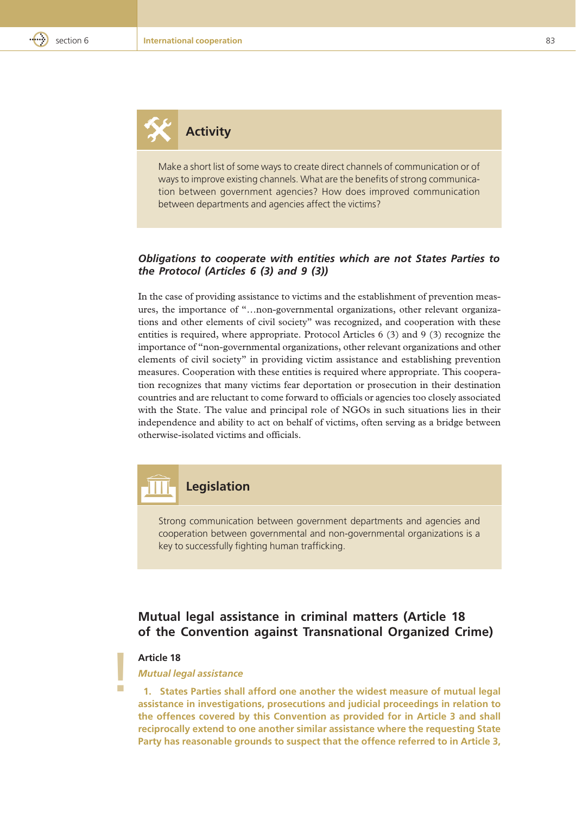# **Activity**

Make a short list of some ways to create direct channels of communication or of ways to improve existing channels. What are the benefits of strong communication between government agencies? How does improved communication between departments and agencies affect the victims?

#### *Obligations to cooperate with entities which are not States Parties to the Protocol (Articles 6 (3) and 9 (3))*

In the case of providing assistance to victims and the establishment of prevention measures, the importance of "…non-governmental organizations, other relevant organizations and other elements of civil society" was recognized, and cooperation with these entities is required, where appropriate. Protocol Articles 6 (3) and 9 (3) recognize the importance of "non-governmental organizations, other relevant organizations and other elements of civil society" in providing victim assistance and establishing prevention measures. Cooperation with these entities is required where appropriate. This cooperation recognizes that many victims fear deportation or prosecution in their destination countries and are reluctant to come forward to officials or agencies too closely associated with the State. The value and principal role of NGOs in such situations lies in their independence and ability to act on behalf of victims, often serving as a bridge between otherwise-isolated victims and officials.



Strong communication between government departments and agencies and cooperation between governmental and non-governmental organizations is a key to successfully fighting human trafficking.

## **Mutual legal assistance in criminal matters (Article 18 of the Convention against Transnational Organized Crime)**

#### **Article 18**

!

#### *Mutual legal assistance*

**1. States Parties shall afford one another the widest measure of mutual legal assistance in investigations, prosecutions and judicial proceedings in relation to the offences covered by this Convention as provided for in Article 3 and shall reciprocally extend to one another similar assistance where the requesting State Party has reasonable grounds to suspect that the offence referred to in Article 3,**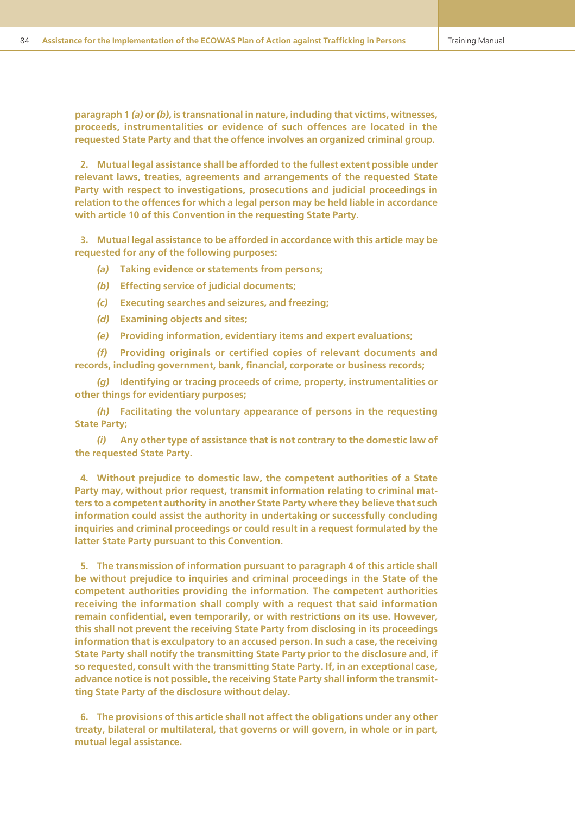**paragraph 1** *(a)* **or** *(b)***, is transnational in nature, including that victims, witnesses, proceeds, instrumentalities or evidence of such offences are located in the requested State Party and that the offence involves an organized criminal group.**

**2. Mutual legal assistance shall be afforded to the fullest extent possible under relevant laws, treaties, agreements and arrangements of the requested State Party with respect to investigations, prosecutions and judicial proceedings in relation to the offences for which a legal person may be held liable in accordance with article 10 of this Convention in the requesting State Party.**

**3. Mutual legal assistance to be afforded in accordance with this article may be requested for any of the following purposes:**

- *(a)* **Taking evidence or statements from persons;**
- *(b)* **Effecting service of judicial documents;**
- *(c)* **Executing searches and seizures, and freezing;**
- *(d)* **Examining objects and sites;**
- *(e)* **Providing information, evidentiary items and expert evaluations;**

*(f)* **Providing originals or certified copies of relevant documents and records, including government, bank, financial, corporate or business records;**

*(g)* **Identifying or tracing proceeds of crime, property, instrumentalities or other things for evidentiary purposes;**

*(h)* **Facilitating the voluntary appearance of persons in the requesting State Party;**

*(i)* **Any other type of assistance that is not contrary to the domestic law of the requested State Party.**

**4. Without prejudice to domestic law, the competent authorities of a State Party may, without prior request, transmit information relating to criminal matters to a competent authority in another State Party where they believe that such information could assist the authority in undertaking or successfully concluding inquiries and criminal proceedings or could result in a request formulated by the latter State Party pursuant to this Convention.**

**5. The transmission of information pursuant to paragraph 4 of this article shall be without prejudice to inquiries and criminal proceedings in the State of the competent authorities providing the information. The competent authorities receiving the information shall comply with a request that said information remain confidential, even temporarily, or with restrictions on its use. However, this shall not prevent the receiving State Party from disclosing in its proceedings information that is exculpatory to an accused person. In such a case, the receiving State Party shall notify the transmitting State Party prior to the disclosure and, if so requested, consult with the transmitting State Party. If, in an exceptional case, advance notice is not possible, the receiving State Party shall inform the transmitting State Party of the disclosure without delay.**

**6. The provisions of this article shall not affect the obligations under any other treaty, bilateral or multilateral, that governs or will govern, in whole or in part, mutual legal assistance.**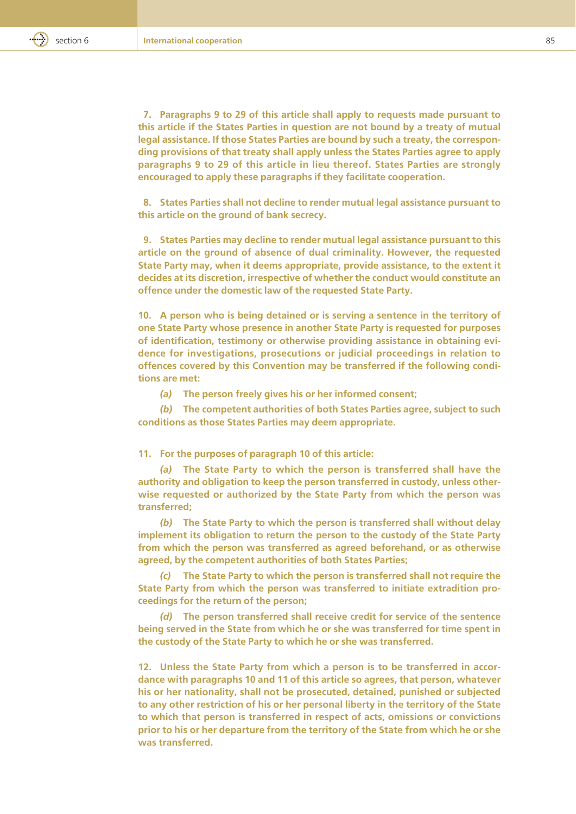**7. Paragraphs 9 to 29 of this article shall apply to requests made pursuant to this article if the States Parties in question are not bound by a treaty of mutual legal assistance. If those States Parties are bound by such a treaty, the corresponding provisions of that treaty shall apply unless the States Parties agree to apply paragraphs 9 to 29 of this article in lieu thereof. States Parties are strongly encouraged to apply these paragraphs if they facilitate cooperation.**

**8. States Parties shall not decline to render mutual legal assistance pursuant to this article on the ground of bank secrecy.**

**9. States Parties may decline to render mutual legal assistance pursuant to this article on the ground of absence of dual criminality. However, the requested State Party may, when it deems appropriate, provide assistance, to the extent it decides at its discretion, irrespective of whether the conduct would constitute an offence under the domestic law of the requested State Party.**

**10. A person who is being detained or is serving a sentence in the territory of one State Party whose presence in another State Party is requested for purposes of identification, testimony or otherwise providing assistance in obtaining evidence for investigations, prosecutions or judicial proceedings in relation to offences covered by this Convention may be transferred if the following conditions are met:**

*(a)* **The person freely gives his or her informed consent;**

*(b)* **The competent authorities of both States Parties agree, subject to such conditions as those States Parties may deem appropriate.**

**11. For the purposes of paragraph 10 of this article:**

*(a)* **The State Party to which the person is transferred shall have the authority and obligation to keep the person transferred in custody, unless otherwise requested or authorized by the State Party from which the person was transferred;**

*(b)* **The State Party to which the person is transferred shall without delay implement its obligation to return the person to the custody of the State Party from which the person was transferred as agreed beforehand, or as otherwise agreed, by the competent authorities of both States Parties;**

*(c)* **The State Party to which the person is transferred shall not require the State Party from which the person was transferred to initiate extradition proceedings for the return of the person;**

*(d)* **The person transferred shall receive credit for service of the sentence being served in the State from which he or she was transferred for time spent in the custody of the State Party to which he or she was transferred.**

**12. Unless the State Party from which a person is to be transferred in accordance with paragraphs 10 and 11 of this article so agrees, that person, whatever his or her nationality, shall not be prosecuted, detained, punished or subjected to any other restriction of his or her personal liberty in the territory of the State to which that person is transferred in respect of acts, omissions or convictions prior to his or her departure from the territory of the State from which he or she was transferred.**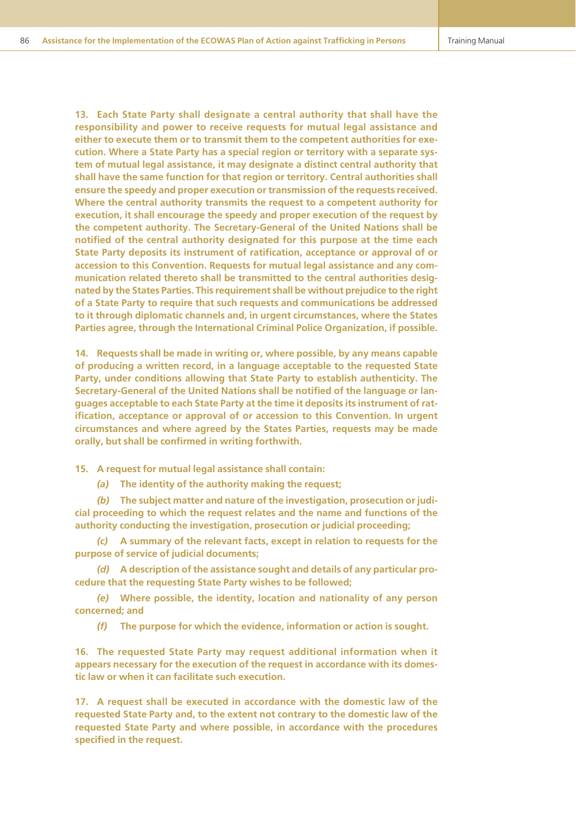**13. Each State Party shall designate a central authority that shall have the responsibility and power to receive requests for mutual legal assistance and either to execute them or to transmit them to the competent authorities for execution. Where a State Party has a special region or territory with a separate system of mutual legal assistance, it may designate a distinct central authority that shall have the same function for that region or territory. Central authorities shall ensure the speedy and proper execution or transmission of the requests received. Where the central authority transmits the request to a competent authority for execution, it shall encourage the speedy and proper execution of the request by the competent authority. The Secretary-General of the United Nations shall be notified of the central authority designated for this purpose at the time each State Party deposits its instrument of ratification, acceptance or approval of or accession to this Convention. Requests for mutual legal assistance and any communication related thereto shall be transmitted to the central authorities designated by the States Parties. This requirement shall be without prejudice to the right of a State Party to require that such requests and communications be addressed to it through diplomatic channels and, in urgent circumstances, where the States Parties agree, through the International Criminal Police Organization, if possible.**

**14. Requests shall be made in writing or, where possible, by any means capable of producing a written record, in a language acceptable to the requested State Party, under conditions allowing that State Party to establish authenticity. The Secretary-General of the United Nations shall be notified of the language or languages acceptable to each State Party at the time it deposits its instrument of ratification, acceptance or approval of or accession to this Convention. In urgent circumstances and where agreed by the States Parties, requests may be made orally, but shall be confirmed in writing forthwith.**

**15. A request for mutual legal assistance shall contain:**

*(a)* **The identity of the authority making the request;**

*(b)* **The subject matter and nature of the investigation, prosecution or judicial proceeding to which the request relates and the name and functions of the authority conducting the investigation, prosecution or judicial proceeding;**

*(c)* **A summary of the relevant facts, except in relation to requests for the purpose of service of judicial documents;**

*(d)* **A description of the assistance sought and details of any particular procedure that the requesting State Party wishes to be followed;**

*(e)* **Where possible, the identity, location and nationality of any person concerned; and**

*(f)* **The purpose for which the evidence, information or action is sought.**

**16. The requested State Party may request additional information when it appears necessary for the execution of the request in accordance with its domestic law or when it can facilitate such execution.**

**17. A request shall be executed in accordance with the domestic law of the requested State Party and, to the extent not contrary to the domestic law of the requested State Party and where possible, in accordance with the procedures specified in the request.**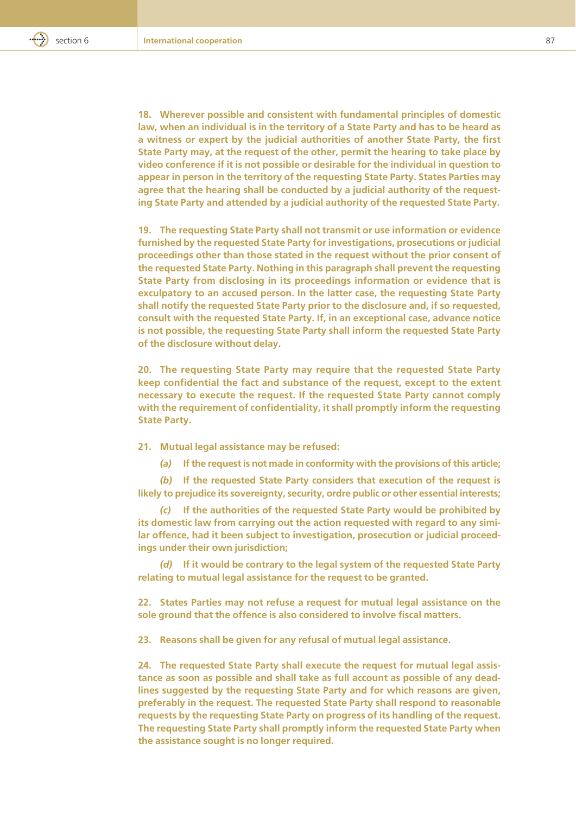**18. Wherever possible and consistent with fundamental principles of domestic law, when an individual is in the territory of a State Party and has to be heard as a witness or expert by the judicial authorities of another State Party, the first State Party may, at the request of the other, permit the hearing to take place by video conference if it is not possible or desirable for the individual in question to appear in person in the territory of the requesting State Party. States Parties may agree that the hearing shall be conducted by a judicial authority of the requesting State Party and attended by a judicial authority of the requested State Party.**

**19. The requesting State Party shall not transmit or use information or evidence furnished by the requested State Party for investigations, prosecutions or judicial proceedings other than those stated in the request without the prior consent of the requested State Party. Nothing in this paragraph shall prevent the requesting State Party from disclosing in its proceedings information or evidence that is exculpatory to an accused person. In the latter case, the requesting State Party shall notify the requested State Party prior to the disclosure and, if so requested, consult with the requested State Party. If, in an exceptional case, advance notice is not possible, the requesting State Party shall inform the requested State Party of the disclosure without delay.**

**20. The requesting State Party may require that the requested State Party keep confidential the fact and substance of the request, except to the extent necessary to execute the request. If the requested State Party cannot comply with the requirement of confidentiality, it shall promptly inform the requesting State Party.**

**21. Mutual legal assistance may be refused:**

*(a)* **If the request is not made in conformity with the provisions of this article;**

*(b)* **If the requested State Party considers that execution of the request is likely to prejudice its sovereignty, security, ordre public or other essential interests;**

*(c)* **If the authorities of the requested State Party would be prohibited by its domestic law from carrying out the action requested with regard to any similar offence, had it been subject to investigation, prosecution or judicial proceedings under their own jurisdiction;**

*(d)* **If it would be contrary to the legal system of the requested State Party relating to mutual legal assistance for the request to be granted.**

**22. States Parties may not refuse a request for mutual legal assistance on the sole ground that the offence is also considered to involve fiscal matters.**

**23. Reasons shall be given for any refusal of mutual legal assistance.**

**24. The requested State Party shall execute the request for mutual legal assistance as soon as possible and shall take as full account as possible of any deadlines suggested by the requesting State Party and for which reasons are given, preferably in the request. The requested State Party shall respond to reasonable requests by the requesting State Party on progress of its handling of the request. The requesting State Party shall promptly inform the requested State Party when the assistance sought is no longer required.**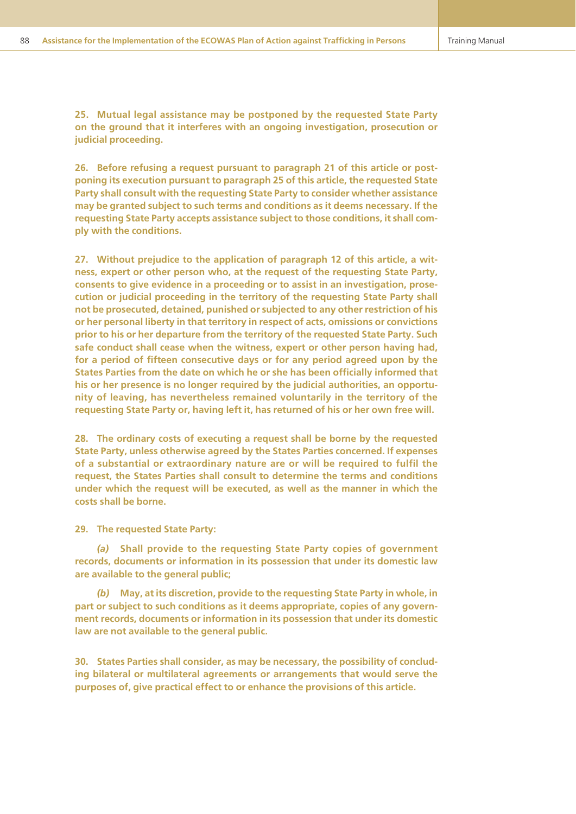**25. Mutual legal assistance may be postponed by the requested State Party on the ground that it interferes with an ongoing investigation, prosecution or judicial proceeding.**

**26. Before refusing a request pursuant to paragraph 21 of this article or postponing its execution pursuant to paragraph 25 of this article, the requested State Party shall consult with the requesting State Party to consider whether assistance may be granted subject to such terms and conditions as it deems necessary. If the requesting State Party accepts assistance subject to those conditions, it shall comply with the conditions.**

**27. Without prejudice to the application of paragraph 12 of this article, a witness, expert or other person who, at the request of the requesting State Party, consents to give evidence in a proceeding or to assist in an investigation, prosecution or judicial proceeding in the territory of the requesting State Party shall not be prosecuted, detained, punished or subjected to any other restriction of his or her personal liberty in that territory in respect of acts, omissions or convictions prior to his or her departure from the territory of the requested State Party. Such safe conduct shall cease when the witness, expert or other person having had, for a period of fifteen consecutive days or for any period agreed upon by the States Parties from the date on which he or she has been officially informed that his or her presence is no longer required by the judicial authorities, an opportunity of leaving, has nevertheless remained voluntarily in the territory of the requesting State Party or, having left it, has returned of his or her own free will.**

**28. The ordinary costs of executing a request shall be borne by the requested State Party, unless otherwise agreed by the States Parties concerned. If expenses of a substantial or extraordinary nature are or will be required to fulfil the request, the States Parties shall consult to determine the terms and conditions under which the request will be executed, as well as the manner in which the costs shall be borne.**

**29. The requested State Party:**

*(a)* **Shall provide to the requesting State Party copies of government records, documents or information in its possession that under its domestic law are available to the general public;**

*(b)* **May, at its discretion, provide to the requesting State Party in whole, in part or subject to such conditions as it deems appropriate, copies of any government records, documents or information in its possession that under its domestic law are not available to the general public.**

**30. States Parties shall consider, as may be necessary, the possibility of concluding bilateral or multilateral agreements or arrangements that would serve the purposes of, give practical effect to or enhance the provisions of this article.**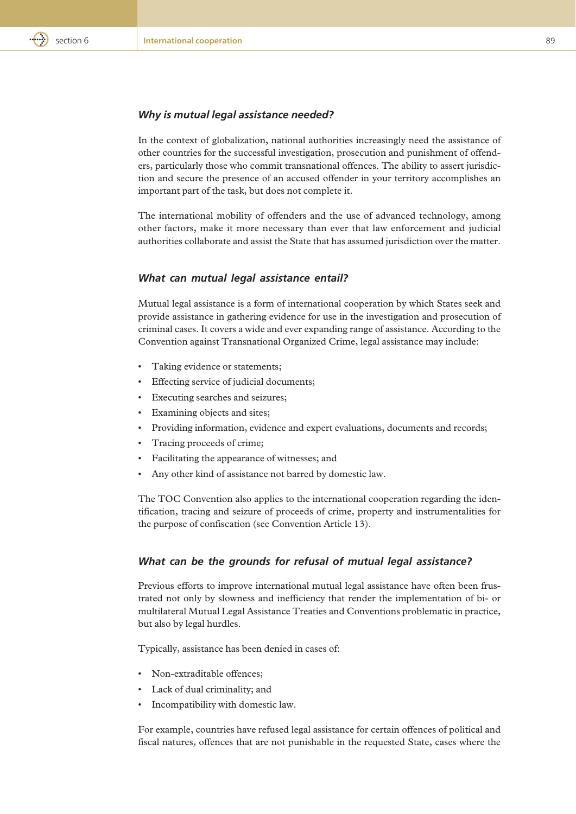#### *Why is mutual legal assistance needed?*

In the context of globalization, national authorities increasingly need the assistance of other countries for the successful investigation, prosecution and punishment of offenders, particularly those who commit transnational offences. The ability to assert jurisdiction and secure the presence of an accused offender in your territory accomplishes an important part of the task, but does not complete it.

The international mobility of offenders and the use of advanced technology, among other factors, make it more necessary than ever that law enforcement and judicial authorities collaborate and assist the State that has assumed jurisdiction over the matter.

#### *What can mutual legal assistance entail?*

Mutual legal assistance is a form of international cooperation by which States seek and provide assistance in gathering evidence for use in the investigation and prosecution of criminal cases. It covers a wide and ever expanding range of assistance. According to the Convention against Transnational Organized Crime, legal assistance may include:

- Taking evidence or statements;
- Effecting service of judicial documents;
- Executing searches and seizures;
- Examining objects and sites;
- Providing information, evidence and expert evaluations, documents and records;
- Tracing proceeds of crime;
- Facilitating the appearance of witnesses; and
- Any other kind of assistance not barred by domestic law.

The TOC Convention also applies to the international cooperation regarding the identification, tracing and seizure of proceeds of crime, property and instrumentalities for the purpose of confiscation (see Convention Article 13).

#### *What can be the grounds for refusal of mutual legal assistance?*

Previous efforts to improve international mutual legal assistance have often been frustrated not only by slowness and inefficiency that render the implementation of bi- or multilateral Mutual Legal Assistance Treaties and Conventions problematic in practice, but also by legal hurdles.

Typically, assistance has been denied in cases of:

- Non-extraditable offences;
- Lack of dual criminality; and
- Incompatibility with domestic law.

For example, countries have refused legal assistance for certain offences of political and fiscal natures, offences that are not punishable in the requested State, cases where the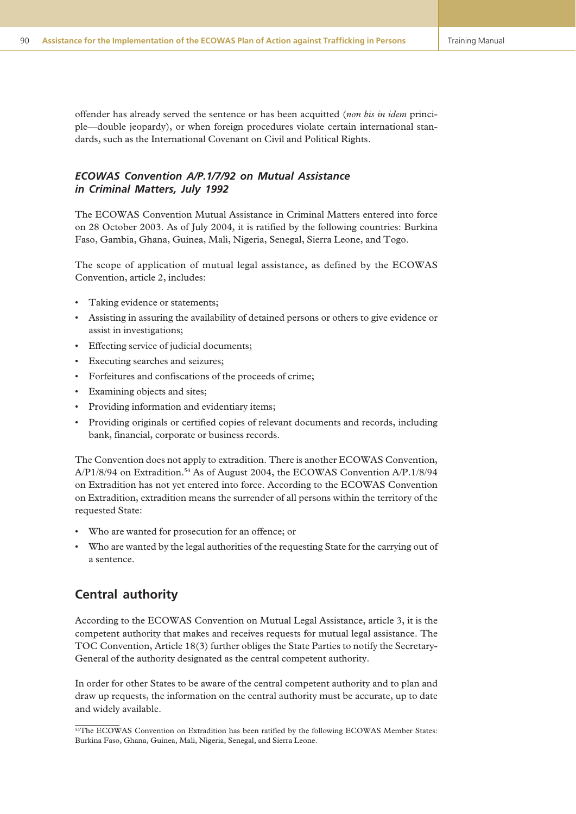offender has already served the sentence or has been acquitted (*non bis in idem* principle—double jeopardy), or when foreign procedures violate certain international standards, such as the International Covenant on Civil and Political Rights.

#### *ECOWAS Convention A/P.1/7/92 on Mutual Assistance in Criminal Matters, July 1992*

The ECOWAS Convention Mutual Assistance in Criminal Matters entered into force on 28 October 2003. As of July 2004, it is ratified by the following countries: Burkina Faso, Gambia, Ghana, Guinea, Mali, Nigeria, Senegal, Sierra Leone, and Togo.

The scope of application of mutual legal assistance, as defined by the ECOWAS Convention, article 2, includes:

- Taking evidence or statements;
- Assisting in assuring the availability of detained persons or others to give evidence or assist in investigations;
- Effecting service of judicial documents;
- Executing searches and seizures;
- Forfeitures and confiscations of the proceeds of crime;
- Examining objects and sites;
- Providing information and evidentiary items;
- Providing originals or certified copies of relevant documents and records, including bank, financial, corporate or business records.

The Convention does not apply to extradition. There is another ECOWAS Convention,  $\text{AP1/8/94}$  on Extradition.<sup>54</sup> As of August 2004, the ECOWAS Convention A/P.1/8/94 on Extradition has not yet entered into force. According to the ECOWAS Convention on Extradition, extradition means the surrender of all persons within the territory of the requested State:

- Who are wanted for prosecution for an offence; or
- Who are wanted by the legal authorities of the requesting State for the carrying out of a sentence.

### **Central authority**

According to the ECOWAS Convention on Mutual Legal Assistance, article 3, it is the competent authority that makes and receives requests for mutual legal assistance. The TOC Convention, Article 18(3) further obliges the State Parties to notify the Secretary-General of the authority designated as the central competent authority.

In order for other States to be aware of the central competent authority and to plan and draw up requests, the information on the central authority must be accurate, up to date and widely available.

<sup>54</sup>The ECOWAS Convention on Extradition has been ratified by the following ECOWAS Member States: Burkina Faso, Ghana, Guinea, Mali, Nigeria, Senegal, and Sierra Leone.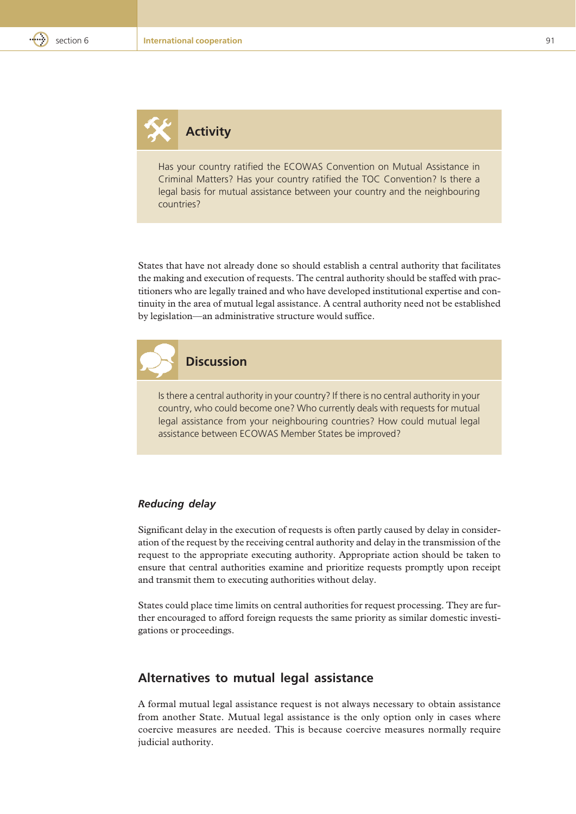**Activity**

Has your country ratified the ECOWAS Convention on Mutual Assistance in Criminal Matters? Has your country ratified the TOC Convention? Is there a legal basis for mutual assistance between your country and the neighbouring countries?

States that have not already done so should establish a central authority that facilitates the making and execution of requests. The central authority should be staffed with practitioners who are legally trained and who have developed institutional expertise and continuity in the area of mutual legal assistance. A central authority need not be established by legislation—an administrative structure would suffice.



Is there a central authority in your country? If there is no central authority in your country, who could become one? Who currently deals with requests for mutual legal assistance from your neighbouring countries? How could mutual legal assistance between ECOWAS Member States be improved?

#### *Reducing delay*

Significant delay in the execution of requests is often partly caused by delay in consideration of the request by the receiving central authority and delay in the transmission of the request to the appropriate executing authority. Appropriate action should be taken to ensure that central authorities examine and prioritize requests promptly upon receipt and transmit them to executing authorities without delay.

States could place time limits on central authorities for request processing. They are further encouraged to afford foreign requests the same priority as similar domestic investigations or proceedings.

### **Alternatives to mutual legal assistance**

A formal mutual legal assistance request is not always necessary to obtain assistance from another State. Mutual legal assistance is the only option only in cases where coercive measures are needed. This is because coercive measures normally require judicial authority.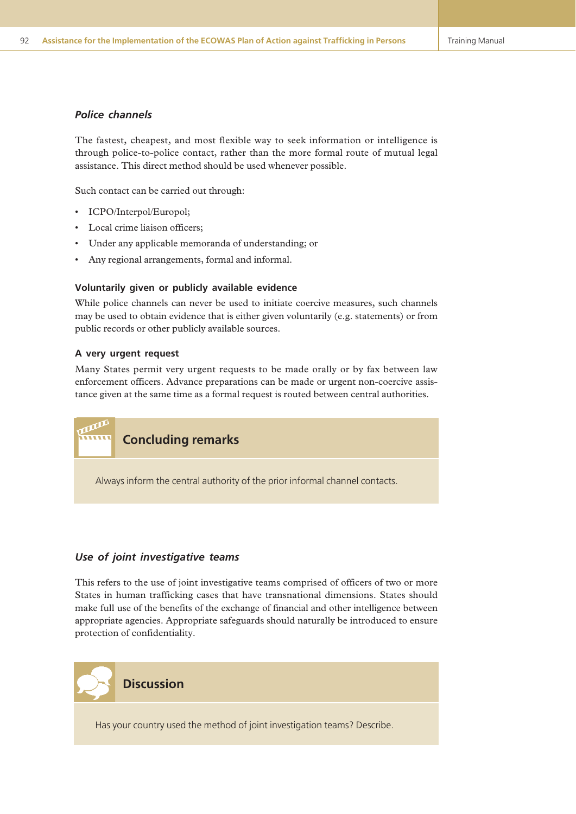#### *Police channels*

The fastest, cheapest, and most flexible way to seek information or intelligence is through police-to-police contact, rather than the more formal route of mutual legal assistance. This direct method should be used whenever possible.

Such contact can be carried out through:

- ICPO/Interpol/Europol;
- Local crime liaison officers;
- Under any applicable memoranda of understanding; or
- Any regional arrangements, formal and informal.

#### **Voluntarily given or publicly available evidence**

While police channels can never be used to initiate coercive measures, such channels may be used to obtain evidence that is either given voluntarily (e.g. statements) or from public records or other publicly available sources.

#### **A very urgent request**

aac

Many States permit very urgent requests to be made orally or by fax between law enforcement officers. Advance preparations can be made or urgent non-coercive assistance given at the same time as a formal request is routed between central authorities.

**Concluding remarks**

Always inform the central authority of the prior informal channel contacts.

#### *Use of joint investigative teams*

This refers to the use of joint investigative teams comprised of officers of two or more States in human trafficking cases that have transnational dimensions. States should make full use of the benefits of the exchange of financial and other intelligence between appropriate agencies. Appropriate safeguards should naturally be introduced to ensure protection of confidentiality.



Has your country used the method of joint investigation teams? Describe.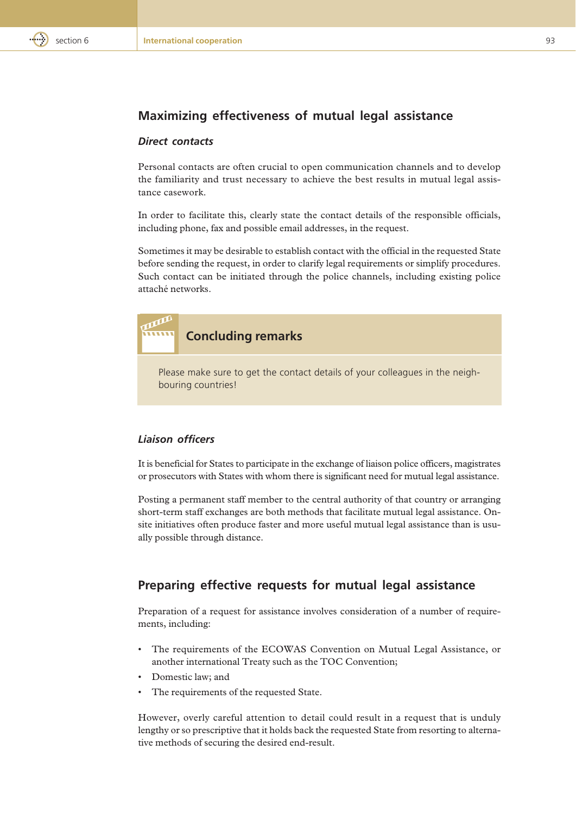# **Maximizing effectiveness of mutual legal assistance**

# *Direct contacts*

Personal contacts are often crucial to open communication channels and to develop the familiarity and trust necessary to achieve the best results in mutual legal assistance casework.

In order to facilitate this, clearly state the contact details of the responsible officials, including phone, fax and possible email addresses, in the request.

Sometimes it may be desirable to establish contact with the official in the requested State before sending the request, in order to clarify legal requirements or simplify procedures. Such contact can be initiated through the police channels, including existing police attaché networks.



# *Liaison officers*

It is beneficial for States to participate in the exchange of liaison police officers, magistrates or prosecutors with States with whom there is significant need for mutual legal assistance.

Posting a permanent staff member to the central authority of that country or arranging short-term staff exchanges are both methods that facilitate mutual legal assistance. Onsite initiatives often produce faster and more useful mutual legal assistance than is usually possible through distance.

# **Preparing effective requests for mutual legal assistance**

Preparation of a request for assistance involves consideration of a number of requirements, including:

- The requirements of the ECOWAS Convention on Mutual Legal Assistance, or another international Treaty such as the TOC Convention;
- Domestic law; and
- The requirements of the requested State.

However, overly careful attention to detail could result in a request that is unduly lengthy or so prescriptive that it holds back the requested State from resorting to alternative methods of securing the desired end-result.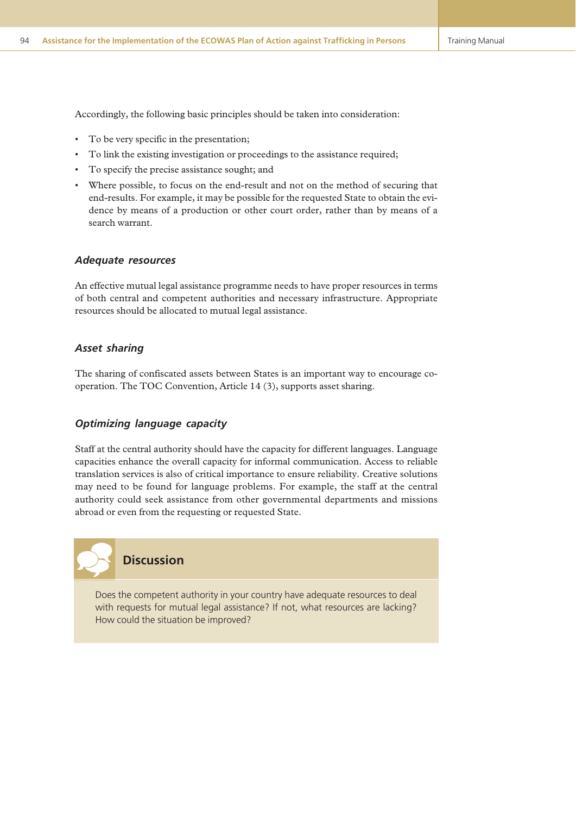Accordingly, the following basic principles should be taken into consideration:

- To be very specific in the presentation;
- To link the existing investigation or proceedings to the assistance required;
- To specify the precise assistance sought; and
- Where possible, to focus on the end-result and not on the method of securing that end-results. For example, it may be possible for the requested State to obtain the evidence by means of a production or other court order, rather than by means of a search warrant.

# *Adequate resources*

An effective mutual legal assistance programme needs to have proper resources in terms of both central and competent authorities and necessary infrastructure. Appropriate resources should be allocated to mutual legal assistance.

# *Asset sharing*

The sharing of confiscated assets between States is an important way to encourage cooperation. The TOC Convention, Article 14 (3), supports asset sharing.

# *Optimizing language capacity*

Staff at the central authority should have the capacity for different languages. Language capacities enhance the overall capacity for informal communication. Access to reliable translation services is also of critical importance to ensure reliability. Creative solutions may need to be found for language problems. For example, the staff at the central authority could seek assistance from other governmental departments and missions abroad or even from the requesting or requested State.



Does the competent authority in your country have adequate resources to deal with requests for mutual legal assistance? If not, what resources are lacking? How could the situation be improved?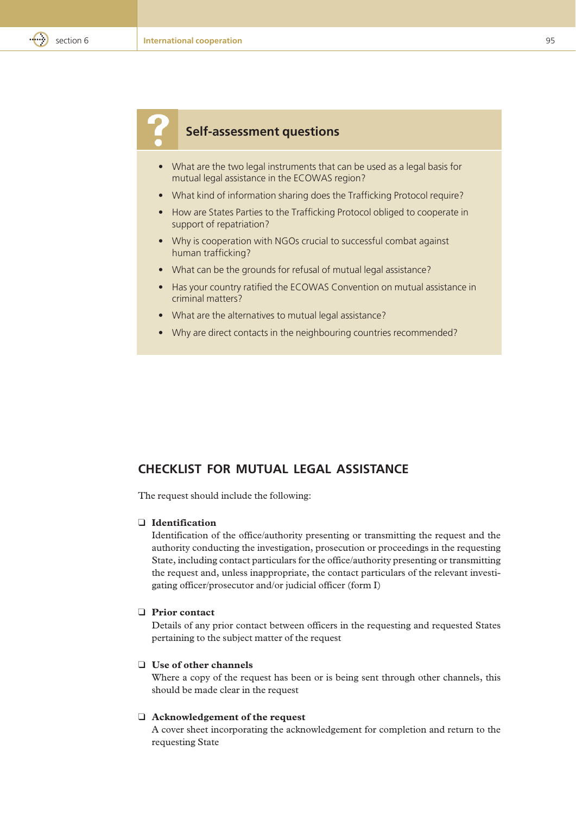# **Self-assessment questions**

- What are the two legal instruments that can be used as a legal basis for mutual legal assistance in the ECOWAS region?
- What kind of information sharing does the Trafficking Protocol require?
- How are States Parties to the Trafficking Protocol obliged to cooperate in support of repatriation?
- Why is cooperation with NGOs crucial to successful combat against human trafficking?
- What can be the grounds for refusal of mutual legal assistance?
- Has your country ratified the ECOWAS Convention on mutual assistance in criminal matters?
- What are the alternatives to mutual legal assistance?
- Why are direct contacts in the neighbouring countries recommended?

# **CHECKLIST FOR MUTUAL LEGAL ASSISTANCE**

The request should include the following:

# ❑ **Identification**

Identification of the office/authority presenting or transmitting the request and the authority conducting the investigation, prosecution or proceedings in the requesting State, including contact particulars for the office/authority presenting or transmitting the request and, unless inappropriate, the contact particulars of the relevant investigating officer/prosecutor and/or judicial officer (form I)

# ❑ **Prior contact**

Details of any prior contact between officers in the requesting and requested States pertaining to the subject matter of the request

# ❑ **Use of other channels**

Where a copy of the request has been or is being sent through other channels, this should be made clear in the request

# ❑ **Acknowledgement of the request**

A cover sheet incorporating the acknowledgement for completion and return to the requesting State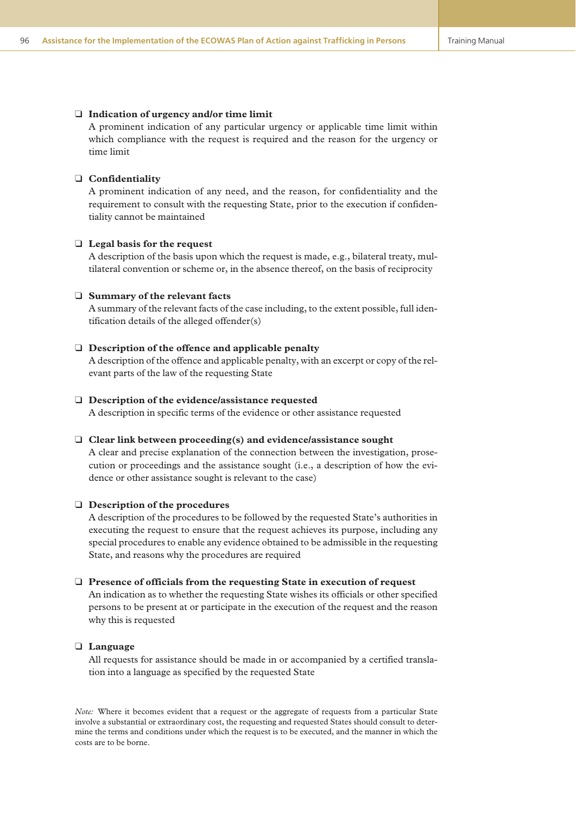## ❑ **Indication of urgency and/or time limit**

A prominent indication of any particular urgency or applicable time limit within which compliance with the request is required and the reason for the urgency or time limit

# ❑ **Confidentiality**

A prominent indication of any need, and the reason, for confidentiality and the requirement to consult with the requesting State, prior to the execution if confidentiality cannot be maintained

# ❑ **Legal basis for the request**

A description of the basis upon which the request is made, e.g., bilateral treaty, multilateral convention or scheme or, in the absence thereof, on the basis of reciprocity

## ❑ **Summary of the relevant facts**

A summary of the relevant facts of the case including, to the extent possible, full identification details of the alleged offender(s)

## ❑ **Description of the offence and applicable penalty**

A description of the offence and applicable penalty, with an excerpt or copy of the relevant parts of the law of the requesting State

# ❑ **Description of the evidence/assistance requested**

A description in specific terms of the evidence or other assistance requested

## ❑ **Clear link between proceeding(s) and evidence/assistance sought**

A clear and precise explanation of the connection between the investigation, prosecution or proceedings and the assistance sought (i.e., a description of how the evidence or other assistance sought is relevant to the case)

## ❑ **Description of the procedures**

A description of the procedures to be followed by the requested State's authorities in executing the request to ensure that the request achieves its purpose, including any special procedures to enable any evidence obtained to be admissible in the requesting State, and reasons why the procedures are required

### ❑ **Presence of officials from the requesting State in execution of request**

An indication as to whether the requesting State wishes its officials or other specified persons to be present at or participate in the execution of the request and the reason why this is requested

## ❑ **Language**

All requests for assistance should be made in or accompanied by a certified translation into a language as specified by the requested State

*Note:* Where it becomes evident that a request or the aggregate of requests from a particular State involve a substantial or extraordinary cost, the requesting and requested States should consult to determine the terms and conditions under which the request is to be executed, and the manner in which the costs are to be borne.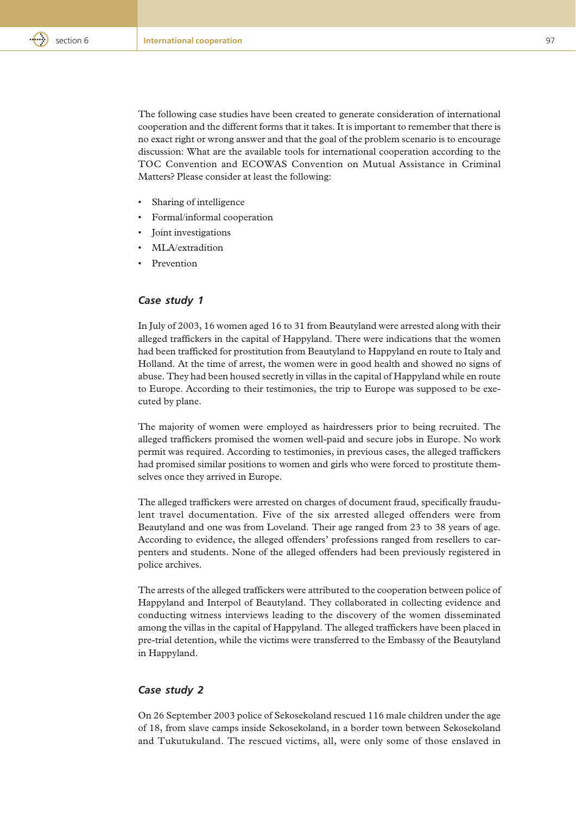The following case studies have been created to generate consideration of international cooperation and the different forms that it takes. It is important to remember that there is no exact right or wrong answer and that the goal of the problem scenario is to encourage discussion: What are the available tools for international cooperation according to the TOC Convention and ECOWAS Convention on Mutual Assistance in Criminal Matters? Please consider at least the following:

- Sharing of intelligence
- Formal/informal cooperation
- Joint investigations
- MLA/extradition
- **Prevention**

# *Case study 1*

In July of 2003, 16 women aged 16 to 31 from Beautyland were arrested along with their alleged traffickers in the capital of Happyland. There were indications that the women had been trafficked for prostitution from Beautyland to Happyland en route to Italy and Holland. At the time of arrest, the women were in good health and showed no signs of abuse. They had been housed secretly in villas in the capital of Happyland while en route to Europe. According to their testimonies, the trip to Europe was supposed to be executed by plane.

The majority of women were employed as hairdressers prior to being recruited. The alleged traffickers promised the women well-paid and secure jobs in Europe. No work permit was required. According to testimonies, in previous cases, the alleged traffickers had promised similar positions to women and girls who were forced to prostitute themselves once they arrived in Europe.

The alleged traffickers were arrested on charges of document fraud, specifically fraudulent travel documentation. Five of the six arrested alleged offenders were from Beautyland and one was from Loveland. Their age ranged from 23 to 38 years of age. According to evidence, the alleged offenders' professions ranged from resellers to carpenters and students. None of the alleged offenders had been previously registered in police archives.

The arrests of the alleged traffickers were attributed to the cooperation between police of Happyland and Interpol of Beautyland. They collaborated in collecting evidence and conducting witness interviews leading to the discovery of the women disseminated among the villas in the capital of Happyland. The alleged traffickers have been placed in pre-trial detention, while the victims were transferred to the Embassy of the Beautyland in Happyland.

# *Case study 2*

On 26 September 2003 police of Sekosekoland rescued 116 male children under the age of 18, from slave camps inside Sekosekoland, in a border town between Sekosekoland and Tukutukuland. The rescued victims, all, were only some of those enslaved in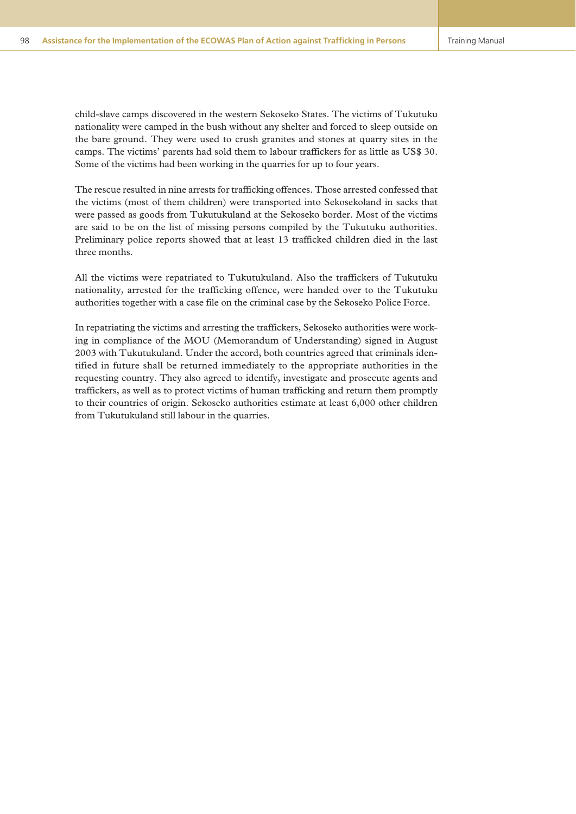child-slave camps discovered in the western Sekoseko States. The victims of Tukutuku nationality were camped in the bush without any shelter and forced to sleep outside on the bare ground. They were used to crush granites and stones at quarry sites in the camps. The victims' parents had sold them to labour traffickers for as little as US\$ 30. Some of the victims had been working in the quarries for up to four years.

The rescue resulted in nine arrests for trafficking offences. Those arrested confessed that the victims (most of them children) were transported into Sekosekoland in sacks that were passed as goods from Tukutukuland at the Sekoseko border. Most of the victims are said to be on the list of missing persons compiled by the Tukutuku authorities. Preliminary police reports showed that at least 13 trafficked children died in the last three months.

All the victims were repatriated to Tukutukuland. Also the traffickers of Tukutuku nationality, arrested for the trafficking offence, were handed over to the Tukutuku authorities together with a case file on the criminal case by the Sekoseko Police Force.

In repatriating the victims and arresting the traffickers, Sekoseko authorities were working in compliance of the MOU (Memorandum of Understanding) signed in August 2003 with Tukutukuland. Under the accord, both countries agreed that criminals identified in future shall be returned immediately to the appropriate authorities in the requesting country. They also agreed to identify, investigate and prosecute agents and traffickers, as well as to protect victims of human trafficking and return them promptly to their countries of origin. Sekoseko authorities estimate at least 6,000 other children from Tukutukuland still labour in the quarries.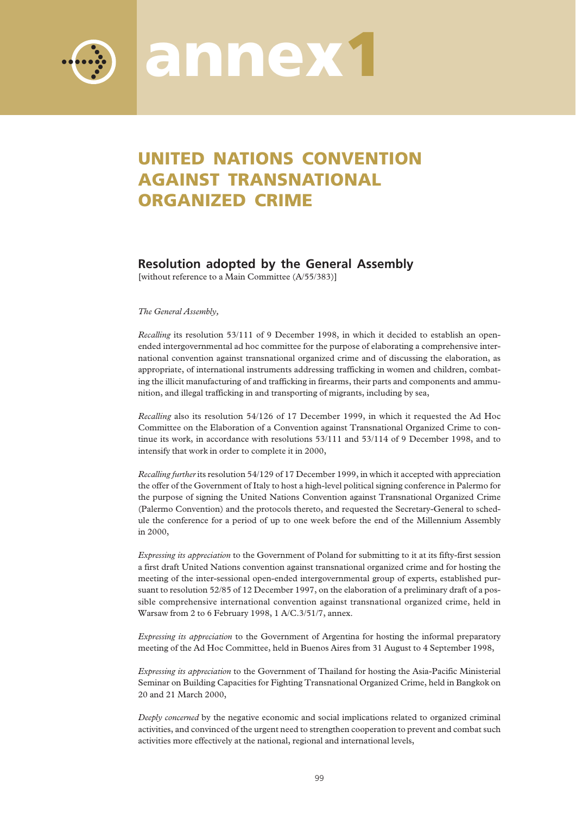

# **UNITED NATIONS CONVENTION AGAINST TRANSNATIONAL ORGANIZED CRIME**

# **Resolution adopted by the General Assembly**

[without reference to a Main Committee (A/55/383)]

# *The General Assembly,*

*Recalling* its resolution 53/111 of 9 December 1998, in which it decided to establish an openended intergovernmental ad hoc committee for the purpose of elaborating a comprehensive international convention against transnational organized crime and of discussing the elaboration, as appropriate, of international instruments addressing trafficking in women and children, combating the illicit manufacturing of and trafficking in firearms, their parts and components and ammunition, and illegal trafficking in and transporting of migrants, including by sea,

*Recalling* also its resolution 54/126 of 17 December 1999, in which it requested the Ad Hoc Committee on the Elaboration of a Convention against Transnational Organized Crime to continue its work, in accordance with resolutions 53/111 and 53/114 of 9 December 1998, and to intensify that work in order to complete it in 2000,

*Recalling further* its resolution 54/129 of 17 December 1999, in which it accepted with appreciation the offer of the Government of Italy to host a high-level political signing conference in Palermo for the purpose of signing the United Nations Convention against Transnational Organized Crime (Palermo Convention) and the protocols thereto, and requested the Secretary-General to schedule the conference for a period of up to one week before the end of the Millennium Assembly in 2000,

*Expressing its appreciation* to the Government of Poland for submitting to it at its fifty-first session a first draft United Nations convention against transnational organized crime and for hosting the meeting of the inter-sessional open-ended intergovernmental group of experts, established pursuant to resolution 52/85 of 12 December 1997, on the elaboration of a preliminary draft of a possible comprehensive international convention against transnational organized crime, held in Warsaw from 2 to 6 February 1998, 1 A/C.3/51/7, annex.

*Expressing its appreciation* to the Government of Argentina for hosting the informal preparatory meeting of the Ad Hoc Committee, held in Buenos Aires from 31 August to 4 September 1998,

*Expressing its appreciation* to the Government of Thailand for hosting the Asia-Pacific Ministerial Seminar on Building Capacities for Fighting Transnational Organized Crime, held in Bangkok on 20 and 21 March 2000,

*Deeply concerned* by the negative economic and social implications related to organized criminal activities, and convinced of the urgent need to strengthen cooperation to prevent and combat such activities more effectively at the national, regional and international levels,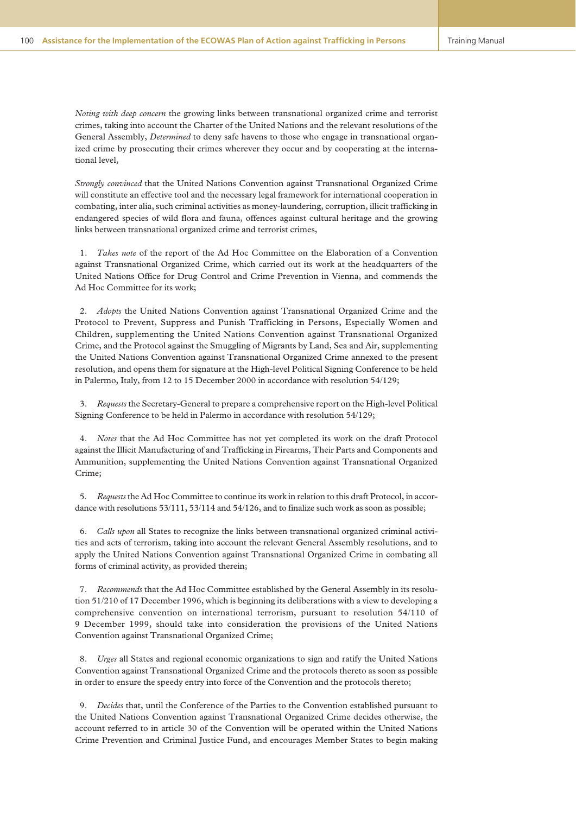*Noting with deep concern* the growing links between transnational organized crime and terrorist crimes, taking into account the Charter of the United Nations and the relevant resolutions of the General Assembly, *Determined* to deny safe havens to those who engage in transnational organized crime by prosecuting their crimes wherever they occur and by cooperating at the international level,

*Strongly convinced* that the United Nations Convention against Transnational Organized Crime will constitute an effective tool and the necessary legal framework for international cooperation in combating, inter alia, such criminal activities as money-laundering, corruption, illicit trafficking in endangered species of wild flora and fauna, offences against cultural heritage and the growing links between transnational organized crime and terrorist crimes,

1. *Takes note* of the report of the Ad Hoc Committee on the Elaboration of a Convention against Transnational Organized Crime, which carried out its work at the headquarters of the United Nations Office for Drug Control and Crime Prevention in Vienna, and commends the Ad Hoc Committee for its work;

2. *Adopts* the United Nations Convention against Transnational Organized Crime and the Protocol to Prevent, Suppress and Punish Trafficking in Persons, Especially Women and Children, supplementing the United Nations Convention against Transnational Organized Crime, and the Protocol against the Smuggling of Migrants by Land, Sea and Air, supplementing the United Nations Convention against Transnational Organized Crime annexed to the present resolution, and opens them for signature at the High-level Political Signing Conference to be held in Palermo, Italy, from 12 to 15 December 2000 in accordance with resolution 54/129;

3. *Requests* the Secretary-General to prepare a comprehensive report on the High-level Political Signing Conference to be held in Palermo in accordance with resolution 54/129;

4. *Notes* that the Ad Hoc Committee has not yet completed its work on the draft Protocol against the Illicit Manufacturing of and Trafficking in Firearms, Their Parts and Components and Ammunition, supplementing the United Nations Convention against Transnational Organized Crime;

5. *Requests* the Ad Hoc Committee to continue its work in relation to this draft Protocol, in accordance with resolutions 53/111, 53/114 and 54/126, and to finalize such work as soon as possible;

6. *Calls upon* all States to recognize the links between transnational organized criminal activities and acts of terrorism, taking into account the relevant General Assembly resolutions, and to apply the United Nations Convention against Transnational Organized Crime in combating all forms of criminal activity, as provided therein;

7. *Recommends* that the Ad Hoc Committee established by the General Assembly in its resolution 51/210 of 17 December 1996, which is beginning its deliberations with a view to developing a comprehensive convention on international terrorism, pursuant to resolution 54/110 of 9 December 1999, should take into consideration the provisions of the United Nations Convention against Transnational Organized Crime;

8. *Urges* all States and regional economic organizations to sign and ratify the United Nations Convention against Transnational Organized Crime and the protocols thereto as soon as possible in order to ensure the speedy entry into force of the Convention and the protocols thereto;

9. *Decides* that, until the Conference of the Parties to the Convention established pursuant to the United Nations Convention against Transnational Organized Crime decides otherwise, the account referred to in article 30 of the Convention will be operated within the United Nations Crime Prevention and Criminal Justice Fund, and encourages Member States to begin making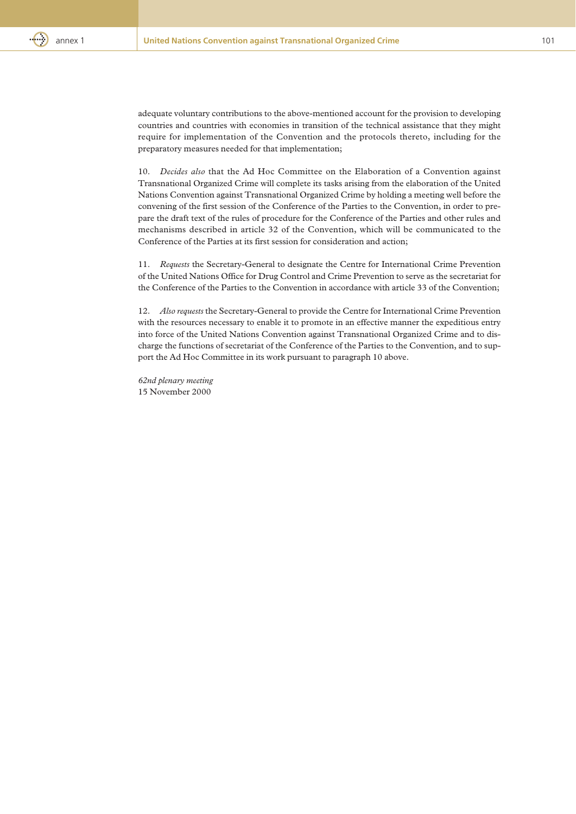adequate voluntary contributions to the above-mentioned account for the provision to developing countries and countries with economies in transition of the technical assistance that they might require for implementation of the Convention and the protocols thereto, including for the preparatory measures needed for that implementation;

10. *Decides also* that the Ad Hoc Committee on the Elaboration of a Convention against Transnational Organized Crime will complete its tasks arising from the elaboration of the United Nations Convention against Transnational Organized Crime by holding a meeting well before the convening of the first session of the Conference of the Parties to the Convention, in order to prepare the draft text of the rules of procedure for the Conference of the Parties and other rules and mechanisms described in article 32 of the Convention, which will be communicated to the Conference of the Parties at its first session for consideration and action;

11. *Requests* the Secretary-General to designate the Centre for International Crime Prevention of the United Nations Office for Drug Control and Crime Prevention to serve as the secretariat for the Conference of the Parties to the Convention in accordance with article 33 of the Convention;

12. *Also requests* the Secretary-General to provide the Centre for International Crime Prevention with the resources necessary to enable it to promote in an effective manner the expeditious entry into force of the United Nations Convention against Transnational Organized Crime and to discharge the functions of secretariat of the Conference of the Parties to the Convention, and to support the Ad Hoc Committee in its work pursuant to paragraph 10 above.

*62nd plenary meeting* 15 November 2000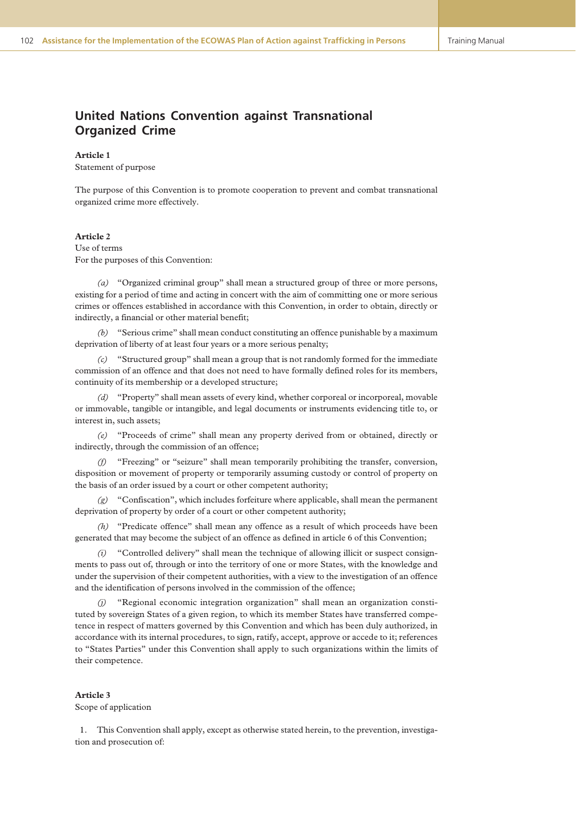# **United Nations Convention against Transnational Organized Crime**

#### **Article 1**

Statement of purpose

The purpose of this Convention is to promote cooperation to prevent and combat transnational organized crime more effectively.

#### **Article 2**

Use of terms For the purposes of this Convention:

*(a)* "Organized criminal group" shall mean a structured group of three or more persons, existing for a period of time and acting in concert with the aim of committing one or more serious crimes or offences established in accordance with this Convention, in order to obtain, directly or indirectly, a financial or other material benefit;

*(b)* "Serious crime" shall mean conduct constituting an offence punishable by a maximum deprivation of liberty of at least four years or a more serious penalty;

*(c)* "Structured group" shall mean a group that is not randomly formed for the immediate commission of an offence and that does not need to have formally defined roles for its members, continuity of its membership or a developed structure;

*(d)* "Property" shall mean assets of every kind, whether corporeal or incorporeal, movable or immovable, tangible or intangible, and legal documents or instruments evidencing title to, or interest in, such assets;

*(e)* "Proceeds of crime" shall mean any property derived from or obtained, directly or indirectly, through the commission of an offence;

*(f)* "Freezing" or "seizure" shall mean temporarily prohibiting the transfer, conversion, disposition or movement of property or temporarily assuming custody or control of property on the basis of an order issued by a court or other competent authority;

*(g)* "Confiscation", which includes forfeiture where applicable, shall mean the permanent deprivation of property by order of a court or other competent authority;

*(h)* "Predicate offence" shall mean any offence as a result of which proceeds have been generated that may become the subject of an offence as defined in article 6 of this Convention;

*(i)* "Controlled delivery" shall mean the technique of allowing illicit or suspect consignments to pass out of, through or into the territory of one or more States, with the knowledge and under the supervision of their competent authorities, with a view to the investigation of an offence and the identification of persons involved in the commission of the offence;

*(j)* "Regional economic integration organization" shall mean an organization constituted by sovereign States of a given region, to which its member States have transferred competence in respect of matters governed by this Convention and which has been duly authorized, in accordance with its internal procedures, to sign, ratify, accept, approve or accede to it; references to "States Parties" under this Convention shall apply to such organizations within the limits of their competence.

#### **Article 3**

Scope of application

1. This Convention shall apply, except as otherwise stated herein, to the prevention, investigation and prosecution of: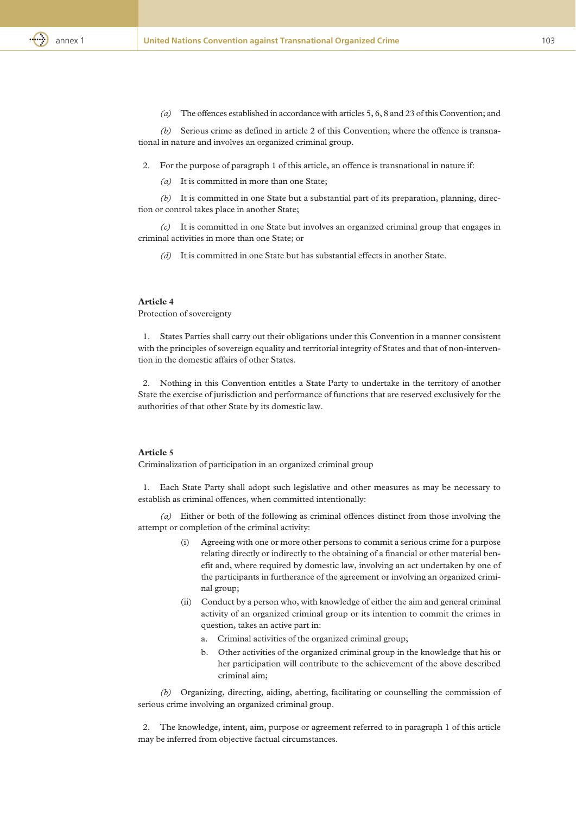*(a)* The offences established in accordance with articles 5, 6, 8 and 23 of this Convention; and

*(b)* Serious crime as defined in article 2 of this Convention; where the offence is transnational in nature and involves an organized criminal group.

2. For the purpose of paragraph 1 of this article, an offence is transnational in nature if:

*(a)* It is committed in more than one State;

*(b)* It is committed in one State but a substantial part of its preparation, planning, direction or control takes place in another State;

*(c)* It is committed in one State but involves an organized criminal group that engages in criminal activities in more than one State; or

*(d)* It is committed in one State but has substantial effects in another State.

## **Article 4**

Protection of sovereignty

1. States Parties shall carry out their obligations under this Convention in a manner consistent with the principles of sovereign equality and territorial integrity of States and that of non-intervention in the domestic affairs of other States.

2. Nothing in this Convention entitles a State Party to undertake in the territory of another State the exercise of jurisdiction and performance of functions that are reserved exclusively for the authorities of that other State by its domestic law.

#### **Article 5**

Criminalization of participation in an organized criminal group

1. Each State Party shall adopt such legislative and other measures as may be necessary to establish as criminal offences, when committed intentionally:

*(a)* Either or both of the following as criminal offences distinct from those involving the attempt or completion of the criminal activity:

- (i) Agreeing with one or more other persons to commit a serious crime for a purpose relating directly or indirectly to the obtaining of a financial or other material benefit and, where required by domestic law, involving an act undertaken by one of the participants in furtherance of the agreement or involving an organized criminal group;
- (ii) Conduct by a person who, with knowledge of either the aim and general criminal activity of an organized criminal group or its intention to commit the crimes in question, takes an active part in:
	- a. Criminal activities of the organized criminal group;
	- b. Other activities of the organized criminal group in the knowledge that his or her participation will contribute to the achievement of the above described criminal aim;

*(b)* Organizing, directing, aiding, abetting, facilitating or counselling the commission of serious crime involving an organized criminal group.

2. The knowledge, intent, aim, purpose or agreement referred to in paragraph 1 of this article may be inferred from objective factual circumstances.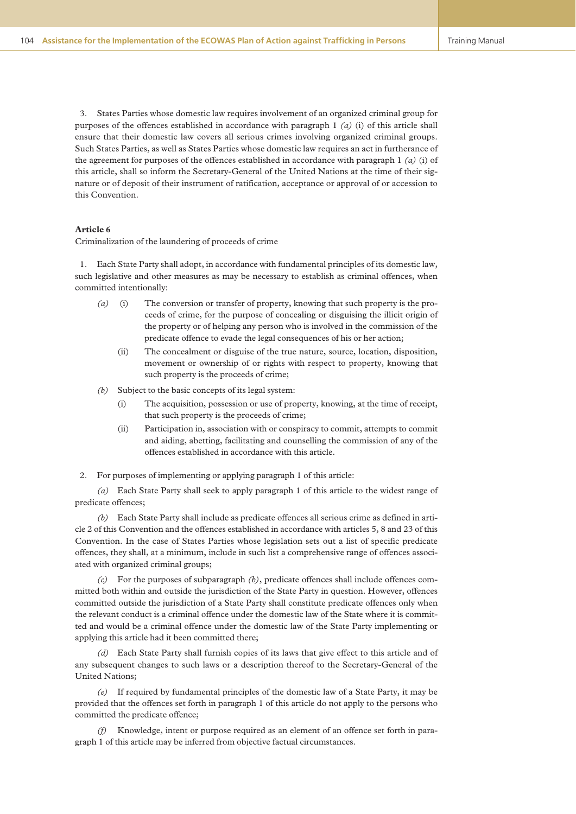3. States Parties whose domestic law requires involvement of an organized criminal group for purposes of the offences established in accordance with paragraph 1 *(a)* (i) of this article shall ensure that their domestic law covers all serious crimes involving organized criminal groups. Such States Parties, as well as States Parties whose domestic law requires an act in furtherance of the agreement for purposes of the offences established in accordance with paragraph 1 *(a)* (i) of this article, shall so inform the Secretary-General of the United Nations at the time of their signature or of deposit of their instrument of ratification, acceptance or approval of or accession to this Convention.

#### **Article 6**

Criminalization of the laundering of proceeds of crime

1. Each State Party shall adopt, in accordance with fundamental principles of its domestic law, such legislative and other measures as may be necessary to establish as criminal offences, when committed intentionally:

- *(a)* (i) The conversion or transfer of property, knowing that such property is the proceeds of crime, for the purpose of concealing or disguising the illicit origin of the property or of helping any person who is involved in the commission of the predicate offence to evade the legal consequences of his or her action;
	- (ii) The concealment or disguise of the true nature, source, location, disposition, movement or ownership of or rights with respect to property, knowing that such property is the proceeds of crime;
- *(b)* Subject to the basic concepts of its legal system:
	- (i) The acquisition, possession or use of property, knowing, at the time of receipt, that such property is the proceeds of crime;
	- (ii) Participation in, association with or conspiracy to commit, attempts to commit and aiding, abetting, facilitating and counselling the commission of any of the offences established in accordance with this article.
- 2. For purposes of implementing or applying paragraph 1 of this article:

*(a)* Each State Party shall seek to apply paragraph 1 of this article to the widest range of predicate offences;

*(b)* Each State Party shall include as predicate offences all serious crime as defined in article 2 of this Convention and the offences established in accordance with articles 5, 8 and 23 of this Convention. In the case of States Parties whose legislation sets out a list of specific predicate offences, they shall, at a minimum, include in such list a comprehensive range of offences associated with organized criminal groups;

*(c)* For the purposes of subparagraph *(b)*, predicate offences shall include offences committed both within and outside the jurisdiction of the State Party in question. However, offences committed outside the jurisdiction of a State Party shall constitute predicate offences only when the relevant conduct is a criminal offence under the domestic law of the State where it is committed and would be a criminal offence under the domestic law of the State Party implementing or applying this article had it been committed there;

*(d)* Each State Party shall furnish copies of its laws that give effect to this article and of any subsequent changes to such laws or a description thereof to the Secretary-General of the United Nations;

*(e)* If required by fundamental principles of the domestic law of a State Party, it may be provided that the offences set forth in paragraph 1 of this article do not apply to the persons who committed the predicate offence;

*(f)* Knowledge, intent or purpose required as an element of an offence set forth in paragraph 1 of this article may be inferred from objective factual circumstances.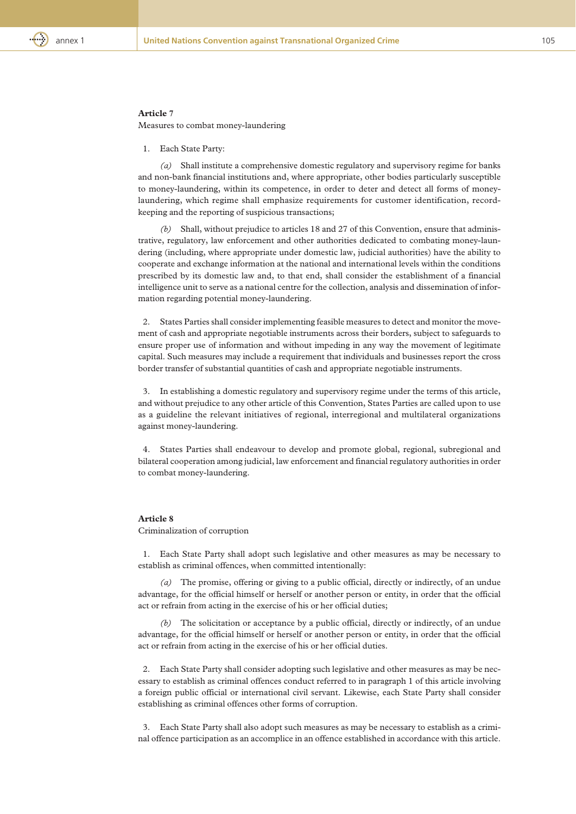#### **Article 7**

Measures to combat money-laundering

1. Each State Party:

*(a)* Shall institute a comprehensive domestic regulatory and supervisory regime for banks and non-bank financial institutions and, where appropriate, other bodies particularly susceptible to money-laundering, within its competence, in order to deter and detect all forms of moneylaundering, which regime shall emphasize requirements for customer identification, recordkeeping and the reporting of suspicious transactions;

*(b)* Shall, without prejudice to articles 18 and 27 of this Convention, ensure that administrative, regulatory, law enforcement and other authorities dedicated to combating money-laundering (including, where appropriate under domestic law, judicial authorities) have the ability to cooperate and exchange information at the national and international levels within the conditions prescribed by its domestic law and, to that end, shall consider the establishment of a financial intelligence unit to serve as a national centre for the collection, analysis and dissemination of information regarding potential money-laundering.

2. States Parties shall consider implementing feasible measures to detect and monitor the movement of cash and appropriate negotiable instruments across their borders, subject to safeguards to ensure proper use of information and without impeding in any way the movement of legitimate capital. Such measures may include a requirement that individuals and businesses report the cross border transfer of substantial quantities of cash and appropriate negotiable instruments.

3. In establishing a domestic regulatory and supervisory regime under the terms of this article, and without prejudice to any other article of this Convention, States Parties are called upon to use as a guideline the relevant initiatives of regional, interregional and multilateral organizations against money-laundering.

4. States Parties shall endeavour to develop and promote global, regional, subregional and bilateral cooperation among judicial, law enforcement and financial regulatory authorities in order to combat money-laundering.

#### **Article 8**

Criminalization of corruption

1. Each State Party shall adopt such legislative and other measures as may be necessary to establish as criminal offences, when committed intentionally:

*(a)* The promise, offering or giving to a public official, directly or indirectly, of an undue advantage, for the official himself or herself or another person or entity, in order that the official act or refrain from acting in the exercise of his or her official duties;

*(b)* The solicitation or acceptance by a public official, directly or indirectly, of an undue advantage, for the official himself or herself or another person or entity, in order that the official act or refrain from acting in the exercise of his or her official duties.

2. Each State Party shall consider adopting such legislative and other measures as may be necessary to establish as criminal offences conduct referred to in paragraph 1 of this article involving a foreign public official or international civil servant. Likewise, each State Party shall consider establishing as criminal offences other forms of corruption.

3. Each State Party shall also adopt such measures as may be necessary to establish as a criminal offence participation as an accomplice in an offence established in accordance with this article.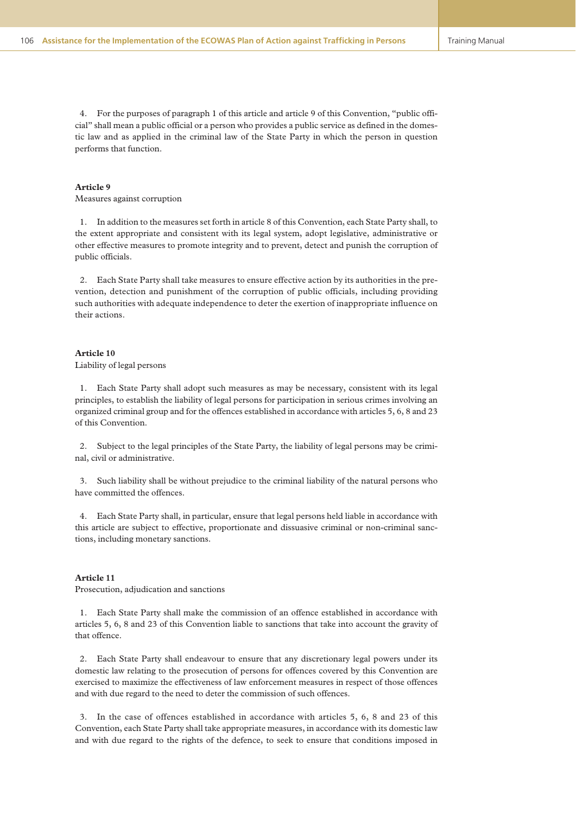4. For the purposes of paragraph 1 of this article and article 9 of this Convention, "public official" shall mean a public official or a person who provides a public service as defined in the domestic law and as applied in the criminal law of the State Party in which the person in question performs that function.

# **Article 9**

Measures against corruption

1. In addition to the measures set forth in article 8 of this Convention, each State Party shall, to the extent appropriate and consistent with its legal system, adopt legislative, administrative or other effective measures to promote integrity and to prevent, detect and punish the corruption of public officials.

2. Each State Party shall take measures to ensure effective action by its authorities in the prevention, detection and punishment of the corruption of public officials, including providing such authorities with adequate independence to deter the exertion of inappropriate influence on their actions.

# **Article 10**

Liability of legal persons

1. Each State Party shall adopt such measures as may be necessary, consistent with its legal principles, to establish the liability of legal persons for participation in serious crimes involving an organized criminal group and for the offences established in accordance with articles 5, 6, 8 and 23 of this Convention.

2. Subject to the legal principles of the State Party, the liability of legal persons may be criminal, civil or administrative.

3. Such liability shall be without prejudice to the criminal liability of the natural persons who have committed the offences.

4. Each State Party shall, in particular, ensure that legal persons held liable in accordance with this article are subject to effective, proportionate and dissuasive criminal or non-criminal sanctions, including monetary sanctions.

# **Article 11**

Prosecution, adjudication and sanctions

1. Each State Party shall make the commission of an offence established in accordance with articles 5, 6, 8 and 23 of this Convention liable to sanctions that take into account the gravity of that offence.

2. Each State Party shall endeavour to ensure that any discretionary legal powers under its domestic law relating to the prosecution of persons for offences covered by this Convention are exercised to maximize the effectiveness of law enforcement measures in respect of those offences and with due regard to the need to deter the commission of such offences.

3. In the case of offences established in accordance with articles 5, 6, 8 and 23 of this Convention, each State Party shall take appropriate measures, in accordance with its domestic law and with due regard to the rights of the defence, to seek to ensure that conditions imposed in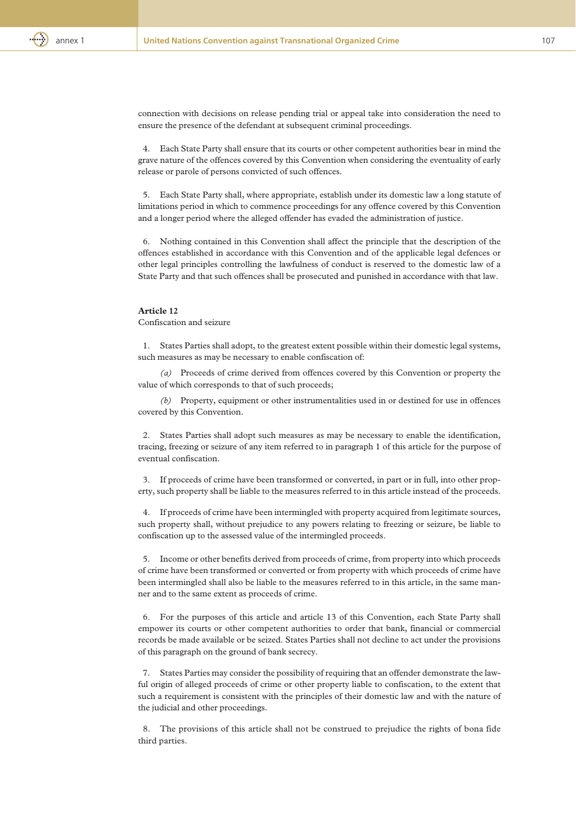connection with decisions on release pending trial or appeal take into consideration the need to ensure the presence of the defendant at subsequent criminal proceedings.

4. Each State Party shall ensure that its courts or other competent authorities bear in mind the grave nature of the offences covered by this Convention when considering the eventuality of early release or parole of persons convicted of such offences.

5. Each State Party shall, where appropriate, establish under its domestic law a long statute of limitations period in which to commence proceedings for any offence covered by this Convention and a longer period where the alleged offender has evaded the administration of justice.

6. Nothing contained in this Convention shall affect the principle that the description of the offences established in accordance with this Convention and of the applicable legal defences or other legal principles controlling the lawfulness of conduct is reserved to the domestic law of a State Party and that such offences shall be prosecuted and punished in accordance with that law.

## **Article 12**

Confiscation and seizure

1. States Parties shall adopt, to the greatest extent possible within their domestic legal systems, such measures as may be necessary to enable confiscation of:

*(a)* Proceeds of crime derived from offences covered by this Convention or property the value of which corresponds to that of such proceeds;

*(b)* Property, equipment or other instrumentalities used in or destined for use in offences covered by this Convention.

2. States Parties shall adopt such measures as may be necessary to enable the identification, tracing, freezing or seizure of any item referred to in paragraph 1 of this article for the purpose of eventual confiscation.

3. If proceeds of crime have been transformed or converted, in part or in full, into other property, such property shall be liable to the measures referred to in this article instead of the proceeds.

4. If proceeds of crime have been intermingled with property acquired from legitimate sources, such property shall, without prejudice to any powers relating to freezing or seizure, be liable to confiscation up to the assessed value of the intermingled proceeds.

Income or other benefits derived from proceeds of crime, from property into which proceeds of crime have been transformed or converted or from property with which proceeds of crime have been intermingled shall also be liable to the measures referred to in this article, in the same manner and to the same extent as proceeds of crime.

6. For the purposes of this article and article 13 of this Convention, each State Party shall empower its courts or other competent authorities to order that bank, financial or commercial records be made available or be seized. States Parties shall not decline to act under the provisions of this paragraph on the ground of bank secrecy.

7. States Parties may consider the possibility of requiring that an offender demonstrate the lawful origin of alleged proceeds of crime or other property liable to confiscation, to the extent that such a requirement is consistent with the principles of their domestic law and with the nature of the judicial and other proceedings.

8. The provisions of this article shall not be construed to prejudice the rights of bona fide third parties.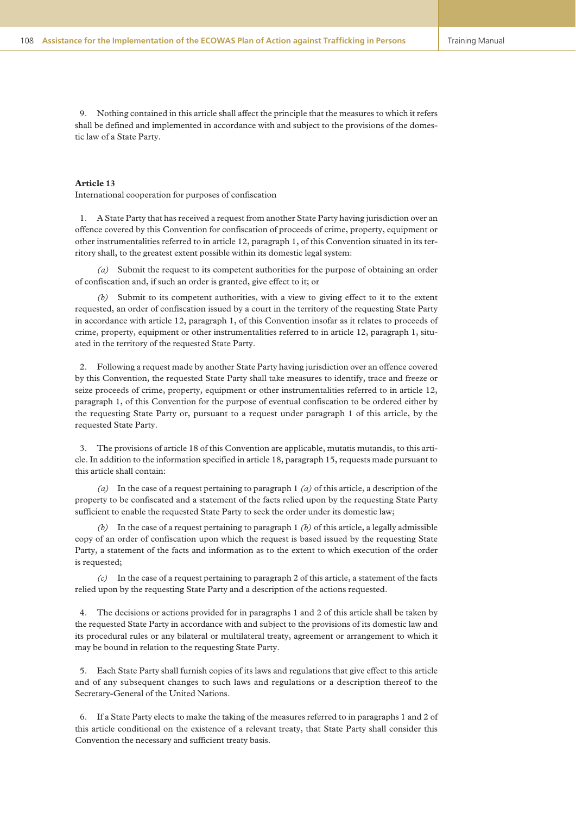9. Nothing contained in this article shall affect the principle that the measures to which it refers shall be defined and implemented in accordance with and subject to the provisions of the domestic law of a State Party.

# **Article 13**

International cooperation for purposes of confiscation

1. A State Party that has received a request from another State Party having jurisdiction over an offence covered by this Convention for confiscation of proceeds of crime, property, equipment or other instrumentalities referred to in article 12, paragraph 1, of this Convention situated in its territory shall, to the greatest extent possible within its domestic legal system:

*(a)* Submit the request to its competent authorities for the purpose of obtaining an order of confiscation and, if such an order is granted, give effect to it; or

*(b)* Submit to its competent authorities, with a view to giving effect to it to the extent requested, an order of confiscation issued by a court in the territory of the requesting State Party in accordance with article 12, paragraph 1, of this Convention insofar as it relates to proceeds of crime, property, equipment or other instrumentalities referred to in article 12, paragraph 1, situated in the territory of the requested State Party.

2. Following a request made by another State Party having jurisdiction over an offence covered by this Convention, the requested State Party shall take measures to identify, trace and freeze or seize proceeds of crime, property, equipment or other instrumentalities referred to in article 12, paragraph 1, of this Convention for the purpose of eventual confiscation to be ordered either by the requesting State Party or, pursuant to a request under paragraph 1 of this article, by the requested State Party.

3. The provisions of article 18 of this Convention are applicable, mutatis mutandis, to this article. In addition to the information specified in article 18, paragraph 15, requests made pursuant to this article shall contain:

*(a)* In the case of a request pertaining to paragraph 1 *(a)* of this article, a description of the property to be confiscated and a statement of the facts relied upon by the requesting State Party sufficient to enable the requested State Party to seek the order under its domestic law;

*(b)* In the case of a request pertaining to paragraph 1 *(b)* of this article, a legally admissible copy of an order of confiscation upon which the request is based issued by the requesting State Party, a statement of the facts and information as to the extent to which execution of the order is requested;

*(c)* In the case of a request pertaining to paragraph 2 of this article, a statement of the facts relied upon by the requesting State Party and a description of the actions requested.

4. The decisions or actions provided for in paragraphs 1 and 2 of this article shall be taken by the requested State Party in accordance with and subject to the provisions of its domestic law and its procedural rules or any bilateral or multilateral treaty, agreement or arrangement to which it may be bound in relation to the requesting State Party.

5. Each State Party shall furnish copies of its laws and regulations that give effect to this article and of any subsequent changes to such laws and regulations or a description thereof to the Secretary-General of the United Nations.

6. If a State Party elects to make the taking of the measures referred to in paragraphs 1 and 2 of this article conditional on the existence of a relevant treaty, that State Party shall consider this Convention the necessary and sufficient treaty basis.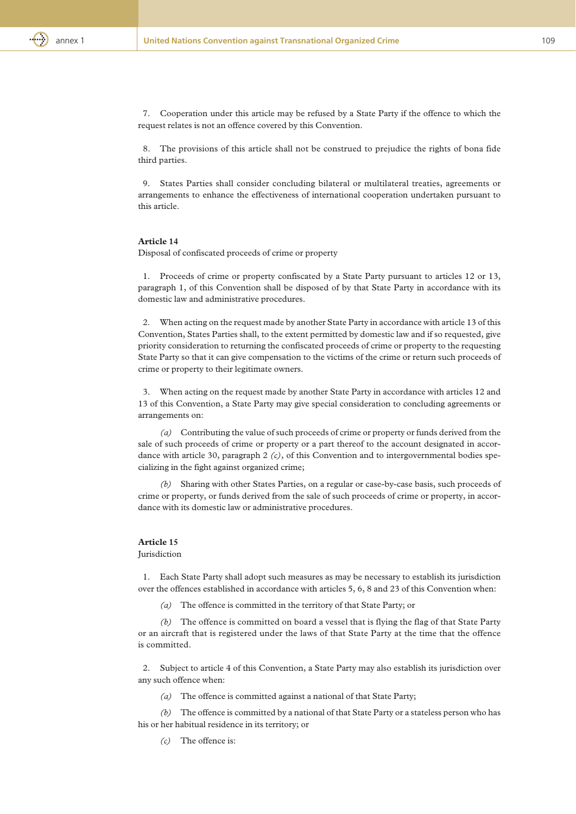7. Cooperation under this article may be refused by a State Party if the offence to which the request relates is not an offence covered by this Convention.

8. The provisions of this article shall not be construed to prejudice the rights of bona fide third parties.

9. States Parties shall consider concluding bilateral or multilateral treaties, agreements or arrangements to enhance the effectiveness of international cooperation undertaken pursuant to this article.

## **Article 14**

Disposal of confiscated proceeds of crime or property

1. Proceeds of crime or property confiscated by a State Party pursuant to articles 12 or 13, paragraph 1, of this Convention shall be disposed of by that State Party in accordance with its domestic law and administrative procedures.

2. When acting on the request made by another State Party in accordance with article 13 of this Convention, States Parties shall, to the extent permitted by domestic law and if so requested, give priority consideration to returning the confiscated proceeds of crime or property to the requesting State Party so that it can give compensation to the victims of the crime or return such proceeds of crime or property to their legitimate owners.

3. When acting on the request made by another State Party in accordance with articles 12 and 13 of this Convention, a State Party may give special consideration to concluding agreements or arrangements on:

*(a)* Contributing the value of such proceeds of crime or property or funds derived from the sale of such proceeds of crime or property or a part thereof to the account designated in accordance with article 30, paragraph 2 *(c)*, of this Convention and to intergovernmental bodies specializing in the fight against organized crime;

*(b)* Sharing with other States Parties, on a regular or case-by-case basis, such proceeds of crime or property, or funds derived from the sale of such proceeds of crime or property, in accordance with its domestic law or administrative procedures.

# **Article 15**

# **Jurisdiction**

1. Each State Party shall adopt such measures as may be necessary to establish its jurisdiction over the offences established in accordance with articles 5, 6, 8 and 23 of this Convention when:

*(a)* The offence is committed in the territory of that State Party; or

*(b)* The offence is committed on board a vessel that is flying the flag of that State Party or an aircraft that is registered under the laws of that State Party at the time that the offence is committed.

2. Subject to article 4 of this Convention, a State Party may also establish its jurisdiction over any such offence when:

*(a)* The offence is committed against a national of that State Party;

*(b)* The offence is committed by a national of that State Party or a stateless person who has his or her habitual residence in its territory; or

*(c)* The offence is: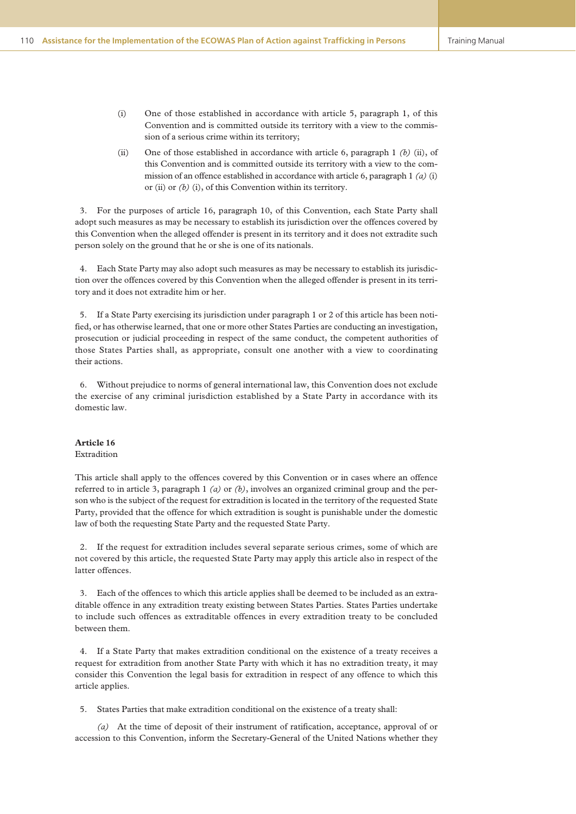- (i) One of those established in accordance with article 5, paragraph 1, of this Convention and is committed outside its territory with a view to the commission of a serious crime within its territory;
- (ii) One of those established in accordance with article 6, paragraph 1 *(b)* (ii), of this Convention and is committed outside its territory with a view to the commission of an offence established in accordance with article 6, paragraph 1 *(a)* (i) or (ii) or *(b)* (i), of this Convention within its territory.

3. For the purposes of article 16, paragraph 10, of this Convention, each State Party shall adopt such measures as may be necessary to establish its jurisdiction over the offences covered by this Convention when the alleged offender is present in its territory and it does not extradite such person solely on the ground that he or she is one of its nationals.

4. Each State Party may also adopt such measures as may be necessary to establish its jurisdiction over the offences covered by this Convention when the alleged offender is present in its territory and it does not extradite him or her.

5. If a State Party exercising its jurisdiction under paragraph 1 or 2 of this article has been notified, or has otherwise learned, that one or more other States Parties are conducting an investigation, prosecution or judicial proceeding in respect of the same conduct, the competent authorities of those States Parties shall, as appropriate, consult one another with a view to coordinating their actions.

6. Without prejudice to norms of general international law, this Convention does not exclude the exercise of any criminal jurisdiction established by a State Party in accordance with its domestic law.

# **Article 16**

# Extradition

This article shall apply to the offences covered by this Convention or in cases where an offence referred to in article 3, paragraph 1 *(a)* or *(b)*, involves an organized criminal group and the person who is the subject of the request for extradition is located in the territory of the requested State Party, provided that the offence for which extradition is sought is punishable under the domestic law of both the requesting State Party and the requested State Party.

2. If the request for extradition includes several separate serious crimes, some of which are not covered by this article, the requested State Party may apply this article also in respect of the latter offences.

3. Each of the offences to which this article applies shall be deemed to be included as an extraditable offence in any extradition treaty existing between States Parties. States Parties undertake to include such offences as extraditable offences in every extradition treaty to be concluded between them.

4. If a State Party that makes extradition conditional on the existence of a treaty receives a request for extradition from another State Party with which it has no extradition treaty, it may consider this Convention the legal basis for extradition in respect of any offence to which this article applies.

5. States Parties that make extradition conditional on the existence of a treaty shall:

*(a)* At the time of deposit of their instrument of ratification, acceptance, approval of or accession to this Convention, inform the Secretary-General of the United Nations whether they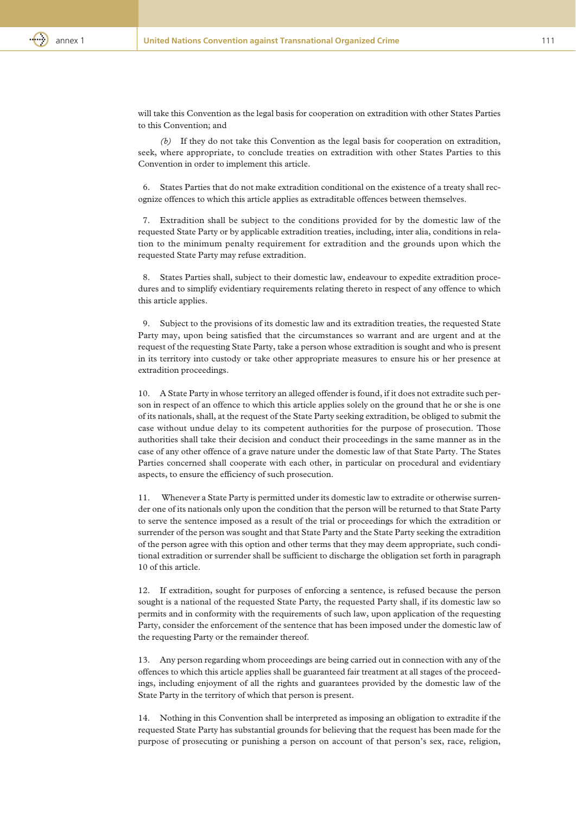will take this Convention as the legal basis for cooperation on extradition with other States Parties to this Convention; and

*(b)* If they do not take this Convention as the legal basis for cooperation on extradition, seek, where appropriate, to conclude treaties on extradition with other States Parties to this Convention in order to implement this article.

6. States Parties that do not make extradition conditional on the existence of a treaty shall recognize offences to which this article applies as extraditable offences between themselves.

7. Extradition shall be subject to the conditions provided for by the domestic law of the requested State Party or by applicable extradition treaties, including, inter alia, conditions in relation to the minimum penalty requirement for extradition and the grounds upon which the requested State Party may refuse extradition.

8. States Parties shall, subject to their domestic law, endeavour to expedite extradition procedures and to simplify evidentiary requirements relating thereto in respect of any offence to which this article applies.

9. Subject to the provisions of its domestic law and its extradition treaties, the requested State Party may, upon being satisfied that the circumstances so warrant and are urgent and at the request of the requesting State Party, take a person whose extradition is sought and who is present in its territory into custody or take other appropriate measures to ensure his or her presence at extradition proceedings.

10. A State Party in whose territory an alleged offender is found, if it does not extradite such person in respect of an offence to which this article applies solely on the ground that he or she is one of its nationals, shall, at the request of the State Party seeking extradition, be obliged to submit the case without undue delay to its competent authorities for the purpose of prosecution. Those authorities shall take their decision and conduct their proceedings in the same manner as in the case of any other offence of a grave nature under the domestic law of that State Party. The States Parties concerned shall cooperate with each other, in particular on procedural and evidentiary aspects, to ensure the efficiency of such prosecution.

11. Whenever a State Party is permitted under its domestic law to extradite or otherwise surrender one of its nationals only upon the condition that the person will be returned to that State Party to serve the sentence imposed as a result of the trial or proceedings for which the extradition or surrender of the person was sought and that State Party and the State Party seeking the extradition of the person agree with this option and other terms that they may deem appropriate, such conditional extradition or surrender shall be sufficient to discharge the obligation set forth in paragraph 10 of this article.

12. If extradition, sought for purposes of enforcing a sentence, is refused because the person sought is a national of the requested State Party, the requested Party shall, if its domestic law so permits and in conformity with the requirements of such law, upon application of the requesting Party, consider the enforcement of the sentence that has been imposed under the domestic law of the requesting Party or the remainder thereof.

13. Any person regarding whom proceedings are being carried out in connection with any of the offences to which this article applies shall be guaranteed fair treatment at all stages of the proceedings, including enjoyment of all the rights and guarantees provided by the domestic law of the State Party in the territory of which that person is present.

14. Nothing in this Convention shall be interpreted as imposing an obligation to extradite if the requested State Party has substantial grounds for believing that the request has been made for the purpose of prosecuting or punishing a person on account of that person's sex, race, religion,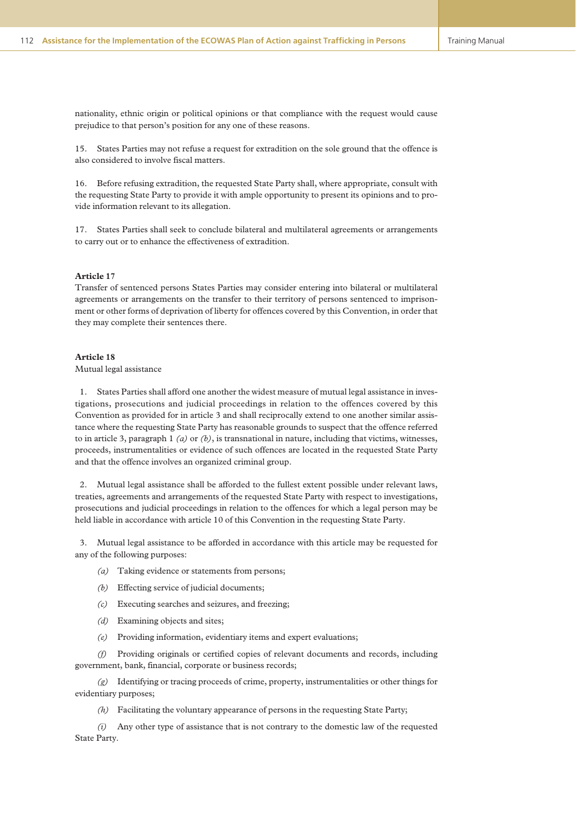nationality, ethnic origin or political opinions or that compliance with the request would cause prejudice to that person's position for any one of these reasons.

15. States Parties may not refuse a request for extradition on the sole ground that the offence is also considered to involve fiscal matters.

16. Before refusing extradition, the requested State Party shall, where appropriate, consult with the requesting State Party to provide it with ample opportunity to present its opinions and to provide information relevant to its allegation.

17. States Parties shall seek to conclude bilateral and multilateral agreements or arrangements to carry out or to enhance the effectiveness of extradition.

#### **Article 17**

Transfer of sentenced persons States Parties may consider entering into bilateral or multilateral agreements or arrangements on the transfer to their territory of persons sentenced to imprisonment or other forms of deprivation of liberty for offences covered by this Convention, in order that they may complete their sentences there.

#### **Article 18**

Mutual legal assistance

1. States Parties shall afford one another the widest measure of mutual legal assistance in investigations, prosecutions and judicial proceedings in relation to the offences covered by this Convention as provided for in article 3 and shall reciprocally extend to one another similar assistance where the requesting State Party has reasonable grounds to suspect that the offence referred to in article 3, paragraph 1 *(a)* or *(b)*, is transnational in nature, including that victims, witnesses, proceeds, instrumentalities or evidence of such offences are located in the requested State Party and that the offence involves an organized criminal group.

2. Mutual legal assistance shall be afforded to the fullest extent possible under relevant laws, treaties, agreements and arrangements of the requested State Party with respect to investigations, prosecutions and judicial proceedings in relation to the offences for which a legal person may be held liable in accordance with article 10 of this Convention in the requesting State Party.

3. Mutual legal assistance to be afforded in accordance with this article may be requested for any of the following purposes:

- *(a)* Taking evidence or statements from persons;
- *(b)* Effecting service of judicial documents;
- *(c)* Executing searches and seizures, and freezing;
- *(d)* Examining objects and sites;
- *(e)* Providing information, evidentiary items and expert evaluations;

*(f)* Providing originals or certified copies of relevant documents and records, including government, bank, financial, corporate or business records;

*(g)* Identifying or tracing proceeds of crime, property, instrumentalities or other things for evidentiary purposes;

*(h)* Facilitating the voluntary appearance of persons in the requesting State Party;

*(i)* Any other type of assistance that is not contrary to the domestic law of the requested State Party.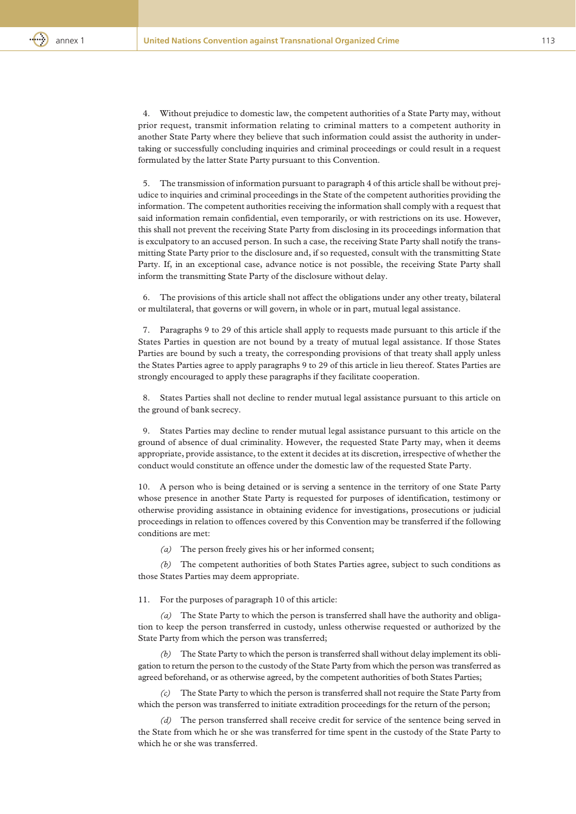4. Without prejudice to domestic law, the competent authorities of a State Party may, without prior request, transmit information relating to criminal matters to a competent authority in another State Party where they believe that such information could assist the authority in undertaking or successfully concluding inquiries and criminal proceedings or could result in a request formulated by the latter State Party pursuant to this Convention.

5. The transmission of information pursuant to paragraph 4 of this article shall be without prejudice to inquiries and criminal proceedings in the State of the competent authorities providing the information. The competent authorities receiving the information shall comply with a request that said information remain confidential, even temporarily, or with restrictions on its use. However, this shall not prevent the receiving State Party from disclosing in its proceedings information that is exculpatory to an accused person. In such a case, the receiving State Party shall notify the transmitting State Party prior to the disclosure and, if so requested, consult with the transmitting State Party. If, in an exceptional case, advance notice is not possible, the receiving State Party shall inform the transmitting State Party of the disclosure without delay.

6. The provisions of this article shall not affect the obligations under any other treaty, bilateral or multilateral, that governs or will govern, in whole or in part, mutual legal assistance.

7. Paragraphs 9 to 29 of this article shall apply to requests made pursuant to this article if the States Parties in question are not bound by a treaty of mutual legal assistance. If those States Parties are bound by such a treaty, the corresponding provisions of that treaty shall apply unless the States Parties agree to apply paragraphs 9 to 29 of this article in lieu thereof. States Parties are strongly encouraged to apply these paragraphs if they facilitate cooperation.

8. States Parties shall not decline to render mutual legal assistance pursuant to this article on the ground of bank secrecy.

9. States Parties may decline to render mutual legal assistance pursuant to this article on the ground of absence of dual criminality. However, the requested State Party may, when it deems appropriate, provide assistance, to the extent it decides at its discretion, irrespective of whether the conduct would constitute an offence under the domestic law of the requested State Party.

10. A person who is being detained or is serving a sentence in the territory of one State Party whose presence in another State Party is requested for purposes of identification, testimony or otherwise providing assistance in obtaining evidence for investigations, prosecutions or judicial proceedings in relation to offences covered by this Convention may be transferred if the following conditions are met:

*(a)* The person freely gives his or her informed consent;

*(b)* The competent authorities of both States Parties agree, subject to such conditions as those States Parties may deem appropriate.

11. For the purposes of paragraph 10 of this article:

*(a)* The State Party to which the person is transferred shall have the authority and obligation to keep the person transferred in custody, unless otherwise requested or authorized by the State Party from which the person was transferred;

*(b)* The State Party to which the person is transferred shall without delay implement its obligation to return the person to the custody of the State Party from which the person was transferred as agreed beforehand, or as otherwise agreed, by the competent authorities of both States Parties;

*(c)* The State Party to which the person is transferred shall not require the State Party from which the person was transferred to initiate extradition proceedings for the return of the person;

*(d)* The person transferred shall receive credit for service of the sentence being served in the State from which he or she was transferred for time spent in the custody of the State Party to which he or she was transferred.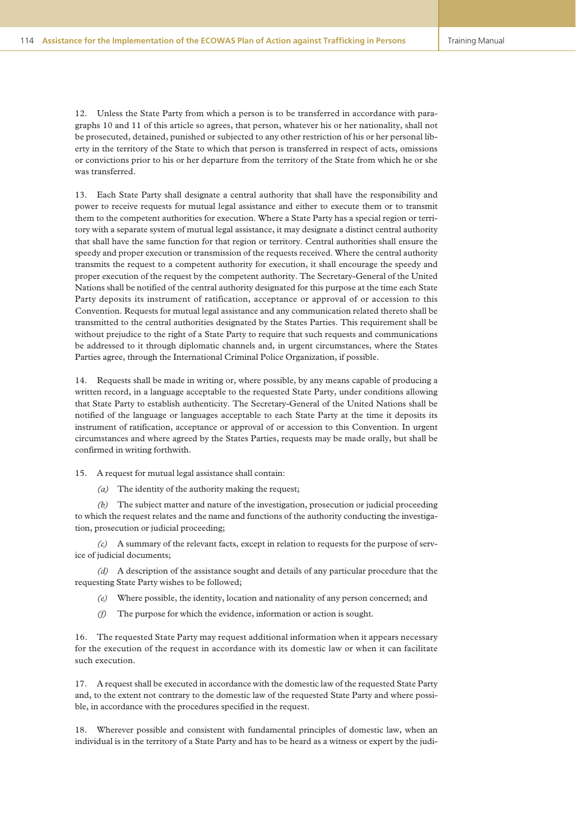12. Unless the State Party from which a person is to be transferred in accordance with paragraphs 10 and 11 of this article so agrees, that person, whatever his or her nationality, shall not be prosecuted, detained, punished or subjected to any other restriction of his or her personal liberty in the territory of the State to which that person is transferred in respect of acts, omissions or convictions prior to his or her departure from the territory of the State from which he or she was transferred.

13. Each State Party shall designate a central authority that shall have the responsibility and power to receive requests for mutual legal assistance and either to execute them or to transmit them to the competent authorities for execution. Where a State Party has a special region or territory with a separate system of mutual legal assistance, it may designate a distinct central authority that shall have the same function for that region or territory. Central authorities shall ensure the speedy and proper execution or transmission of the requests received. Where the central authority transmits the request to a competent authority for execution, it shall encourage the speedy and proper execution of the request by the competent authority. The Secretary-General of the United Nations shall be notified of the central authority designated for this purpose at the time each State Party deposits its instrument of ratification, acceptance or approval of or accession to this Convention. Requests for mutual legal assistance and any communication related thereto shall be transmitted to the central authorities designated by the States Parties. This requirement shall be without prejudice to the right of a State Party to require that such requests and communications be addressed to it through diplomatic channels and, in urgent circumstances, where the States Parties agree, through the International Criminal Police Organization, if possible.

14. Requests shall be made in writing or, where possible, by any means capable of producing a written record, in a language acceptable to the requested State Party, under conditions allowing that State Party to establish authenticity. The Secretary-General of the United Nations shall be notified of the language or languages acceptable to each State Party at the time it deposits its instrument of ratification, acceptance or approval of or accession to this Convention. In urgent circumstances and where agreed by the States Parties, requests may be made orally, but shall be confirmed in writing forthwith.

15. A request for mutual legal assistance shall contain:

*(a)* The identity of the authority making the request;

*(b)* The subject matter and nature of the investigation, prosecution or judicial proceeding to which the request relates and the name and functions of the authority conducting the investigation, prosecution or judicial proceeding;

*(c)* A summary of the relevant facts, except in relation to requests for the purpose of service of judicial documents;

*(d)* A description of the assistance sought and details of any particular procedure that the requesting State Party wishes to be followed;

- *(e)* Where possible, the identity, location and nationality of any person concerned; and
- *(f)* The purpose for which the evidence, information or action is sought.

16. The requested State Party may request additional information when it appears necessary for the execution of the request in accordance with its domestic law or when it can facilitate such execution.

17. A request shall be executed in accordance with the domestic law of the requested State Party and, to the extent not contrary to the domestic law of the requested State Party and where possible, in accordance with the procedures specified in the request.

18. Wherever possible and consistent with fundamental principles of domestic law, when an individual is in the territory of a State Party and has to be heard as a witness or expert by the judi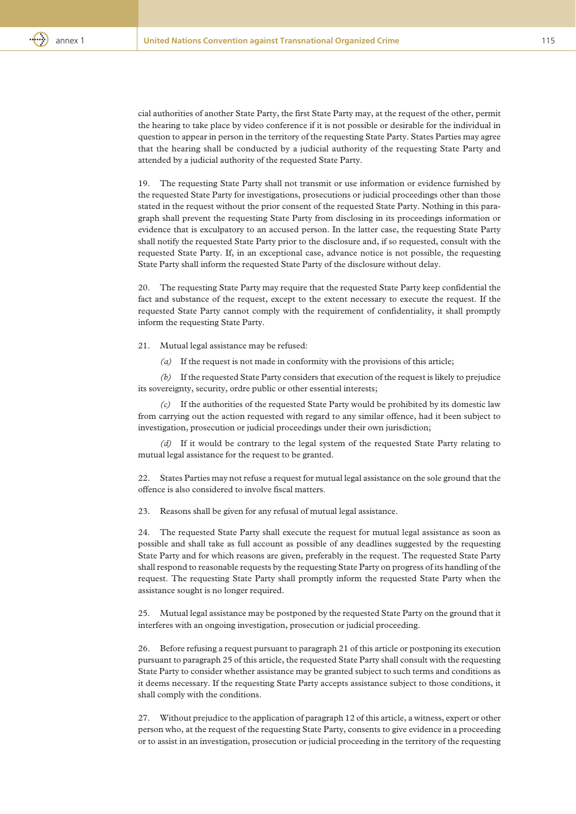cial authorities of another State Party, the first State Party may, at the request of the other, permit the hearing to take place by video conference if it is not possible or desirable for the individual in question to appear in person in the territory of the requesting State Party. States Parties may agree that the hearing shall be conducted by a judicial authority of the requesting State Party and attended by a judicial authority of the requested State Party.

19. The requesting State Party shall not transmit or use information or evidence furnished by the requested State Party for investigations, prosecutions or judicial proceedings other than those stated in the request without the prior consent of the requested State Party. Nothing in this paragraph shall prevent the requesting State Party from disclosing in its proceedings information or evidence that is exculpatory to an accused person. In the latter case, the requesting State Party shall notify the requested State Party prior to the disclosure and, if so requested, consult with the requested State Party. If, in an exceptional case, advance notice is not possible, the requesting State Party shall inform the requested State Party of the disclosure without delay.

20. The requesting State Party may require that the requested State Party keep confidential the fact and substance of the request, except to the extent necessary to execute the request. If the requested State Party cannot comply with the requirement of confidentiality, it shall promptly inform the requesting State Party.

21. Mutual legal assistance may be refused:

*(a)* If the request is not made in conformity with the provisions of this article;

*(b)* If the requested State Party considers that execution of the request is likely to prejudice its sovereignty, security, ordre public or other essential interests;

*(c)* If the authorities of the requested State Party would be prohibited by its domestic law from carrying out the action requested with regard to any similar offence, had it been subject to investigation, prosecution or judicial proceedings under their own jurisdiction;

*(d)* If it would be contrary to the legal system of the requested State Party relating to mutual legal assistance for the request to be granted.

22. States Parties may not refuse a request for mutual legal assistance on the sole ground that the offence is also considered to involve fiscal matters.

23. Reasons shall be given for any refusal of mutual legal assistance.

24. The requested State Party shall execute the request for mutual legal assistance as soon as possible and shall take as full account as possible of any deadlines suggested by the requesting State Party and for which reasons are given, preferably in the request. The requested State Party shall respond to reasonable requests by the requesting State Party on progress of its handling of the request. The requesting State Party shall promptly inform the requested State Party when the assistance sought is no longer required.

25. Mutual legal assistance may be postponed by the requested State Party on the ground that it interferes with an ongoing investigation, prosecution or judicial proceeding.

26. Before refusing a request pursuant to paragraph 21 of this article or postponing its execution pursuant to paragraph 25 of this article, the requested State Party shall consult with the requesting State Party to consider whether assistance may be granted subject to such terms and conditions as it deems necessary. If the requesting State Party accepts assistance subject to those conditions, it shall comply with the conditions.

27. Without prejudice to the application of paragraph 12 of this article, a witness, expert or other person who, at the request of the requesting State Party, consents to give evidence in a proceeding or to assist in an investigation, prosecution or judicial proceeding in the territory of the requesting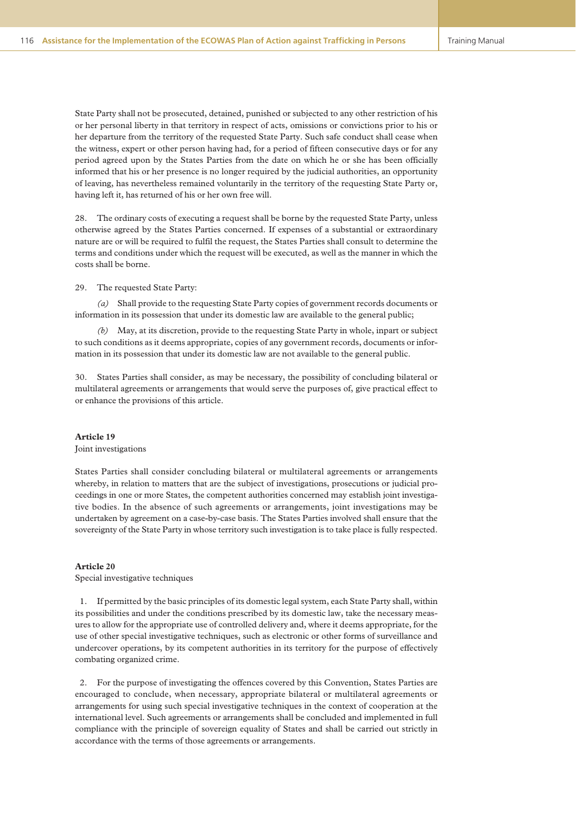State Party shall not be prosecuted, detained, punished or subjected to any other restriction of his or her personal liberty in that territory in respect of acts, omissions or convictions prior to his or her departure from the territory of the requested State Party. Such safe conduct shall cease when the witness, expert or other person having had, for a period of fifteen consecutive days or for any period agreed upon by the States Parties from the date on which he or she has been officially informed that his or her presence is no longer required by the judicial authorities, an opportunity of leaving, has nevertheless remained voluntarily in the territory of the requesting State Party or, having left it, has returned of his or her own free will.

28. The ordinary costs of executing a request shall be borne by the requested State Party, unless otherwise agreed by the States Parties concerned. If expenses of a substantial or extraordinary nature are or will be required to fulfil the request, the States Parties shall consult to determine the terms and conditions under which the request will be executed, as well as the manner in which the costs shall be borne.

29. The requested State Party:

*(a)* Shall provide to the requesting State Party copies of government records documents or information in its possession that under its domestic law are available to the general public;

*(b)* May, at its discretion, provide to the requesting State Party in whole, inpart or subject to such conditions as it deems appropriate, copies of any government records, documents or information in its possession that under its domestic law are not available to the general public.

30. States Parties shall consider, as may be necessary, the possibility of concluding bilateral or multilateral agreements or arrangements that would serve the purposes of, give practical effect to or enhance the provisions of this article.

#### **Article 19**

Joint investigations

States Parties shall consider concluding bilateral or multilateral agreements or arrangements whereby, in relation to matters that are the subject of investigations, prosecutions or judicial proceedings in one or more States, the competent authorities concerned may establish joint investigative bodies. In the absence of such agreements or arrangements, joint investigations may be undertaken by agreement on a case-by-case basis. The States Parties involved shall ensure that the sovereignty of the State Party in whose territory such investigation is to take place is fully respected.

## **Article 20**

Special investigative techniques

1. If permitted by the basic principles of its domestic legal system, each State Party shall, within its possibilities and under the conditions prescribed by its domestic law, take the necessary measures to allow for the appropriate use of controlled delivery and, where it deems appropriate, for the use of other special investigative techniques, such as electronic or other forms of surveillance and undercover operations, by its competent authorities in its territory for the purpose of effectively combating organized crime.

2. For the purpose of investigating the offences covered by this Convention, States Parties are encouraged to conclude, when necessary, appropriate bilateral or multilateral agreements or arrangements for using such special investigative techniques in the context of cooperation at the international level. Such agreements or arrangements shall be concluded and implemented in full compliance with the principle of sovereign equality of States and shall be carried out strictly in accordance with the terms of those agreements or arrangements.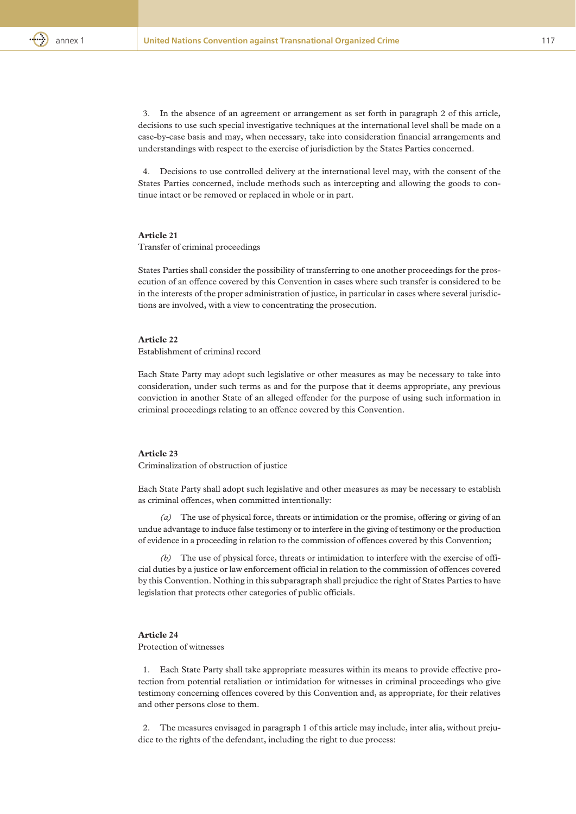3. In the absence of an agreement or arrangement as set forth in paragraph 2 of this article, decisions to use such special investigative techniques at the international level shall be made on a case-by-case basis and may, when necessary, take into consideration financial arrangements and understandings with respect to the exercise of jurisdiction by the States Parties concerned.

4. Decisions to use controlled delivery at the international level may, with the consent of the States Parties concerned, include methods such as intercepting and allowing the goods to continue intact or be removed or replaced in whole or in part.

#### **Article 21**

Transfer of criminal proceedings

States Parties shall consider the possibility of transferring to one another proceedings for the prosecution of an offence covered by this Convention in cases where such transfer is considered to be in the interests of the proper administration of justice, in particular in cases where several jurisdictions are involved, with a view to concentrating the prosecution.

# **Article 22**

Establishment of criminal record

Each State Party may adopt such legislative or other measures as may be necessary to take into consideration, under such terms as and for the purpose that it deems appropriate, any previous conviction in another State of an alleged offender for the purpose of using such information in criminal proceedings relating to an offence covered by this Convention.

# **Article 23**

Criminalization of obstruction of justice

Each State Party shall adopt such legislative and other measures as may be necessary to establish as criminal offences, when committed intentionally:

*(a)* The use of physical force, threats or intimidation or the promise, offering or giving of an undue advantage to induce false testimony or to interfere in the giving of testimony or the production of evidence in a proceeding in relation to the commission of offences covered by this Convention;

*(b)* The use of physical force, threats or intimidation to interfere with the exercise of official duties by a justice or law enforcement official in relation to the commission of offences covered by this Convention. Nothing in this subparagraph shall prejudice the right of States Parties to have legislation that protects other categories of public officials.

# **Article 24**

Protection of witnesses

1. Each State Party shall take appropriate measures within its means to provide effective protection from potential retaliation or intimidation for witnesses in criminal proceedings who give testimony concerning offences covered by this Convention and, as appropriate, for their relatives and other persons close to them.

2. The measures envisaged in paragraph 1 of this article may include, inter alia, without prejudice to the rights of the defendant, including the right to due process: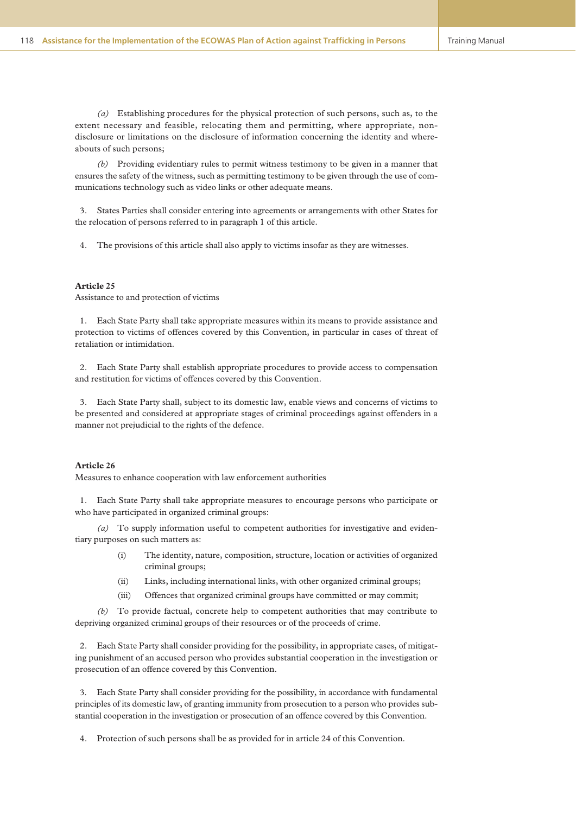*(a)* Establishing procedures for the physical protection of such persons, such as, to the extent necessary and feasible, relocating them and permitting, where appropriate, nondisclosure or limitations on the disclosure of information concerning the identity and whereabouts of such persons;

*(b)* Providing evidentiary rules to permit witness testimony to be given in a manner that ensures the safety of the witness, such as permitting testimony to be given through the use of communications technology such as video links or other adequate means.

3. States Parties shall consider entering into agreements or arrangements with other States for the relocation of persons referred to in paragraph 1 of this article.

4. The provisions of this article shall also apply to victims insofar as they are witnesses.

#### **Article 25**

Assistance to and protection of victims

1. Each State Party shall take appropriate measures within its means to provide assistance and protection to victims of offences covered by this Convention, in particular in cases of threat of retaliation or intimidation.

2. Each State Party shall establish appropriate procedures to provide access to compensation and restitution for victims of offences covered by this Convention.

3. Each State Party shall, subject to its domestic law, enable views and concerns of victims to be presented and considered at appropriate stages of criminal proceedings against offenders in a manner not prejudicial to the rights of the defence.

#### **Article 26**

Measures to enhance cooperation with law enforcement authorities

1. Each State Party shall take appropriate measures to encourage persons who participate or who have participated in organized criminal groups:

*(a)* To supply information useful to competent authorities for investigative and evidentiary purposes on such matters as:

- (i) The identity, nature, composition, structure, location or activities of organized criminal groups;
- (ii) Links, including international links, with other organized criminal groups;
- (iii) Offences that organized criminal groups have committed or may commit;

*(b)* To provide factual, concrete help to competent authorities that may contribute to depriving organized criminal groups of their resources or of the proceeds of crime.

2. Each State Party shall consider providing for the possibility, in appropriate cases, of mitigating punishment of an accused person who provides substantial cooperation in the investigation or prosecution of an offence covered by this Convention.

3. Each State Party shall consider providing for the possibility, in accordance with fundamental principles of its domestic law, of granting immunity from prosecution to a person who provides substantial cooperation in the investigation or prosecution of an offence covered by this Convention.

4. Protection of such persons shall be as provided for in article 24 of this Convention.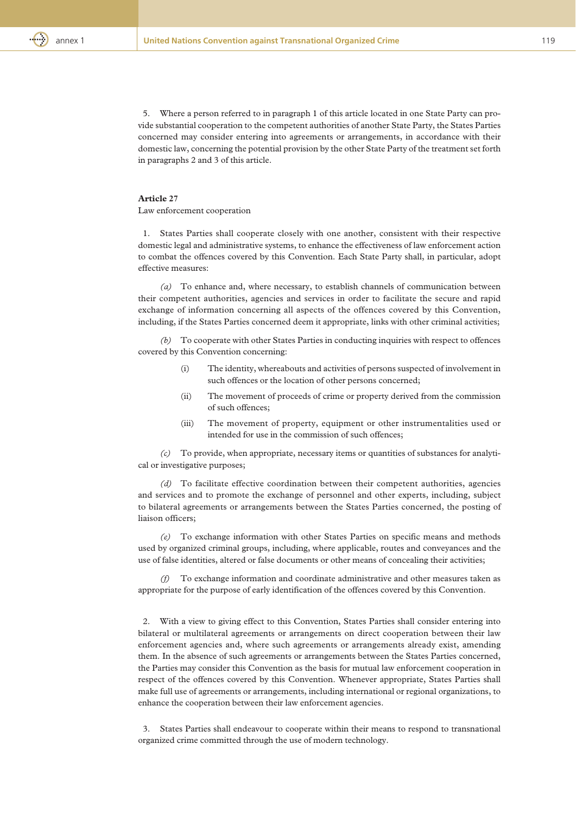5. Where a person referred to in paragraph 1 of this article located in one State Party can provide substantial cooperation to the competent authorities of another State Party, the States Parties concerned may consider entering into agreements or arrangements, in accordance with their domestic law, concerning the potential provision by the other State Party of the treatment set forth in paragraphs 2 and 3 of this article.

#### **Article 27**

Law enforcement cooperation

1. States Parties shall cooperate closely with one another, consistent with their respective domestic legal and administrative systems, to enhance the effectiveness of law enforcement action to combat the offences covered by this Convention. Each State Party shall, in particular, adopt effective measures:

*(a)* To enhance and, where necessary, to establish channels of communication between their competent authorities, agencies and services in order to facilitate the secure and rapid exchange of information concerning all aspects of the offences covered by this Convention, including, if the States Parties concerned deem it appropriate, links with other criminal activities;

*(b)* To cooperate with other States Parties in conducting inquiries with respect to offences covered by this Convention concerning:

- (i) The identity, whereabouts and activities of persons suspected of involvement in such offences or the location of other persons concerned;
- (ii) The movement of proceeds of crime or property derived from the commission of such offences;
- (iii) The movement of property, equipment or other instrumentalities used or intended for use in the commission of such offences;

*(c)* To provide, when appropriate, necessary items or quantities of substances for analytical or investigative purposes;

*(d)* To facilitate effective coordination between their competent authorities, agencies and services and to promote the exchange of personnel and other experts, including, subject to bilateral agreements or arrangements between the States Parties concerned, the posting of liaison officers;

*(e)* To exchange information with other States Parties on specific means and methods used by organized criminal groups, including, where applicable, routes and conveyances and the use of false identities, altered or false documents or other means of concealing their activities;

*(f)* To exchange information and coordinate administrative and other measures taken as appropriate for the purpose of early identification of the offences covered by this Convention.

2. With a view to giving effect to this Convention, States Parties shall consider entering into bilateral or multilateral agreements or arrangements on direct cooperation between their law enforcement agencies and, where such agreements or arrangements already exist, amending them. In the absence of such agreements or arrangements between the States Parties concerned, the Parties may consider this Convention as the basis for mutual law enforcement cooperation in respect of the offences covered by this Convention. Whenever appropriate, States Parties shall make full use of agreements or arrangements, including international or regional organizations, to enhance the cooperation between their law enforcement agencies.

3. States Parties shall endeavour to cooperate within their means to respond to transnational organized crime committed through the use of modern technology.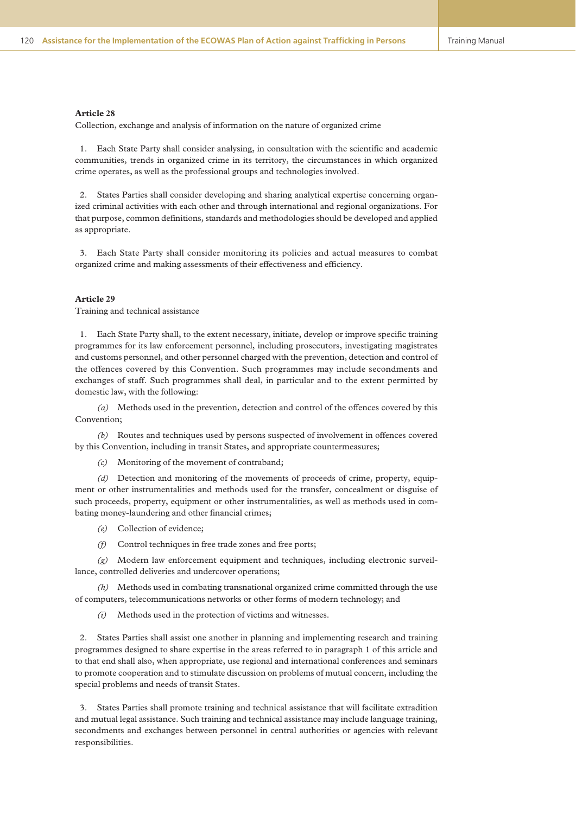#### **Article 28**

Collection, exchange and analysis of information on the nature of organized crime

1. Each State Party shall consider analysing, in consultation with the scientific and academic communities, trends in organized crime in its territory, the circumstances in which organized crime operates, as well as the professional groups and technologies involved.

States Parties shall consider developing and sharing analytical expertise concerning organized criminal activities with each other and through international and regional organizations. For that purpose, common definitions, standards and methodologies should be developed and applied as appropriate.

3. Each State Party shall consider monitoring its policies and actual measures to combat organized crime and making assessments of their effectiveness and efficiency.

#### **Article 29**

Training and technical assistance

1. Each State Party shall, to the extent necessary, initiate, develop or improve specific training programmes for its law enforcement personnel, including prosecutors, investigating magistrates and customs personnel, and other personnel charged with the prevention, detection and control of the offences covered by this Convention. Such programmes may include secondments and exchanges of staff. Such programmes shall deal, in particular and to the extent permitted by domestic law, with the following:

*(a)* Methods used in the prevention, detection and control of the offences covered by this Convention;

*(b)* Routes and techniques used by persons suspected of involvement in offences covered by this Convention, including in transit States, and appropriate countermeasures;

*(c)* Monitoring of the movement of contraband;

*(d)* Detection and monitoring of the movements of proceeds of crime, property, equipment or other instrumentalities and methods used for the transfer, concealment or disguise of such proceeds, property, equipment or other instrumentalities, as well as methods used in combating money-laundering and other financial crimes;

- *(e)* Collection of evidence;
- *(f)* Control techniques in free trade zones and free ports;

*(g)* Modern law enforcement equipment and techniques, including electronic surveillance, controlled deliveries and undercover operations;

*(h)* Methods used in combating transnational organized crime committed through the use of computers, telecommunications networks or other forms of modern technology; and

*(i)* Methods used in the protection of victims and witnesses.

2. States Parties shall assist one another in planning and implementing research and training programmes designed to share expertise in the areas referred to in paragraph 1 of this article and to that end shall also, when appropriate, use regional and international conferences and seminars to promote cooperation and to stimulate discussion on problems of mutual concern, including the special problems and needs of transit States.

3. States Parties shall promote training and technical assistance that will facilitate extradition and mutual legal assistance. Such training and technical assistance may include language training, secondments and exchanges between personnel in central authorities or agencies with relevant responsibilities.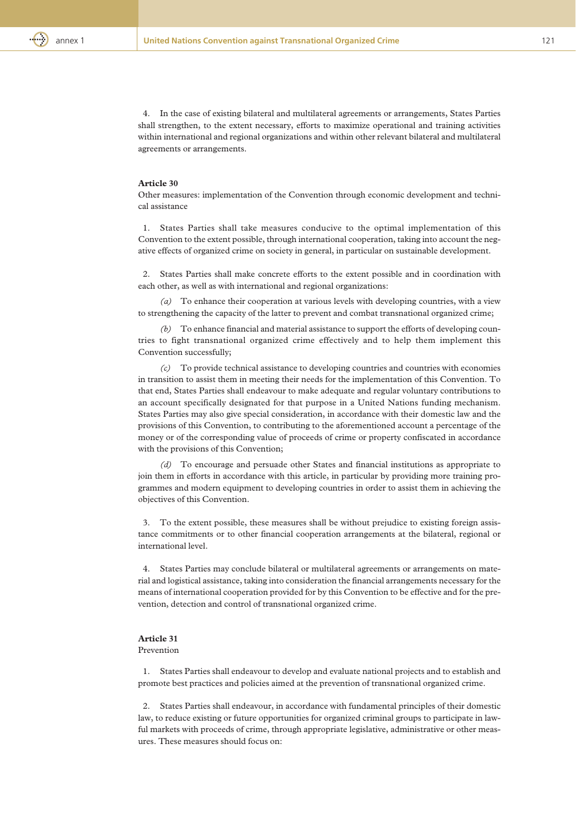4. In the case of existing bilateral and multilateral agreements or arrangements, States Parties shall strengthen, to the extent necessary, efforts to maximize operational and training activities within international and regional organizations and within other relevant bilateral and multilateral agreements or arrangements.

#### **Article 30**

Other measures: implementation of the Convention through economic development and technical assistance

1. States Parties shall take measures conducive to the optimal implementation of this Convention to the extent possible, through international cooperation, taking into account the negative effects of organized crime on society in general, in particular on sustainable development.

2. States Parties shall make concrete efforts to the extent possible and in coordination with each other, as well as with international and regional organizations:

*(a)* To enhance their cooperation at various levels with developing countries, with a view to strengthening the capacity of the latter to prevent and combat transnational organized crime;

*(b)* To enhance financial and material assistance to support the efforts of developing countries to fight transnational organized crime effectively and to help them implement this Convention successfully;

*(c)* To provide technical assistance to developing countries and countries with economies in transition to assist them in meeting their needs for the implementation of this Convention. To that end, States Parties shall endeavour to make adequate and regular voluntary contributions to an account specifically designated for that purpose in a United Nations funding mechanism. States Parties may also give special consideration, in accordance with their domestic law and the provisions of this Convention, to contributing to the aforementioned account a percentage of the money or of the corresponding value of proceeds of crime or property confiscated in accordance with the provisions of this Convention;

*(d)* To encourage and persuade other States and financial institutions as appropriate to join them in efforts in accordance with this article, in particular by providing more training programmes and modern equipment to developing countries in order to assist them in achieving the objectives of this Convention.

3. To the extent possible, these measures shall be without prejudice to existing foreign assistance commitments or to other financial cooperation arrangements at the bilateral, regional or international level.

4. States Parties may conclude bilateral or multilateral agreements or arrangements on material and logistical assistance, taking into consideration the financial arrangements necessary for the means of international cooperation provided for by this Convention to be effective and for the prevention, detection and control of transnational organized crime.

# **Article 31**

#### Prevention

1. States Parties shall endeavour to develop and evaluate national projects and to establish and promote best practices and policies aimed at the prevention of transnational organized crime.

2. States Parties shall endeavour, in accordance with fundamental principles of their domestic law, to reduce existing or future opportunities for organized criminal groups to participate in lawful markets with proceeds of crime, through appropriate legislative, administrative or other measures. These measures should focus on: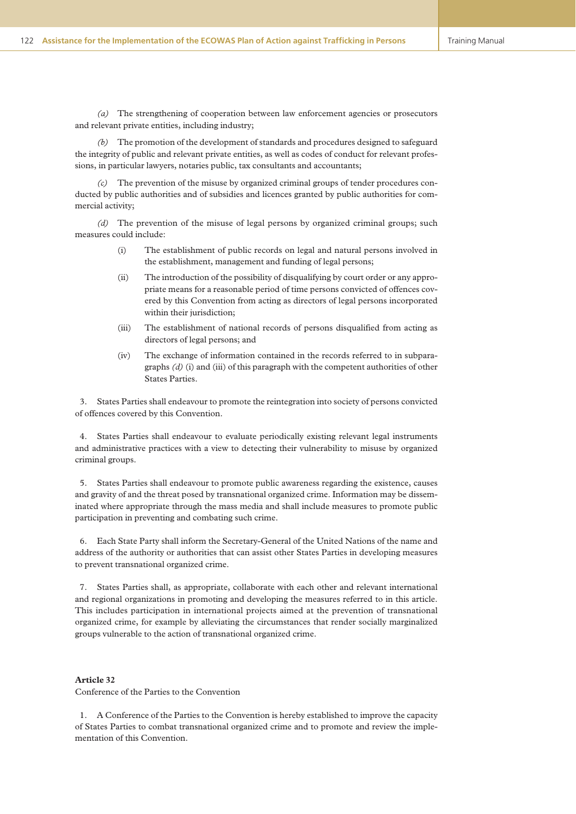*(a)* The strengthening of cooperation between law enforcement agencies or prosecutors and relevant private entities, including industry;

*(b)* The promotion of the development of standards and procedures designed to safeguard the integrity of public and relevant private entities, as well as codes of conduct for relevant professions, in particular lawyers, notaries public, tax consultants and accountants;

*(c)* The prevention of the misuse by organized criminal groups of tender procedures conducted by public authorities and of subsidies and licences granted by public authorities for commercial activity;

*(d)* The prevention of the misuse of legal persons by organized criminal groups; such measures could include:

- (i) The establishment of public records on legal and natural persons involved in the establishment, management and funding of legal persons;
- (ii) The introduction of the possibility of disqualifying by court order or any appropriate means for a reasonable period of time persons convicted of offences covered by this Convention from acting as directors of legal persons incorporated within their jurisdiction;
- (iii) The establishment of national records of persons disqualified from acting as directors of legal persons; and
- (iv) The exchange of information contained in the records referred to in subparagraphs *(d)* (i) and (iii) of this paragraph with the competent authorities of other States Parties.

3. States Parties shall endeavour to promote the reintegration into society of persons convicted of offences covered by this Convention.

4. States Parties shall endeavour to evaluate periodically existing relevant legal instruments and administrative practices with a view to detecting their vulnerability to misuse by organized criminal groups.

5. States Parties shall endeavour to promote public awareness regarding the existence, causes and gravity of and the threat posed by transnational organized crime. Information may be disseminated where appropriate through the mass media and shall include measures to promote public participation in preventing and combating such crime.

6. Each State Party shall inform the Secretary-General of the United Nations of the name and address of the authority or authorities that can assist other States Parties in developing measures to prevent transnational organized crime.

7. States Parties shall, as appropriate, collaborate with each other and relevant international and regional organizations in promoting and developing the measures referred to in this article. This includes participation in international projects aimed at the prevention of transnational organized crime, for example by alleviating the circumstances that render socially marginalized groups vulnerable to the action of transnational organized crime.

#### **Article 32**

Conference of the Parties to the Convention

1. A Conference of the Parties to the Convention is hereby established to improve the capacity of States Parties to combat transnational organized crime and to promote and review the implementation of this Convention.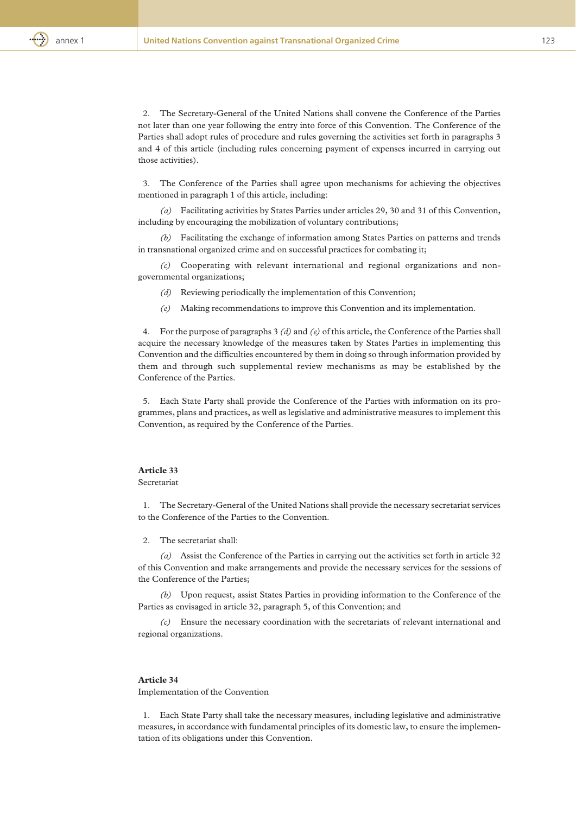2. The Secretary-General of the United Nations shall convene the Conference of the Parties not later than one year following the entry into force of this Convention. The Conference of the Parties shall adopt rules of procedure and rules governing the activities set forth in paragraphs 3 and 4 of this article (including rules concerning payment of expenses incurred in carrying out those activities).

3. The Conference of the Parties shall agree upon mechanisms for achieving the objectives mentioned in paragraph 1 of this article, including:

*(a)* Facilitating activities by States Parties under articles 29, 30 and 31 of this Convention, including by encouraging the mobilization of voluntary contributions;

*(b)* Facilitating the exchange of information among States Parties on patterns and trends in transnational organized crime and on successful practices for combating it;

*(c)* Cooperating with relevant international and regional organizations and nongovernmental organizations;

- *(d)* Reviewing periodically the implementation of this Convention;
- *(e)* Making recommendations to improve this Convention and its implementation.

4. For the purpose of paragraphs 3 *(d)* and *(e)* of this article, the Conference of the Parties shall acquire the necessary knowledge of the measures taken by States Parties in implementing this Convention and the difficulties encountered by them in doing so through information provided by them and through such supplemental review mechanisms as may be established by the Conference of the Parties.

5. Each State Party shall provide the Conference of the Parties with information on its programmes, plans and practices, as well as legislative and administrative measures to implement this Convention, as required by the Conference of the Parties.

# **Article 33**

Secretariat

1. The Secretary-General of the United Nations shall provide the necessary secretariat services to the Conference of the Parties to the Convention.

2. The secretariat shall:

*(a)* Assist the Conference of the Parties in carrying out the activities set forth in article 32 of this Convention and make arrangements and provide the necessary services for the sessions of the Conference of the Parties;

*(b)* Upon request, assist States Parties in providing information to the Conference of the Parties as envisaged in article 32, paragraph 5, of this Convention; and

*(c)* Ensure the necessary coordination with the secretariats of relevant international and regional organizations.

#### **Article 34**

Implementation of the Convention

1. Each State Party shall take the necessary measures, including legislative and administrative measures, in accordance with fundamental principles of its domestic law, to ensure the implementation of its obligations under this Convention.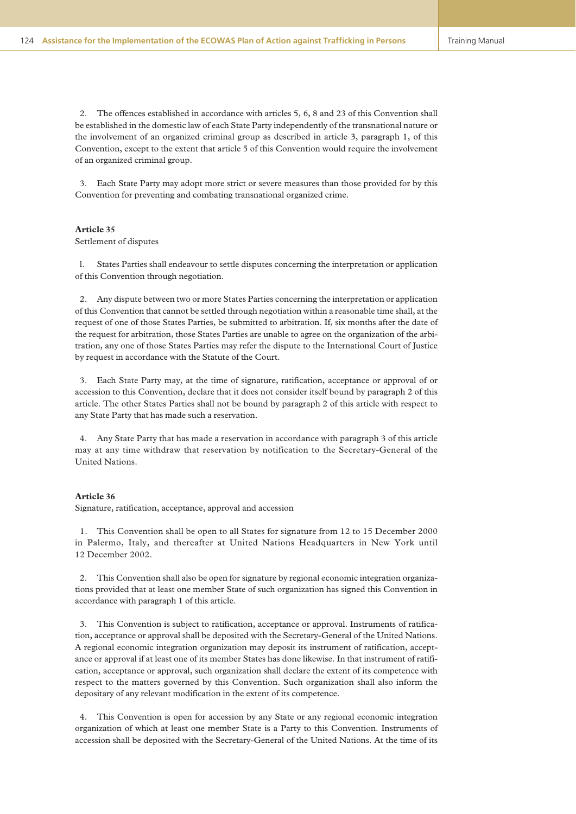2. The offences established in accordance with articles 5, 6, 8 and 23 of this Convention shall be established in the domestic law of each State Party independently of the transnational nature or the involvement of an organized criminal group as described in article 3, paragraph 1, of this Convention, except to the extent that article 5 of this Convention would require the involvement of an organized criminal group.

3. Each State Party may adopt more strict or severe measures than those provided for by this Convention for preventing and combating transnational organized crime.

#### **Article 35**

Settlement of disputes

l. States Parties shall endeavour to settle disputes concerning the interpretation or application of this Convention through negotiation.

2. Any dispute between two or more States Parties concerning the interpretation or application of this Convention that cannot be settled through negotiation within a reasonable time shall, at the request of one of those States Parties, be submitted to arbitration. If, six months after the date of the request for arbitration, those States Parties are unable to agree on the organization of the arbitration, any one of those States Parties may refer the dispute to the International Court of Justice by request in accordance with the Statute of the Court.

3. Each State Party may, at the time of signature, ratification, acceptance or approval of or accession to this Convention, declare that it does not consider itself bound by paragraph 2 of this article. The other States Parties shall not be bound by paragraph 2 of this article with respect to any State Party that has made such a reservation.

4. Any State Party that has made a reservation in accordance with paragraph 3 of this article may at any time withdraw that reservation by notification to the Secretary-General of the United Nations.

#### **Article 36**

Signature, ratification, acceptance, approval and accession

1. This Convention shall be open to all States for signature from 12 to 15 December 2000 in Palermo, Italy, and thereafter at United Nations Headquarters in New York until 12 December 2002.

2. This Convention shall also be open for signature by regional economic integration organizations provided that at least one member State of such organization has signed this Convention in accordance with paragraph 1 of this article.

3. This Convention is subject to ratification, acceptance or approval. Instruments of ratification, acceptance or approval shall be deposited with the Secretary-General of the United Nations. A regional economic integration organization may deposit its instrument of ratification, acceptance or approval if at least one of its member States has done likewise. In that instrument of ratification, acceptance or approval, such organization shall declare the extent of its competence with respect to the matters governed by this Convention. Such organization shall also inform the depositary of any relevant modification in the extent of its competence.

4. This Convention is open for accession by any State or any regional economic integration organization of which at least one member State is a Party to this Convention. Instruments of accession shall be deposited with the Secretary-General of the United Nations. At the time of its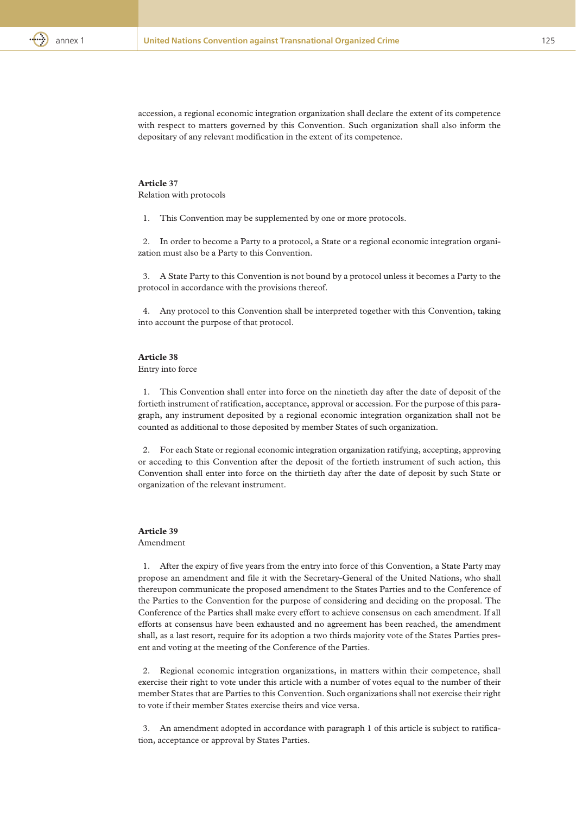accession, a regional economic integration organization shall declare the extent of its competence with respect to matters governed by this Convention. Such organization shall also inform the depositary of any relevant modification in the extent of its competence.

## **Article 37**

Relation with protocols

1. This Convention may be supplemented by one or more protocols.

2. In order to become a Party to a protocol, a State or a regional economic integration organization must also be a Party to this Convention.

3. A State Party to this Convention is not bound by a protocol unless it becomes a Party to the protocol in accordance with the provisions thereof.

4. Any protocol to this Convention shall be interpreted together with this Convention, taking into account the purpose of that protocol.

# **Article 38**

Entry into force

1. This Convention shall enter into force on the ninetieth day after the date of deposit of the fortieth instrument of ratification, acceptance, approval or accession. For the purpose of this paragraph, any instrument deposited by a regional economic integration organization shall not be counted as additional to those deposited by member States of such organization.

2. For each State or regional economic integration organization ratifying, accepting, approving or acceding to this Convention after the deposit of the fortieth instrument of such action, this Convention shall enter into force on the thirtieth day after the date of deposit by such State or organization of the relevant instrument.

#### **Article 39**

# Amendment

1. After the expiry of five years from the entry into force of this Convention, a State Party may propose an amendment and file it with the Secretary-General of the United Nations, who shall thereupon communicate the proposed amendment to the States Parties and to the Conference of the Parties to the Convention for the purpose of considering and deciding on the proposal. The Conference of the Parties shall make every effort to achieve consensus on each amendment. If all efforts at consensus have been exhausted and no agreement has been reached, the amendment shall, as a last resort, require for its adoption a two thirds majority vote of the States Parties present and voting at the meeting of the Conference of the Parties.

2. Regional economic integration organizations, in matters within their competence, shall exercise their right to vote under this article with a number of votes equal to the number of their member States that are Parties to this Convention. Such organizations shall not exercise their right to vote if their member States exercise theirs and vice versa.

3. An amendment adopted in accordance with paragraph 1 of this article is subject to ratification, acceptance or approval by States Parties.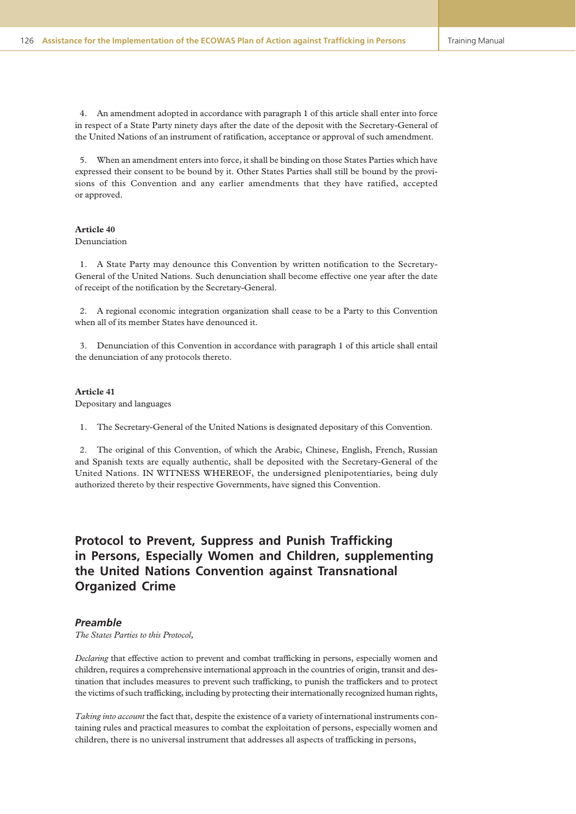4. An amendment adopted in accordance with paragraph 1 of this article shall enter into force in respect of a State Party ninety days after the date of the deposit with the Secretary-General of the United Nations of an instrument of ratification, acceptance or approval of such amendment.

5. When an amendment enters into force, it shall be binding on those States Parties which have expressed their consent to be bound by it. Other States Parties shall still be bound by the provisions of this Convention and any earlier amendments that they have ratified, accepted or approved.

#### **Article 40**

Denunciation

1. A State Party may denounce this Convention by written notification to the Secretary-General of the United Nations. Such denunciation shall become effective one year after the date of receipt of the notification by the Secretary-General.

2. A regional economic integration organization shall cease to be a Party to this Convention when all of its member States have denounced it.

3. Denunciation of this Convention in accordance with paragraph 1 of this article shall entail the denunciation of any protocols thereto.

#### **Article 41**

Depositary and languages

1. The Secretary-General of the United Nations is designated depositary of this Convention.

2. The original of this Convention, of which the Arabic, Chinese, English, French, Russian and Spanish texts are equally authentic, shall be deposited with the Secretary-General of the United Nations. IN WITNESS WHEREOF, the undersigned plenipotentiaries, being duly authorized thereto by their respective Governments, have signed this Convention.

# **Protocol to Prevent, Suppress and Punish Trafficking in Persons, Especially Women and Children, supplementing the United Nations Convention against Transnational Organized Crime**

# *Preamble*

*The States Parties to this Protocol,*

*Declaring* that effective action to prevent and combat trafficking in persons, especially women and children, requires a comprehensive international approach in the countries of origin, transit and destination that includes measures to prevent such trafficking, to punish the traffickers and to protect the victims of such trafficking, including by protecting their internationally recognized human rights,

*Taking into account* the fact that, despite the existence of a variety of international instruments containing rules and practical measures to combat the exploitation of persons, especially women and children, there is no universal instrument that addresses all aspects of trafficking in persons,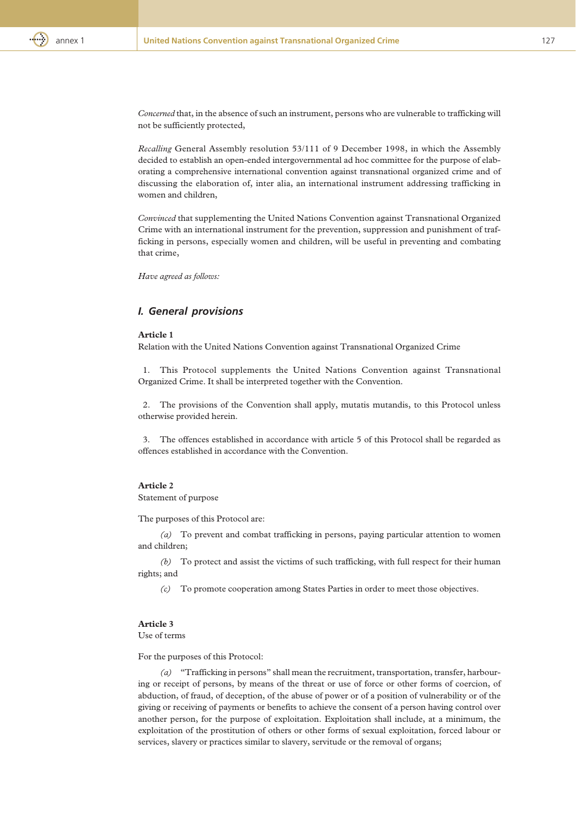*Concerned* that, in the absence of such an instrument, persons who are vulnerable to trafficking will not be sufficiently protected,

*Recalling* General Assembly resolution 53/111 of 9 December 1998, in which the Assembly decided to establish an open-ended intergovernmental ad hoc committee for the purpose of elaborating a comprehensive international convention against transnational organized crime and of discussing the elaboration of, inter alia, an international instrument addressing trafficking in women and children,

*Convinced* that supplementing the United Nations Convention against Transnational Organized Crime with an international instrument for the prevention, suppression and punishment of trafficking in persons, especially women and children, will be useful in preventing and combating that crime,

*Have agreed as follows:*

# *I. General provisions*

# **Article 1**

Relation with the United Nations Convention against Transnational Organized Crime

1. This Protocol supplements the United Nations Convention against Transnational Organized Crime. It shall be interpreted together with the Convention.

2. The provisions of the Convention shall apply, mutatis mutandis, to this Protocol unless otherwise provided herein.

3. The offences established in accordance with article 5 of this Protocol shall be regarded as offences established in accordance with the Convention.

#### **Article 2**

Statement of purpose

The purposes of this Protocol are:

*(a)* To prevent and combat trafficking in persons, paying particular attention to women and children;

*(b)* To protect and assist the victims of such trafficking, with full respect for their human rights; and

*(c)* To promote cooperation among States Parties in order to meet those objectives.

## **Article 3**

Use of terms

For the purposes of this Protocol:

*(a)* "Trafficking in persons" shall mean the recruitment, transportation, transfer, harbouring or receipt of persons, by means of the threat or use of force or other forms of coercion, of abduction, of fraud, of deception, of the abuse of power or of a position of vulnerability or of the giving or receiving of payments or benefits to achieve the consent of a person having control over another person, for the purpose of exploitation. Exploitation shall include, at a minimum, the exploitation of the prostitution of others or other forms of sexual exploitation, forced labour or services, slavery or practices similar to slavery, servitude or the removal of organs;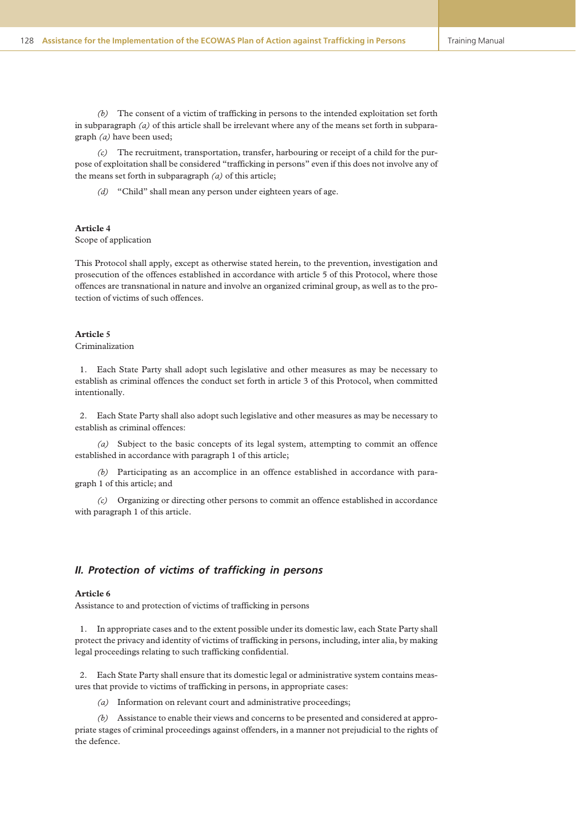*(b)* The consent of a victim of trafficking in persons to the intended exploitation set forth in subparagraph *(a)* of this article shall be irrelevant where any of the means set forth in subparagraph *(a)* have been used;

*(c)* The recruitment, transportation, transfer, harbouring or receipt of a child for the purpose of exploitation shall be considered "trafficking in persons" even if this does not involve any of the means set forth in subparagraph *(a)* of this article;

*(d)* "Child" shall mean any person under eighteen years of age.

# **Article 4**

Scope of application

This Protocol shall apply, except as otherwise stated herein, to the prevention, investigation and prosecution of the offences established in accordance with article 5 of this Protocol, where those offences are transnational in nature and involve an organized criminal group, as well as to the protection of victims of such offences.

# **Article 5**

#### Criminalization

1. Each State Party shall adopt such legislative and other measures as may be necessary to establish as criminal offences the conduct set forth in article 3 of this Protocol, when committed intentionally.

2. Each State Party shall also adopt such legislative and other measures as may be necessary to establish as criminal offences:

*(a)* Subject to the basic concepts of its legal system, attempting to commit an offence established in accordance with paragraph 1 of this article;

*(b)* Participating as an accomplice in an offence established in accordance with paragraph 1 of this article; and

*(c)* Organizing or directing other persons to commit an offence established in accordance with paragraph 1 of this article.

# *II. Protection of victims of trafficking in persons*

#### **Article 6**

Assistance to and protection of victims of trafficking in persons

1. In appropriate cases and to the extent possible under its domestic law, each State Party shall protect the privacy and identity of victims of trafficking in persons, including, inter alia, by making legal proceedings relating to such trafficking confidential.

2. Each State Party shall ensure that its domestic legal or administrative system contains measures that provide to victims of trafficking in persons, in appropriate cases:

*(a)* Information on relevant court and administrative proceedings;

*(b)* Assistance to enable their views and concerns to be presented and considered at appropriate stages of criminal proceedings against offenders, in a manner not prejudicial to the rights of the defence.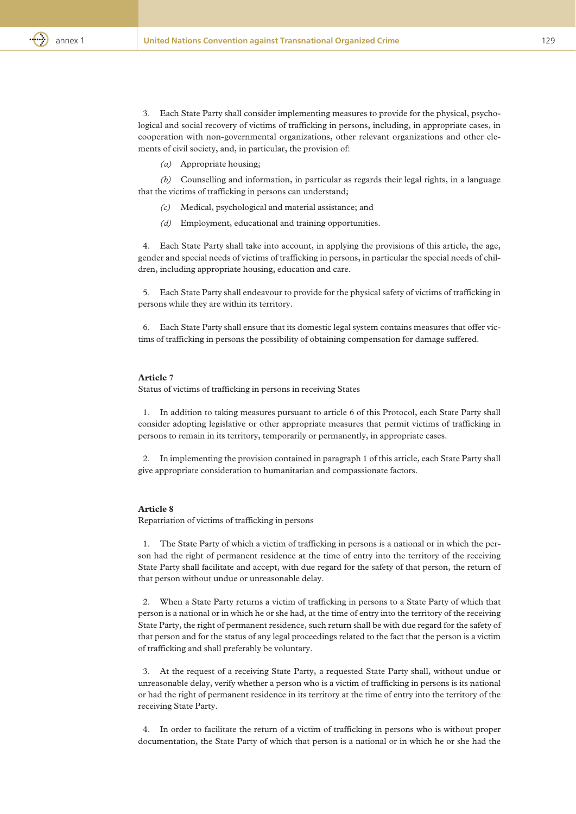3. Each State Party shall consider implementing measures to provide for the physical, psychological and social recovery of victims of trafficking in persons, including, in appropriate cases, in cooperation with non-governmental organizations, other relevant organizations and other elements of civil society, and, in particular, the provision of:

*(a)* Appropriate housing;

*(b)* Counselling and information, in particular as regards their legal rights, in a language that the victims of trafficking in persons can understand;

- *(c)* Medical, psychological and material assistance; and
- *(d)* Employment, educational and training opportunities.

4. Each State Party shall take into account, in applying the provisions of this article, the age, gender and special needs of victims of trafficking in persons, in particular the special needs of children, including appropriate housing, education and care.

5. Each State Party shall endeavour to provide for the physical safety of victims of trafficking in persons while they are within its territory.

6. Each State Party shall ensure that its domestic legal system contains measures that offer victims of trafficking in persons the possibility of obtaining compensation for damage suffered.

# **Article 7**

Status of victims of trafficking in persons in receiving States

1. In addition to taking measures pursuant to article 6 of this Protocol, each State Party shall consider adopting legislative or other appropriate measures that permit victims of trafficking in persons to remain in its territory, temporarily or permanently, in appropriate cases.

2. In implementing the provision contained in paragraph 1 of this article, each State Party shall give appropriate consideration to humanitarian and compassionate factors.

#### **Article 8**

Repatriation of victims of trafficking in persons

1. The State Party of which a victim of trafficking in persons is a national or in which the person had the right of permanent residence at the time of entry into the territory of the receiving State Party shall facilitate and accept, with due regard for the safety of that person, the return of that person without undue or unreasonable delay.

2. When a State Party returns a victim of trafficking in persons to a State Party of which that person is a national or in which he or she had, at the time of entry into the territory of the receiving State Party, the right of permanent residence, such return shall be with due regard for the safety of that person and for the status of any legal proceedings related to the fact that the person is a victim of trafficking and shall preferably be voluntary.

3. At the request of a receiving State Party, a requested State Party shall, without undue or unreasonable delay, verify whether a person who is a victim of trafficking in persons is its national or had the right of permanent residence in its territory at the time of entry into the territory of the receiving State Party.

4. In order to facilitate the return of a victim of trafficking in persons who is without proper documentation, the State Party of which that person is a national or in which he or she had the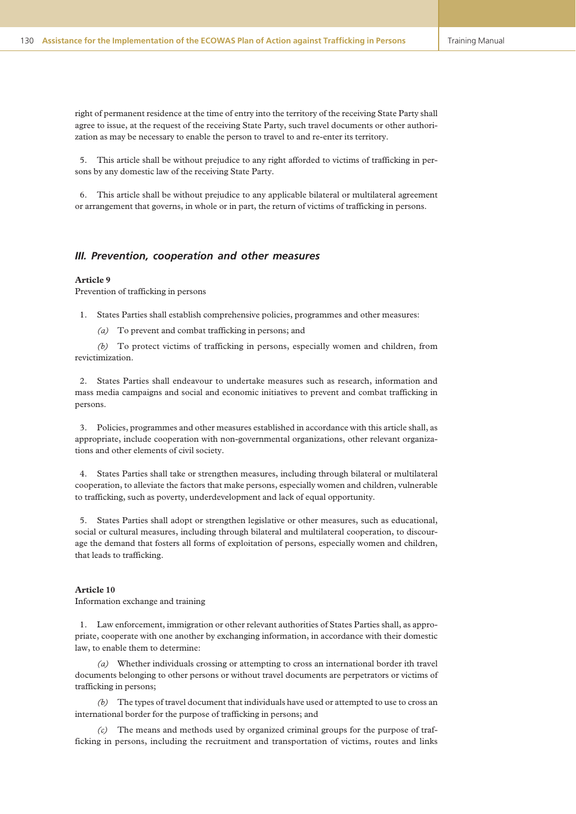right of permanent residence at the time of entry into the territory of the receiving State Party shall agree to issue, at the request of the receiving State Party, such travel documents or other authorization as may be necessary to enable the person to travel to and re-enter its territory.

5. This article shall be without prejudice to any right afforded to victims of trafficking in persons by any domestic law of the receiving State Party.

6. This article shall be without prejudice to any applicable bilateral or multilateral agreement or arrangement that governs, in whole or in part, the return of victims of trafficking in persons.

# *III. Prevention, cooperation and other measures*

#### **Article 9**

Prevention of trafficking in persons

- 1. States Parties shall establish comprehensive policies, programmes and other measures:
	- *(a)* To prevent and combat trafficking in persons; and

*(b)* To protect victims of trafficking in persons, especially women and children, from revictimization.

2. States Parties shall endeavour to undertake measures such as research, information and mass media campaigns and social and economic initiatives to prevent and combat trafficking in persons.

3. Policies, programmes and other measures established in accordance with this article shall, as appropriate, include cooperation with non-governmental organizations, other relevant organizations and other elements of civil society.

4. States Parties shall take or strengthen measures, including through bilateral or multilateral cooperation, to alleviate the factors that make persons, especially women and children, vulnerable to trafficking, such as poverty, underdevelopment and lack of equal opportunity.

5. States Parties shall adopt or strengthen legislative or other measures, such as educational, social or cultural measures, including through bilateral and multilateral cooperation, to discourage the demand that fosters all forms of exploitation of persons, especially women and children, that leads to trafficking.

# **Article 10**

Information exchange and training

1. Law enforcement, immigration or other relevant authorities of States Parties shall, as appropriate, cooperate with one another by exchanging information, in accordance with their domestic law, to enable them to determine:

*(a)* Whether individuals crossing or attempting to cross an international border ith travel documents belonging to other persons or without travel documents are perpetrators or victims of trafficking in persons;

*(b)* The types of travel document that individuals have used or attempted to use to cross an international border for the purpose of trafficking in persons; and

*(c)* The means and methods used by organized criminal groups for the purpose of trafficking in persons, including the recruitment and transportation of victims, routes and links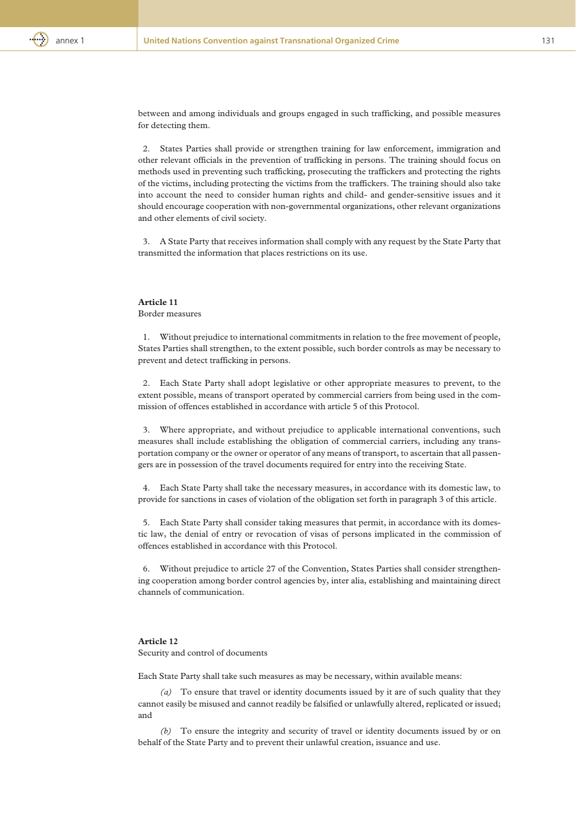between and among individuals and groups engaged in such trafficking, and possible measures for detecting them.

2. States Parties shall provide or strengthen training for law enforcement, immigration and other relevant officials in the prevention of trafficking in persons. The training should focus on methods used in preventing such trafficking, prosecuting the traffickers and protecting the rights of the victims, including protecting the victims from the traffickers. The training should also take into account the need to consider human rights and child- and gender-sensitive issues and it should encourage cooperation with non-governmental organizations, other relevant organizations and other elements of civil society.

3. A State Party that receives information shall comply with any request by the State Party that transmitted the information that places restrictions on its use.

# **Article 11**

Border measures

1. Without prejudice to international commitments in relation to the free movement of people, States Parties shall strengthen, to the extent possible, such border controls as may be necessary to prevent and detect trafficking in persons.

2. Each State Party shall adopt legislative or other appropriate measures to prevent, to the extent possible, means of transport operated by commercial carriers from being used in the commission of offences established in accordance with article 5 of this Protocol.

3. Where appropriate, and without prejudice to applicable international conventions, such measures shall include establishing the obligation of commercial carriers, including any transportation company or the owner or operator of any means of transport, to ascertain that all passengers are in possession of the travel documents required for entry into the receiving State.

4. Each State Party shall take the necessary measures, in accordance with its domestic law, to provide for sanctions in cases of violation of the obligation set forth in paragraph 3 of this article.

5. Each State Party shall consider taking measures that permit, in accordance with its domestic law, the denial of entry or revocation of visas of persons implicated in the commission of offences established in accordance with this Protocol.

Without prejudice to article 27 of the Convention, States Parties shall consider strengthening cooperation among border control agencies by, inter alia, establishing and maintaining direct channels of communication.

# **Article 12**

Security and control of documents

Each State Party shall take such measures as may be necessary, within available means:

*(a)* To ensure that travel or identity documents issued by it are of such quality that they cannot easily be misused and cannot readily be falsified or unlawfully altered, replicated or issued; and

*(b)* To ensure the integrity and security of travel or identity documents issued by or on behalf of the State Party and to prevent their unlawful creation, issuance and use.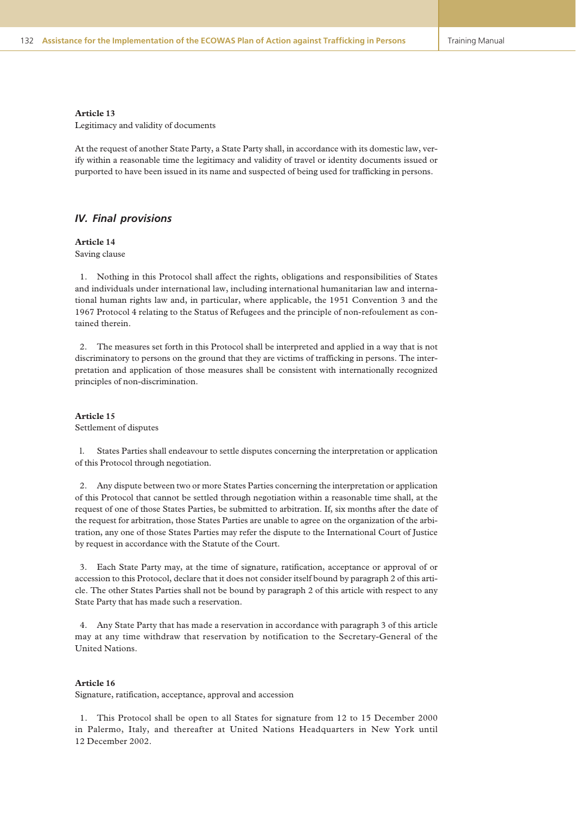**Article 13**

Legitimacy and validity of documents

At the request of another State Party, a State Party shall, in accordance with its domestic law, verify within a reasonable time the legitimacy and validity of travel or identity documents issued or purported to have been issued in its name and suspected of being used for trafficking in persons.

# *IV. Final provisions*

#### **Article 14**

Saving clause

1. Nothing in this Protocol shall affect the rights, obligations and responsibilities of States and individuals under international law, including international humanitarian law and international human rights law and, in particular, where applicable, the 1951 Convention 3 and the 1967 Protocol 4 relating to the Status of Refugees and the principle of non-refoulement as contained therein.

2. The measures set forth in this Protocol shall be interpreted and applied in a way that is not discriminatory to persons on the ground that they are victims of trafficking in persons. The interpretation and application of those measures shall be consistent with internationally recognized principles of non-discrimination.

## **Article 15**

Settlement of disputes

l. States Parties shall endeavour to settle disputes concerning the interpretation or application of this Protocol through negotiation.

2. Any dispute between two or more States Parties concerning the interpretation or application of this Protocol that cannot be settled through negotiation within a reasonable time shall, at the request of one of those States Parties, be submitted to arbitration. If, six months after the date of the request for arbitration, those States Parties are unable to agree on the organization of the arbitration, any one of those States Parties may refer the dispute to the International Court of Justice by request in accordance with the Statute of the Court.

3. Each State Party may, at the time of signature, ratification, acceptance or approval of or accession to this Protocol, declare that it does not consider itself bound by paragraph 2 of this article. The other States Parties shall not be bound by paragraph 2 of this article with respect to any State Party that has made such a reservation.

4. Any State Party that has made a reservation in accordance with paragraph 3 of this article may at any time withdraw that reservation by notification to the Secretary-General of the United Nations.

# **Article 16**

Signature, ratification, acceptance, approval and accession

1. This Protocol shall be open to all States for signature from 12 to 15 December 2000 in Palermo, Italy, and thereafter at United Nations Headquarters in New York until 12 December 2002.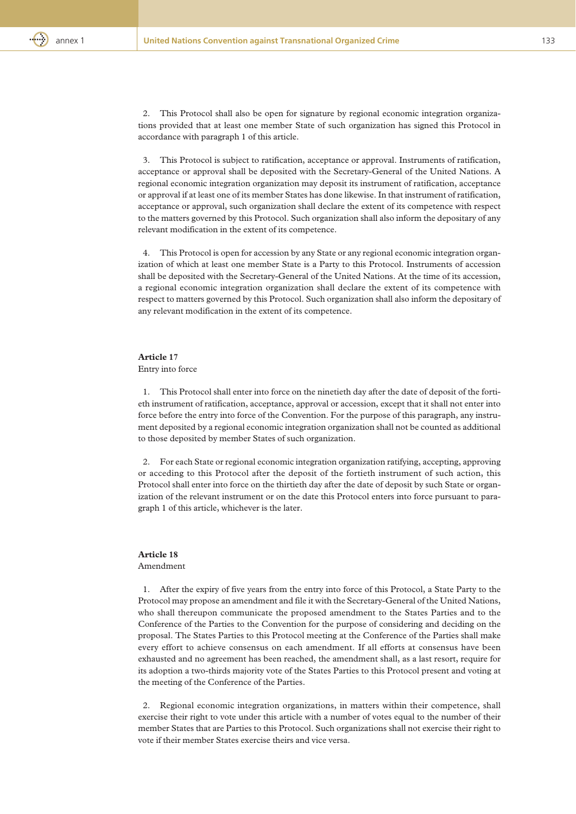2. This Protocol shall also be open for signature by regional economic integration organizations provided that at least one member State of such organization has signed this Protocol in accordance with paragraph 1 of this article.

3. This Protocol is subject to ratification, acceptance or approval. Instruments of ratification, acceptance or approval shall be deposited with the Secretary-General of the United Nations. A regional economic integration organization may deposit its instrument of ratification, acceptance or approval if at least one of its member States has done likewise. In that instrument of ratification, acceptance or approval, such organization shall declare the extent of its competence with respect to the matters governed by this Protocol. Such organization shall also inform the depositary of any relevant modification in the extent of its competence.

4. This Protocol is open for accession by any State or any regional economic integration organization of which at least one member State is a Party to this Protocol. Instruments of accession shall be deposited with the Secretary-General of the United Nations. At the time of its accession, a regional economic integration organization shall declare the extent of its competence with respect to matters governed by this Protocol. Such organization shall also inform the depositary of any relevant modification in the extent of its competence.

# **Article 17** Entry into force

1. This Protocol shall enter into force on the ninetieth day after the date of deposit of the fortieth instrument of ratification, acceptance, approval or accession, except that it shall not enter into force before the entry into force of the Convention. For the purpose of this paragraph, any instrument deposited by a regional economic integration organization shall not be counted as additional to those deposited by member States of such organization.

2. For each State or regional economic integration organization ratifying, accepting, approving or acceding to this Protocol after the deposit of the fortieth instrument of such action, this Protocol shall enter into force on the thirtieth day after the date of deposit by such State or organization of the relevant instrument or on the date this Protocol enters into force pursuant to paragraph 1 of this article, whichever is the later.

# **Article 18**

#### Amendment

1. After the expiry of five years from the entry into force of this Protocol, a State Party to the Protocol may propose an amendment and file it with the Secretary-General of the United Nations, who shall thereupon communicate the proposed amendment to the States Parties and to the Conference of the Parties to the Convention for the purpose of considering and deciding on the proposal. The States Parties to this Protocol meeting at the Conference of the Parties shall make every effort to achieve consensus on each amendment. If all efforts at consensus have been exhausted and no agreement has been reached, the amendment shall, as a last resort, require for its adoption a two-thirds majority vote of the States Parties to this Protocol present and voting at the meeting of the Conference of the Parties.

2. Regional economic integration organizations, in matters within their competence, shall exercise their right to vote under this article with a number of votes equal to the number of their member States that are Parties to this Protocol. Such organizations shall not exercise their right to vote if their member States exercise theirs and vice versa.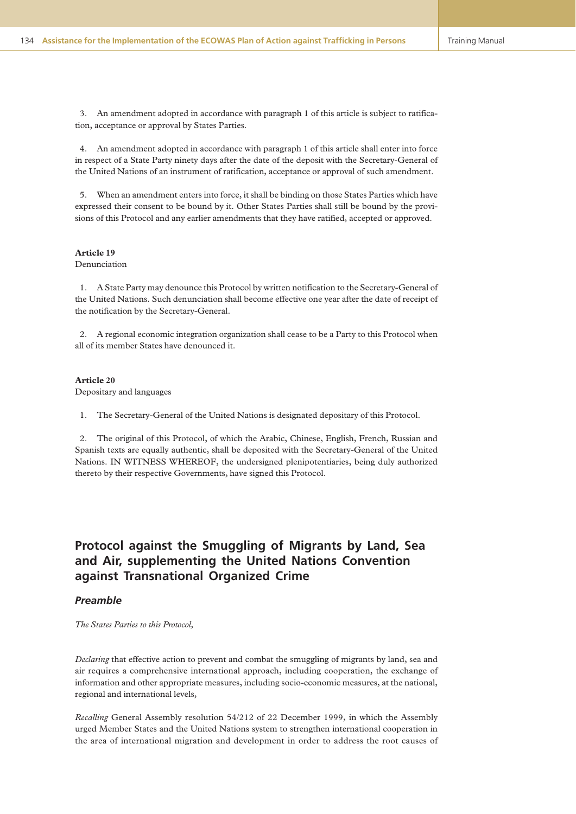3. An amendment adopted in accordance with paragraph 1 of this article is subject to ratification, acceptance or approval by States Parties.

4. An amendment adopted in accordance with paragraph 1 of this article shall enter into force in respect of a State Party ninety days after the date of the deposit with the Secretary-General of the United Nations of an instrument of ratification, acceptance or approval of such amendment.

When an amendment enters into force, it shall be binding on those States Parties which have expressed their consent to be bound by it. Other States Parties shall still be bound by the provisions of this Protocol and any earlier amendments that they have ratified, accepted or approved.

# **Article 19**

Denunciation

1. A State Party may denounce this Protocol by written notification to the Secretary-General of the United Nations. Such denunciation shall become effective one year after the date of receipt of the notification by the Secretary-General.

2. A regional economic integration organization shall cease to be a Party to this Protocol when all of its member States have denounced it.

#### **Article 20**

Depositary and languages

1. The Secretary-General of the United Nations is designated depositary of this Protocol.

2. The original of this Protocol, of which the Arabic, Chinese, English, French, Russian and Spanish texts are equally authentic, shall be deposited with the Secretary-General of the United Nations. IN WITNESS WHEREOF, the undersigned plenipotentiaries, being duly authorized thereto by their respective Governments, have signed this Protocol.

# **Protocol against the Smuggling of Migrants by Land, Sea and Air, supplementing the United Nations Convention against Transnational Organized Crime**

# *Preamble*

*The States Parties to this Protocol,*

*Declaring* that effective action to prevent and combat the smuggling of migrants by land, sea and air requires a comprehensive international approach, including cooperation, the exchange of information and other appropriate measures, including socio-economic measures, at the national, regional and international levels,

*Recalling* General Assembly resolution 54/212 of 22 December 1999, in which the Assembly urged Member States and the United Nations system to strengthen international cooperation in the area of international migration and development in order to address the root causes of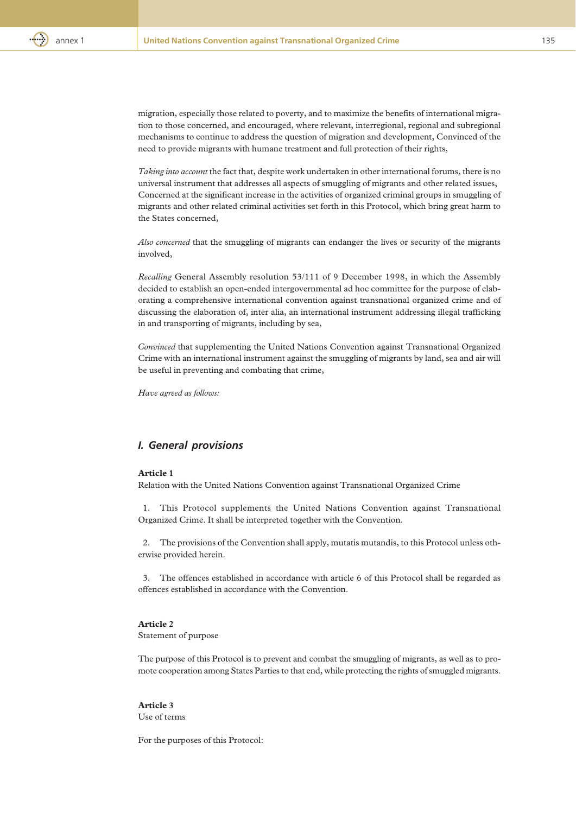migration, especially those related to poverty, and to maximize the benefits of international migration to those concerned, and encouraged, where relevant, interregional, regional and subregional mechanisms to continue to address the question of migration and development, Convinced of the need to provide migrants with humane treatment and full protection of their rights,

*Taking into account* the fact that, despite work undertaken in other international forums, there is no universal instrument that addresses all aspects of smuggling of migrants and other related issues, Concerned at the significant increase in the activities of organized criminal groups in smuggling of migrants and other related criminal activities set forth in this Protocol, which bring great harm to the States concerned,

*Also concerned* that the smuggling of migrants can endanger the lives or security of the migrants involved,

*Recalling* General Assembly resolution 53/111 of 9 December 1998, in which the Assembly decided to establish an open-ended intergovernmental ad hoc committee for the purpose of elaborating a comprehensive international convention against transnational organized crime and of discussing the elaboration of, inter alia, an international instrument addressing illegal trafficking in and transporting of migrants, including by sea,

*Convinced* that supplementing the United Nations Convention against Transnational Organized Crime with an international instrument against the smuggling of migrants by land, sea and air will be useful in preventing and combating that crime,

*Have agreed as follows:*

# *I. General provisions*

#### **Article 1**

Relation with the United Nations Convention against Transnational Organized Crime

1. This Protocol supplements the United Nations Convention against Transnational Organized Crime. It shall be interpreted together with the Convention.

2. The provisions of the Convention shall apply, mutatis mutandis, to this Protocol unless otherwise provided herein.

3. The offences established in accordance with article 6 of this Protocol shall be regarded as offences established in accordance with the Convention.

#### **Article 2**

Statement of purpose

The purpose of this Protocol is to prevent and combat the smuggling of migrants, as well as to promote cooperation among States Parties to that end, while protecting the rights of smuggled migrants.

**Article 3** Use of terms

For the purposes of this Protocol: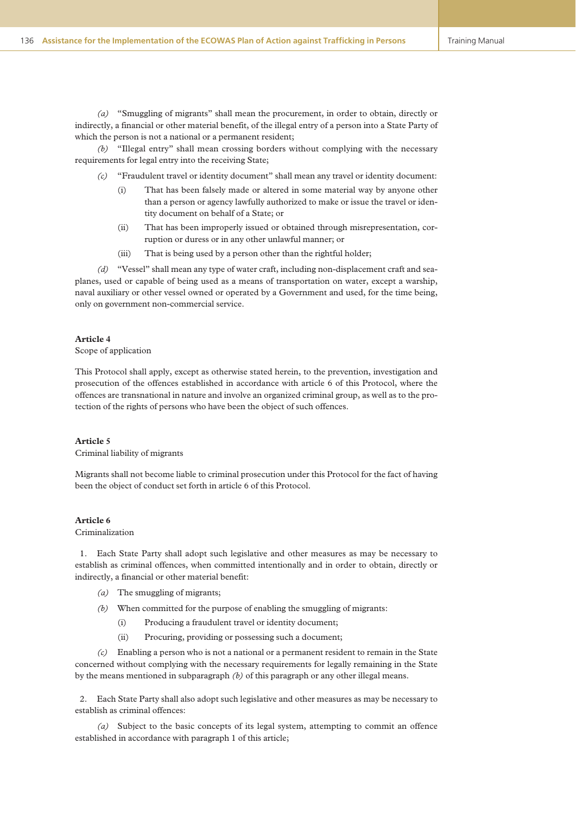*(a)* "Smuggling of migrants" shall mean the procurement, in order to obtain, directly or indirectly, a financial or other material benefit, of the illegal entry of a person into a State Party of which the person is not a national or a permanent resident;

*(b)* "Illegal entry" shall mean crossing borders without complying with the necessary requirements for legal entry into the receiving State;

- *(c)* "Fraudulent travel or identity document" shall mean any travel or identity document:
	- (i) That has been falsely made or altered in some material way by anyone other than a person or agency lawfully authorized to make or issue the travel or identity document on behalf of a State; or
	- (ii) That has been improperly issued or obtained through misrepresentation, corruption or duress or in any other unlawful manner; or
	- (iii) That is being used by a person other than the rightful holder;

*(d)* "Vessel" shall mean any type of water craft, including non-displacement craft and seaplanes, used or capable of being used as a means of transportation on water, except a warship, naval auxiliary or other vessel owned or operated by a Government and used, for the time being, only on government non-commercial service.

# **Article 4**

Scope of application

This Protocol shall apply, except as otherwise stated herein, to the prevention, investigation and prosecution of the offences established in accordance with article 6 of this Protocol, where the offences are transnational in nature and involve an organized criminal group, as well as to the protection of the rights of persons who have been the object of such offences.

#### **Article 5**

Criminal liability of migrants

Migrants shall not become liable to criminal prosecution under this Protocol for the fact of having been the object of conduct set forth in article 6 of this Protocol.

#### **Article 6**

Criminalization

1. Each State Party shall adopt such legislative and other measures as may be necessary to establish as criminal offences, when committed intentionally and in order to obtain, directly or indirectly, a financial or other material benefit:

- *(a)* The smuggling of migrants;
- *(b)* When committed for the purpose of enabling the smuggling of migrants:
	- (i) Producing a fraudulent travel or identity document;
	- (ii) Procuring, providing or possessing such a document;

*(c)* Enabling a person who is not a national or a permanent resident to remain in the State concerned without complying with the necessary requirements for legally remaining in the State by the means mentioned in subparagraph *(b)* of this paragraph or any other illegal means.

2. Each State Party shall also adopt such legislative and other measures as may be necessary to establish as criminal offences:

*(a)* Subject to the basic concepts of its legal system, attempting to commit an offence established in accordance with paragraph 1 of this article;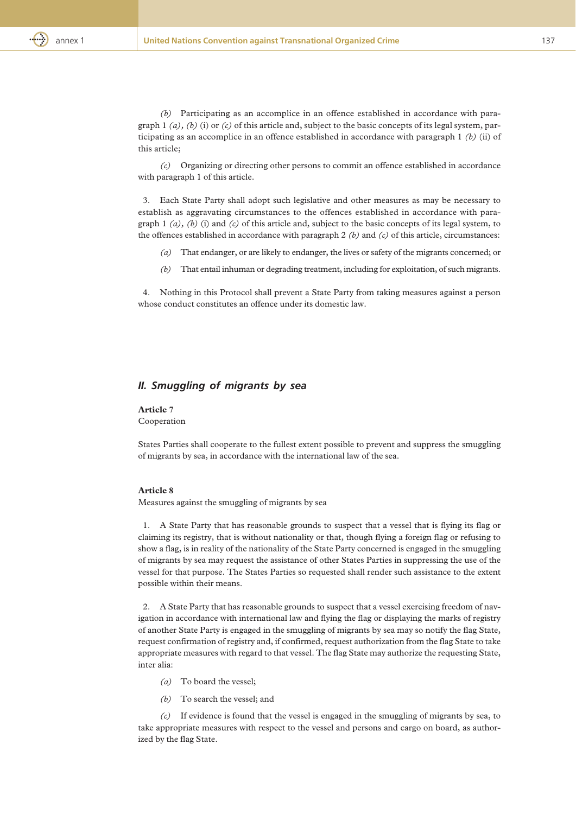*(b)* Participating as an accomplice in an offence established in accordance with paragraph 1  $(a)$ ,  $(b)$  (i) or  $(c)$  of this article and, subject to the basic concepts of its legal system, participating as an accomplice in an offence established in accordance with paragraph 1 *(b)* (ii) of this article;

*(c)* Organizing or directing other persons to commit an offence established in accordance with paragraph 1 of this article.

3. Each State Party shall adopt such legislative and other measures as may be necessary to establish as aggravating circumstances to the offences established in accordance with paragraph 1 *(a), (b)* (i) and *(c)* of this article and, subject to the basic concepts of its legal system, to the offences established in accordance with paragraph 2 *(b)* and *(c)* of this article, circumstances:

- *(a)* That endanger, or are likely to endanger, the lives or safety of the migrants concerned; or
- *(b)* That entail inhuman or degrading treatment, including for exploitation, of such migrants.

4. Nothing in this Protocol shall prevent a State Party from taking measures against a person whose conduct constitutes an offence under its domestic law.

# *II. Smuggling of migrants by sea*

# **Article 7**

Cooperation

States Parties shall cooperate to the fullest extent possible to prevent and suppress the smuggling of migrants by sea, in accordance with the international law of the sea.

# **Article 8**

Measures against the smuggling of migrants by sea

1. A State Party that has reasonable grounds to suspect that a vessel that is flying its flag or claiming its registry, that is without nationality or that, though flying a foreign flag or refusing to show a flag, is in reality of the nationality of the State Party concerned is engaged in the smuggling of migrants by sea may request the assistance of other States Parties in suppressing the use of the vessel for that purpose. The States Parties so requested shall render such assistance to the extent possible within their means.

2. A State Party that has reasonable grounds to suspect that a vessel exercising freedom of navigation in accordance with international law and flying the flag or displaying the marks of registry of another State Party is engaged in the smuggling of migrants by sea may so notify the flag State, request confirmation of registry and, if confirmed, request authorization from the flag State to take appropriate measures with regard to that vessel. The flag State may authorize the requesting State, inter alia:

- *(a)* To board the vessel;
- *(b)* To search the vessel; and

*(c)* If evidence is found that the vessel is engaged in the smuggling of migrants by sea, to take appropriate measures with respect to the vessel and persons and cargo on board, as authorized by the flag State.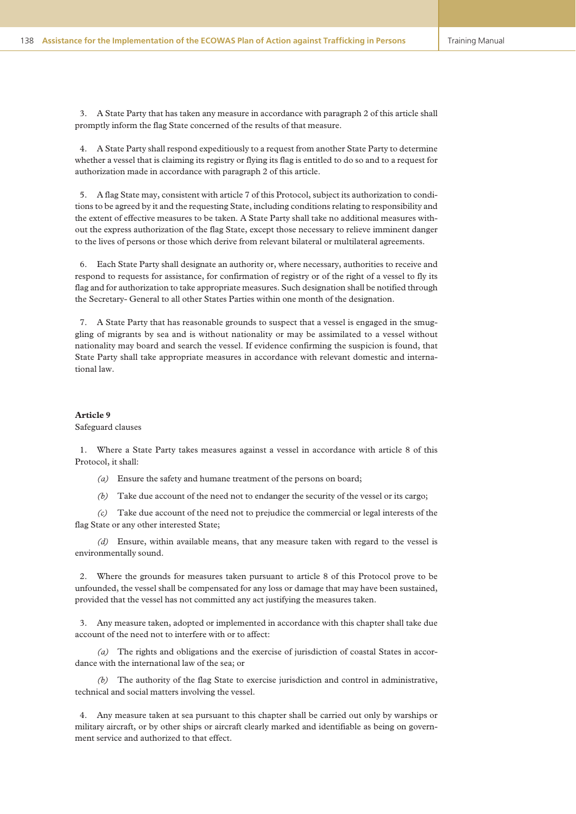3. A State Party that has taken any measure in accordance with paragraph 2 of this article shall promptly inform the flag State concerned of the results of that measure.

4. A State Party shall respond expeditiously to a request from another State Party to determine whether a vessel that is claiming its registry or flying its flag is entitled to do so and to a request for authorization made in accordance with paragraph 2 of this article.

5. A flag State may, consistent with article 7 of this Protocol, subject its authorization to conditions to be agreed by it and the requesting State, including conditions relating to responsibility and the extent of effective measures to be taken. A State Party shall take no additional measures without the express authorization of the flag State, except those necessary to relieve imminent danger to the lives of persons or those which derive from relevant bilateral or multilateral agreements.

6. Each State Party shall designate an authority or, where necessary, authorities to receive and respond to requests for assistance, for confirmation of registry or of the right of a vessel to fly its flag and for authorization to take appropriate measures. Such designation shall be notified through the Secretary- General to all other States Parties within one month of the designation.

7. A State Party that has reasonable grounds to suspect that a vessel is engaged in the smuggling of migrants by sea and is without nationality or may be assimilated to a vessel without nationality may board and search the vessel. If evidence confirming the suspicion is found, that State Party shall take appropriate measures in accordance with relevant domestic and international law.

#### **Article 9**

Safeguard clauses

1. Where a State Party takes measures against a vessel in accordance with article 8 of this Protocol, it shall:

- *(a)* Ensure the safety and humane treatment of the persons on board;
- *(b)* Take due account of the need not to endanger the security of the vessel or its cargo;

*(c)* Take due account of the need not to prejudice the commercial or legal interests of the flag State or any other interested State;

*(d)* Ensure, within available means, that any measure taken with regard to the vessel is environmentally sound.

2. Where the grounds for measures taken pursuant to article 8 of this Protocol prove to be unfounded, the vessel shall be compensated for any loss or damage that may have been sustained, provided that the vessel has not committed any act justifying the measures taken.

3. Any measure taken, adopted or implemented in accordance with this chapter shall take due account of the need not to interfere with or to affect:

*(a)* The rights and obligations and the exercise of jurisdiction of coastal States in accordance with the international law of the sea; or

*(b)* The authority of the flag State to exercise jurisdiction and control in administrative, technical and social matters involving the vessel.

4. Any measure taken at sea pursuant to this chapter shall be carried out only by warships or military aircraft, or by other ships or aircraft clearly marked and identifiable as being on government service and authorized to that effect.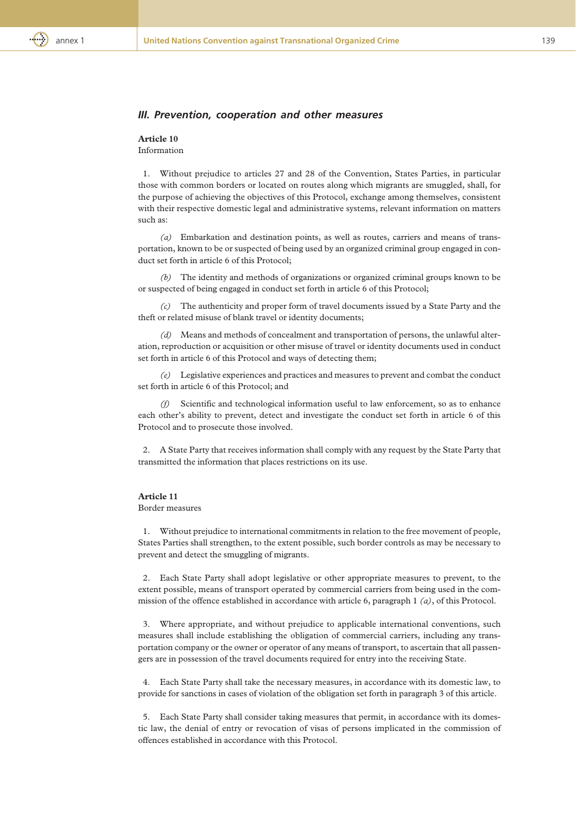# *III. Prevention, cooperation and other measures*

#### **Article 10**

Information

1. Without prejudice to articles 27 and 28 of the Convention, States Parties, in particular those with common borders or located on routes along which migrants are smuggled, shall, for the purpose of achieving the objectives of this Protocol, exchange among themselves, consistent with their respective domestic legal and administrative systems, relevant information on matters such as:

*(a)* Embarkation and destination points, as well as routes, carriers and means of transportation, known to be or suspected of being used by an organized criminal group engaged in conduct set forth in article 6 of this Protocol;

*(b)* The identity and methods of organizations or organized criminal groups known to be or suspected of being engaged in conduct set forth in article 6 of this Protocol;

The authenticity and proper form of travel documents issued by a State Party and the theft or related misuse of blank travel or identity documents;

*(d)* Means and methods of concealment and transportation of persons, the unlawful alteration, reproduction or acquisition or other misuse of travel or identity documents used in conduct set forth in article 6 of this Protocol and ways of detecting them;

*(e)* Legislative experiences and practices and measures to prevent and combat the conduct set forth in article 6 of this Protocol; and

*(f)* Scientific and technological information useful to law enforcement, so as to enhance each other's ability to prevent, detect and investigate the conduct set forth in article 6 of this Protocol and to prosecute those involved.

2. A State Party that receives information shall comply with any request by the State Party that transmitted the information that places restrictions on its use.

#### **Article 11**

Border measures

1. Without prejudice to international commitments in relation to the free movement of people, States Parties shall strengthen, to the extent possible, such border controls as may be necessary to prevent and detect the smuggling of migrants.

2. Each State Party shall adopt legislative or other appropriate measures to prevent, to the extent possible, means of transport operated by commercial carriers from being used in the commission of the offence established in accordance with article 6, paragraph 1 *(a)*, of this Protocol.

3. Where appropriate, and without prejudice to applicable international conventions, such measures shall include establishing the obligation of commercial carriers, including any transportation company or the owner or operator of any means of transport, to ascertain that all passengers are in possession of the travel documents required for entry into the receiving State.

4. Each State Party shall take the necessary measures, in accordance with its domestic law, to provide for sanctions in cases of violation of the obligation set forth in paragraph 3 of this article.

5. Each State Party shall consider taking measures that permit, in accordance with its domestic law, the denial of entry or revocation of visas of persons implicated in the commission of offences established in accordance with this Protocol.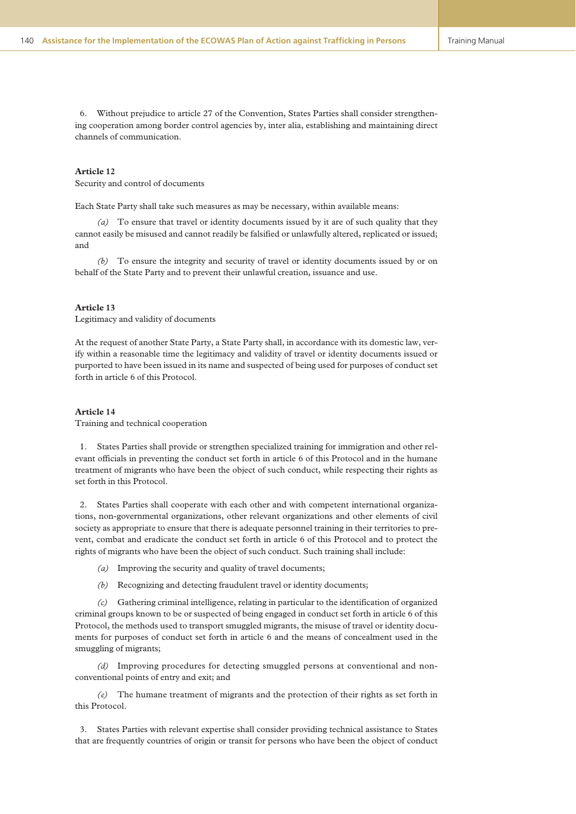6. Without prejudice to article 27 of the Convention, States Parties shall consider strengthening cooperation among border control agencies by, inter alia, establishing and maintaining direct channels of communication.

# **Article 12**

Security and control of documents

Each State Party shall take such measures as may be necessary, within available means:

*(a)* To ensure that travel or identity documents issued by it are of such quality that they cannot easily be misused and cannot readily be falsified or unlawfully altered, replicated or issued; and

*(b)* To ensure the integrity and security of travel or identity documents issued by or on behalf of the State Party and to prevent their unlawful creation, issuance and use.

## **Article 13**

Legitimacy and validity of documents

At the request of another State Party, a State Party shall, in accordance with its domestic law, verify within a reasonable time the legitimacy and validity of travel or identity documents issued or purported to have been issued in its name and suspected of being used for purposes of conduct set forth in article 6 of this Protocol.

#### **Article 14**

Training and technical cooperation

1. States Parties shall provide or strengthen specialized training for immigration and other relevant officials in preventing the conduct set forth in article 6 of this Protocol and in the humane treatment of migrants who have been the object of such conduct, while respecting their rights as set forth in this Protocol.

2. States Parties shall cooperate with each other and with competent international organizations, non-governmental organizations, other relevant organizations and other elements of civil society as appropriate to ensure that there is adequate personnel training in their territories to prevent, combat and eradicate the conduct set forth in article 6 of this Protocol and to protect the rights of migrants who have been the object of such conduct. Such training shall include:

- *(a)* Improving the security and quality of travel documents;
- *(b)* Recognizing and detecting fraudulent travel or identity documents;

*(c)* Gathering criminal intelligence, relating in particular to the identification of organized criminal groups known to be or suspected of being engaged in conduct set forth in article 6 of this Protocol, the methods used to transport smuggled migrants, the misuse of travel or identity documents for purposes of conduct set forth in article 6 and the means of concealment used in the smuggling of migrants;

*(d)* Improving procedures for detecting smuggled persons at conventional and nonconventional points of entry and exit; and

*(e)* The humane treatment of migrants and the protection of their rights as set forth in this Protocol.

3. States Parties with relevant expertise shall consider providing technical assistance to States that are frequently countries of origin or transit for persons who have been the object of conduct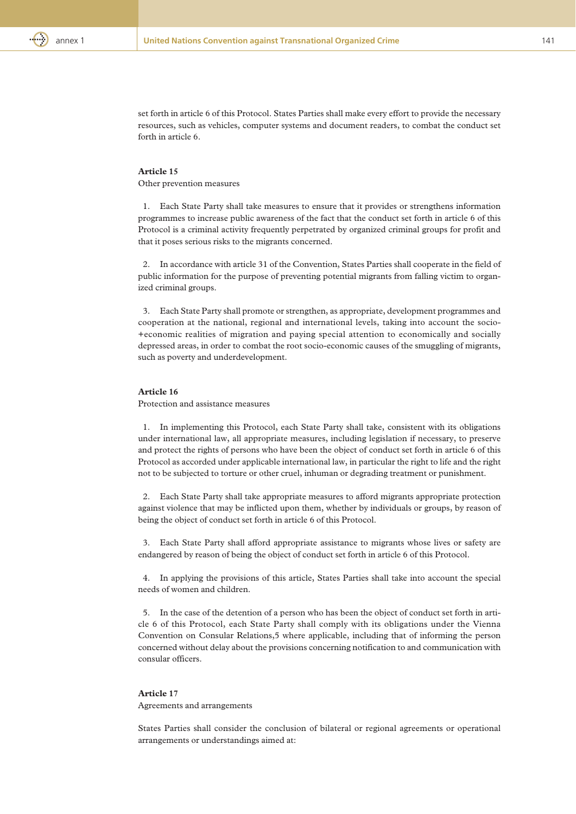set forth in article 6 of this Protocol. States Parties shall make every effort to provide the necessary resources, such as vehicles, computer systems and document readers, to combat the conduct set forth in article 6.

#### **Article 15**

Other prevention measures

1. Each State Party shall take measures to ensure that it provides or strengthens information programmes to increase public awareness of the fact that the conduct set forth in article 6 of this Protocol is a criminal activity frequently perpetrated by organized criminal groups for profit and that it poses serious risks to the migrants concerned.

2. In accordance with article 31 of the Convention, States Parties shall cooperate in the field of public information for the purpose of preventing potential migrants from falling victim to organized criminal groups.

3. Each State Party shall promote or strengthen, as appropriate, development programmes and cooperation at the national, regional and international levels, taking into account the socio- +economic realities of migration and paying special attention to economically and socially depressed areas, in order to combat the root socio-economic causes of the smuggling of migrants, such as poverty and underdevelopment.

#### **Article 16**

Protection and assistance measures

1. In implementing this Protocol, each State Party shall take, consistent with its obligations under international law, all appropriate measures, including legislation if necessary, to preserve and protect the rights of persons who have been the object of conduct set forth in article 6 of this Protocol as accorded under applicable international law, in particular the right to life and the right not to be subjected to torture or other cruel, inhuman or degrading treatment or punishment.

2. Each State Party shall take appropriate measures to afford migrants appropriate protection against violence that may be inflicted upon them, whether by individuals or groups, by reason of being the object of conduct set forth in article 6 of this Protocol.

3. Each State Party shall afford appropriate assistance to migrants whose lives or safety are endangered by reason of being the object of conduct set forth in article 6 of this Protocol.

4. In applying the provisions of this article, States Parties shall take into account the special needs of women and children.

5. In the case of the detention of a person who has been the object of conduct set forth in article 6 of this Protocol, each State Party shall comply with its obligations under the Vienna Convention on Consular Relations,5 where applicable, including that of informing the person concerned without delay about the provisions concerning notification to and communication with consular officers.

#### **Article 17**

Agreements and arrangements

States Parties shall consider the conclusion of bilateral or regional agreements or operational arrangements or understandings aimed at: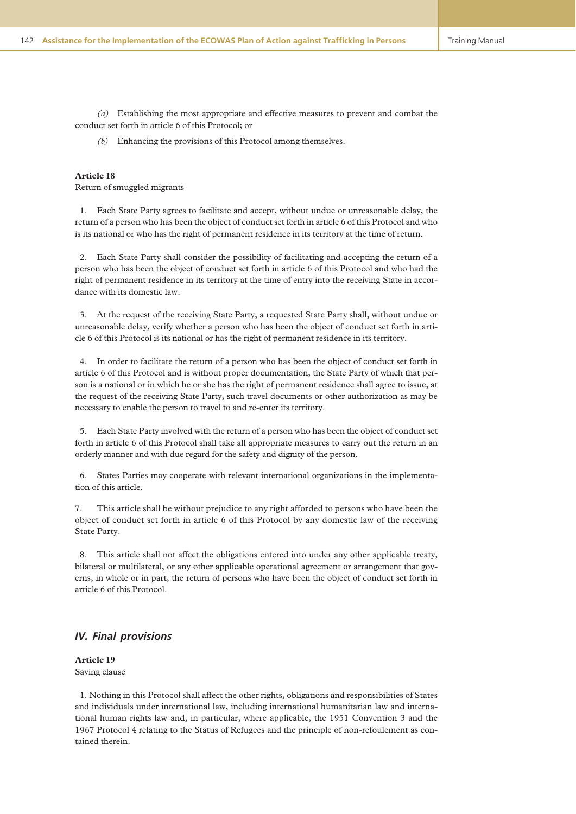*(a)* Establishing the most appropriate and effective measures to prevent and combat the conduct set forth in article 6 of this Protocol; or

*(b)* Enhancing the provisions of this Protocol among themselves.

# **Article 18**

Return of smuggled migrants

1. Each State Party agrees to facilitate and accept, without undue or unreasonable delay, the return of a person who has been the object of conduct set forth in article 6 of this Protocol and who is its national or who has the right of permanent residence in its territory at the time of return.

2. Each State Party shall consider the possibility of facilitating and accepting the return of a person who has been the object of conduct set forth in article 6 of this Protocol and who had the right of permanent residence in its territory at the time of entry into the receiving State in accordance with its domestic law.

3. At the request of the receiving State Party, a requested State Party shall, without undue or unreasonable delay, verify whether a person who has been the object of conduct set forth in article 6 of this Protocol is its national or has the right of permanent residence in its territory.

4. In order to facilitate the return of a person who has been the object of conduct set forth in article 6 of this Protocol and is without proper documentation, the State Party of which that person is a national or in which he or she has the right of permanent residence shall agree to issue, at the request of the receiving State Party, such travel documents or other authorization as may be necessary to enable the person to travel to and re-enter its territory.

5. Each State Party involved with the return of a person who has been the object of conduct set forth in article 6 of this Protocol shall take all appropriate measures to carry out the return in an orderly manner and with due regard for the safety and dignity of the person.

6. States Parties may cooperate with relevant international organizations in the implementation of this article.

7. This article shall be without prejudice to any right afforded to persons who have been the object of conduct set forth in article 6 of this Protocol by any domestic law of the receiving State Party.

8. This article shall not affect the obligations entered into under any other applicable treaty, bilateral or multilateral, or any other applicable operational agreement or arrangement that governs, in whole or in part, the return of persons who have been the object of conduct set forth in article 6 of this Protocol.

# *IV. Final provisions*

**Article 19** Saving clause

1. Nothing in this Protocol shall affect the other rights, obligations and responsibilities of States and individuals under international law, including international humanitarian law and international human rights law and, in particular, where applicable, the 1951 Convention 3 and the 1967 Protocol 4 relating to the Status of Refugees and the principle of non-refoulement as contained therein.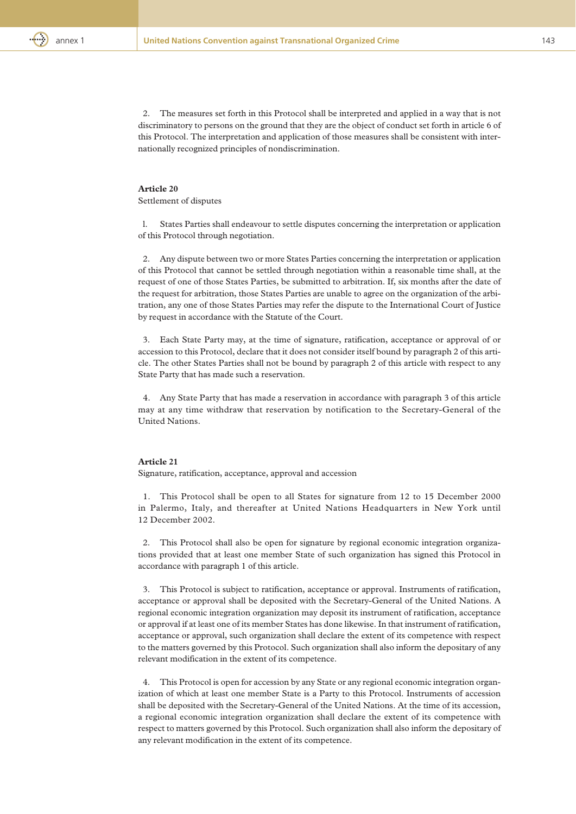2. The measures set forth in this Protocol shall be interpreted and applied in a way that is not discriminatory to persons on the ground that they are the object of conduct set forth in article 6 of this Protocol. The interpretation and application of those measures shall be consistent with internationally recognized principles of nondiscrimination.

#### **Article 20**

Settlement of disputes

l. States Parties shall endeavour to settle disputes concerning the interpretation or application of this Protocol through negotiation.

2. Any dispute between two or more States Parties concerning the interpretation or application of this Protocol that cannot be settled through negotiation within a reasonable time shall, at the request of one of those States Parties, be submitted to arbitration. If, six months after the date of the request for arbitration, those States Parties are unable to agree on the organization of the arbitration, any one of those States Parties may refer the dispute to the International Court of Justice by request in accordance with the Statute of the Court.

3. Each State Party may, at the time of signature, ratification, acceptance or approval of or accession to this Protocol, declare that it does not consider itself bound by paragraph 2 of this article. The other States Parties shall not be bound by paragraph 2 of this article with respect to any State Party that has made such a reservation.

4. Any State Party that has made a reservation in accordance with paragraph 3 of this article may at any time withdraw that reservation by notification to the Secretary-General of the United Nations.

# **Article 21**

Signature, ratification, acceptance, approval and accession

1. This Protocol shall be open to all States for signature from 12 to 15 December 2000 in Palermo, Italy, and thereafter at United Nations Headquarters in New York until 12 December 2002.

2. This Protocol shall also be open for signature by regional economic integration organizations provided that at least one member State of such organization has signed this Protocol in accordance with paragraph 1 of this article.

3. This Protocol is subject to ratification, acceptance or approval. Instruments of ratification, acceptance or approval shall be deposited with the Secretary-General of the United Nations. A regional economic integration organization may deposit its instrument of ratification, acceptance or approval if at least one of its member States has done likewise. In that instrument of ratification, acceptance or approval, such organization shall declare the extent of its competence with respect to the matters governed by this Protocol. Such organization shall also inform the depositary of any relevant modification in the extent of its competence.

4. This Protocol is open for accession by any State or any regional economic integration organization of which at least one member State is a Party to this Protocol. Instruments of accession shall be deposited with the Secretary-General of the United Nations. At the time of its accession, a regional economic integration organization shall declare the extent of its competence with respect to matters governed by this Protocol. Such organization shall also inform the depositary of any relevant modification in the extent of its competence.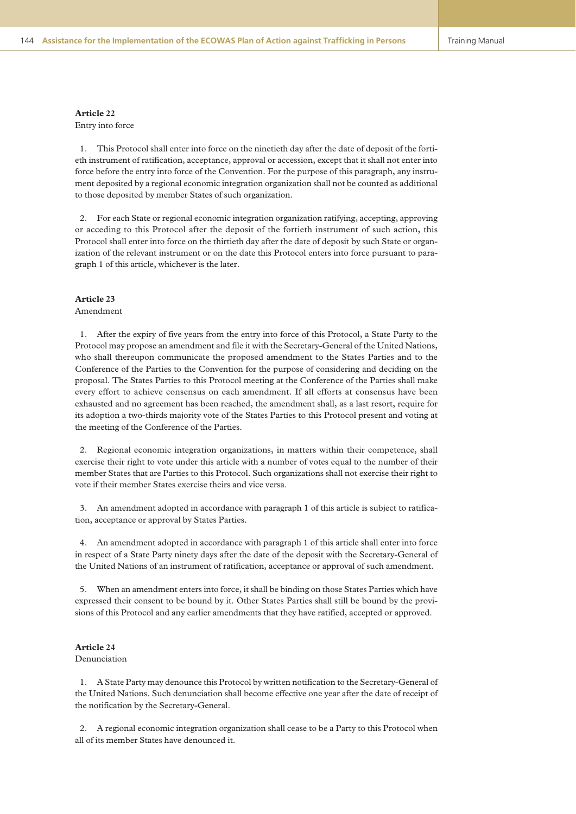**Article 22** Entry into force

1. This Protocol shall enter into force on the ninetieth day after the date of deposit of the fortieth instrument of ratification, acceptance, approval or accession, except that it shall not enter into force before the entry into force of the Convention. For the purpose of this paragraph, any instrument deposited by a regional economic integration organization shall not be counted as additional to those deposited by member States of such organization.

2. For each State or regional economic integration organization ratifying, accepting, approving or acceding to this Protocol after the deposit of the fortieth instrument of such action, this Protocol shall enter into force on the thirtieth day after the date of deposit by such State or organization of the relevant instrument or on the date this Protocol enters into force pursuant to paragraph 1 of this article, whichever is the later.

#### **Article 23**

# Amendment

1. After the expiry of five years from the entry into force of this Protocol, a State Party to the Protocol may propose an amendment and file it with the Secretary-General of the United Nations, who shall thereupon communicate the proposed amendment to the States Parties and to the Conference of the Parties to the Convention for the purpose of considering and deciding on the proposal. The States Parties to this Protocol meeting at the Conference of the Parties shall make every effort to achieve consensus on each amendment. If all efforts at consensus have been exhausted and no agreement has been reached, the amendment shall, as a last resort, require for its adoption a two-thirds majority vote of the States Parties to this Protocol present and voting at the meeting of the Conference of the Parties.

2. Regional economic integration organizations, in matters within their competence, shall exercise their right to vote under this article with a number of votes equal to the number of their member States that are Parties to this Protocol. Such organizations shall not exercise their right to vote if their member States exercise theirs and vice versa.

3. An amendment adopted in accordance with paragraph 1 of this article is subject to ratification, acceptance or approval by States Parties.

4. An amendment adopted in accordance with paragraph 1 of this article shall enter into force in respect of a State Party ninety days after the date of the deposit with the Secretary-General of the United Nations of an instrument of ratification, acceptance or approval of such amendment.

5. When an amendment enters into force, it shall be binding on those States Parties which have expressed their consent to be bound by it. Other States Parties shall still be bound by the provisions of this Protocol and any earlier amendments that they have ratified, accepted or approved.

#### **Article 24**

#### Denunciation

1. A State Party may denounce this Protocol by written notification to the Secretary-General of the United Nations. Such denunciation shall become effective one year after the date of receipt of the notification by the Secretary-General.

2. A regional economic integration organization shall cease to be a Party to this Protocol when all of its member States have denounced it.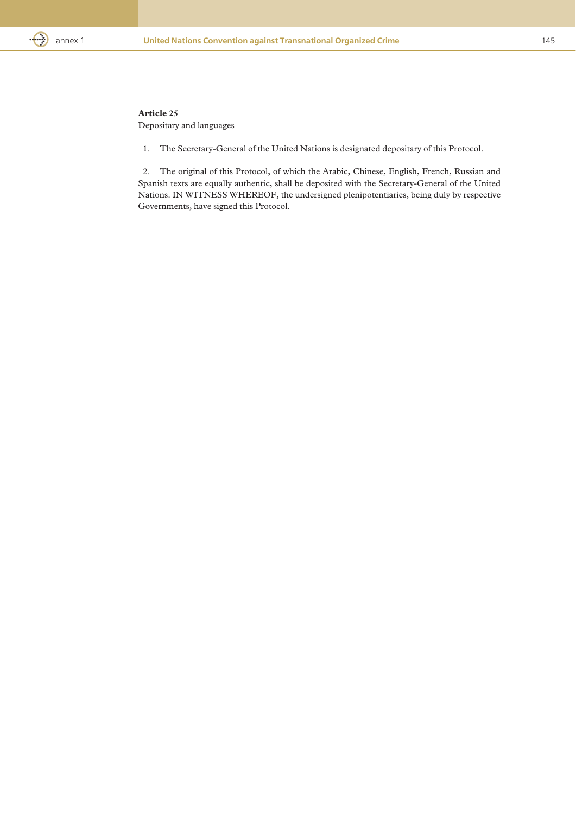**Article 25** Depositary and languages

1. The Secretary-General of the United Nations is designated depositary of this Protocol.

2. The original of this Protocol, of which the Arabic, Chinese, English, French, Russian and Spanish texts are equally authentic, shall be deposited with the Secretary-General of the United Nations. IN WITNESS WHEREOF, the undersigned plenipotentiaries, being duly by respective Governments, have signed this Protocol.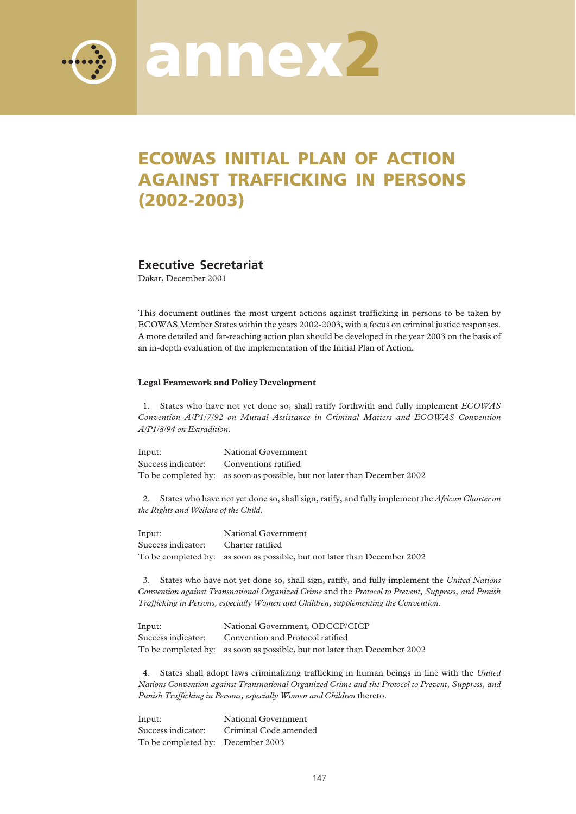

# **ECOWAS INITIAL PLAN OF ACTION AGAINST TRAFFICKING IN PERSONS (2002-2003)**

# **Executive Secretariat**

Dakar, December 2001

This document outlines the most urgent actions against trafficking in persons to be taken by ECOWAS Member States within the years 2002-2003, with a focus on criminal justice responses. A more detailed and far-reaching action plan should be developed in the year 2003 on the basis of an in-depth evaluation of the implementation of the Initial Plan of Action.

# **Legal Framework and Policy Development**

1. States who have not yet done so, shall ratify forthwith and fully implement *ECOWAS Convention A/P1/7/92 on Mutual Assistance in Criminal Matters and ECOWAS Convention A/P1/8/94 on Extradition*.

Input: National Government Success indicator: Conventions ratified To be completed by: as soon as possible, but not later than December 2002

2. States who have not yet done so, shall sign, ratify, and fully implement the *African Charter on the Rights and Welfare of the Child*.

Input: National Government Success indicator: Charter ratified To be completed by: as soon as possible, but not later than December 2002

3. States who have not yet done so, shall sign, ratify, and fully implement the *United Nations Convention against Transnational Organized Crime* and the *Protocol to Prevent, Suppress, and Punish Trafficking in Persons, especially Women and Children, supplementing the Convention*.

Input: National Government, ODCCP/CICP Success indicator: Convention and Protocol ratified To be completed by: as soon as possible, but not later than December 2002

4. States shall adopt laws criminalizing trafficking in human beings in line with the *United Nations Convention against Transnational Organized Crime and the Protocol to Prevent, Suppress, and Punish Trafficking in Persons, especially Women and Children* thereto.

Input: National Government Success indicator: Criminal Code amended To be completed by: December 2003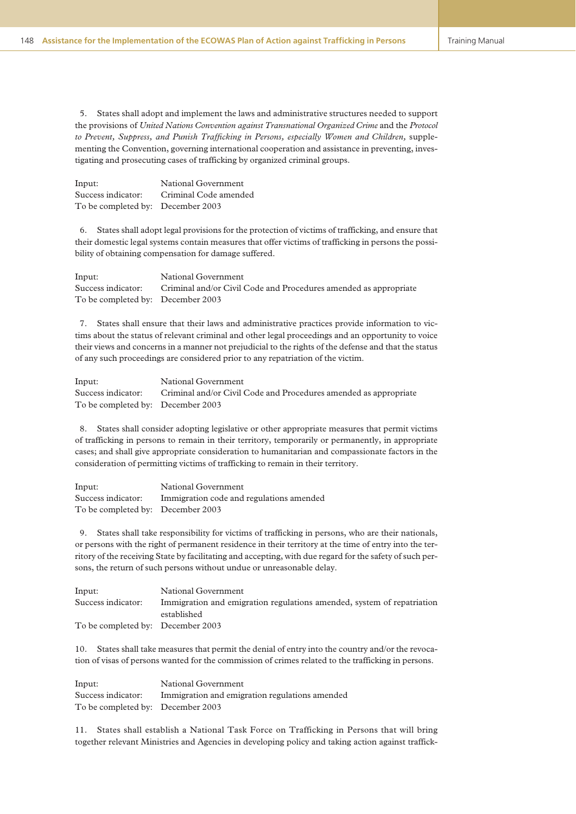5. States shall adopt and implement the laws and administrative structures needed to support the provisions of *United Nations Convention against Transnational Organized Crime* and the *Protocol to Prevent, Suppress, and Punish Trafficking in Persons, especially Women and Children,* supplementing the Convention, governing international cooperation and assistance in preventing, investigating and prosecuting cases of trafficking by organized criminal groups.

| Input:                            | National Government   |
|-----------------------------------|-----------------------|
| Success indicator:                | Criminal Code amended |
| To be completed by: December 2003 |                       |

6. States shall adopt legal provisions for the protection of victims of trafficking, and ensure that their domestic legal systems contain measures that offer victims of trafficking in persons the possibility of obtaining compensation for damage suffered.

| Input:                            | National Government                                              |
|-----------------------------------|------------------------------------------------------------------|
| Success indicator:                | Criminal and/or Civil Code and Procedures amended as appropriate |
| To be completed by: December 2003 |                                                                  |

7. States shall ensure that their laws and administrative practices provide information to victims about the status of relevant criminal and other legal proceedings and an opportunity to voice their views and concerns in a manner not prejudicial to the rights of the defense and that the status of any such proceedings are considered prior to any repatriation of the victim.

| Input:                            | National Government                                              |
|-----------------------------------|------------------------------------------------------------------|
| Success indicator:                | Criminal and/or Civil Code and Procedures amended as appropriate |
| To be completed by: December 2003 |                                                                  |

8. States shall consider adopting legislative or other appropriate measures that permit victims of trafficking in persons to remain in their territory, temporarily or permanently, in appropriate cases; and shall give appropriate consideration to humanitarian and compassionate factors in the consideration of permitting victims of trafficking to remain in their territory.

| Input:                            | National Government                      |
|-----------------------------------|------------------------------------------|
| Success indicator:                | Immigration code and regulations amended |
| To be completed by: December 2003 |                                          |

9. States shall take responsibility for victims of trafficking in persons, who are their nationals, or persons with the right of permanent residence in their territory at the time of entry into the territory of the receiving State by facilitating and accepting, with due regard for the safety of such persons, the return of such persons without undue or unreasonable delay.

| Input:                            | National Government                                                    |
|-----------------------------------|------------------------------------------------------------------------|
| Success indicator:                | Immigration and emigration regulations amended, system of repatriation |
|                                   | established                                                            |
| To be completed by: December 2003 |                                                                        |

10. States shall take measures that permit the denial of entry into the country and/or the revocation of visas of persons wanted for the commission of crimes related to the trafficking in persons.

| Input:                            | National Government                            |
|-----------------------------------|------------------------------------------------|
| Success indicator:                | Immigration and emigration regulations amended |
| To be completed by: December 2003 |                                                |

11. States shall establish a National Task Force on Trafficking in Persons that will bring together relevant Ministries and Agencies in developing policy and taking action against traffick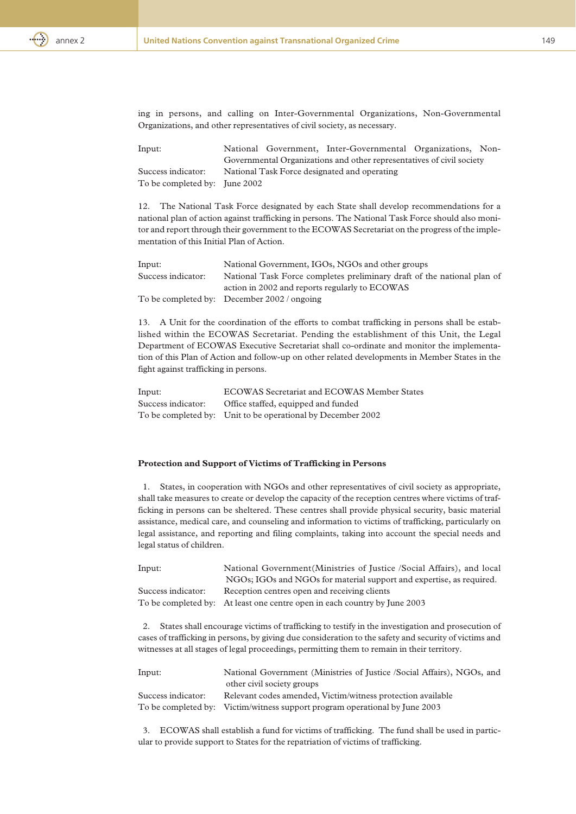ing in persons, and calling on Inter-Governmental Organizations, Non-Governmental Organizations, and other representatives of civil society, as necessary.

| Input:                        |  | National Government, Inter-Governmental Organizations, Non-           |  |
|-------------------------------|--|-----------------------------------------------------------------------|--|
|                               |  | Governmental Organizations and other representatives of civil society |  |
| Success indicator:            |  | National Task Force designated and operating                          |  |
| To be completed by: June 2002 |  |                                                                       |  |

12. The National Task Force designated by each State shall develop recommendations for a national plan of action against trafficking in persons. The National Task Force should also monitor and report through their government to the ECOWAS Secretariat on the progress of the implementation of this Initial Plan of Action.

| Input:             | National Government, IGOs, NGOs and other groups                        |
|--------------------|-------------------------------------------------------------------------|
| Success indicator: | National Task Force completes preliminary draft of the national plan of |
|                    | action in 2002 and reports regularly to ECOWAS                          |
|                    | To be completed by: December 2002 / ongoing                             |

13. A Unit for the coordination of the efforts to combat trafficking in persons shall be established within the ECOWAS Secretariat. Pending the establishment of this Unit, the Legal Department of ECOWAS Executive Secretariat shall co-ordinate and monitor the implementation of this Plan of Action and follow-up on other related developments in Member States in the fight against trafficking in persons.

| Input:             | <b>ECOWAS Secretariat and ECOWAS Member States</b>          |
|--------------------|-------------------------------------------------------------|
| Success indicator: | Office staffed, equipped and funded                         |
|                    | To be completed by: Unit to be operational by December 2002 |

#### **Protection and Support of Victims of Trafficking in Persons**

1. States, in cooperation with NGOs and other representatives of civil society as appropriate, shall take measures to create or develop the capacity of the reception centres where victims of trafficking in persons can be sheltered. These centres shall provide physical security, basic material assistance, medical care, and counseling and information to victims of trafficking, particularly on legal assistance, and reporting and filing complaints, taking into account the special needs and legal status of children.

| Input:             | National Government (Ministries of Justice /Social Affairs), and local    |
|--------------------|---------------------------------------------------------------------------|
|                    | NGOs; IGOs and NGOs for material support and expertise, as required.      |
| Success indicator: | Reception centres open and receiving clients                              |
|                    | To be completed by: At least one centre open in each country by June 2003 |

2. States shall encourage victims of trafficking to testify in the investigation and prosecution of cases of trafficking in persons, by giving due consideration to the safety and security of victims and witnesses at all stages of legal proceedings, permitting them to remain in their territory.

| Input:             | National Government (Ministries of Justice /Social Affairs), NGOs, and      |
|--------------------|-----------------------------------------------------------------------------|
|                    | other civil society groups                                                  |
| Success indicator: | Relevant codes amended, Victim/witness protection available                 |
|                    | To be completed by: Victim/witness support program operational by June 2003 |

3. ECOWAS shall establish a fund for victims of trafficking. The fund shall be used in particular to provide support to States for the repatriation of victims of trafficking.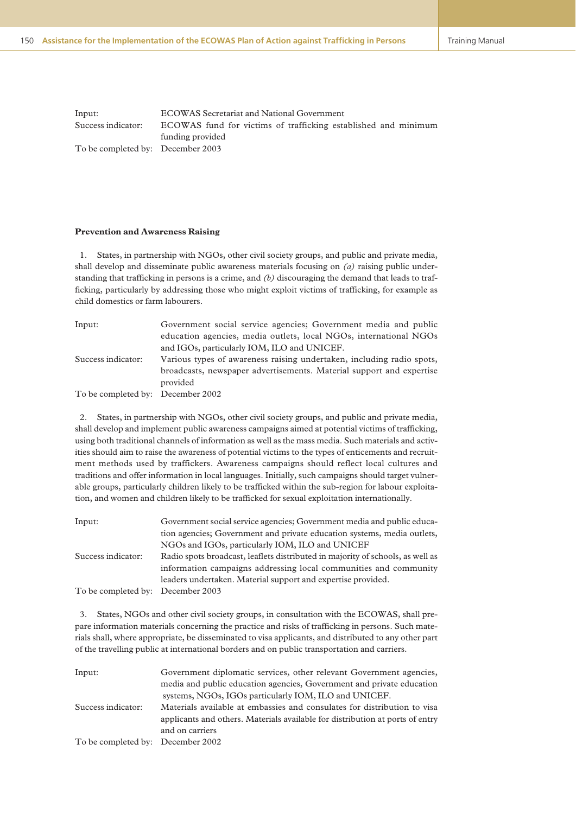Input: ECOWAS Secretariat and National Government Success indicator: ECOWAS fund for victims of trafficking established and minimum funding provided To be completed by: December 2003

#### **Prevention and Awareness Raising**

1. States, in partnership with NGOs, other civil society groups, and public and private media, shall develop and disseminate public awareness materials focusing on *(a)* raising public understanding that trafficking in persons is a crime, and *(b)* discouraging the demand that leads to trafficking, particularly by addressing those who might exploit victims of trafficking, for example as child domestics or farm labourers.

| Input:                            | Government social service agencies; Government media and public       |
|-----------------------------------|-----------------------------------------------------------------------|
|                                   | education agencies, media outlets, local NGOs, international NGOs     |
|                                   | and IGOs, particularly IOM, ILO and UNICEF.                           |
| Success indicator:                | Various types of awareness raising undertaken, including radio spots, |
|                                   | broadcasts, newspaper advertisements. Material support and expertise  |
|                                   | provided                                                              |
| To be completed by: December 2002 |                                                                       |

2. States, in partnership with NGOs, other civil society groups, and public and private media, shall develop and implement public awareness campaigns aimed at potential victims of trafficking, using both traditional channels of information as well as the mass media. Such materials and activities should aim to raise the awareness of potential victims to the types of enticements and recruitment methods used by traffickers. Awareness campaigns should reflect local cultures and traditions and offer information in local languages. Initially, such campaigns should target vulnerable groups, particularly children likely to be trafficked within the sub-region for labour exploitation, and women and children likely to be trafficked for sexual exploitation internationally.

| Government social service agencies; Government media and public educa-         |
|--------------------------------------------------------------------------------|
| tion agencies; Government and private education systems, media outlets,        |
| NGOs and IGOs, particularly IOM, ILO and UNICEF                                |
| Radio spots broadcast, leaflets distributed in majority of schools, as well as |
| information campaigns addressing local communities and community               |
| leaders undertaken. Material support and expertise provided.                   |
| To be completed by: December 2003                                              |
|                                                                                |

3. States, NGOs and other civil society groups, in consultation with the ECOWAS, shall prepare information materials concerning the practice and risks of trafficking in persons. Such materials shall, where appropriate, be disseminated to visa applicants, and distributed to any other part of the travelling public at international borders and on public transportation and carriers.

| Input:                            | Government diplomatic services, other relevant Government agencies,           |
|-----------------------------------|-------------------------------------------------------------------------------|
|                                   | media and public education agencies, Government and private education         |
|                                   | systems, NGOs, IGOs particularly IOM, ILO and UNICEF.                         |
| Success indicator:                | Materials available at embassies and consulates for distribution to visa      |
|                                   | applicants and others. Materials available for distribution at ports of entry |
|                                   | and on carriers                                                               |
| To be completed by: December 2002 |                                                                               |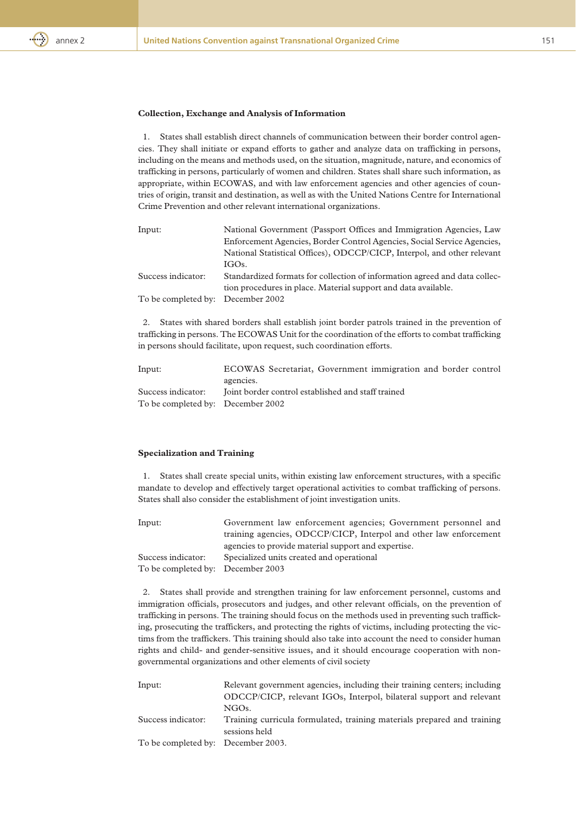#### **Collection, Exchange and Analysis of Information**

1. States shall establish direct channels of communication between their border control agencies. They shall initiate or expand efforts to gather and analyze data on trafficking in persons, including on the means and methods used, on the situation, magnitude, nature, and economics of trafficking in persons, particularly of women and children. States shall share such information, as appropriate, within ECOWAS, and with law enforcement agencies and other agencies of countries of origin, transit and destination, as well as with the United Nations Centre for International Crime Prevention and other relevant international organizations.

| Input:                            | National Government (Passport Offices and Immigration Agencies, Law        |  |
|-----------------------------------|----------------------------------------------------------------------------|--|
|                                   | Enforcement Agencies, Border Control Agencies, Social Service Agencies,    |  |
|                                   | National Statistical Offices), ODCCP/CICP, Interpol, and other relevant    |  |
|                                   | IGO <sub>s</sub> .                                                         |  |
| Success indicator:                | Standardized formats for collection of information agreed and data collec- |  |
|                                   | tion procedures in place. Material support and data available.             |  |
| To be completed by: December 2002 |                                                                            |  |

2. States with shared borders shall establish joint border patrols trained in the prevention of trafficking in persons. The ECOWAS Unit for the coordination of the efforts to combat trafficking in persons should facilitate, upon request, such coordination efforts.

| Input:                            | ECOWAS Secretariat, Government immigration and border control |
|-----------------------------------|---------------------------------------------------------------|
|                                   | agencies.                                                     |
| Success indicator:                | Joint border control established and staff trained            |
| To be completed by: December 2002 |                                                               |

# **Specialization and Training**

1. States shall create special units, within existing law enforcement structures, with a specific mandate to develop and effectively target operational activities to combat trafficking of persons. States shall also consider the establishment of joint investigation units.

| Government law enforcement agencies; Government personnel and     |
|-------------------------------------------------------------------|
| training agencies, ODCCP/CICP, Interpol and other law enforcement |
| agencies to provide material support and expertise.               |
| Specialized units created and operational                         |
| To be completed by: December 2003                                 |
|                                                                   |

2. States shall provide and strengthen training for law enforcement personnel, customs and immigration officials, prosecutors and judges, and other relevant officials, on the prevention of trafficking in persons. The training should focus on the methods used in preventing such trafficking, prosecuting the traffickers, and protecting the rights of victims, including protecting the victims from the traffickers. This training should also take into account the need to consider human rights and child- and gender-sensitive issues, and it should encourage cooperation with nongovernmental organizations and other elements of civil society

| Input:                             | Relevant government agencies, including their training centers; including |
|------------------------------------|---------------------------------------------------------------------------|
|                                    | ODCCP/CICP, relevant IGOs, Interpol, bilateral support and relevant       |
|                                    | NGO <sub>s</sub> .                                                        |
| Success indicator:                 | Training curricula formulated, training materials prepared and training   |
|                                    | sessions held                                                             |
| To be completed by: December 2003. |                                                                           |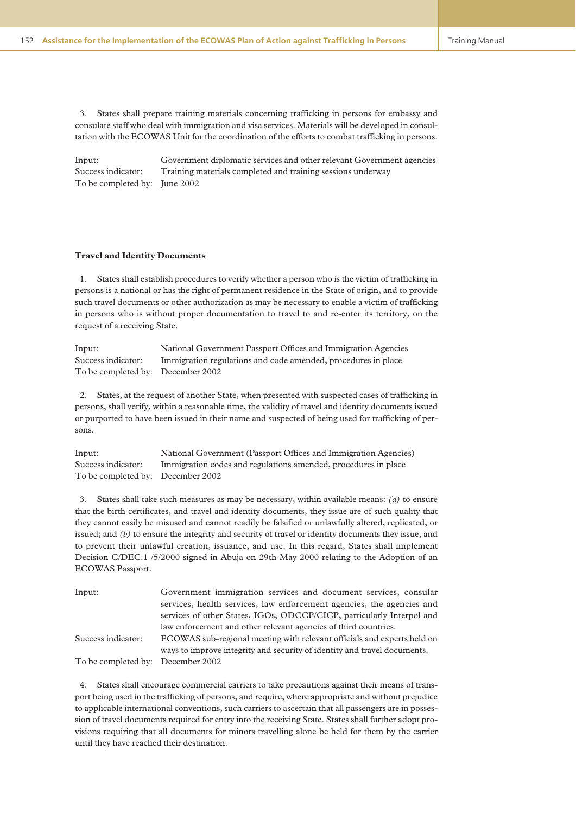3. States shall prepare training materials concerning trafficking in persons for embassy and consulate staff who deal with immigration and visa services. Materials will be developed in consultation with the ECOWAS Unit for the coordination of the efforts to combat trafficking in persons.

Input: Government diplomatic services and other relevant Government agencies Success indicator: Training materials completed and training sessions underway To be completed by: June 2002

#### **Travel and Identity Documents**

1. States shall establish procedures to verify whether a person who is the victim of trafficking in persons is a national or has the right of permanent residence in the State of origin, and to provide such travel documents or other authorization as may be necessary to enable a victim of trafficking in persons who is without proper documentation to travel to and re-enter its territory, on the request of a receiving State.

Input: National Government Passport Offices and Immigration Agencies Success indicator: Immigration regulations and code amended, procedures in place To be completed by: December 2002

2. States, at the request of another State, when presented with suspected cases of trafficking in persons, shall verify, within a reasonable time, the validity of travel and identity documents issued or purported to have been issued in their name and suspected of being used for trafficking of persons.

Input: National Government (Passport Offices and Immigration Agencies) Success indicator: Immigration codes and regulations amended, procedures in place To be completed by: December 2002

3. States shall take such measures as may be necessary, within available means: *(a)* to ensure that the birth certificates, and travel and identity documents, they issue are of such quality that they cannot easily be misused and cannot readily be falsified or unlawfully altered, replicated, or issued; and *(b)* to ensure the integrity and security of travel or identity documents they issue, and to prevent their unlawful creation, issuance, and use. In this regard, States shall implement Decision C/DEC.1 /5/2000 signed in Abuja on 29th May 2000 relating to the Adoption of an ECOWAS Passport.

| Input:                            | Government immigration services and document services, consular          |
|-----------------------------------|--------------------------------------------------------------------------|
|                                   | services, health services, law enforcement agencies, the agencies and    |
|                                   | services of other States, IGOs, ODCCP/CICP, particularly Interpol and    |
|                                   | law enforcement and other relevant agencies of third countries.          |
| Success indicator:                | ECOWAS sub-regional meeting with relevant officials and experts held on  |
|                                   | ways to improve integrity and security of identity and travel documents. |
| To be completed by: December 2002 |                                                                          |

4. States shall encourage commercial carriers to take precautions against their means of transport being used in the trafficking of persons, and require, where appropriate and without prejudice to applicable international conventions, such carriers to ascertain that all passengers are in possession of travel documents required for entry into the receiving State. States shall further adopt provisions requiring that all documents for minors travelling alone be held for them by the carrier until they have reached their destination.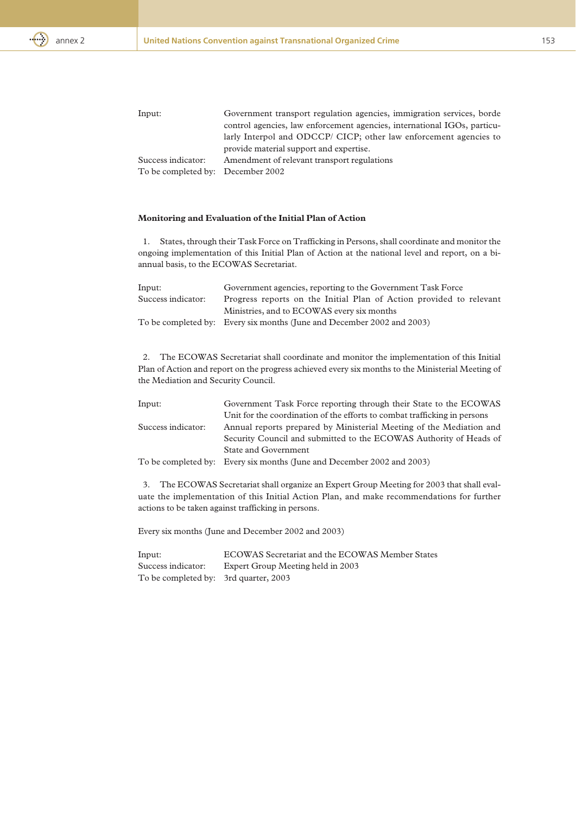$\left( \cdots \right)$ 

| Input:                            | Government transport regulation agencies, immigration services, borde    |
|-----------------------------------|--------------------------------------------------------------------------|
|                                   | control agencies, law enforcement agencies, international IGOs, particu- |
|                                   | larly Interpol and ODCCP/ CICP; other law enforcement agencies to        |
|                                   | provide material support and expertise.                                  |
| Success indicator:                | Amendment of relevant transport regulations                              |
| To be completed by: December 2002 |                                                                          |

# **Monitoring and Evaluation of the Initial Plan of Action**

1. States, through their Task Force on Trafficking in Persons, shall coordinate and monitor the ongoing implementation of this Initial Plan of Action at the national level and report, on a biannual basis, to the ECOWAS Secretariat.

| Input:             | Government agencies, reporting to the Government Task Force            |
|--------------------|------------------------------------------------------------------------|
| Success indicator: | Progress reports on the Initial Plan of Action provided to relevant    |
|                    | Ministries, and to ECOWAS every six months                             |
|                    | To be completed by: Every six months (June and December 2002 and 2003) |

2. The ECOWAS Secretariat shall coordinate and monitor the implementation of this Initial Plan of Action and report on the progress achieved every six months to the Ministerial Meeting of the Mediation and Security Council.

| Input:             | Government Task Force reporting through their State to the ECOWAS         |
|--------------------|---------------------------------------------------------------------------|
|                    | Unit for the coordination of the efforts to combat trafficking in persons |
| Success indicator: | Annual reports prepared by Ministerial Meeting of the Mediation and       |
|                    | Security Council and submitted to the ECOWAS Authority of Heads of        |
|                    | <b>State and Government</b>                                               |
|                    | To be completed by: Every six months (June and December 2002 and 2003)    |

3. The ECOWAS Secretariat shall organize an Expert Group Meeting for 2003 that shall evaluate the implementation of this Initial Action Plan, and make recommendations for further actions to be taken against trafficking in persons.

Every six months (June and December 2002 and 2003)

| Input:                                | <b>ECOWAS Secretariat and the ECOWAS Member States</b> |
|---------------------------------------|--------------------------------------------------------|
| Success indicator:                    | Expert Group Meeting held in 2003                      |
| To be completed by: 3rd quarter, 2003 |                                                        |